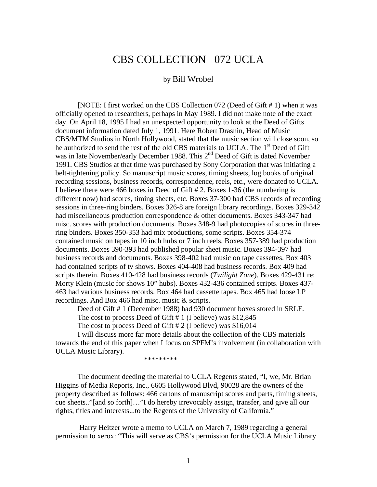# CBS COLLECTION 072 UCLA

#### by Bill Wrobel

 [NOTE: I first worked on the CBS Collection 072 (Deed of Gift # 1) when it was officially opened to researchers, perhaps in May 1989. I did not make note of the exact day. On April 18, 1995 I had an unexpected opportunity to look at the Deed of Gifts document information dated July 1, 1991. Here Robert Drasnin, Head of Music CBS/MTM Studios in North Hollywood, stated that the music section will close soon, so he authorized to send the rest of the old CBS materials to UCLA. The 1<sup>st</sup> Deed of Gift was in late November/early December 1988. This 2<sup>nd</sup> Deed of Gift is dated November 1991. CBS Studios at that time was purchased by Sony Corporation that was initiating a belt-tightening policy. So manuscript music scores, timing sheets, log books of original recording sessions, business records, correspondence, reels, etc., were donated to UCLA. I believe there were 466 boxes in Deed of Gift # 2. Boxes 1-36 (the numbering is different now) had scores, timing sheets, etc. Boxes 37-300 had CBS records of recording sessions in three-ring binders. Boxes 326-8 are foreign library recordings. Boxes 329-342 had miscellaneous production correspondence & other documents. Boxes 343-347 had misc. scores with production documents. Boxes 348-9 had photocopies of scores in threering binders. Boxes 350-353 had mix productions, some scripts. Boxes 354-374 contained music on tapes in 10 inch hubs or 7 inch reels. Boxes 357-389 had production documents. Boxes 390-393 had published popular sheet music. Boxes 394-397 had business records and documents. Boxes 398-402 had music on tape cassettes. Box 403 had contained scripts of tv shows. Boxes 404-408 had business records. Box 409 had scripts therein. Boxes 410-428 had business records (*Twilight Zone*). Boxes 429-431 re: Morty Klein (music for shows 10" hubs). Boxes 432-436 contained scripts. Boxes 437- 463 had various business records. Box 464 had cassette tapes. Box 465 had loose LP recordings. And Box 466 had misc. music & scripts.

 Deed of Gift # 1 (December 1988) had 930 document boxes stored in SRLF. The cost to process Deed of Gift # 1 (I believe) was \$12,845

The cost to process Deed of Gift # 2 (I believe) was \$16,014

 I will discuss more far more details about the collection of the CBS materials towards the end of this paper when I focus on SPFM's involvement (in collaboration with UCLA Music Library).

\*\*\*\*\*\*\*\*\*

 The document deeding the material to UCLA Regents stated, "I, we, Mr. Brian Higgins of Media Reports, Inc., 6605 Hollywood Blvd, 90028 are the owners of the property described as follows: 466 cartons of manuscript scores and parts, timing sheets, cue sheets.."[and so forth]…"I do hereby irrevocably assign, transfer, and give all our rights, titles and interests...to the Regents of the University of California."

 Harry Heitzer wrote a memo to UCLA on March 7, 1989 regarding a general permission to xerox: "This will serve as CBS's permission for the UCLA Music Library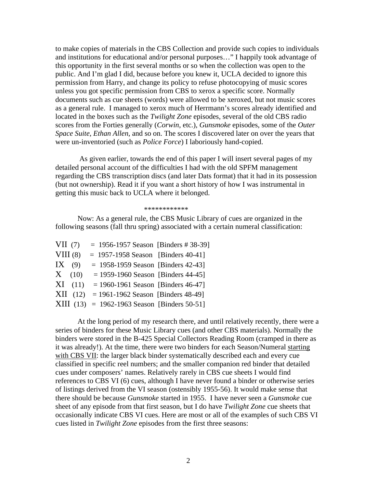to make copies of materials in the CBS Collection and provide such copies to individuals and institutions for educational and/or personal purposes…" I happily took advantage of this opportunity in the first several months or so when the collection was open to the public. And I'm glad I did, because before you knew it, UCLA decided to ignore this permission from Harry, and change its policy to refuse photocopying of music scores unless you got specific permission from CBS to xerox a specific score. Normally documents such as cue sheets (words) were allowed to be xeroxed, but not music scores as a general rule. I managed to xerox much of Herrmann's scores already identified and located in the boxes such as the *Twilight Zone* episodes, several of the old CBS radio scores from the Forties generally (*Corwin*, etc.), *Gunsmoke* episodes, some of the *Outer Space Suite*, *Ethan Allen*, and so on. The scores I discovered later on over the years that were un-inventoried (such as *Police Force*) I laboriously hand-copied.

 As given earlier, towards the end of this paper I will insert several pages of my detailed personal account of the difficulties I had with the old SPFM management regarding the CBS transcription discs (and later Dats format) that it had in its possession (but not ownership). Read it if you want a short history of how I was instrumental in getting this music back to UCLA where it belonged.

#### \*\*\*\*\*\*\*\*\*\*\*\*

 Now: As a general rule, the CBS Music Library of cues are organized in the following seasons (fall thru spring) associated with a certain numeral classification:

| VII(7)   |             | $= 1956 - 1957$ Season [Binders # 38-39]       |
|----------|-------------|------------------------------------------------|
| VIII(8)  |             | $= 1957 - 1958$ Season [Binders 40-41]         |
| IX $(9)$ |             | $= 1958 - 1959$ Season [Binders 42-43]         |
|          | X(10)       | $= 1959 - 1960$ Season [Binders 44-45]         |
|          | $XI$ $(11)$ | $= 1960 - 1961$ Season [Binders 46-47]         |
|          | $XII$ (12)  | $= 1961 - 1962$ Season [Binders 48-49]         |
|          |             | $XIII$ (13) = 1962-1963 Season [Binders 50-51] |

At the long period of my research there, and until relatively recently, there were a series of binders for these Music Library cues (and other CBS materials). Normally the binders were stored in the B-425 Special Collectors Reading Room (cramped in there as it was already!). At the time, there were two binders for each Season/Numeral starting with CBS VII: the larger black binder systematically described each and every cue classified in specific reel numbers; and the smaller companion red binder that detailed cues under composers' names. Relatively rarely in CBS cue sheets I would find references to CBS VI (6) cues, although I have never found a binder or otherwise series of listings derived from the VI season (ostensibly 1955-56). It would make sense that there should be because *Gunsmoke* started in 1955. I have never seen a *Gunsmoke* cue sheet of any episode from that first season, but I do have *Twilight Zone* cue sheets that occasionally indicate CBS VI cues. Here are most or all of the examples of such CBS VI cues listed in *Twilight Zone* episodes from the first three seasons: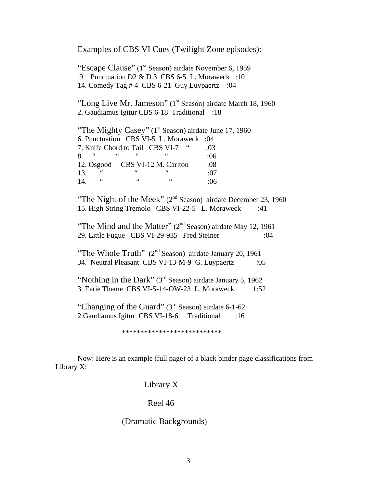Examples of CBS VI Cues (Twilight Zone episodes):

"Escape Clause" (1<sup>st</sup> Season) airdate November 6, 1959 9. Punctuation D2 & D 3 CBS 6-5 L. Moraweck :10 14. Comedy Tag # 4 CBS 6-21 Guy Luypaertz :04

"Long Live Mr. Jameson" (1<sup>st</sup> Season) airdate March 18, 1960 2. Gaudiamus Igitur CBS 6-18 Traditional :18

"The Mighty Casey"  $(1<sup>st</sup>$  Season) airdate June 17, 1960 6. Punctuation CBS VI-5 L. Moraweck :04 7. Knife Chord to Tail CBS VI-7 " :03 8. " " " " :06 12. Osgood CBS VI-12 M. Carlton :08 13. " " " :07 14. " " " :06

"The Night of the Meek"  $(2<sup>nd</sup>$  Season) airdate December 23, 1960 15. High String Tremolo CBS VI-22-5 L. Moraweck :41

"The Mind and the Matter" (2<sup>nd</sup> Season) airdate May 12, 1961 29. Little Fugue CBS VI-29-935 Fred Steiner :04

"The Whole Truth" (2<sup>nd</sup> Season) airdate January 20, 1961 34. Neutral Pleasant CBS VI-13-M-9 G. Luypaertz :05

"Nothing in the Dark" (3<sup>rd</sup> Season) airdate January 5, 1962 3. Eerie Theme CBS VI-5-14-OW-23 L. Moraweck 1:52

"Changing of the Guard" (3<sup>rd</sup> Season) airdate 6-1-62 2.Gaudiamus Igitur CBS VI-18-6 Traditional :16

\*\*\*\*\*\*\*\*\*\*\*\*\*\*\*\*\*\*\*\*\*\*\*\*\*\*\*

Now: Here is an example (full page) of a black binder page classifications from Library X:

### Library X

### Reel 46

### (Dramatic Backgrounds)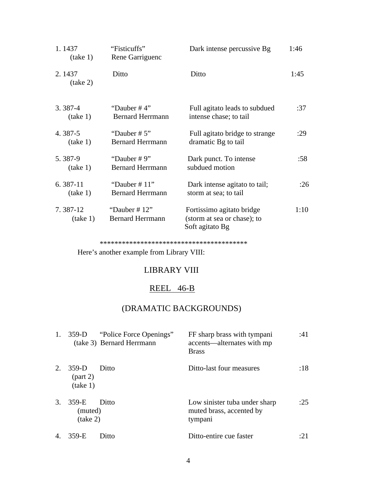| 1.1437<br>(take 1)   | "Fisticuffs"<br>Rene Garriguenc            | Dark intense percussive Bg                                                  | 1:46 |
|----------------------|--------------------------------------------|-----------------------------------------------------------------------------|------|
| 2.1437<br>(take 2)   | Ditto                                      | Ditto                                                                       | 1:45 |
| $3.387 - 4$          | "Dauber $#4"$                              | Full agitato leads to subdued                                               | :37  |
| (take 1)             | <b>Bernard Herrmann</b>                    | intense chase; to tail                                                      |      |
| 4.387-5              | "Dauber $# 5"$                             | Full agitato bridge to strange                                              | :29  |
| (take 1)             | <b>Bernard Herrmann</b>                    | dramatic Bg to tail                                                         |      |
| 5.387-9              | "Dauber $# 9"$                             | Dark punct. To intense                                                      | :58  |
| (take 1)             | <b>Bernard Herrmann</b>                    | subdued motion                                                              |      |
| $6.387-11$           | "Dauber $# 11$ "                           | Dark intense agitato to tail;                                               | :26  |
| (take 1)             | <b>Bernard Herrmann</b>                    | storm at sea; to tail                                                       |      |
| 7.387-12<br>(take 1) | "Dauber $# 12"$<br><b>Bernard Herrmann</b> | Fortissimo agitato bridge<br>(storm at sea or chase); to<br>Soft agitato Bg | 1:10 |

\*\*\*\*\*\*\*\*\*\*\*\*\*\*\*\*\*\*\*\*\*\*\*\*\*\*\*\*\*\*\*\*\*\*\*\*\*\*\*\*

Here's another example from Library VIII:

## LIBRARY VIII

### REEL 46-B

# (DRAMATIC BACKGROUNDS)

| 1.             | $359-D$                         | "Police Force Openings"<br>(take 3) Bernard Herrmann | FF sharp brass with tympani<br>accents—alternates with mp<br><b>Brass</b> | :41  |
|----------------|---------------------------------|------------------------------------------------------|---------------------------------------------------------------------------|------|
| 2.             | $359-D$<br>(part 2)<br>(take 1) | Ditto                                                | Ditto-last four measures                                                  | :18  |
| 3.             | 359-E<br>(muted)<br>(take 2)    | Ditto                                                | Low sinister tuba under sharp<br>muted brass, accented by<br>tympani      | :25  |
| $\overline{4}$ | 359-E                           | Ditto                                                | Ditto-entire cue faster                                                   | .7.I |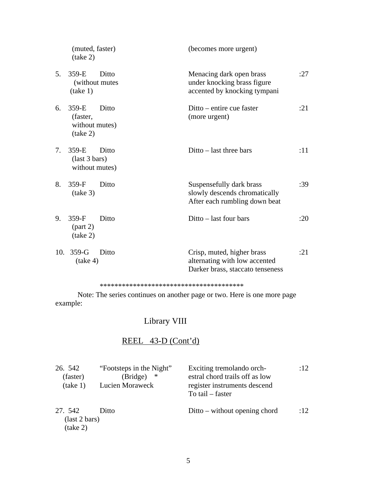|     | (muted, faster)<br>(take 2)                         |       | (becomes more urgent)                                                                           |     |
|-----|-----------------------------------------------------|-------|-------------------------------------------------------------------------------------------------|-----|
| 5.  | 359-E<br>(without mutes)<br>(take 1)                | Ditto | Menacing dark open brass<br>under knocking brass figure<br>accented by knocking tympani         | :27 |
| 6.  | 359-E<br>(faster,<br>without mutes)<br>(take 2)     | Ditto | Ditto – entire cue faster<br>(more urgent)                                                      | :21 |
| 7.  | $359-E$<br>$\text{(last 3 bars)}$<br>without mutes) | Ditto | $Ditto - last three bars$                                                                       | :11 |
| 8.  | $359-F$<br>(take 3)                                 | Ditto | Suspensefully dark brass<br>slowly descends chromatically<br>After each rumbling down beat      | :39 |
| 9.  | $359-F$<br>(part 2)<br>(take 2)                     | Ditto | Ditto – last four bars                                                                          | :20 |
| 10. | $359-G$<br>(take 4)                                 | Ditto | Crisp, muted, higher brass<br>alternating with low accented<br>Darker brass, staccato tenseness | :21 |

#### \*\*\*\*\*\*\*\*\*\*\*\*\*\*\*\*\*\*\*\*\*\*\*\*\*\*\*\*\*\*\*\*\*\*\*\*\*\*\*

 Note: The series continues on another page or two. Here is one more page example:

# Library VIII

# REEL 43-D (Cont'd)

| 26. 542<br>(faster)<br>(take 1)  | "Footsteps in the Night"<br>∗<br>(Bridge)<br>Lucien Moraweck | Exciting tremolando orch-<br>estral chord trails off as low<br>register instruments descend<br>To tail $-$ faster | :12 |
|----------------------------------|--------------------------------------------------------------|-------------------------------------------------------------------------------------------------------------------|-----|
| 27. 542<br>$\left($ last 2 bars) | Ditto                                                        | $Ditto - without opening chord$                                                                                   | :12 |
| (take 2)                         |                                                              |                                                                                                                   |     |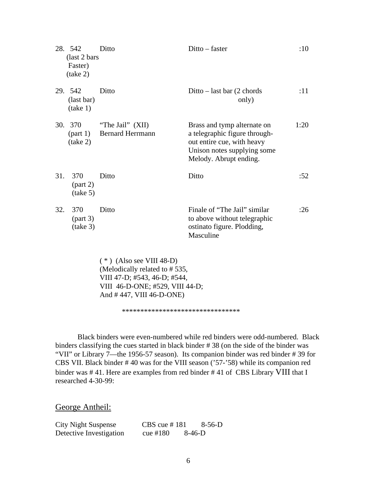|     | 28. 542<br>(last 2 bars)<br>Faster)<br>(take 2) | Ditto                                                       | Ditto – faster                                                                                                                                      | :10  |
|-----|-------------------------------------------------|-------------------------------------------------------------|-----------------------------------------------------------------------------------------------------------------------------------------------------|------|
|     | 29. 542<br>(last bar)<br>(take 1)               | Ditto                                                       | Ditto – last bar $(2 \text{ chords})$<br>only)                                                                                                      | :11  |
| 30. | 370<br>(part 1)<br>(take 2)                     | "The Jail" (XII)<br><b>Bernard Herrmann</b>                 | Brass and tymp alternate on<br>a telegraphic figure through-<br>out entire cue, with heavy<br>Unison notes supplying some<br>Melody. Abrupt ending. | 1:20 |
| 31. | 370<br>(take 5)                                 | Ditto                                                       | Ditto                                                                                                                                               | :52  |
| 32. | 370<br>(take 3)                                 | Ditto                                                       | Finale of "The Jail" similar<br>to above without telegraphic<br>ostinato figure. Plodding,<br>Masculine                                             | :26  |
|     |                                                 | $(*)$ (Also see VIII 48-D)<br>(Melodically related to #535, |                                                                                                                                                     |      |

 VIII 47-D; #543, 46-D; #544, VIII 46-D-ONE; #529, VIII 44-D; And # 447, VIII 46-D-ONE)

\*\*\*\*\*\*\*\*\*\*\*\*\*\*\*\*\*\*\*\*\*\*\*\*\*\*\*\*\*\*\*\*

 Black binders were even-numbered while red binders were odd-numbered. Black binders classifying the cues started in black binder # 38 (on the side of the binder was "VII" or Library 7—the 1956-57 season). Its companion binder was red binder # 39 for CBS VII. Black binder # 40 was for the VIII season ('57-'58) while its companion red binder was # 41. Here are examples from red binder # 41 of CBS Library VIII that I researched 4-30-99:

George Antheil:

| <b>City Night Suspense</b> | CBS cue $#181$ |          | $8-56-D$ |
|----------------------------|----------------|----------|----------|
| Detective Investigation    | cue $\#180$    | $8-46-D$ |          |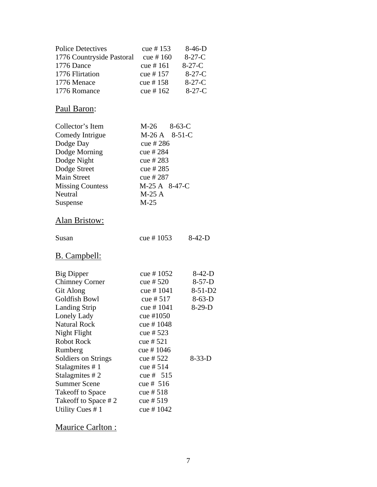| <b>Police Detectives</b><br>1776 Countryside Pastoral cue #160<br>1776 Dance<br>1776 Flirtation<br>1776 Menace<br>1776 Romance                                                                                                                                                                                                                       | cue # 153<br>cue # $161$<br>cue # 157<br>cue # 158<br>cue # $162$                                                                                                                                                                                      | $8-46-D$<br>$8-27-C$<br>$8-27-C$<br>$8-27-C$<br>$8-27-C$<br>$8-27-C$  |
|------------------------------------------------------------------------------------------------------------------------------------------------------------------------------------------------------------------------------------------------------------------------------------------------------------------------------------------------------|--------------------------------------------------------------------------------------------------------------------------------------------------------------------------------------------------------------------------------------------------------|-----------------------------------------------------------------------|
| Paul Baron:                                                                                                                                                                                                                                                                                                                                          |                                                                                                                                                                                                                                                        |                                                                       |
| Collector's Item<br>Comedy Intrigue<br>Dodge Day<br>Dodge Morning<br>Dodge Night<br>Dodge Street<br><b>Main Street</b><br><b>Missing Countess</b><br>Neutral<br>Suspense<br>Alan Bristow:                                                                                                                                                            | $M-26$ 8-63-C<br>M-26 A 8-51-C<br>cue # 286<br>cue # 284<br>cue # 283<br>cue # 285<br>cue # 287<br>M-25 A 8-47-C<br>$M-25A$<br>$M-25$                                                                                                                  |                                                                       |
| Susan                                                                                                                                                                                                                                                                                                                                                | cue # $1053$                                                                                                                                                                                                                                           | $8-42-D$                                                              |
| <u>B. Campbell:</u>                                                                                                                                                                                                                                                                                                                                  |                                                                                                                                                                                                                                                        |                                                                       |
| <b>Big Dipper</b><br><b>Chimney Corner</b><br><b>Git Along</b><br>Goldfish Bowl<br><b>Landing Strip</b><br>Lonely Lady<br><b>Natural Rock</b><br>Night Flight<br><b>Robot Rock</b><br>Rumberg<br><b>Soldiers on Strings</b><br>Stalagmites #1<br>Stalagmites #2<br><b>Summer Scene</b><br>Takeoff to Space<br>Takeoff to Space #2<br>Utility Cues #1 | cue # $1052$<br>cue # $520$<br>cue # $1041$<br>cue # $517$<br>cue # $1041$<br>cue #1050<br>cue # 1048<br>cue # 523<br>cue # $521$<br>cue #1046<br>cue # $522$<br>cue # $514$<br>cue # $515$<br>cue # $516$<br>cue # $518$<br>cue # $519$<br>cue # 1042 | $8-42-D$<br>$8-57-D$<br>$8-51-D2$<br>$8-63-D$<br>$8-29-D$<br>$8-33-D$ |

Maurice Carlton :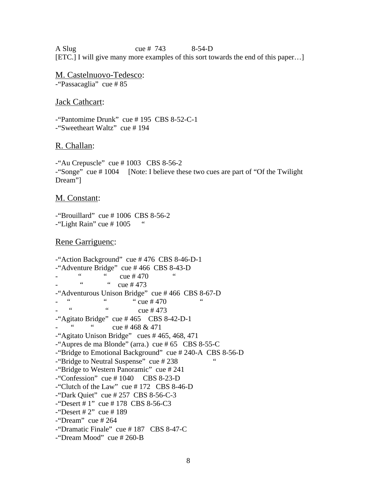A Slug cue # 743 8-54-D [ETC.] I will give many more examples of this sort towards the end of this paper…]

M. Castelnuovo-Tedesco: -"Passacaglia" cue # 85

#### Jack Cathcart:

-"Pantomime Drunk" cue # 195 CBS 8-52-C-1 -"Sweetheart Waltz" cue # 194

#### R. Challan:

 $-$ "Au Crepuscle" cue # 1003 CBS 8-56-2 -"Songe" cue # 1004 [Note: I believe these two cues are part of "Of the Twilight Dream"]

#### M. Constant:

-"Brouillard" cue # 1006 CBS 8-56-2  $-$ "Light Rain" cue # 1005

#### Rene Garriguenc:

-"Action Background" cue # 476 CBS 8-46-D-1 "Adventure Bridge" cue # 466 CBS 8-43-D  $\frac{1}{2}$  - " cue # 470  $\frac{1}{2}$  cue # 473  $cue$  # 473  $-$ "Adventurous Unison Bridge" cue # 466 CBS 8-67-D  $\frac{1}{2}$  "  $\frac{1}{2}$  "  $\frac{1}{2}$  "  $\frac{1}{2}$  "  $\frac{1}{2}$  "  $\frac{1}{2}$  "  $\frac{1}{2}$  "  $\frac{1}{2}$  "  $\frac{1}{2}$  "  $\frac{1}{2}$  "  $\frac{1}{2}$  "  $\frac{1}{2}$  "  $\frac{1}{2}$  "  $\frac{1}{2}$  "  $\frac{1}{2}$  "  $\frac{1}{2}$  "  $\frac{1}{2}$  "  $\frac{1}{2}$  "  $\frac{1$  $cue$  # 473  $-$ "Agitato Bridge" cue #465 CBS 8-42-D-1  $\ldots$   $\ldots$   $\ldots$   $\ldots$   $\ldots$   $\ldots$   $\ldots$   $\ldots$   $\ldots$   $\ldots$   $\ldots$   $\ldots$   $\ldots$   $\ldots$   $\ldots$  $-$ "Agitato Unison Bridge" cues # 465, 468, 471 -"Aupres de ma Blonde" (arra.) cue # 65 CBS 8-55-C -"Bridge to Emotional Background" cue # 240-A CBS 8-56-D -"Bridge to Neutral Suspense" cue #238 -"Bridge to Western Panoramic" cue # 241  $-$ "Confession" cue # 1040 CBS 8-23-D -"Clutch of the Law" cue # 172 CBS 8-46-D -"Dark Quiet" cue # 257 CBS 8-56-C-3  $-$ "Desert # 1" cue # 178 CBS 8-56-C3  $-$ "Desert # 2" cue # 189 -"Dream" cue # 264 -"Dramatic Finale" cue # 187 CBS 8-47-C -"Dream Mood" cue # 260-B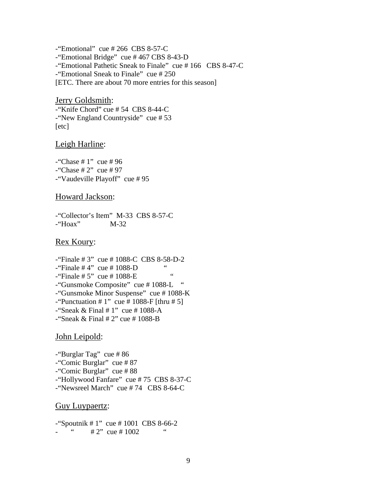$-$ "Emotional" cue # 266 CBS 8-57-C -"Emotional Bridge" cue # 467 CBS 8-43-D -"Emotional Pathetic Sneak to Finale" cue # 166 CBS 8-47-C -"Emotional Sneak to Finale" cue # 250 [ETC. There are about 70 more entries for this season]

Jerry Goldsmith: -"Knife Chord" cue # 54 CBS 8-44-C -"New England Countryside" cue # 53 [etc]

#### Leigh Harline:

 $-$ "Chase # 1" cue # 96  $-$ "Chase # 2" cue # 97 -"Vaudeville Playoff" cue # 95

#### Howard Jackson:

-"Collector's Item" M-33 CBS 8-57-C -"Hoax" M-32

### Rex Koury:

-"Finale # 3" cue # 1088-C CBS 8-58-D-2  $-$ "Finale #4" cue #1088-D  $-$ "Finale # 5" cue # 1088-E -"Gunsmoke Composite" cue # 1088-L " -"Gunsmoke Minor Suspense" cue # 1088-K -"Punctuation  $\# 1$ " cue  $\# 1088$ -F [thru  $\# 5$ ]  $-$ "Sneak & Final # 1" cue # 1088-A -"Sneak & Final  $# 2"$  cue  $# 1088-B$ 

#### John Leipold:

-"Burglar Tag" cue # 86 -"Comic Burglar" cue # 87 -"Comic Burglar" cue # 88 -"Hollywood Fanfare" cue # 75 CBS 8-37-C -"Newsreel March" cue # 74 CBS 8-64-C

#### Guy Luypaertz:

-"Spoutnik # 1" cue # 1001 CBS 8-66-2  $# 2"$  cue  $# 1002$  "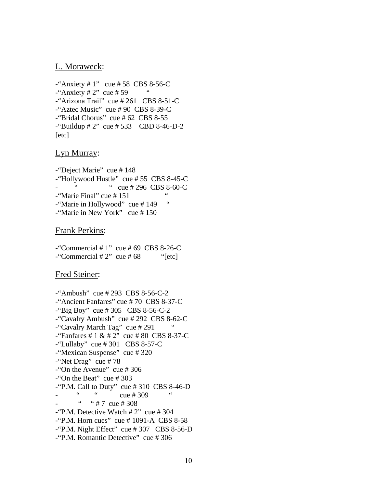#### L. Moraweck:

 $-$ "Anxiety # 1" cue # 58 CBS 8-56-C  $-$ "Anxiety # 2" cue # 59 -"Arizona Trail" cue # 261 CBS 8-51-C -"Aztec Music" cue # 90 CBS 8-39-C -"Bridal Chorus" cue # 62 CBS 8-55  $-$ "Buildup # 2" cue # 533 CBD 8-46-D-2 [etc]

### Lyn Murray:

-"Deject Marie" cue # 148 -"Hollywood Hustle" cue # 55 CBS 8-45-C  $\degree$  cue # 296 CBS 8-60-C -"Marie Final" cue # 151 " -"Marie in Hollywood" cue #149 " -"Marie in New York" cue # 150

#### Frank Perkins:

 $-$ "Commercial # 1" cue # 69 CBS 8-26-C  $-$ "Commercial # 2" cue # 68 "[etc]

### Fred Steiner:

-"Ambush" cue # 293 CBS 8-56-C-2 -"Ancient Fanfares" cue # 70 CBS 8-37-C -"Big Boy" cue # 305 CBS 8-56-C-2 -"Cavalry Ambush" cue # 292 CBS 8-62-C -"Cavalry March Tag" cue # 291 "  $-$  "Fanfares # 1 & # 2" cue # 80 CBS 8-37-C  $-$ "Lullaby" cue #301 CBS 8-57-C -"Mexican Suspense" cue # 320 -"Net Drag" cue # 78 -"On the Avenue" cue # 306  $-$ "On the Beat" cue # 303  $-$ "P.M. Call to Duty" cue #310 CBS 8-46-D "  $\frac{1}{2}$  cue # 309  $\cdot$  # 7 cue # 308 -"P.M. Detective Watch # 2" cue # 304  $-$ "P.M. Horn cues" cue # 1091-A CBS 8-58  $-$ "P.M. Night Effect" cue # 307 CBS 8-56-D -"P.M. Romantic Detective" cue # 306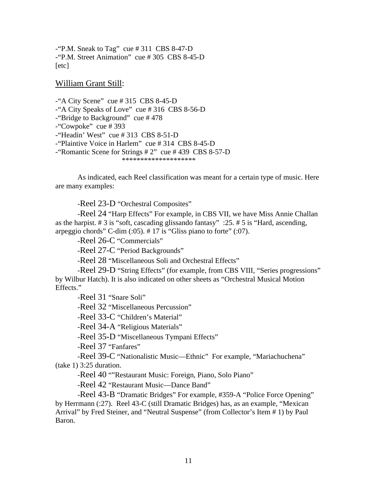-"P.M. Sneak to Tag" cue  $\#311$  CBS 8-47-D -"P.M. Street Animation" cue # 305 CBS 8-45-D [etc]

William Grant Still:

 $-4$  City Scene" cue # 315 CBS 8-45-D -"A City Speaks of Love" cue # 316 CBS 8-56-D -"Bridge to Background" cue # 478 -"Cowpoke" cue # 393 -"Headin' West" cue # 313 CBS 8-51-D -"Plaintive Voice in Harlem" cue # 314 CBS 8-45-D -"Romantic Scene for Strings # 2" cue # 439 CBS 8-57-D \*\*\*\*\*\*\*\*\*\*\*\*\*\*\*\*\*\*\*\*

 As indicated, each Reel classification was meant for a certain type of music. Here are many examples:

-Reel 23-D "Orchestral Composites"

 -Reel 24 "Harp Effects" For example, in CBS VII, we have Miss Annie Challan as the harpist. # 3 is "soft, cascading glissando fantasy" :25. # 5 is "Hard, ascending, arpeggio chords" C-dim  $(.05)$ . # 17 is "Gliss piano to forte"  $(.07)$ .

-Reel 26-C "Commercials"

-Reel 27-C "Period Backgrounds"

-Reel 28 "Miscellaneous Soli and Orchestral Effects"

 -Reel 29-D "String Effects" (for example, from CBS VIII, "Series progressions" by Wilbur Hatch). It is also indicated on other sheets as "Orchestral Musical Motion Effects."

-Reel 31 "Snare Soli"

-Reel 32 "Miscellaneous Percussion"

-Reel 33-C "Children's Material"

-Reel 34-A "Religious Materials"

-Reel 35-D "Miscellaneous Tympani Effects"

-Reel 37 "Fanfares"

 -Reel 39-C "Nationalistic Music—Ethnic" For example, "Mariachuchena" (take 1) 3:25 duration.

-Reel 40 ""Restaurant Music: Foreign, Piano, Solo Piano"

-Reel 42 "Restaurant Music—Dance Band"

 -Reel 43-B "Dramatic Bridges" For example, #359-A "Police Force Opening" by Herrmann (:27). Reel 43-C (still Dramatic Bridges) has, as an example, "Mexican Arrival" by Fred Steiner, and "Neutral Suspense" (from Collector's Item # 1) by Paul Baron.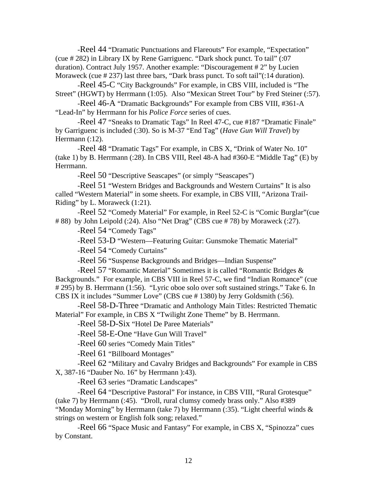-Reel 44 "Dramatic Punctuations and Flareouts" For example, "Expectation" (cue # 282) in Library IX by Rene Garriguenc. "Dark shock punct. To tail" (:07 duration). Contract July 1957. Another example: "Discouragement # 2" by Lucien Moraweck (cue # 237) last three bars, "Dark brass punct. To soft tail"(:14 duration).

 -Reel 45-C "City Backgrounds" For example, in CBS VIII, included is "The Street" (HGWT) by Herrmann (1:05). Also "Mexican Street Tour" by Fred Steiner (:57).

 -Reel 46-A "Dramatic Backgrounds" For example from CBS VIII, #361-A "Lead-In" by Herrmann for his *Police Force* series of cues.

 -Reel 47 "Sneaks to Dramatic Tags" In Reel 47-C, cue #187 "Dramatic Finale" by Garriguenc is included (:30). So is M-37 "End Tag" (*Have Gun Will Travel*) by Herrmann (:12).

 -Reel 48 "Dramatic Tags" For example, in CBS X, "Drink of Water No. 10" (take 1) by B. Herrmann (:28). In CBS VIII, Reel 48-A had #360-E "Middle Tag" (E) by Herrmann.

-Reel 50 "Descriptive Seascapes" (or simply "Seascapes")

 -Reel 51 "Western Bridges and Backgrounds and Western Curtains" It is also called "Western Material" in some sheets. For example, in CBS VIII, "Arizona Trail-Riding" by L. Moraweck (1:21).

 -Reel 52 "Comedy Material" For example, in Reel 52-C is "Comic Burglar"(cue # 88) by John Leipold (:24). Also "Net Drag" (CBS cue # 78) by Moraweck (:27).

-Reel 54 "Comedy Tags"

-Reel 53-D "Western—Featuring Guitar: Gunsmoke Thematic Material"

-Reel 54 "Comedy Curtains"

-Reel 56 "Suspense Backgrounds and Bridges—Indian Suspense"

 -Reel 57 "Romantic Material" Sometimes it is called "Romantic Bridges & Backgrounds." For example, in CBS VIII in Reel 57-C, we find "Indian Romance" (cue # 295) by B. Herrmann (1:56). "Lyric oboe solo over soft sustained strings." Take 6. In CBS IX it includes "Summer Love" (CBS cue # 1380) by Jerry Goldsmith (:56).

 -Reel 58-D-Three "Dramatic and Anthology Main Titles: Restricted Thematic Material" For example, in CBS X "Twilight Zone Theme" by B. Herrmann.

-Reel 58-D-Six "Hotel De Paree Materials"

-Reel 58-E-One "Have Gun Will Travel"

-Reel 60 series "Comedy Main Titles"

-Reel 61 "Billboard Montages"

 -Reel 62 "Military and Cavalry Bridges and Backgrounds" For example in CBS X, 387-16 "Dauber No. 16" by Herrmann ):43).

-Reel 63 series "Dramatic Landscapes"

 -Reel 64 "Descriptive Pastoral" For instance, in CBS VIII, "Rural Grotesque" (take 7) by Herrmann (:45). "Droll, rural clumsy comedy brass only." Also #389 "Monday Morning" by Herrmann (take 7) by Herrmann (:35). "Light cheerful winds & strings on western or English folk song; relaxed."

 -Reel 66 "Space Music and Fantasy" For example, in CBS X, "Spinozza" cues by Constant.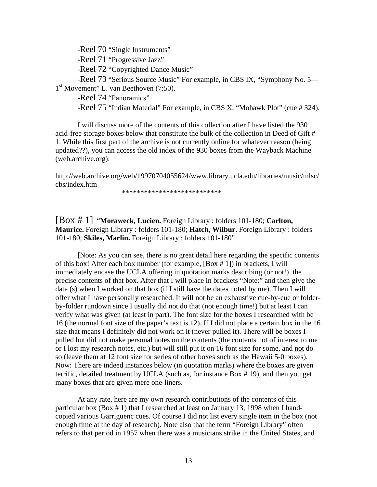-Reel 70 "Single Instruments"

-Reel 71 "Progressive Jazz"

-Reel 72 "Copyrighted Dance Music"

 -Reel 73 "Serious Source Music" For example, in CBS IX, "Symphony No. 5— 1<sup>st</sup> Movement" L. van Beethoven (7:50).

-Reel 74 "Panoramics"

-Reel 75 "Indian Material" For example, in CBS X, "Mohawk Plot" (cue # 324).

 I will discuss more of the contents of this collection after I have listed the 930 acid-free storage boxes below that constitute the bulk of the collection in Deed of Gift # 1. While this first part of the archive is not currently online for whatever reason (being updated??), you can access the old index of the 930 boxes from the Wayback Machine (web.archive.org):

http://web.archive.org/web/19970704055624/www.library.ucla.edu/libraries/music/mlsc/ cbs/index.htm

\*\*\*\*\*\*\*\*\*\*\*\*\*\*\*\*\*\*\*\*\*\*\*\*\*\*\*

[Box # 1] "**Moraweck, Lucien.** Foreign Library : folders 101-180; **Carlton, Maurice.** Foreign Library : folders 101-180; **Hatch, Wilbur.** Foreign Library : folders 101-180; **Skiles, Marlin.** Foreign Library : folders 101-180"

 [Note: As you can see, there is no great detail here regarding the specific contents of this box! After each box number (for example, [Box # 1]) in brackets, I will immediately encase the UCLA offering in quotation marks describing (or not!) the precise contents of that box. After that I will place in brackets "Note:" and then give the date (s) when I worked on that box (if I still have the dates noted by me). Then I will offer what I have personally researched. It will not be an exhaustive cue-by-cue or folderby-folder rundown since I usually did not do that (not enough time!) but at least I can verify what was given (at least in part). The font size for the boxes I researched with be 16 (the normal font size of the paper's text is 12). If I did not place a certain box in the 16 size that means I definitely did not work on it (never pulled it). There will be boxes I pulled but did not make personal notes on the contents (the contents not of interest to me or I lost my research notes, etc.) but will still put it on 16 font size for some, and not do so (leave them at 12 font size for series of other boxes such as the Hawaii 5-0 boxes). Now: There are indeed instances below (in quotation marks) where the boxes are given terrific, detailed treatment by UCLA (such as, for instance Box # 19), and then you get many boxes that are given mere one-liners.

At any rate, here are my own research contributions of the contents of this particular box (Box # 1) that I researched at least on January 13, 1998 when I handcopied various Garriguenc cues. Of course I did not list every single item in the box (not enough time at the day of research). Note also that the term "Foreign Library" often refers to that period in 1957 when there was a musicians strike in the United States, and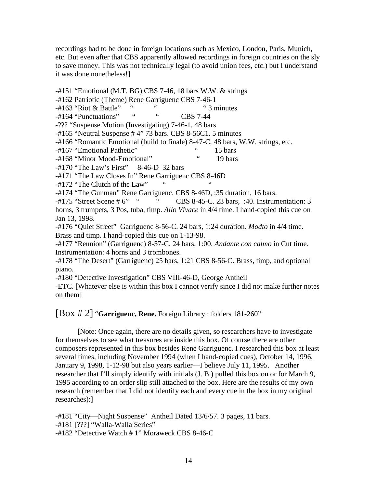recordings had to be done in foreign locations such as Mexico, London, Paris, Munich, etc. But even after that CBS apparently allowed recordings in foreign countries on the sly to save money. This was not technically legal (to avoid union fees, etc.) but I understand it was done nonetheless!]

-#151 "Emotional (M.T. BG) CBS 7-46, 18 bars W.W. & strings  $-#162$  Patriotic (Theme) Rene Garriguenc CBS 7-46-1<br> $-#163$  "Riot & Battle" """ "3 minutes  $-#163$  "Riot & Battle" " -#164 "Punctuations" " " CBS 7-44 -??? "Suspense Motion (Investigating) 7-46-1, 48 bars -#165 "Neutral Suspense # 4" 73 bars. CBS 8-56C1. 5 minutes -#166 "Romantic Emotional (build to finale) 8-47-C, 48 bars, W.W. strings, etc. -#167 "Emotional Pathetic" " 15 bars -#168 "Minor Mood-Emotional" " 19 bars -#170 "The Law's First" 8-46-D 32 bars -#171 "The Law Closes In" Rene Garriguenc CBS 8-46D  $-#172$  "The Clutch of the Law" -#174 "The Gunman" Rene Garriguenc. CBS 8-46D, :35 duration, 16 bars. -#175 "Street Scene # 6" " CBS 8-45-C. 23 bars, :40. Instrumentation: 3 horns, 3 trumpets, 3 Pos, tuba, timp. *Allo Vivace* in 4/4 time. I hand-copied this cue on Jan 13, 1998. -#176 "Quiet Street" Garriguenc 8-56-C. 24 bars, 1:24 duration. *Modto* in 4/4 time. Brass and timp. I hand-copied this cue on 1-13-98. -#177 "Reunion" (Garriguenc) 8-57-C. 24 bars, 1:00. *Andante con calmo* in Cut time. Instrumentation: 4 horns and 3 trombones. -#178 "The Desert" (Garriguenc) 25 bars, 1:21 CBS 8-56-C. Brass, timp, and optional piano. -#180 "Detective Investigation" CBS VIII-46-D, George Antheil -ETC. [Whatever else is within this box I cannot verify since I did not make further notes

### [Box # 2] "**Garriguenc, Rene.** Foreign Library : folders 181-260"

on them]

 [Note: Once again, there are no details given, so researchers have to investigate for themselves to see what treasures are inside this box. Of course there are other composers represented in this box besides Rene Garriguenc. I researched this box at least several times, including November 1994 (when I hand-copied cues), October 14, 1996, January 9, 1998, 1-12-98 but also years earlier—I believe July 11, 1995. Another researcher that I'll simply identify with initials (J. B.) pulled this box on or for March 9, 1995 according to an order slip still attached to the box. Here are the results of my own research (remember that I did not identify each and every cue in the box in my original researches):]

-#181 "City—Night Suspense" Antheil Dated 13/6/57. 3 pages, 11 bars. -#181 [???] "Walla-Walla Series" -#182 "Detective Watch # 1" Moraweck CBS 8-46-C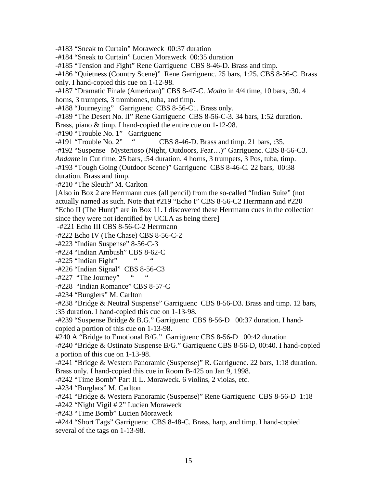-#183 "Sneak to Curtain" Moraweck 00:37 duration

-#184 "Sneak to Curtain" Lucien Moraweck 00:35 duration

-#185 "Tension and Fight" Rene Garriguenc CBS 8-46-D. Brass and timp.

-#186 "Quietness (Country Scene)" Rene Garriguenc. 25 bars, 1:25. CBS 8-56-C. Brass only. I hand-copied this cue on 1-12-98.

-#187 "Dramatic Finale (American)" CBS 8-47-C. *Modto* in 4/4 time, 10 bars, :30. 4

horns, 3 trumpets, 3 trombones, tuba, and timp.

-#188 "Journeying" Garriguenc CBS 8-56-C1. Brass only.

-#189 "The Desert No. II" Rene Garriguenc CBS 8-56-C-3. 34 bars, 1:52 duration.

Brass, piano & timp. I hand-copied the entire cue on 1-12-98.

-#190 "Trouble No. 1" Garriguenc

-#191 "Trouble No. 2" " CBS 8-46-D. Brass and timp. 21 bars, :35.

-#192 "Suspense Mysterioso (Night, Outdoors, Fear…)" Garriguenc. CBS 8-56-C3.

*Andante* in Cut time, 25 bars, :54 duration. 4 horns, 3 trumpets, 3 Pos, tuba, timp.

-#193 "Tough Going (Outdoor Scene)" Garriguenc CBS 8-46-C. 22 bars, 00:38 duration. Brass and timp.

-#210 "The Sleuth" M. Carlton

[Also in Box 2 are Herrmann cues (all pencil) from the so-called "Indian Suite" (not actually named as such. Note that #219 "Echo I" CBS 8-56-C2 Herrmann and #220 "Echo II (The Hunt)" are in Box 11. I discovered these Herrmann cues in the collection since they were not identified by UCLA as being there]

-#221 Echo III CBS 8-56-C-2 Herrmann

-#222 Echo IV (The Chase) CBS 8-56-C-2

-#223 "Indian Suspense" 8-56-C-3

-#224 "Indian Ambush" CBS 8-62-C

 $-$ #225 "Indian Fight"

-#226 "Indian Signal" CBS 8-56-C3

 $-#227$  "The Journey"

-#228 "Indian Romance" CBS 8-57-C

-#234 "Bunglers" M. Carlton

-#238 "Bridge & Neutral Suspense" Garriguenc CBS 8-56-D3. Brass and timp. 12 bars, :35 duration. I hand-copied this cue on 1-13-98.

-#239 "Suspense Bridge & B.G." Garriguenc CBS 8-56-D 00:37 duration. I handcopied a portion of this cue on 1-13-98.

#240 A "Bridge to Emotional B/G." Garriguenc CBS 8-56-D 00:42 duration

-#240 "Bridge & Ostinato Suspense B/G." Garriguenc CBS 8-56-D, 00:40. I hand-copied a portion of this cue on 1-13-98.

-#241 "Bridge & Western Panoramic (Suspense)" R. Garriguenc. 22 bars, 1:18 duration. Brass only. I hand-copied this cue in Room B-425 on Jan 9, 1998.

-#242 "Time Bomb" Part II L. Moraweck. 6 violins, 2 violas, etc.

-#234 "Burglars" M. Carlton

-#241 "Bridge & Western Panoramic (Suspense)" Rene Garriguenc CBS 8-56-D 1:18

-#242 "Night Vigil # 2" Lucien Moraweck

-#243 "Time Bomb" Lucien Moraweck

-#244 "Short Tags" Garriguenc CBS 8-48-C. Brass, harp, and timp. I hand-copied several of the tags on 1-13-98.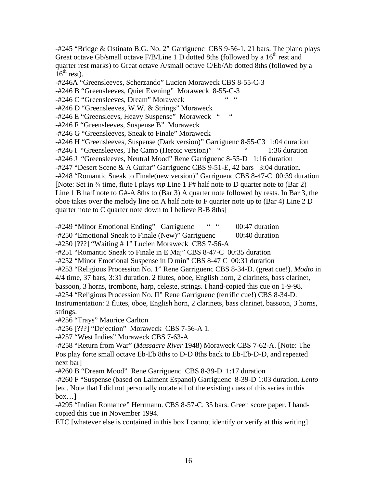-#245 "Bridge & Ostinato B.G. No. 2" Garriguenc CBS 9-56-1, 21 bars. The piano plays Great octave Gb/small octave F/B/Line 1 D dotted 8ths (followed by a  $16<sup>th</sup>$  rest and quarter rest marks) to Great octave A/small octave C/Eb/Ab dotted 8ths (followed by a  $16^{th}$  rest).

-#246A "Greensleeves, Scherzando" Lucien Moraweck CBS 8-55-C-3

-#246 B "Greensleeves, Quiet Evening" Moraweck 8-55-C-3

-#246 C "Greensleeves, Dream" Moraweck

-#246 D "Greensleeves, W.W. & Strings" Moraweck

-#246 E "Greensleevs, Heavy Suspense" Moraweck " "

-#246 F "Greensleeves, Suspense B" Moraweck

-#246 G "Greensleeves, Sneak to Finale" Moraweck

-#246 H "Greensleeves, Suspense (Dark version)" Garriguenc 8-55-C3 1:04 duration

-#246 I "Greensleeves, The Camp (Heroic version)" " 1:36 duration

-#246 J "Greensleeves, Neutral Mood" Rene Garriguenc 8-55-D 1:16 duration

-#247 "Desert Scene & A Guitar" Garriguenc CBS 9-51-E, 42 bars 3:04 duration.

-#248 "Romantic Sneak to Finale(new version)" Garriguenc CBS 8-47-C 00:39 duration [Note: Set in <sup>3</sup>/<sub>4</sub> time, flute I plays *mp* Line 1 F# half note to D quarter note to (Bar 2) Line 1 B half note to G#-A 8ths to (Bar 3) A quarter note followed by rests. In Bar 3, the oboe takes over the melody line on A half note to F quarter note up to (Bar 4) Line 2 D quarter note to C quarter note down to I believe B-B 8ths]

-#249 "Minor Emotional Ending" Garriguenc " " 00:47 duration -#250 "Emotional Sneak to Finale (New)" Garriguenc 00:40 duration

-#251 "Romantic Sneak to Finale in E Maj" CBS 8-47-C 00:35 duration

-#252 "Minor Emotional Suspense in D min" CBS 8-47 C 00:31 duration

-#253 "Religious Procession No. 1" Rene Garriguenc CBS 8-34-D. (great cue!). *Modto* in 4/4 time, 37 bars, 3:31 duration. 2 flutes, oboe, English horn, 2 clarinets, bass clarinet,

bassoon, 3 horns, trombone, harp, celeste, strings. I hand-copied this cue on 1-9-98.

-#254 "Religious Procession No. II" Rene Garriguenc (terrific cue!) CBS 8-34-D.

Instrumentation: 2 flutes, oboe, English horn, 2 clarinets, bass clarinet, bassoon, 3 horns, strings.

-#256 "Trays" Maurice Carlton

-#256 [???] "Dejection" Moraweck CBS 7-56-A 1.

-#257 "West Indies" Moraweck CBS 7-63-A

-#258 "Return from War" (*Massacre River* 1948) Moraweck CBS 7-62-A. [Note: The Pos play forte small octave Eb-Eb 8ths to D-D 8ths back to Eb-Eb-D-D, and repeated next bar]

-#260 B "Dream Mood" Rene Garriguenc CBS 8-39-D 1:17 duration

-#260 F "Suspense (based on Laiment Espanol) Garriguenc 8-39-D 1:03 duration. *Lento*  [etc. Note that I did not personally notate all of the existing cues of this series in this box…]

-#295 "Indian Romance" Herrmann. CBS 8-57-C. 35 bars. Green score paper. I handcopied this cue in November 1994.

ETC [whatever else is contained in this box I cannot identify or verify at this writing]

<sup>-#250 [???] &</sup>quot;Waiting # 1" Lucien Moraweck CBS 7-56-A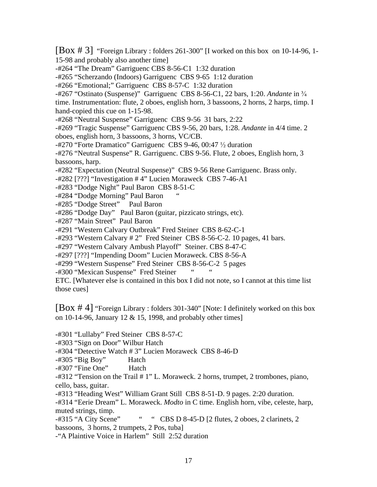[Box # 3] "Foreign Library : folders 261-300" [I worked on this box on 10-14-96, 1- 15-98 and probably also another time]

-#264 "The Dream" Garriguenc CBS 8-56-C1 1:32 duration

-#265 "Scherzando (Indoors) Garriguenc CBS 9-65 1:12 duration

-#266 "Emotional;" Garriguenc CBS 8-57-C 1:32 duration

-#267 "Ostinato (Suspense)" Garriguenc CBS 8-56-C1, 22 bars, 1:20. *Andante* in -

time. Instrumentation: flute, 2 oboes, english horn, 3 bassoons, 2 horns, 2 harps, timp. I hand-copied this cue on 1-15-98.

-#268 "Neutral Suspense" Garriguenc CBS 9-56 31 bars, 2:22

-#269 "Tragic Suspense" Garriguenc CBS 9-56, 20 bars, 1:28. *Andante* in 4/4 time. 2 oboes, english horn, 3 bassoons, 3 horns, VC/CB.

 $-$ #270 "Forte Dramatico" Garriguenc CBS 9-46, 00:47  $\frac{1}{2}$  duration

-#276 "Neutral Suspense" R. Garriguenc. CBS 9-56. Flute, 2 oboes, English horn, 3 bassoons, harp.

-#282 "Expectation (Neutral Suspense)" CBS 9-56 Rene Garriguenc. Brass only.

-#282 [???] "Investigation # 4" Lucien Moraweck CBS 7-46-A1

-#283 "Dodge Night" Paul Baron CBS 8-51-C

-#284 "Dodge Morning" Paul Baron

-#285 "Dodge Street" Paul Baron

-#286 "Dodge Day" Paul Baron (guitar, pizzicato strings, etc).

-#287 "Main Street" Paul Baron

-#291 "Western Calvary Outbreak" Fred Steiner CBS 8-62-C-1

-#293 "Western Calvary # 2" Fred Steiner CBS 8-56-C-2. 10 pages, 41 bars.

-#297 "Western Calvary Ambush Playoff" Steiner. CBS 8-47-C

-#297 [???] "Impending Doom" Lucien Moraweck. CBS 8-56-A

-#299 "Western Suspense" Fred Steiner CBS 8-56-C-2 5 pages

-#300 "Mexican Suspense" Fred Steiner

ETC. [Whatever else is contained in this box I did not note, so I cannot at this time list those cues]

[Box # 4] "Foreign Library : folders 301-340" [Note: I definitely worked on this box on 10-14-96, January 12  $& 15$ , 1998, and probably other times]

-#301 "Lullaby" Fred Steiner CBS 8-57-C

-#303 "Sign on Door" Wilbur Hatch

-#304 "Detective Watch # 3" Lucien Moraweck CBS 8-46-D

-#305 "Big Boy" Hatch

-#307 "Fine One" Hatch

-#312 "Tension on the Trail # 1" L. Moraweck. 2 horns, trumpet, 2 trombones, piano, cello, bass, guitar.

-#313 "Heading West" William Grant Still CBS 8-51-D. 9 pages. 2:20 duration.

-#314 "Eerie Dream" L. Moraweck. *Modto* in C time. English horn, vibe, celeste, harp, muted strings, timp.

-#315 "A City Scene" " CBS D 8-45-D [2 flutes, 2 oboes, 2 clarinets, 2 bassoons, 3 horns, 2 trumpets, 2 Pos, tuba]

-"A Plaintive Voice in Harlem" Still 2:52 duration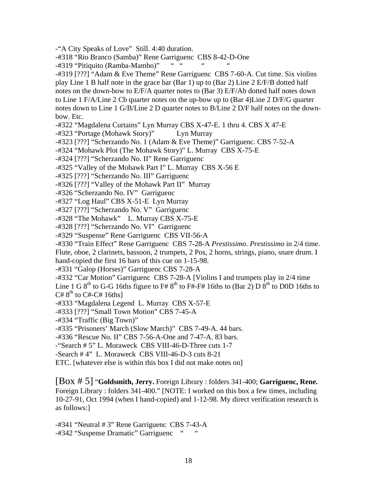-"A City Speaks of Love" Still. 4:40 duration.

-#318 "Rio Branco (Samba)" Rene Garriguenc CBS 8-42-D-One<br>-#319 "Pitiquito (Ramba-Mambo)" """

-#319 "Pitiquito (Ramba-Mambo)"

-#319 [???] "Adam & Eve Theme" Rene Garriguenc CBS 7-60-A. Cut time. Six violins

play Line 1 B half note in the grace bar (Bar 1) up to (Bar 2) Line 2 E/F/B dotted half

notes on the down-bow to E/F/A quarter notes to (Bar 3) E/F/Ab dotted half notes down

to Line 1 F/A/Line 2 Cb quarter notes on the up-bow up to (Bar 4)Line 2 D/F/G quarter

notes down to Line 1 G/B/Line 2 D quarter notes to B/Line 2 D/F half notes on the downbow. Etc.

-#322 "Magdalena Curtains" Lyn Murray CBS X-47-E. 1 thru 4. CBS X 47-E

-#323 "Portage (Mohawk Story)" Lyn Murray

-#323 [???] "Scherzando No. 1 (Adam & Eve Theme)" Garriguenc. CBS 7-52-A

-#324 "Mohawk Plot (The Mohawk Story)" L. Murray CBS X-75-E

-#324 [???] "Scherzando No. II" Rene Garriguenc

-#325 "Valley of the Mohawk Part I" L. Murray CBS X-56 E

-#325 [???] "Scherzando No. III" Garriguenc

-#326 [???] "Valley of the Mohawk Part II" Murray

-#326 "Scherzando No. IV" Garriguenc

-#327 "Log Haul" CBS X-51-E Lyn Murray

-#327 [???] "Scherzando No. V" Garriguenc

-#328 "The Mohawk" L. Murray CBS X-75-E

-#328 [???] "Scherzando No. VI" Garriguenc

-#329 "Suspense" Rene Garriguenc CBS VII-56-A

-#330 "Train Effect" Rene Garriguenc CBS 7-28-A *Prestissimo*. *Prestissimo* in 2/4 time. Flute, oboe, 2 clarinets, bassoon, 2 trumpets, 2 Pos, 2 horns, strings, piano, snare drum. I hand-copied the first 16 bars of this cue on 1-15-98.

-#331 "Galop (Horses)" Garriguenc CBS 7-28-A

-#332 "Car Motion" Garriguenc CBS 7-28-A [Violins I and trumpets play in 2/4 time

Line 1 G  $8<sup>th</sup>$  to G-G 16ths figure to F#  $8<sup>th</sup>$  to F#-F# 16ths to (Bar 2) D  $8<sup>th</sup>$  to D0D 16ths to  $C# 8<sup>th</sup>$  to  $C#$ - $C# 16$ ths]

-#333 "Magdalena Legend L. Murray CBS X-57-E

-#333 [???] "Small Town Motion" CBS 7-45-A

-#334 "Traffic (Big Town)"

-#335 "Prisoners' March (Slow March)" CBS 7-49-A. 44 bars.

-#336 "Rescue No. II" CBS 7-56-A-One and 7-47-A. 83 bars.

-"Search # 5" L. Moraweck CBS VIII-46-D-Three cuts 1-7

-Search # 4" L. Moraweck CBS VIII-46-D-3 cuts 8-21

ETC. [whatever else is within this box I did not make notes on]

[Box # 5] "**Goldsmith, Jerry.** Foreign Library : folders 341-400; **Garriguenc, Rene.** Foreign Library : folders 341-400." [NOTE: I worked on this box a few times, including 10-27-91, Oct 1994 (when I hand-copied) and 1-12-98. My direct verification research is as follows:]

-#341 "Neutral # 3" Rene Garriguenc CBS 7-43-A -#342 "Suspense Dramatic" Garriguenc "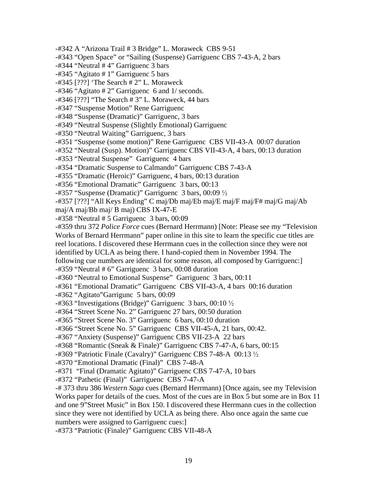-#342 A "Arizona Trail # 3 Bridge" L. Moraweck CBS 9-51 -#343 "Open Space" or "Sailing (Suspense) Garriguenc CBS 7-43-A, 2 bars -#344 "Neutral # 4" Garriguenc 3 bars -#345 "Agitato # 1" Garriguenc 5 bars  $-$ #345 [???] 'The Search # 2" L. Moraweck -#346 "Agitato # 2" Garriguenc 6 and 1/ seconds. -#346 [???] "The Search # 3" L. Moraweck, 44 bars -#347 "Suspense Motion" Rene Garriguenc -#348 "Suspense (Dramatic)" Garriguenc, 3 bars -#349 "Neutral Suspense (Slightly Emotional) Garriguenc -#350 "Neutral Waiting" Garriguenc, 3 bars -#351 "Suspense (some motion)" Rene Garriguenc CBS VII-43-A 00:07 duration -#352 "Neutral (Susp). Motion)" Garriguenc CBS VII-43-A, 4 bars, 00:13 duration -#353 "Neutral Suspense" Garriguenc 4 bars -#354 "Dramatic Suspense to Calmando" Garriguenc CBS 7-43-A -#355 "Dramatic (Heroic)" Garriguenc, 4 bars, 00:13 duration -#356 "Emotional Dramatic" Garriguenc 3 bars, 00:13  $-$ #357 "Suspense (Dramatic)" Garriguenc 3 bars, 00:09  $\frac{1}{2}$ -#357 [???] "All Keys Ending" C maj/Db maj/Eb maj/E maj/F maj/F# maj/G maj/Ab maj/A maj/Bb maj/ B maj) CBS IX-47-E -#358 "Neutral # 5 Garriguenc 3 bars, 00:09 -#359 thru 372 *Police Force* cues (Bernard Herrmann) [Note: Please see my "Television Works of Bernard Herrmann" paper online in this site to learn the specific cue titles are reel locations. I discovered these Herrmann cues in the collection since they were not identified by UCLA as being there. I hand-copied them in November 1994. The following cue numbers are identical for some reason, all composed by Garriguenc:] -#359 "Neutral # 6" Garriguenc 3 bars, 00:08 duration -#360 "Neutral to Emotional Suspense" Garriguenc 3 bars, 00:11 -#361 "Emotional Dramatic" Garriguenc CBS VII-43-A, 4 bars 00:16 duration -#362 "Agitato"Garrigunc 5 bars, 00:09  $-$ #363 "Investigations (Bridge)" Garriguenc 3 bars, 00:10  $\frac{1}{2}$ -#364 "Street Scene No. 2" Garriguenc 27 bars, 00:50 duration -#365 "Street Scene No. 3" Garriguenc 6 bars, 00:10 duration -#366 "Street Scene No. 5" Garriguenc CBS VII-45-A, 21 bars, 00:42. -#367 "Anxiety (Suspense)" Garriguenc CBS VII-23-A 22 bars -#368 "Romantic (Sneak & Finale)" Garriguenc CBS 7-47-A, 6 bars, 00:15 -#369 "Patriotic Finale (Cavalry)" Garriguenc CBS 7-48-A 00:13 -#370 "Emotional Dramatic (Final)" CBS 7-48-A -#371 "Final (Dramatic Agitato)" Garriguenc CBS 7-47-A, 10 bars -#372 "Pathetic (Final)" Garriguenc CBS 7-47-A -# 373 thru 386 *Western Saga* cues (Bernard Herrmann) [Once again, see my Television Works paper for details of the cues. Most of the cues are in Box 5 but some are in Box 11 and one 9"Street Music" in Box 150. I discovered these Herrmann cues in the collection since they were not identified by UCLA as being there. Also once again the same cue numbers were assigned to Garriguenc cues: -#373 "Patriotic (Finale)" Garriguenc CBS VII-48-A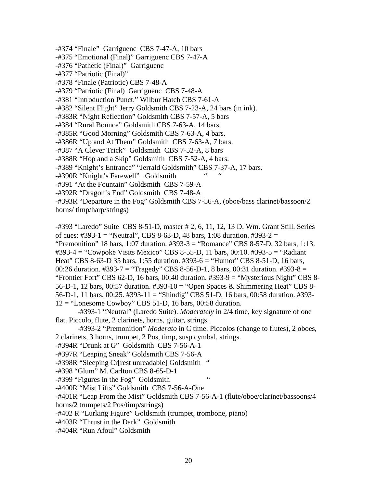-#374 "Finale" Garriguenc CBS 7-47-A, 10 bars -#375 "Emotional (Final)" Garriguenc CBS 7-47-A -#376 "Pathetic (Final)" Garriguenc -#377 "Patriotic (Final)" -#378 "Finale (Patriotic) CBS 7-48-A -#379 "Patriotic (Final) Garriguenc CBS 7-48-A -#381 "Introduction Punct." Wilbur Hatch CBS 7-61-A -#382 "Silent Flight" Jerry Goldsmith CBS 7-23-A, 24 bars (in ink). -#383R "Night Reflection" Goldsmith CBS 7-57-A, 5 bars -#384 "Rural Bounce" Goldsmith CBS 7-63-A, 14 bars. -#385R "Good Morning" Goldsmith CBS 7-63-A, 4 bars. -#386R "Up and At Them" Goldsmith CBS 7-63-A, 7 bars. -#387 "A Clever Trick" Goldsmith CBS 7-52-A, 8 bars -#388R "Hop and a Skip" Goldsmith CBS 7-52-A, 4 bars. -#389 "Knight's Entrance" "Jerrald Goldsmith" CBS 7-37-A, 17 bars. -#390R "Knight's Farewell" Goldsmith -#391 "At the Fountain" Goldsmith CBS 7-59-A -#392R "Dragon's End" Goldsmith CBS 7-48-A -#393R "Departure in the Fog" Goldsmith CBS 7-56-A, (oboe/bass clarinet/bassoon/2 horns/ timp/harp/strings)

-#393 "Laredo" Suite CBS 8-51-D, master # 2, 6, 11, 12, 13 D. Wm. Grant Still. Series of cues: #393-1 = "Neutral", CBS 8-63-D, 48 bars, 1:08 duration. #393-2 = "Premonition" 18 bars, 1:07 duration. #393-3 = "Romance" CBS 8-57-D, 32 bars, 1:13. #393-4 = "Cowpoke Visits Mexico" CBS 8-55-D, 11 bars, 00:10. #393-5 = "Radiant Heat" CBS 8-63-D 35 bars, 1:55 duration. #393-6 = "Humor" CBS 8-51-D, 16 bars, 00:26 duration.  $\#393-7 =$  "Tragedy" CBS 8-56-D-1, 8 bars, 00:31 duration.  $\#393-8 =$ "Frontier Fort" CBS 62-D, 16 bars, 00:40 duration. #393-9 = "Mysterious Night" CBS 8- 56-D-1, 12 bars, 00:57 duration. #393-10 = "Open Spaces & Shimmering Heat" CBS 8- 56-D-1, 11 bars, 00:25. #393-11 = "Shindig" CBS 51-D, 16 bars, 00:58 duration. #393-  $12 =$  "Lonesome Cowboy" CBS 51-D, 16 bars, 00:58 duration.

 -#393-1 "Neutral" (Laredo Suite). *Moderately* in 2/4 time, key signature of one flat. Piccolo, flute, 2 clarinets, horns, guitar, strings.

 -#393-2 "Premonition" *Moderato* in C time. Piccolos (change to flutes), 2 oboes, 2 clarinets, 3 horns, trumpet, 2 Pos, timp, susp cymbal, strings.

-#394R "Drunk at G" Goldsmith CBS 7-56-A-1

-#397R "Leaping Sneak" Goldsmith CBS 7-56-A

-#398R "Sleeping Cr[rest unreadable] Goldsmith "

-#398 "Glum" M. Carlton CBS 8-65-D-1

-#399 "Figures in the Fog" Goldsmith "

-#400R "Mist Lifts" Goldsmith CBS 7-56-A-One

-#401R "Leap From the Mist" Goldsmith CBS 7-56-A-1 (flute/oboe/clarinet/bassoons/4

horns/2 trumpets/2 Pos/timp/strings)

-#402 R "Lurking Figure" Goldsmith (trumpet, trombone, piano)

-#403R "Thrust in the Dark" Goldsmith

-#404R "Run Afoul" Goldsmith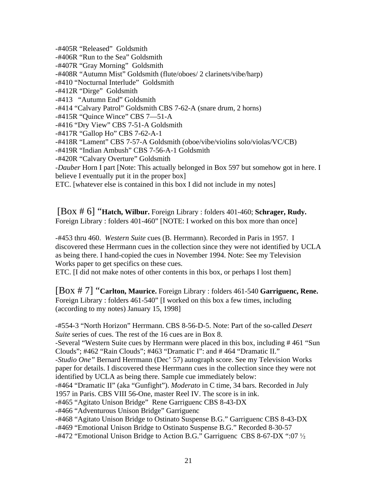-#405R "Released" Goldsmith -#406R "Run to the Sea" Goldsmith -#407R "Gray Morning" Goldsmith -#408R "Autumn Mist" Goldsmith (flute/oboes/ 2 clarinets/vibe/harp) -#410 "Nocturnal Interlude" Goldsmith -#412R "Dirge" Goldsmith -#413 "Autumn End" Goldsmith -#414 "Calvary Patrol" Goldsmith CBS 7-62-A (snare drum, 2 horns) -#415R "Quince Wince" CBS 7—51-A -#416 "Dry View" CBS 7-51-A Goldsmith -#417R "Gallop Ho" CBS 7-62-A-1 -#418R "Lament" CBS 7-57-A Goldsmith (oboe/vibe/violins solo/violas/VC/CB) -#419R "Indian Ambush" CBS 7-56-A-1 Goldsmith -#420R "Calvary Overture" Goldsmith -*Dauber* Horn I part [Note: This actually belonged in Box 597 but somehow got in here. I believe I eventually put it in the proper box] ETC. [whatever else is contained in this box I did not include in my notes]

[Box # 6] "**Hatch, Wilbur.** Foreign Library : folders 401-460; **Schrager, Rudy.** Foreign Library : folders 401-460" [NOTE: I worked on this box more than once]

-#453 thru 460. *Western Suite* cues (B. Herrmann). Recorded in Paris in 1957. I discovered these Herrmann cues in the collection since they were not identified by UCLA as being there. I hand-copied the cues in November 1994. Note: See my Television Works paper to get specifics on these cues.

ETC. [I did not make notes of other contents in this box, or perhaps I lost them]

[Box # 7] "**Carlton, Maurice.** Foreign Library : folders 461-540 **Garriguenc, Rene.** Foreign Library : folders 461-540" [I worked on this box a few times, including (according to my notes) January 15, 1998]

-#554-3 "North Horizon" Herrmann. CBS 8-56-D-5. Note: Part of the so-called *Desert Suite* series of cues. The rest of the 16 cues are in Box 8.

-Several "Western Suite cues by Herrmann were placed in this box, including # 461 "Sun Clouds"; #462 "Rain Clouds"; #463 "Dramatic I": and # 464 "Dramatic II."

-*Studio One"* Bernard Herrmann (Dec' 57) autograph score. See my Television Works paper for details. I discovered these Herrmann cues in the collection since they were not identified by UCLA as being there. Sample cue immediately below:

-#464 "Dramatic II" (aka "Gunfight"). *Moderato* in C time, 34 bars. Recorded in July 1957 in Paris. CBS VIII 56-One, master Reel IV. The score is in ink.

-#465 "Agitato Unison Bridge" Rene Garriguenc CBS 8-43-DX

-#466 "Adventurous Unison Bridge" Garriguenc

-#468 "Agitato Unison Bridge to Ostinato Suspense B.G." Garriguenc CBS 8-43-DX

-#469 "Emotional Unison Bridge to Ostinato Suspense B.G." Recorded 8-30-57

 $-$ #472 "Emotional Unison Bridge to Action B.G." Garriguenc CBS 8-67-DX ":07  $\frac{1}{2}$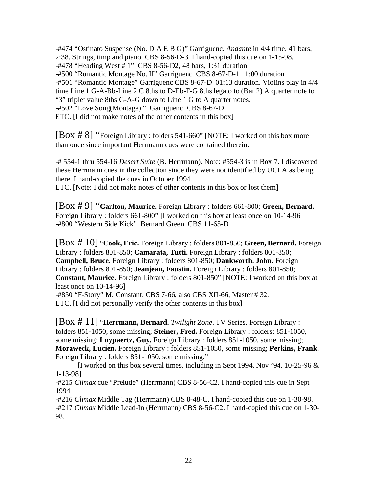-#474 "Ostinato Suspense (No. D A E B G)" Garriguenc. *Andante* in 4/4 time, 41 bars, 2:38. Strings, timp and piano. CBS 8-56-D-3. I hand-copied this cue on 1-15-98. -#478 "Heading West # 1" CBS 8-56-D2, 48 bars, 1:31 duration -#500 "Romantic Montage No. II" Garriguenc CBS 8-67-D-1 1:00 duration -#501 "Romantic Montage" Garriguenc CBS 8-67-D 01:13 duration. Violins play in 4/4 time Line 1 G-A-Bb-Line 2 C 8ths to D-Eb-F-G 8ths legato to (Bar 2) A quarter note to "3" triplet value 8ths G-A-G down to Line 1 G to A quarter notes. -#502 "Love Song(Montage) " Garriguenc CBS 8-67-D ETC. [I did not make notes of the other contents in this box]

[Box # 8] "Foreign Library : folders 541-660" [NOTE: I worked on this box more than once since important Herrmann cues were contained therein.

-# 554-1 thru 554-16 *Desert Suite* (B. Herrmann). Note: #554-3 is in Box 7. I discovered these Herrmann cues in the collection since they were not identified by UCLA as being there. I hand-copied the cues in October 1994.

ETC. [Note: I did not make notes of other contents in this box or lost them]

[Box # 9] "**Carlton, Maurice.** Foreign Library : folders 661-800; **Green, Bernard.** Foreign Library : folders 661-800" [I worked on this box at least once on 10-14-96] -#800 "Western Side Kick" Bernard Green CBS 11-65-D

[Box # 10] "**Cook, Eric.** Foreign Library : folders 801-850; **Green, Bernard.** Foreign Library : folders 801-850; **Camarata, Tutti.** Foreign Library : folders 801-850; **Campbell, Bruce.** Foreign Library : folders 801-850; **Dankworth, John.** Foreign Library : folders 801-850; **Jeanjean, Faustin.** Foreign Library : folders 801-850; **Constant, Maurice.** Foreign Library : folders 801-850" [NOTE: I worked on this box at least once on 10-14-96]

-#850 "F-Story" M. Constant. CBS 7-66, also CBS XII-66, Master # 32. ETC. [I did not personally verify the other contents in this box]

[Box # 11] "**Herrmann, Bernard.** *Twilight Zone*. TV Series. Foreign Library : folders 851-1050, some missing; **Steiner, Fred.** Foreign Library : folders: 851-1050, some missing; **Luypaertz, Guy.** Foreign Library : folders 851-1050, some missing; **Moraweck, Lucien.** Foreign Library : folders 851-1050, some missing; **Perkins, Frank.** Foreign Library : folders 851-1050, some missing."

[I worked on this box several times, including in Sept 1994, Nov '94, 10-25-96  $\&$ 1-13-98]

-#215 *Climax* cue "Prelude" (Herrmann) CBS 8-56-C2. I hand-copied this cue in Sept 1994.

-#216 *Climax* Middle Tag (Herrmann) CBS 8-48-C. I hand-copied this cue on 1-30-98. -#217 *Climax* Middle Lead-In (Herrmann) CBS 8-56-C2. I hand-copied this cue on 1-30- 98.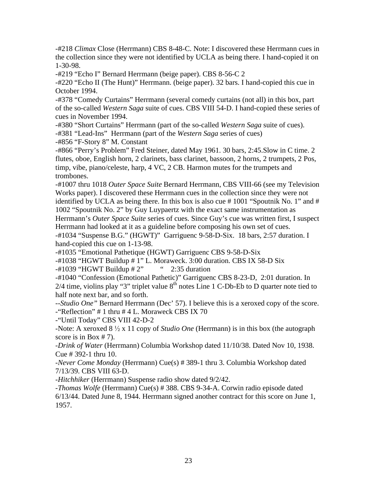-#218 *Climax* Close (Herrmann) CBS 8-48-C. Note: I discovered these Herrmann cues in the collection since they were not identified by UCLA as being there. I hand-copied it on 1-30-98.

-#219 "Echo I" Bernard Herrmann (beige paper). CBS 8-56-C 2

-#220 "Echo II (The Hunt)" Herrmann. (beige paper). 32 bars. I hand-copied this cue in October 1994.

-#378 "Comedy Curtains" Herrmann (several comedy curtains (not all) in this box, part of the so-called *Western Saga* suite of cues. CBS VIII 54-D. I hand-copied these series of cues in November 1994.

-#380 "Short Curtains" Herrmann (part of the so-called *Western Saga* suite of cues). -#381 "Lead-Ins" Herrmann (part of the *Western Saga* series of cues)

-#856 "F-Story 8" M. Constant

-#866 "Perry's Problem" Fred Steiner, dated May 1961. 30 bars, 2:45.Slow in C time. 2 flutes, oboe, English horn, 2 clarinets, bass clarinet, bassoon, 2 horns, 2 trumpets, 2 Pos, timp, vibe, piano/celeste, harp, 4 VC, 2 CB. Harmon mutes for the trumpets and trombones.

-#1007 thru 1018 *Outer Space Suite* Bernard Herrmann, CBS VIII-66 (see my Television Works paper). I discovered these Herrmann cues in the collection since they were not identified by UCLA as being there. In this box is also cue # 1001 "Spoutnik No. 1" and # 1002 "Spoutnik No. 2" by Guy Luypaertz with the exact same instrumentation as

Herrmann's *Outer Space Suite* series of cues. Since Guy's cue was written first, I suspect Herrmann had looked at it as a guideline before composing his own set of cues.

-#1034 "Suspense B.G." (HGWT)" Garriguenc 9-58-D-Six. 18 bars, 2:57 duration. I hand-copied this cue on 1-13-98.

-#1035 "Emotional Pathetique (HGWT) Garriguenc CBS 9-58-D-Six

-#1038 "HGWT Buildup # 1" L. Moraweck. 3:00 duration. CBS IX 58-D Six

 $-#1039$  "HGWT Buildup  $#2$ " " 2:35 duration

-#1040 "Confession (Emotional Pathetic)" Garriguenc CBS 8-23-D, 2:01 duration. In  $2/4$  time, violins play "3" triplet value  $8<sup>th</sup>$  notes Line 1 C-Db-Eb to D quarter note tied to half note next bar, and so forth.

--*Studio One"* Bernard Herrmann (Dec' 57). I believe this is a xeroxed copy of the score. -"Reflection" # 1 thru # 4 L. Moraweck CBS IX 70

-"Until Today" CBS VIII 42-D-2

-Note: A xeroxed  $8\frac{1}{2}$  x 11 copy of *Studio One* (Herrmann) is in this box (the autograph score is in Box # 7).

-*Drink of Water* (Herrmann) Columbia Workshop dated 11/10/38. Dated Nov 10, 1938. Cue # 392-1 thru 10.

-*Never Come Monday* (Herrmann) Cue(s) # 389-1 thru 3. Columbia Workshop dated 7/13/39. CBS VIII 63-D.

-*Hitchhiker* (Herrmann) Suspense radio show dated 9/2/42.

-*Thomas Wolfe* (Herrmann) Cue(s) # 388. CBS 9-34-A. Corwin radio episode dated 6/13/44. Dated June 8, 1944. Herrmann signed another contract for this score on June 1, 1957.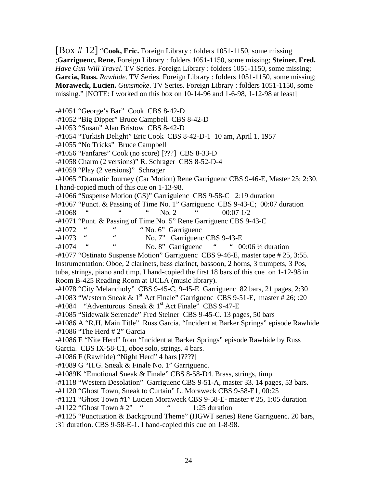[Box # 12] "**Cook, Eric.** Foreign Library : folders 1051-1150, some missing ;**Garriguenc, Rene.** Foreign Library : folders 1051-1150, some missing; **Steiner, Fred.** *Have Gun Will Travel*. TV Series. Foreign Library : folders 1051-1150, some missing; **Garcia, Russ.** *Rawhide*. TV Series. Foreign Library : folders 1051-1150, some missing; **Moraweck, Lucien.** *Gunsmoke*. TV Series. Foreign Library : folders 1051-1150, some missing." [NOTE: I worked on this box on 10-14-96 and 1-6-98, 1-12-98 at least]

-#1051 "George's Bar" Cook CBS 8-42-D

-#1052 "Big Dipper" Bruce Campbell CBS 8-42-D

-#1053 "Susan" Alan Bristow CBS 8-42-D

-#1054 "Turkish Delight" Eric Cook CBS 8-42-D-1 10 am, April 1, 1957

-#1055 "No Tricks" Bruce Campbell

-#1056 "Fanfares" Cook (no score) [???] CBS 8-33-D

-#1058 Charm (2 versions)" R. Schrager CBS 8-52-D-4

-#1059 "Play (2 versions)" Schrager

-#1065 "Dramatic Journey (Car Motion) Rene Garriguenc CBS 9-46-E, Master 25; 2:30. I hand-copied much of this cue on 1-13-98.

-#1066 "Suspense Motion (GS)" Garriguienc CBS 9-58-C 2:19 duration

-#1067 "Punct. & Passing of Time No. 1" Garriguenc CBS 9-43-C; 00:07 duration

-#1068 " " No. 2 " 00:07 1/2

-#1071 "Punt. & Passing of Time No. 5" Rene Garriguenc CBS 9-43-C

 $-#1072$  "  $\ldots$  " No. 6" Garriguenc

<sup>-#1073</sup> " No. 7" Garriguenc CBS 9-43-E<br>
" No. 8" Gerriguence" " 00

 $-#1074$  "  $\leq$  No. 8" Garriguenc "  $\leq$  00:06  $\frac{1}{2}$  duration

-#1077 "Ostinato Suspense Motion" Garriguenc CBS 9-46-E, master tape # 25, 3:55.

Instrumentation: Oboe, 2 clarinets, bass clarinet, bassoon, 2 horns, 3 trumpets, 3 Pos, tuba, strings, piano and timp. I hand-copied the first 18 bars of this cue on 1-12-98 in Room B-425 Reading Room at UCLA (music library).

-#1078 "City Melancholy" CBS 9-45-C, 9-45-E Garriguenc 82 bars, 21 pages, 2:30

-#1083 "Western Sneak & 1<sup>st</sup> Act Finale" Garriguenc CBS 9-51-E, master # 26; :20

 $-#1084$  "Adventurous Sneak & 1<sup>st</sup> Act Finale" CBS 9-47-E

-#1085 "Sidewalk Serenade" Fred Steiner CBS 9-45-C. 13 pages, 50 bars

-#1086 A "R.H. Main Title" Russ Garcia. "Incident at Barker Springs" episode Rawhide -#1086 "The Herd # 2" Garcia

-#1086 E "Nite Herd" from "Incident at Barker Springs" episode Rawhide by Russ Garcia. CBS IX-58-C1, oboe solo, strings. 4 bars.

-#1086 F (Rawhide) "Night Herd" 4 bars [????]

-#1089 G "H.G. Sneak & Finale No. 1" Garriguenc.

-#1089K "Emotional Sneak & Finale" CBS 8-58-D4. Brass, strings, timp.

-#1118 "Western Desolation" Garriguenc CBS 9-51-A, master 33. 14 pages, 53 bars.

-#1120 "Ghost Town, Sneak to Curtain" L. Moraweck CBS 9-58-E1, 00:25

-#1121 "Ghost Town #1" Lucien Moraweck CBS 9-58-E- master # 25, 1:05 duration

 $-#1122$  "Ghost Town  $#2$ " "  $\qquad$  " 1:25 duration

-#1125 "Punctuation & Background Theme" (HGWT series) Rene Garriguenc. 20 bars,

:31 duration. CBS 9-58-E-1. I hand-copied this cue on 1-8-98.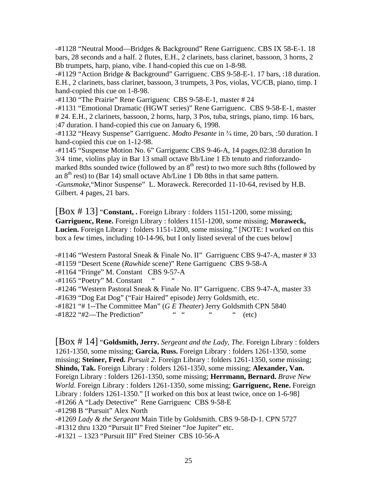-#1128 "Neutral Mood—Bridges & Background" Rene Garriguenc. CBS IX 58-E-1. 18 bars, 28 seconds and a half. 2 flutes, E.H., 2 clarinets, bass clarinet, bassoon, 3 horns, 2 Bb trumpets, harp, piano, vibe. I hand-copied this cue on 1-8-98.

-#1129 "Action Bridge & Background" Garriguenc. CBS 9-58-E-1. 17 bars, :18 duration. E.H., 2 clarinets, bass clarinet, bassoon, 3 trumpets, 3 Pos, violas, VC/CB, piano, timp. I hand-copied this cue on 1-8-98.

-#1130 "The Prairie" Rene Garriguenc CBS 9-58-E-1, master # 24

-#1131 "Emotional Dramatic (HGWT series)" Rene Garriguenc. CBS 9-58-E-1, master # 24. E.H., 2 clarinets, bassoon, 2 horns, harp, 3 Pos, tuba, strings, piano, timp. 16 bars, :47 duration. I hand-copied this cue on January 6, 1998.

-#1132 "Heavy Suspense" Garriguenc. *Modto Pesante* in <sup>3</sup>/<sub>4</sub> time, 20 bars, :50 duration. I hand-copied this cue on 1-12-98.

-#1145 "Suspense Motion No. 6" Garriguenc CBS 9-46-A, 14 pages,02:38 duration In 3/4 time, violins play in Bar 13 small octave Bb/Line 1 Eb tenuto and rinforzandomarked 8ths sounded twice (followed by an  $8<sup>th</sup>$  rest) to two more such 8ths (followed by an  $8<sup>th</sup>$  rest) to (Bar 14) small octave Ab/Line 1 Db 8ths in that same pattern. -*Gunsmoke*,"Minor Suspense" L. Moraweck. Rerecorded 11-10-64, revised by H.B. Gilbert. 4 pages, 21 bars.

[Box # 13] "**Constant, .** Foreign Library : folders 1151-1200, some missing; **Garriguenc, Rene.** Foreign Library : folders 1151-1200, some missing; **Moraweck, Lucien.** Foreign Library : folders 1151-1200, some missing." [NOTE: I worked on this box a few times, including 10-14-96, but I only listed several of the cues below]

-#1146 "Western Pastoral Sneak & Finale No. II" Garriguenc CBS 9-47-A, master # 33 -#1159 "Desert Scene (*Rawhide* scene)" Rene Garriguenc CBS 9-58-A

-#1164 "Fringe" M. Constant CBS 9-57-A

 $-#1165$  "Poetry" M. Constant

-#1246 "Western Pastoral Sneak & Finale No. II" Garriguenc. CBS 9-47-A, master 33

-#1639 "Dog Eat Dog" ("Fair Haired" episode) Jerry Goldsmith, etc.

-#1821 "# 1--The Committee Man" (*G E Theater*) Jerry Goldsmith CPN 5840

 $-#1822$  " $#2$ —The Prediction" " " " (etc)

[Box # 14] "**Goldsmith, Jerry.** *Sergeant and the Lady, The*. Foreign Library : folders 1261-1350, some missing; **Garcia, Russ.** Foreign Library : folders 1261-1350, some missing; **Steiner, Fred.** *Pursuit 2*. Foreign Library : folders 1261-1350, some missing; **Shindo, Tak.** Foreign Library : folders 1261-1350, some missing; **Alexander, Van.** Foreign Library : folders 1261-1350, some missing; **Herrmann, Bernard.** *Brave New World*. Foreign Library : folders 1261-1350, some missing; **Garriguenc, Rene.** Foreign Library : folders 1261-1350." [I worked on this box at least twice, once on 1-6-98] -#1266 A "Lady Detective" Rene Garriguenc CBS 9-58-E -#1298 B "Pursuit" Alex North

-#1269 *Lady & the Sergeant* Main Title by Goldsmith. CBS 9-58-D-1. CPN 5727

-#1312 thru 1320 "Pursuit II" Fred Steiner "Joe Jupiter" etc.

-#1321 – 1323 "Pursuit III" Fred Steiner CBS 10-56-A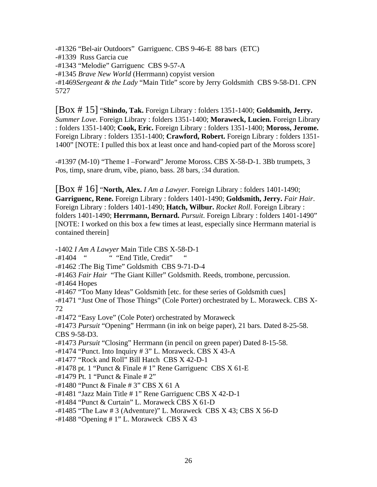-#1326 "Bel-air Outdoors" Garriguenc. CBS 9-46-E 88 bars (ETC) -#1339 Russ Garcia cue -#1343 "Melodie" Garriguenc CBS 9-57-A -#1345 *Brave New World* (Herrmann) copyist version -#1469*Sergeant & the Lady* "Main Title" score by Jerry Goldsmith CBS 9-58-D1. CPN 5727

[Box # 15] "**Shindo, Tak.** Foreign Library : folders 1351-1400; **Goldsmith, Jerry.** *Summer Love*. Foreign Library : folders 1351-1400; **Moraweck, Lucien.** Foreign Library : folders 1351-1400; **Cook, Eric.** Foreign Library : folders 1351-1400; **Moross, Jerome.** Foreign Library : folders 1351-1400; **Crawford, Robert.** Foreign Library : folders 1351- 1400" [NOTE: I pulled this box at least once and hand-copied part of the Moross score]

-#1397 (M-10) "Theme I –Forward" Jerome Moross. CBS X-58-D-1. 3Bb trumpets, 3 Pos, timp, snare drum, vibe, piano, bass. 28 bars, :34 duration.

[Box # 16] "**North, Alex.** *I Am a Lawyer*. Foreign Library : folders 1401-1490; **Garriguenc, Rene.** Foreign Library : folders 1401-1490; **Goldsmith, Jerry.** *Fair Hair*. Foreign Library : folders 1401-1490; **Hatch, Wilbur.** *Rocket Roll*. Foreign Library : folders 1401-1490; **Herrmann, Bernard.** *Pursuit*. Foreign Library : folders 1401-1490" [NOTE: I worked on this box a few times at least, especially since Herrmann material is contained therein]

-1402 *I Am A Lawyer* Main Title CBS X-58-D-1

-#1404 " "End Title, Credit"

- -#1462 :The Big Time" Goldsmith CBS 9-71-D-4
- -#1463 *Fair Hair* "The Giant Killer" Goldsmith. Reeds, trombone, percussion.
- -#1464 Hopes
- -#1467 "Too Many Ideas" Goldsmith [etc. for these series of Goldsmith cues]

-#1471 "Just One of Those Things" (Cole Porter) orchestrated by L. Moraweck. CBS X-72

-#1472 "Easy Love" (Cole Poter) orchestrated by Moraweck

-#1473 *Pursuit* "Opening" Herrmann (in ink on beige paper), 21 bars. Dated 8-25-58. CBS 9-58-D3.

-#1473 *Pursuit* "Closing" Herrmann (in pencil on green paper) Dated 8-15-58.

 $-#1474$  "Punct. Into Inquiry  $#3$ " L. Moraweck. CBS X 43-A

-#1477 "Rock and Roll" Bill Hatch CBS X 42-D-1

 $-#1478$  pt. 1 "Punct & Finale  $# 1$ " Rene Garriguenc CBS X 61-E

 $-#1479$  Pt. 1 "Punct & Finale  $#2"$ 

-#1480 "Punct & Finale # 3" CBS X 61 A

-#1481 "Jazz Main Title # 1" Rene Garriguenc CBS X 42-D-1

-#1484 "Punct & Curtain" L. Moraweck CBS X 61-D

-#1485 "The Law # 3 (Adventure)" L. Moraweck CBS X 43; CBS X 56-D

 $-#1488$  "Opening  $# 1$ " L. Moraweck CBS X 43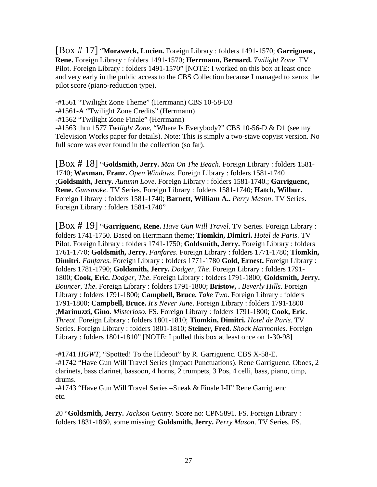[Box # 17] "**Moraweck, Lucien.** Foreign Library : folders 1491-1570; **Garriguenc, Rene.** Foreign Library : folders 1491-1570; **Herrmann, Bernard.** *Twilight Zone*. TV Pilot. Foreign Library : folders 1491-1570" [NOTE: I worked on this box at least once and very early in the public access to the CBS Collection because I managed to xerox the pilot score (piano-reduction type).

-#1561 "Twilight Zone Theme" (Herrmann) CBS 10-58-D3

-#1561-A "Twilight Zone Credits" (Herrmann)

-#1562 "Twilight Zone Finale" (Herrmann)

-#1563 thru 1577 *Twilight Zone*, "Where Is Everybody?" CBS 10-56-D & D1 (see my Television Works paper for details). Note: This is simply a two-stave copyist version. No full score was ever found in the collection (so far).

[Box # 18] "**Goldsmith, Jerry.** *Man On The Beach*. Foreign Library : folders 1581- 1740; **Waxman, Franz.** *Open Windows*. Foreign Library : folders 1581-1740 ;**Goldsmith, Jerry.** *Autumn Love*. Foreign Library : folders 1581-1740.; **Garriguenc, Rene.** *Gunsmoke*. TV Series. Foreign Library : folders 1581-1740; **Hatch, Wilbur.** Foreign Library : folders 1581-1740; **Barnett, William A..** *Perry Mason*. TV Series. Foreign Library : folders 1581-1740"

[Box # 19] "**Garriguenc, Rene.** *Have Gun Will Travel*. TV Series. Foreign Library : folders 1741-1750. Based on Herrmann theme; **Tiomkin, Dimitri.** *Hotel de Paris*. TV Pilot. Foreign Library : folders 1741-1750; **Goldsmith, Jerry.** Foreign Library : folders 1761-1770; **Goldsmith, Jerry.** *Fanfares*. Foreign Library : folders 1771-1780; **Tiomkin, Dimitri.** *Fanfares*. Foreign Library : folders 1771-1780 **Gold, Ernest.** Foreign Library : folders 1781-1790; **Goldsmith, Jerry.** *Dodger, The*. Foreign Library : folders 1791- 1800; **Cook, Eric.** *Dodger, The*. Foreign Library : folders 1791-1800; **Goldsmith, Jerry.** *Bouncer, The*. Foreign Library : folders 1791-1800; **Bristow, .** *Beverly Hills*. Foreign Library : folders 1791-1800; **Campbell, Bruce.** *Take Two*. Foreign Library : folders 1791-1800; **Campbell, Bruce.** *It's Never June*. Foreign Library : folders 1791-1800 ;**Marinuzzi, Gino.** *Misterioso*. FS. Foreign Library : folders 1791-1800; **Cook, Eric.** *Threat*. Foreign Library : folders 1801-1810; **Tiomkin, Dimitri.** *Hotel de Paris*. TV Series. Foreign Library : folders 1801-1810; **Steiner, Fred.** *Shock Harmonies*. Foreign Library : folders 1801-1810" [NOTE: I pulled this box at least once on 1-30-98]

-#1741 *HGWT*, "Spotted! To the Hideout" by R. Garriguenc. CBS X-58-E. -#1742 "Have Gun Will Travel Series (Impact Punctuations). Rene Garriguenc. Oboes, 2 clarinets, bass clarinet, bassoon, 4 horns, 2 trumpets, 3 Pos, 4 celli, bass, piano, timp, drums.

-#1743 "Have Gun Will Travel Series –Sneak & Finale I-II" Rene Garriguenc etc.

20 "**Goldsmith, Jerry.** *Jackson Gentry*. Score no: CPN5891. FS. Foreign Library : folders 1831-1860, some missing; **Goldsmith, Jerry.** *Perry Mason*. TV Series. FS.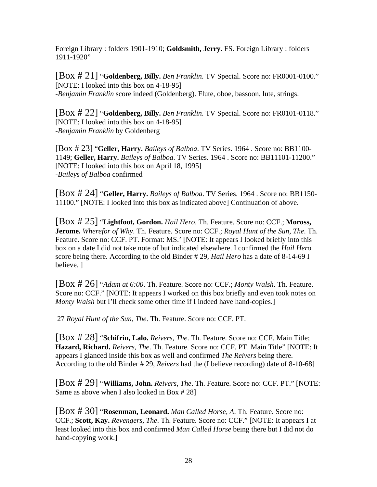Foreign Library : folders 1901-1910; **Goldsmith, Jerry.** FS. Foreign Library : folders 1911-1920"

[Box # 21] "**Goldenberg, Billy.** *Ben Franklin*. TV Special. Score no: FR0001-0100." [NOTE: I looked into this box on 4-18-95] -*Benjamin Franklin* score indeed (Goldenberg). Flute, oboe, bassoon, lute, strings.

[Box # 22] "**Goldenberg, Billy.** *Ben Franklin*. TV Special. Score no: FR0101-0118." [NOTE: I looked into this box on 4-18-95] -*Benjamin Franklin* by Goldenberg

[Box # 23] "**Geller, Harry.** *Baileys of Balboa*. TV Series. 1964 . Score no: BB1100- 1149; **Geller, Harry.** *Baileys of Balboa*. TV Series. 1964 . Score no: BB11101-11200." [NOTE: I looked into this box on April 18, 1995] -*Baileys of Balboa* confirmed

[Box # 24] "**Geller, Harry.** *Baileys of Balboa*. TV Series. 1964 . Score no: BB1150- 11100." [NOTE: I looked into this box as indicated above] Continuation of above.

[Box # 25] "**Lightfoot, Gordon.** *Hail Hero*. Th. Feature. Score no: CCF.; **Moross, Jerome.** *Wherefor of Why*. Th. Feature. Score no: CCF.; *Royal Hunt of the Sun, The*. Th. Feature. Score no: CCF. PT. Format: MS.' [NOTE: It appears I looked briefly into this box on a date I did not take note of but indicated elsewhere. I confirmed the *Hail Hero* score being there. According to the old Binder # 29, *Hail Hero* has a date of 8-14-69 I believe. ]

[Box # 26] "*Adam at 6:00*. Th. Feature. Score no: CCF.; *Monty Walsh*. Th. Feature. Score no: CCF." [NOTE: It appears I worked on this box briefly and even took notes on *Monty Walsh* but I'll check some other time if I indeed have hand-copies.]

27 *Royal Hunt of the Sun, The*. Th. Feature. Score no: CCF. PT.

[Box # 28] "**Schifrin, Lalo.** *Reivers, The*. Th. Feature. Score no: CCF. Main Title; **Hazard, Richard.** *Reivers, The*. Th. Feature. Score no: CCF. PT. Main Title" [NOTE: It appears I glanced inside this box as well and confirmed *The Reivers* being there. According to the old Binder # 29, *Reivers* had the (I believe recording) date of 8-10-68]

[Box # 29] "**Williams, John.** *Reivers, The*. Th. Feature. Score no: CCF. PT." [NOTE: Same as above when I also looked in Box # 28]

[Box # 30] "**Rosenman, Leonard.** *Man Called Horse, A*. Th. Feature. Score no: CCF.; **Scott, Kay.** *Revengers, The*. Th. Feature. Score no: CCF." [NOTE: It appears I at least looked into this box and confirmed *Man Called Horse* being there but I did not do hand-copying work.]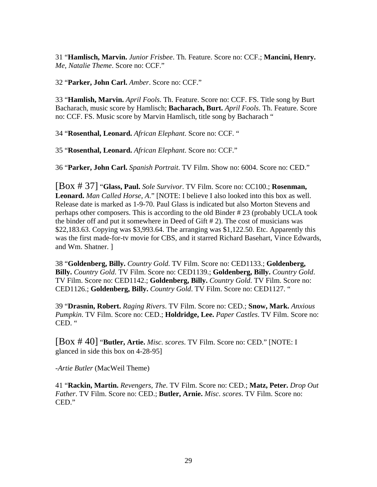31 "**Hamlisch, Marvin.** *Junior Frisbee*. Th. Feature. Score no: CCF.; **Mancini, Henry.** *Me, Natalie Theme*. Score no: CCF."

32 "**Parker, John Carl.** *Amber*. Score no: CCF."

33 "**Hamlish, Marvin.** *April Fools*. Th. Feature. Score no: CCF. FS. Title song by Burt Bacharach, music score by Hamlisch; **Bacharach, Burt.** *April Fools*. Th. Feature. Score no: CCF. FS. Music score by Marvin Hamlisch, title song by Bacharach "

34 "**Rosenthal, Leonard.** *African Elephant*. Score no: CCF. "

35 "**Rosenthal, Leonard.** *African Elephant*. Score no: CCF."

36 "**Parker, John Carl.** *Spanish Portrait*. TV Film. Show no: 6004. Score no: CED."

[Box # 37] "**Glass, Paul.** *Sole Survivor*. TV Film. Score no: CC100.; **Rosenman, Leonard.** *Man Called Horse, A*." [NOTE: I believe I also looked into this box as well. Release date is marked as 1-9-70. Paul Glass is indicated but also Morton Stevens and perhaps other composers. This is according to the old Binder # 23 (probably UCLA took the binder off and put it somewhere in Deed of Gift # 2). The cost of musicians was \$22,183.63. Copying was \$3,993.64. The arranging was \$1,122.50. Etc. Apparently this was the first made-for-tv movie for CBS, and it starred Richard Basehart, Vince Edwards, and Wm. Shatner. ]

38 "**Goldenberg, Billy.** *Country Gold*. TV Film. Score no: CED1133.; **Goldenberg, Billy.** *Country Gold*. TV Film. Score no: CED1139.; **Goldenberg, Billy.** *Country Gold*. TV Film. Score no: CED1142.; **Goldenberg, Billy.** *Country Gold*. TV Film. Score no: CED1126.; **Goldenberg, Billy.** *Country Gold*. TV Film. Score no: CED1127. "

39 "**Drasnin, Robert.** *Raging Rivers*. TV Film. Score no: CED.; **Snow, Mark.** *Anxious Pumpkin*. TV Film. Score no: CED.; **Holdridge, Lee.** *Paper Castles*. TV Film. Score no: CED. "

[Box # 40] "**Butler, Artie.** *Misc. scores*. TV Film. Score no: CED." [NOTE: I glanced in side this box on 4-28-95]

-*Artie Butler* (MacWeil Theme)

41 "**Rackin, Martin.** *Revengers, The*. TV Film. Score no: CED.; **Matz, Peter.** *Drop Out Father*. TV Film. Score no: CED.; **Butler, Arnie.** *Misc. scores*. TV Film. Score no: CED."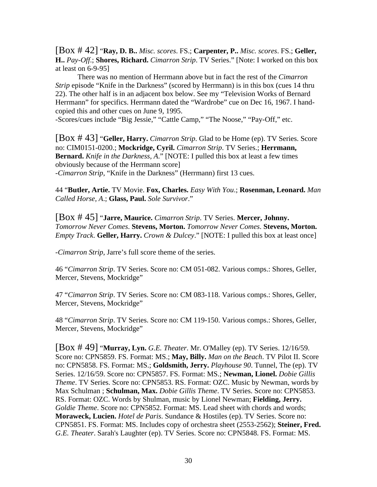[Box # 42] "**Ray, D. B..** *Misc. scores*. FS.; **Carpenter, P..** *Misc. scores*. FS.; **Geller, H..** *Pay-Off*.; **Shores, Richard.** *Cimarron Strip*. TV Series." [Note: I worked on this box at least on 6-9-95]

 There was no mention of Herrmann above but in fact the rest of the *Cimarron Strip* episode "Knife in the Darkness" (scored by Herrmann) is in this box (cues 14 thru 22). The other half is in an adjacent box below. See my "Television Works of Bernard Herrmann" for specifics. Herrmann dated the "Wardrobe" cue on Dec 16, 1967. I handcopied this and other cues on June 9, 1995.

-Scores/cues include "Big Jessie," "Cattle Camp," "The Noose," "Pay-Off," etc.

[Box # 43] "**Geller, Harry.** *Cimarron Strip*. Glad to be Home (ep). TV Series. Score no: CIM0151-0200.; **Mockridge, Cyril.** *Cimarron Strip*. TV Series.; **Herrmann, Bernard.** *Knife in the Darkness, A*." [NOTE: I pulled this box at least a few times obviously because of the Herrmann score] -*Cimarron Strip*, "Knife in the Darkness" (Herrmann) first 13 cues.

44 "**Butler, Artie.** TV Movie. **Fox, Charles.** *Easy With You*.; **Rosenman, Leonard.** *Man Called Horse, A*.; **Glass, Paul.** *Sole Survivor*."

[Box # 45] "**Jarre, Maurice.** *Cimarron Strip*. TV Series. **Mercer, Johnny.** *Tomorrow Never Comes*. **Stevens, Morton.** *Tomorrow Never Comes*. **Stevens, Morton.** *Empty Track*. **Geller, Harry.** *Crown & Dulcey*." [NOTE: I pulled this box at least once]

-*Cimarron Strip*, Jarre's full score theme of the series.

46 "*Cimarron Strip*. TV Series. Score no: CM 051-082. Various comps.: Shores, Geller, Mercer, Stevens, Mockridge"

47 "*Cimarron Strip*. TV Series. Score no: CM 083-118. Various comps.: Shores, Geller, Mercer, Stevens, Mockridge"

48 "*Cimarron Strip*. TV Series. Score no: CM 119-150. Various comps.: Shores, Geller, Mercer, Stevens, Mockridge"

[Box # 49] "**Murray, Lyn.** *G.E. Theater*. Mr. O'Malley (ep). TV Series. 12/16/59. Score no: CPN5859. FS. Format: MS.; **May, Billy.** *Man on the Beach*. TV Pilot II. Score no: CPN5858. FS. Format: MS.; **Goldsmith, Jerry.** *Playhouse 90*. Tunnel, The (ep). TV Series. 12/16/59. Score no: CPN5857. FS. Format: MS.; **Newman, Lionel.** *Dobie Gillis Theme*. TV Series. Score no: CPN5853. RS. Format: OZC. Music by Newman, words by Max Schulman ; **Schulman, Max.** *Dobie Gillis Theme*. TV Series. Score no: CPN5853. RS. Format: OZC. Words by Shulman, music by Lionel Newman; **Fielding, Jerry.** *Goldie Theme*. Score no: CPN5852. Format: MS. Lead sheet with chords and words; **Moraweck, Lucien.** *Hotel de Paris*. Sundance & Hostiles (ep). TV Series. Score no: CPN5851. FS. Format: MS. Includes copy of orchestra sheet (2553-2562); **Steiner, Fred.** *G.E. Theater*. Sarah's Laughter (ep). TV Series. Score no: CPN5848. FS. Format: MS.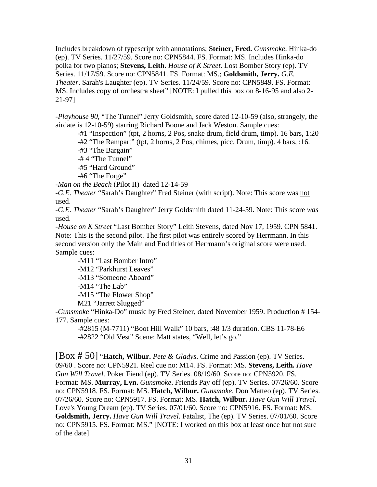Includes breakdown of typescript with annotations; **Steiner, Fred.** *Gunsmoke*. Hinka-do (ep). TV Series. 11/27/59. Score no: CPN5844. FS. Format: MS. Includes Hinka-do polka for two pianos; **Stevens, Leith.** *House of K Street*. Lost Bomber Story (ep). TV Series. 11/17/59. Score no: CPN5841. FS. Format: MS.; **Goldsmith, Jerry.** *G.E. Theater*. Sarah's Laughter (ep). TV Series. 11/24/59. Score no: CPN5849. FS. Format: MS. Includes copy of orchestra sheet" [NOTE: I pulled this box on 8-16-95 and also 2- 21-97]

-*Playhouse 90*, "The Tunnel" Jerry Goldsmith, score dated 12-10-59 (also, strangely, the airdate is 12-10-59) starring Richard Boone and Jack Weston. Sample cues:

-#1 "Inspection" (tpt, 2 horns, 2 Pos, snake drum, field drum, timp). 16 bars, 1:20

-#2 "The Rampart" (tpt, 2 horns, 2 Pos, chimes, picc. Drum, timp). 4 bars, :16.

-#3 "The Bargain"

-# 4 "The Tunnel"

-#5 "Hard Ground"

-#6 "The Forge"

-*Man on the Beach* (Pilot II) dated 12-14-59

-*G.E. Theater* "Sarah's Daughter" Fred Steiner (with script). Note: This score was not used.

-*G.E. Theater* "Sarah's Daughter" Jerry Goldsmith dated 11-24-59. Note: This score *was* used.

-*House on K Street* "Last Bomber Story" Leith Stevens, dated Nov 17, 1959. CPN 5841. Note: This is the second pilot. The first pilot was entirely scored by Herrmann. In this second version only the Main and End titles of Herrmann's original score were used. Sample cues:

 -M11 "Last Bomber Intro" -M12 "Parkhurst Leaves" -M13 "Someone Aboard" -M14 "The Lab" -M15 "The Flower Shop" M21 "Jarrett Slugged"

-*Gunsmoke* "Hinka-Do" music by Fred Steiner, dated November 1959. Production # 154- 177. Sample cues:

 -#2815 (M-7711) "Boot Hill Walk" 10 bars, :48 1/3 duration. CBS 11-78-E6 -#2822 "Old Vest" Scene: Matt states, "Well, let's go."

[Box # 50] "**Hatch, Wilbur.** *Pete & Gladys*. Crime and Passion (ep). TV Series. 09/60 . Score no: CPN5921. Reel cue no: M14. FS. Format: MS. **Stevens, Leith.** *Have Gun Will Travel*. Poker Fiend (ep). TV Series. 08/19/60. Score no: CPN5920. FS. Format: MS. **Murray, Lyn.** *Gunsmoke*. Friends Pay off (ep). TV Series. 07/26/60. Score no: CPN5918. FS. Format: MS. **Hatch, Wilbur.** *Gunsmoke*. Don Matteo (ep). TV Series. 07/26/60. Score no: CPN5917. FS. Format: MS. **Hatch, Wilbur.** *Have Gun Will Travel*. Love's Young Dream (ep). TV Series. 07/01/60. Score no: CPN5916. FS. Format: MS. **Goldsmith, Jerry.** *Have Gun Will Travel*. Fatalist, The (ep). TV Series. 07/01/60. Score no: CPN5915. FS. Format: MS." [NOTE: I worked on this box at least once but not sure of the date]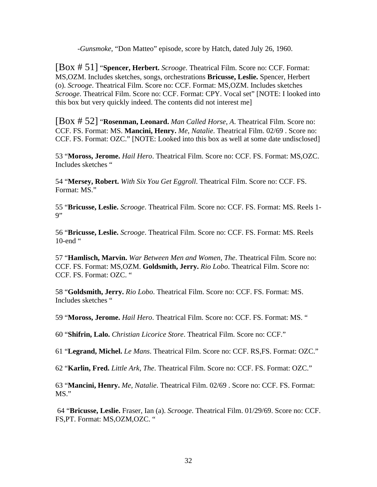-*Gunsmoke*, "Don Matteo" episode, score by Hatch, dated July 26, 1960.

[Box # 51] "**Spencer, Herbert.** *Scrooge*. Theatrical Film. Score no: CCF. Format: MS,OZM. Includes sketches, songs, orchestrations **Bricusse, Leslie.** Spencer, Herbert (o). *Scrooge*. Theatrical Film. Score no: CCF. Format: MS,OZM. Includes sketches *Scrooge*. Theatrical Film. Score no: CCF. Format: CPY. Vocal set" [NOTE: I looked into this box but very quickly indeed. The contents did not interest me]

[Box # 52] "**Rosenman, Leonard.** *Man Called Horse, A*. Theatrical Film. Score no: CCF. FS. Format: MS. **Mancini, Henry.** *Me, Natalie*. Theatrical Film. 02/69 . Score no: CCF. FS. Format: OZC." [NOTE: Looked into this box as well at some date undisclosed]

53 "**Moross, Jerome.** *Hail Hero*. Theatrical Film. Score no: CCF. FS. Format: MS,OZC. Includes sketches "

54 "**Mersey, Robert.** *With Six You Get Eggroll*. Theatrical Film. Score no: CCF. FS. Format: MS."

55 "**Bricusse, Leslie.** *Scrooge*. Theatrical Film. Score no: CCF. FS. Format: MS. Reels 1- 9"

56 "**Bricusse, Leslie.** *Scrooge*. Theatrical Film. Score no: CCF. FS. Format: MS. Reels 10-end "

57 "**Hamlisch, Marvin.** *War Between Men and Women, The*. Theatrical Film. Score no: CCF. FS. Format: MS,OZM. **Goldsmith, Jerry.** *Rio Lobo*. Theatrical Film. Score no: CCF. FS. Format: OZC. "

58 "**Goldsmith, Jerry.** *Rio Lobo*. Theatrical Film. Score no: CCF. FS. Format: MS. Includes sketches "

59 "**Moross, Jerome.** *Hail Hero*. Theatrical Film. Score no: CCF. FS. Format: MS. "

60 "**Shifrin, Lalo.** *Christian Licorice Store*. Theatrical Film. Score no: CCF."

61 "**Legrand, Michel.** *Le Mans*. Theatrical Film. Score no: CCF. RS,FS. Format: OZC."

62 "**Karlin, Fred.** *Little Ark, The*. Theatrical Film. Score no: CCF. FS. Format: OZC."

63 "**Mancini, Henry.** *Me, Natalie*. Theatrical Film. 02/69 . Score no: CCF. FS. Format: MS."

 64 "**Bricusse, Leslie.** Fraser, Ian (a). *Scrooge*. Theatrical Film. 01/29/69. Score no: CCF. FS,PT. Format: MS,OZM,OZC. "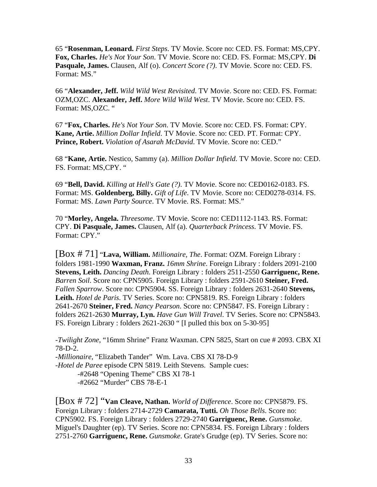65 "**Rosenman, Leonard.** *First Steps*. TV Movie. Score no: CED. FS. Format: MS,CPY. **Fox, Charles.** *He's Not Your Son*. TV Movie. Score no: CED. FS. Format: MS,CPY. **Di Pasquale, James.** Clausen, Alf (o). *Concert Score (?)*. TV Movie. Score no: CED. FS. Format: MS."

66 "**Alexander, Jeff.** *Wild Wild West Revisited*. TV Movie. Score no: CED. FS. Format: OZM,OZC. **Alexander, Jeff.** *More Wild Wild West*. TV Movie. Score no: CED. FS. Format: MS,OZC. "

67 "**Fox, Charles.** *He's Not Your Son*. TV Movie. Score no: CED. FS. Format: CPY. **Kane, Artie.** *Million Dollar Infield*. TV Movie. Score no: CED. PT. Format: CPY. **Prince, Robert.** *Violation of Asarah McDavid*. TV Movie. Score no: CED."

68 "**Kane, Artie.** Nestico, Sammy (a). *Million Dollar Infield*. TV Movie. Score no: CED. FS. Format: MS,CPY. "

69 "**Bell, David.** *Killing at Hell's Gate (?)*. TV Movie. Score no: CED0162-0183. FS. Format: MS. **Goldenberg, Billy.** *Gift of Life*. TV Movie. Score no: CED0278-0314. FS. Format: MS. *Lawn Party Source*. TV Movie. RS. Format: MS."

70 "**Morley, Angela.** *Threesome*. TV Movie. Score no: CED1112-1143. RS. Format: CPY. **Di Pasquale, James.** Clausen, Alf (a). *Quarterback Princess*. TV Movie. FS. Format: CPY."

[Box # 71] "**Lava, William.** *Millionaire, The*. Format: OZM. Foreign Library : folders 1981-1990 **Waxman, Franz.** *16mm Shrine*. Foreign Library : folders 2091-2100 **Stevens, Leith.** *Dancing Death*. Foreign Library : folders 2511-2550 **Garriguenc, Rene.** *Barren Soil*. Score no: CPN5905. Foreign Library : folders 2591-2610 **Steiner, Fred.** *Fallen Sparrow*. Score no: CPN5904. SS. Foreign Library : folders 2631-2640 **Stevens, Leith.** *Hotel de Paris*. TV Series. Score no: CPN5819. RS. Foreign Library : folders 2641-2670 **Steiner, Fred.** *Nancy Pearson*. Score no: CPN5847. FS. Foreign Library : folders 2621-2630 **Murray, Lyn.** *Have Gun Will Travel*. TV Series. Score no: CPN5843. FS. Foreign Library : folders 2621-2630 " [I pulled this box on 5-30-95]

-*Twilight Zone*, "16mm Shrine" Franz Waxman. CPN 5825, Start on cue # 2093. CBX XI 78-D-2.

-*Millionaire*, "Elizabeth Tander" Wm. Lava. CBS XI 78-D-9 -*Hotel de Paree* episode CPN 5819. Leith Stevens. Sample cues: -#2648 "Opening Theme" CBS XI 78-1 -#2662 "Murder" CBS 78-E-1

[Box # 72] "**Van Cleave, Nathan.** *World of Difference*. Score no: CPN5879. FS. Foreign Library : folders 2714-2729 **Camarata, Tutti.** *Oh Those Bells*. Score no: CPN5902. FS. Foreign Library : folders 2729-2740 **Garriguenc, Rene.** *Gunsmoke*. Miguel's Daughter (ep). TV Series. Score no: CPN5834. FS. Foreign Library : folders 2751-2760 **Garriguenc, Rene.** *Gunsmoke*. Grate's Grudge (ep). TV Series. Score no: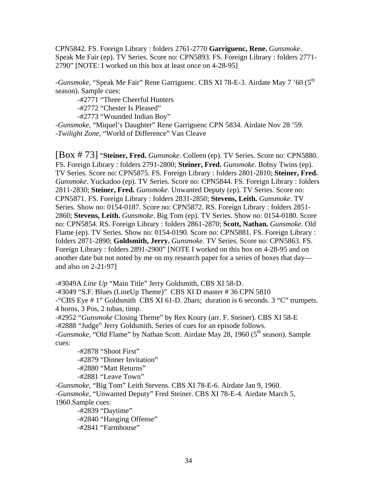CPN5842. FS. Foreign Library : folders 2761-2770 **Garriguenc, Rene.** *Gunsmoke*. Speak Me Fair (ep). TV Series. Score no: CPN5893. FS. Foreign Library : folders 2771- 2790" [NOTE: I worked on this box at least once on 4-28-95]

-*Gunsmoke*, "Speak Me Fair" Rene Garriguenc. CBS XI 78-E-3. Airdate May 7 '60 (5th season). Sample cues:

-#2771 "Three Cheerful Hunters

-#2772 "Chester Is Pleased"

-#2773 "Wounded Indian Boy"

-*Gunsmoke*, "Miquel's Daughter" Rene Garriguenc CPN 5834. Airdate Nov 28 '59. -*Twilight Zone*, "World of Difference" Van Cleave

[Box # 73] "**Steiner, Fred.** *Gunsmoke*. Colleen (ep). TV Series. Score no: CPN5880. FS. Foreign Library : folders 2791-2800; **Steiner, Fred.** *Gunsmoke*. Bobsy Twins (ep). TV Series. Score no: CPN5875. FS. Foreign Library : folders 2801-2810; **Steiner, Fred.** *Gunsmoke*. Yuckadoo (ep). TV Series. Score no: CPN5844. FS. Foreign Library : folders 2811-2830; **Steiner, Fred.** *Gunsmoke*. Unwanted Deputy (ep). TV Series. Score no: CPN5871. FS. Foreign Library : folders 2831-2850; **Stevens, Leith.** *Gunsmoke*. TV Series. Show no: 0154-0187. Score no: CPN5872. RS. Foreign Library : folders 2851- 2860; **Stevens, Leith.** *Gunsmoke*. Big Tom (ep). TV Series. Show no: 0154-0180. Score no: CPN5854. RS. Foreign Library : folders 2861-2870; **Scott, Nathan.** *Gunsmoke*. Old Flame (ep). TV Series. Show no: 0154-0190. Score no: CPN5881. FS. Foreign Library : folders 2871-2890; **Goldsmith, Jerry.** *Gunsmoke*. TV Series. Score no: CPN5863. FS. Foreign Library : folders 2891-2900" [NOTE I worked on this box on 4-28-95 and on another date but not noted by me on my research paper for a series of boxes that day and also on 2-21-97]

-#3049A *Line Up* "Main Title" Jerry Goldsmith, CBS XI 58-D. -#3049 "S.F. Blues (LineUp Theme)" CBS XI D master # 36 CPN 5810 -"CBS Eye # 1" Goldsmith CBS XI 61-D. 2bars; duration is 6 seconds. 3 "C" trumpets. 4 horns, 3 Pos, 2 tubas, timp. -#2952 "*Gunsmoke* Closing Theme" by Rex Koury (arr. F. Steiner). CBS XI 58-E

-#2888 "Judge" Jerry Goldsmith. Series of cues for an episode follows. -*Gunsmoke*, "Old Flame" by Nathan Scott. Airdate May 28, 1960 (5<sup>th</sup> season). Sample cues:

 -#2878 "Shoot First" -#2879 "Dinner Invitation" -#2880 "Matt Returns"  $-$ #2881 "Leave Town"

-*Gunsmoke*, "Big Tom" Leith Stevens. CBS XI 78-E-6. Airdate Jan 9, 1960. -*Gunsmoke*, "Unwanted Deputy" Fred Steiner. CBS XI 78-E-4. Airdate March 5, 1960.Sample cues:

-#2839 "Daytime" -#2840 "Hanging Offense" -#2841 "Farmhouse"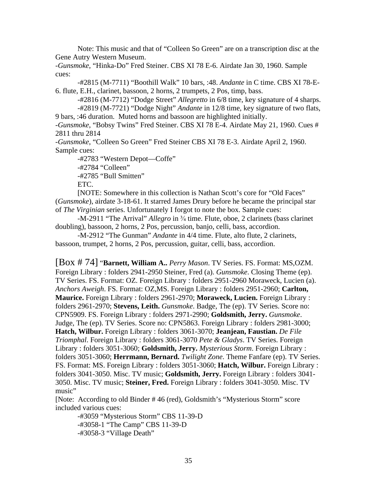Note: This music and that of "Colleen So Green" are on a transcription disc at the Gene Autry Western Museum.

-*Gunsmoke*, "Hinka-Do" Fred Steiner. CBS XI 78 E-6. Airdate Jan 30, 1960. Sample cues:

 -#2815 (M-7711) "Boothill Walk" 10 bars, :48. *Andante* in C time. CBS XI 78-E-6. flute, E.H., clarinet, bassoon, 2 horns, 2 trumpets, 2 Pos, timp, bass.

 -#2816 (M-7712) "Dodge Street" *Allegretto* in 6/8 time, key signature of 4 sharps. -#2819 (M-7721) "Dodge Night" *Andante* in 12/8 time, key signature of two flats, 9 bars, :46 duration. Muted horns and bassoon are highlighted initially.

-*Gunsmoke*, "Bobsy Twins" Fred Steiner. CBS XI 78 E-4. Airdate May 21, 1960. Cues # 2811 thru 2814

-*Gunsmoke*, "Colleen So Green" Fred Steiner CBS XI 78 E-3. Airdate April 2, 1960. Sample cues:

-#2783 "Western Depot—Coffe"

-#2784 "Colleen"

-#2785 "Bull Smitten"

ETC.

 [NOTE: Somewhere in this collection is Nathan Scott's core for "Old Faces" (*Gunsmoke*), airdate 3-18-61. It starred James Drury before he became the principal star of *The Virginian* series. Unfortunately I forgot to note the box. Sample cues:

-M-2911 "The Arrival" *Allegro* in <sup>3</sup>/<sub>4</sub> time. Flute, oboe, 2 clarinets (bass clarinet doubling), bassoon, 2 horns, 2 Pos, percussion, banjo, celli, bass, accordion.

 -M-2912 "The Gunman" *Andante* in 4/4 time. Flute, alto flute, 2 clarinets, bassoon, trumpet, 2 horns, 2 Pos, percussion, guitar, celli, bass, accordion.

[Box # 74] "**Barnett, William A..** *Perry Mason*. TV Series. FS. Format: MS,OZM. Foreign Library : folders 2941-2950 Steiner, Fred (a). *Gunsmoke*. Closing Theme (ep). TV Series. FS. Format: OZ. Foreign Library : folders 2951-2960 Moraweck, Lucien (a). *Anchors Aweigh*. FS. Format: OZ,MS. Foreign Library : folders 2951-2960; **Carlton, Maurice.** Foreign Library : folders 2961-2970; **Moraweck, Lucien.** Foreign Library : folders 2961-2970; **Stevens, Leith.** *Gunsmoke*. Badge, The (ep). TV Series. Score no: CPN5909. FS. Foreign Library : folders 2971-2990; **Goldsmith, Jerry.** *Gunsmoke*. Judge, The (ep). TV Series. Score no: CPN5863. Foreign Library : folders 2981-3000; **Hatch, Wilbur.** Foreign Library : folders 3061-3070; **Jeanjean, Faustian.** *De File Triomphal*. Foreign Library : folders 3061-3070 *Pete & Gladys*. TV Series. Foreign Library : folders 3051-3060; **Goldsmith, Jerry.** *Mysterious Storm*. Foreign Library : folders 3051-3060; **Herrmann, Bernard.** *Twilight Zone*. Theme Fanfare (ep). TV Series. FS. Format: MS. Foreign Library : folders 3051-3060; **Hatch, Wilbur.** Foreign Library : folders 3041-3050. Misc. TV music; **Goldsmith, Jerry.** Foreign Library : folders 3041- 3050. Misc. TV music; **Steiner, Fred.** Foreign Library : folders 3041-3050. Misc. TV music"

[Note: According to old Binder # 46 (red), Goldsmith's "Mysterious Storm" score included various cues:

 -#3059 "Mysterious Storm" CBS 11-39-D -#3058-1 "The Camp" CBS 11-39-D -#3058-3 "Village Death"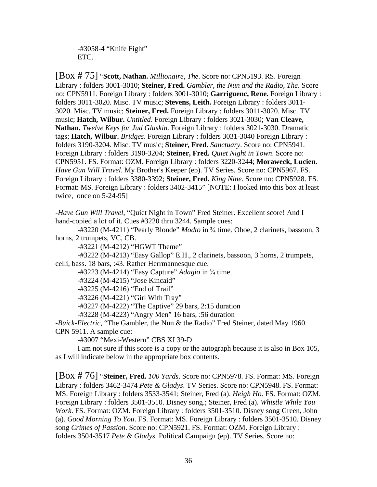-#3058-4 "Knife Fight" ETC.

[Box # 75] "**Scott, Nathan.** *Millionaire, The*. Score no: CPN5193. RS. Foreign Library : folders 3001-3010; **Steiner, Fred.** *Gambler, the Nun and the Radio, The*. Score no: CPN5911. Foreign Library : folders 3001-3010; **Garriguenc, Rene.** Foreign Library : folders 3011-3020. Misc. TV music; **Stevens, Leith.** Foreign Library : folders 3011- 3020. Misc. TV music; **Steiner, Fred.** Foreign Library : folders 3011-3020. Misc. TV music; **Hatch, Wilbur.** *Untitled*. Foreign Library : folders 3021-3030; **Van Cleave, Nathan.** *Twelve Keys for Jud Gluskin*. Foreign Library : folders 3021-3030. Dramatic tags; **Hatch, Wilbur.** *Bridges*. Foreign Library : folders 3031-3040 Foreign Library : folders 3190-3204. Misc. TV music; **Steiner, Fred.** *Sanctuary*. Score no: CPN5941. Foreign Library : folders 3190-3204; **Steiner, Fred.** *Quiet Night in Town*. Score no: CPN5951. FS. Format: OZM. Foreign Library : folders 3220-3244; **Moraweck, Lucien.** *Have Gun Will Travel*. My Brother's Keeper (ep). TV Series. Score no: CPN5967. FS. Foreign Library : folders 3380-3392; **Steiner, Fred.** *King Nine*. Score no: CPN5928. FS. Format: MS. Foreign Library : folders 3402-3415" [NOTE: I looked into this box at least twice, once on 5-24-95]

-*Have Gun Will Travel*, "Quiet Night in Town" Fred Steiner. Excellent score! And I hand-copied a lot of it. Cues #3220 thru 3244. Sample cues:

-#3220 (M-4211) "Pearly Blonde" *Modto* in <sup>3</sup>/<sub>4</sub> time. Oboe, 2 clarinets, bassoon, 3 horns, 2 trumpets, VC, CB.

-#3221 (M-4212) "HGWT Theme"

 -#3222 (M-4213) "Easy Gallop" E.H., 2 clarinets, bassoon, 3 horns, 2 trumpets, celli, bass. 18 bars, :43. Rather Herrmannesque cue.

-#3223 (M-4214) "Easy Capture" *Adagio* in <sup>3</sup>/4 time.

-#3224 (M-4215) "Jose Kincaid"

-#3225 (M-4216) "End of Trail"

-#3226 (M-4221) "Girl With Tray"

-#3227 (M-4222) "The Captive" 29 bars, 2:15 duration

-#3228 (M-4223) "Angry Men" 16 bars, :56 duration

-*Buick-Electric*, "The Gambler, the Nun & the Radio" Fred Steiner, dated May 1960. CPN 5911. A sample cue:

-#3007 "Mexi-Western" CBS XI 39-D

 I am not sure if this score is a copy or the autograph because it is also in Box 105, as I will indicate below in the appropriate box contents.

[Box # 76] "**Steiner, Fred.** *100 Yards*. Score no: CPN5978. FS. Format: MS. Foreign Library : folders 3462-3474 *Pete & Gladys*. TV Series. Score no: CPN5948. FS. Format: MS. Foreign Library : folders 3533-3541; Steiner, Fred (a). *Heigh Ho*. FS. Format: OZM. Foreign Library : folders 3501-3510. Disney song.; Steiner, Fred (a). *Whistle While You Work*. FS. Format: OZM. Foreign Library : folders 3501-3510. Disney song Green, John (a). *Good Morning To You*. FS. Format: MS. Foreign Library : folders 3501-3510. Disney song *Crimes of Passion*. Score no: CPN5921. FS. Format: OZM. Foreign Library : folders 3504-3517 *Pete & Gladys*. Political Campaign (ep). TV Series. Score no: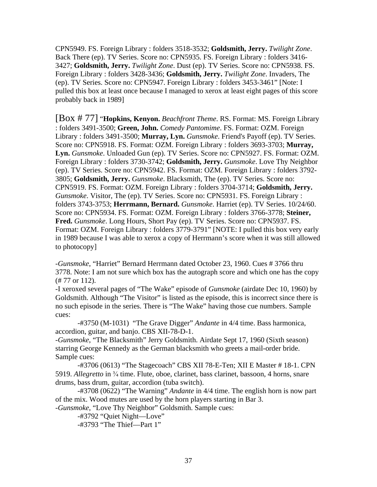CPN5949. FS. Foreign Library : folders 3518-3532; **Goldsmith, Jerry.** *Twilight Zone*. Back There (ep). TV Series. Score no: CPN5935. FS. Foreign Library : folders 3416- 3427; **Goldsmith, Jerry.** *Twilight Zone*. Dust (ep). TV Series. Score no: CPN5938. FS. Foreign Library : folders 3428-3436; **Goldsmith, Jerry.** *Twilight Zone*. Invaders, The (ep). TV Series. Score no: CPN5947. Foreign Library : folders 3453-3461" [Note: I pulled this box at least once because I managed to xerox at least eight pages of this score probably back in 1989]

[Box # 77] "**Hopkins, Kenyon.** *Beachfront Theme*. RS. Format: MS. Foreign Library : folders 3491-3500; **Green, John.** *Comedy Pantomime*. FS. Format: OZM. Foreign Library : folders 3491-3500; **Murray, Lyn.** *Gunsmoke*. Friend's Payoff (ep). TV Series. Score no: CPN5918. FS. Format: OZM. Foreign Library : folders 3693-3703; **Murray, Lyn.** *Gunsmoke*. Unloaded Gun (ep). TV Series. Score no: CPN5927. FS. Format: OZM. Foreign Library : folders 3730-3742; **Goldsmith, Jerry.** *Gunsmoke*. Love Thy Neighbor (ep). TV Series. Score no: CPN5942. FS. Format: OZM. Foreign Library : folders 3792- 3805; **Goldsmith, Jerry.** *Gunsmoke*. Blacksmith, The (ep). TV Series. Score no: CPN5919. FS. Format: OZM. Foreign Library : folders 3704-3714; **Goldsmith, Jerry.** *Gunsmoke*. Visitor, The (ep). TV Series. Score no: CPN5931. FS. Foreign Library : folders 3743-3753; **Herrmann, Bernard.** *Gunsmoke*. Harriet (ep). TV Series. 10/24/60. Score no: CPN5934. FS. Format: OZM. Foreign Library : folders 3766-3778; **Steiner, Fred.** *Gunsmoke*. Long Hours, Short Pay (ep). TV Series. Score no: CPN5937. FS. Format: OZM. Foreign Library : folders 3779-3791" [NOTE: I pulled this box very early in 1989 because I was able to xerox a copy of Herrmann's score when it was still allowed to photocopy]

-*Gunsmoke*, "Harriet" Bernard Herrmann dated October 23, 1960. Cues # 3766 thru 3778. Note: I am not sure which box has the autograph score and which one has the copy (# 77 or 112).

-I xeroxed several pages of "The Wake" episode of *Gunsmoke* (airdate Dec 10, 1960) by Goldsmith. Although "The Visitor" is listed as the episode, this is incorrect since there is no such episode in the series. There is "The Wake" having those cue numbers. Sample cues:

 -#3750 (M-1031) "The Grave Digger" *Andante* in 4/4 time. Bass harmonica, accordion, guitar, and banjo. CBS XII-78-D-1.

-*Gunsmoke*, "The Blacksmith" Jerry Goldsmith. Airdate Sept 17, 1960 (Sixth season) starring George Kennedy as the German blacksmith who greets a mail-order bride. Sample cues:

 -#3706 (0613) "The Stagecoach" CBS XII 78-E-Ten; XII E Master # 18-1. CPN 5919. *Allegretto* in <sup>3</sup>/<sub>4</sub> time. Flute, oboe, clarinet, bass clarinet, bassoon, 4 horns, snare drums, bass drum, guitar, accordion (tuba switch).

 -#3708 (0622) "The Warning" *Andante* in 4/4 time. The english horn is now part of the mix. Wood mutes are used by the horn players starting in Bar 3.

-*Gunsmoke*, "Love Thy Neighbor" Goldsmith. Sample cues:

 -#3792 "Quiet Night—Love" -#3793 "The Thief—Part 1"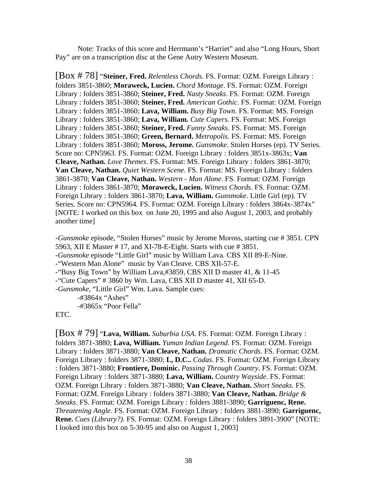Note: Tracks of this score and Herrmann's "Harriet" and also "Long Hours, Short Pay" are on a transcription disc at the Gene Autry Western Museum.

[Box # 78] "**Steiner, Fred.** *Relentless Chords*. FS. Format: OZM. Foreign Library : folders 3851-3860; **Moraweck, Lucien.** *Chord Montage*. FS. Format: OZM. Foreign Library : folders 3851-3860; **Steiner, Fred.** *Nasty Sneaks*. FS. Format: OZM. Foreign Library : folders 3851-3860; **Steiner, Fred.** *American Gothic*. FS. Format: OZM. Foreign Library : folders 3851-3860; **Lava, William.** *Busy Big Town*. FS. Format: MS. Foreign Library : folders 3851-3860; **Lava, William.** *Cute Capers*. FS. Format: MS. Foreign Library : folders 3851-3860; **Steiner, Fred.** *Funny Sneaks*. FS. Format: MS. Foreign Library : folders 3851-3860; **Green, Bernard.** *Metropolis*. FS. Format: MS. Foreign Library : folders 3851-3860; **Moross, Jerome.** *Gunsmoke*. Stolen Horses (ep). TV Series. Score no: CPN5963. FS. Format: OZM. Foreign Library : folders 3851x-3863x; **Van Cleave, Nathan.** *Love Themes*. FS. Format: MS. Foreign Library : folders 3861-3870; **Van Cleave, Nathan.** *Quiet Western Scene*. FS. Format: MS. Foreign Library : folders 3861-3870; **Van Cleave, Nathan.** *Western - Man Alone*. FS. Format: OZM. Foreign Library : folders 3861-3870; **Moraweck, Lucien.** *Witness Chords*. FS. Format: OZM. Foreign Library : folders 3861-3870; **Lava, William.** *Gunsmoke*. Little Girl (ep). TV Series. Score no: CPN5964. FS. Format: OZM. Foreign Library : folders 3864x-3874x" [NOTE: I worked on this box on June 20, 1995 and also August 1, 2003, and probably another time]

-*Gunsmoke* episode, "Stolen Horses" music by Jerome Moross, starting cue # 3851. CPN 5963, XII E Master # 17, and XI-78-E-Eight. Starts with cue # 3851. -*Gunsmoke* episode "Little Girl" music by William Lava. CBS XII 89-E-Nine. -"Western Man Alone" music by Van Cleave. CBS XII-57-E. -"Busy Big Town" by William Lava,#3859, CBS XII D master 41, & 11-45 -"Cute Capers" # 3860 by Wm. Lava, CBS XII D master 41, XII 65-D. -*Gunsmoke*, "Little Girl" Wm. Lava. Sample cues: -#3864x "Ashes" -#3865x "Poor Fella"

ETC.

[Box # 79] "**Lava, William.** *Suburbia USA*. FS. Format: OZM. Foreign Library : folders 3871-3880; **Lava, William.** *Yuman Indian Legend*. FS. Format: OZM. Foreign Library : folders 3871-3880; **Van Cleave, Nathan.** *Dramatic Chords*. FS. Format: OZM. Foreign Library : folders 3871-3880; **L, D.C..** *Codas*. FS. Format: OZM. Foreign Library : folders 3871-3880; **Frontiere, Dominic.** *Passing Through Country*. FS. Format: OZM. Foreign Library : folders 3871-3880; **Lava, William.** *Country Wayside*. FS. Format: OZM. Foreign Library : folders 3871-3880; **Van Cleave, Nathan.** *Short Sneaks*. FS. Format: OZM. Foreign Library : folders 3871-3880; **Van Cleave, Nathan.** *Bridge & Sneaks*. FS. Format: OZM. Foreign Library : folders 3881-3890; **Garriguenc, Rene.** *Threatening Angle*. FS. Format: OZM. Foreign Library : folders 3881-3890; **Garriguenc, Rene.** *Cues (Library?)*. FS. Format: OZM. Foreign Library : folders 3891-3900" [NOTE: I looked into this box on 5-30-95 and also on August 1, 2003]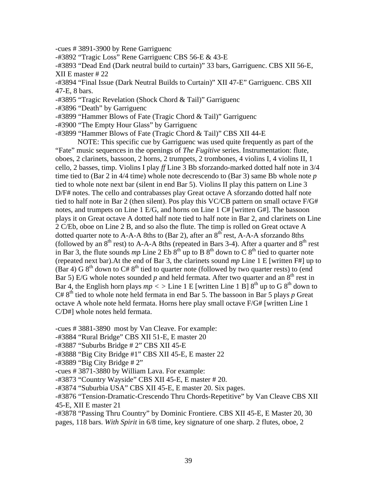-cues # 3891-3900 by Rene Garriguenc

-#3892 "Tragic Loss" Rene Garriguenc CBS 56-E & 43-E

-#3893 "Dead End (Dark neutral build to curtain)" 33 bars, Garriguenc. CBS XII 56-E, XII E master # 22

-#3894 "Final Issue (Dark Neutral Builds to Curtain)" XII 47-E" Garriguenc. CBS XII 47-E, 8 bars.

-#3895 "Tragic Revelation (Shock Chord & Tail)" Garriguenc

-#3896 "Death" by Garriguenc

-#3899 "Hammer Blows of Fate (Tragic Chord & Tail)" Garriguenc

-#3900 "The Empty Hour Glass" by Garriguenc

-#3899 "Hammer Blows of Fate (Tragic Chord & Tail)" CBS XII 44-E

 NOTE: This specific cue by Garriguenc was used quite frequently as part of the "Fate" music sequences in the openings of *The Fugitive* series. Instrumentation: flute, oboes, 2 clarinets, bassoon, 2 horns, 2 trumpets, 2 trombones, 4 violins I, 4 violins II, 1 cello, 2 basses, timp. Violins I play *ff* Line 3 Bb sforzando-marked dotted half note in 3/4 time tied to (Bar 2 in 4/4 time) whole note decrescendo to (Bar 3) same Bb whole note *p* tied to whole note next bar (silent in end Bar 5). Violins II play this pattern on Line 3 D/F# notes. The cello and contrabasses play Great octave A sforzando dotted half note tied to half note in Bar 2 (then silent). Pos play this VC/CB pattern on small octave F/G# notes, and trumpets on Line 1 E/G, and horns on Line 1 C# [written G#]. The bassoon plays it on Great octave A dotted half note tied to half note in Bar 2, and clarinets on Line 2 C/Eb, oboe on Line 2 B, and so also the flute. The timp is rolled on Great octave A dotted quarter note to A-A-A 8ths to (Bar 2), after an  $8<sup>th</sup>$  rest, A-A-A sforzando 8ths (followed by an  $8<sup>th</sup>$  rest) to A-A-A 8ths (repeated in Bars 3-4). After a quarter and  $8<sup>th</sup>$  rest in Bar 3, the flute sounds  $mp$  Line 2 Eb  $8<sup>th</sup>$  up to B  $8<sup>th</sup>$  down to C  $8<sup>th</sup>$  tied to quarter note (repeated next bar).At the end of Bar 3, the clarinets sound *mp* Line 1 E [written F#] up to (Bar 4) G  $8<sup>th</sup>$  down to C#  $8<sup>th</sup>$  tied to quarter note (followed by two quarter rests) to (end Bar 5) E/G whole notes sounded  $p$  and held fermata. After two quarter and an  $8<sup>th</sup>$  rest in Bar 4, the English horn plays  $mp <$  > Line 1 E [written Line 1 B]  $8<sup>th</sup>$  up to G  $8<sup>th</sup>$  down to  $C# 8<sup>th</sup>$  tied to whole note held fermata in end Bar 5. The bassoon in Bar 5 plays  $p$  Great octave A whole note held fermata. Horns here play small octave F/G# [written Line 1 C/D#] whole notes held fermata.

-cues # 3881-3890 most by Van Cleave. For example:

-#3884 "Rural Bridge" CBS XII 51-E, E master 20

-#3887 "Suburbs Bridge # 2" CBS XII 45-E

-#3888 "Big City Bridge #1" CBS XII 45-E, E master 22

 $-$ #3889 "Big City Bridge # 2"

-cues # 3871-3880 by William Lava. For example:

-#3873 "Country Wayside" CBS XII 45-E, E master # 20.

-#3874 "Suburbia USA" CBS XII 45-E, E master 20. Six pages.

-#3876 "Tension-Dramatic-Crescendo Thru Chords-Repetitive" by Van Cleave CBS XII 45-E, XII E master 21

-#3878 "Passing Thru Country" by Dominic Frontiere. CBS XII 45-E, E Master 20, 30 pages, 118 bars. *With Spirit* in 6/8 time, key signature of one sharp. 2 flutes, oboe, 2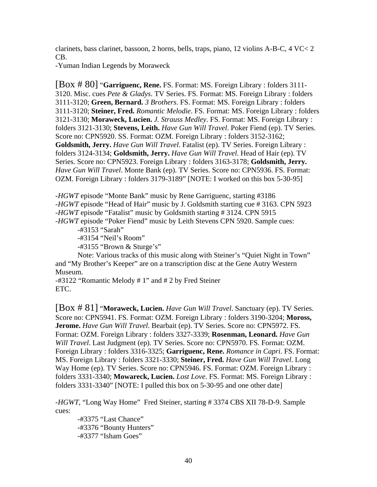clarinets, bass clarinet, bassoon, 2 horns, bells, traps, piano, 12 violins A-B-C, 4 VC< 2 CB.

-Yuman Indian Legends by Moraweck

[Box # 80] "**Garriguenc, Rene.** FS. Format: MS. Foreign Library : folders 3111- 3120. Misc. cues *Pete & Gladys*. TV Series. FS. Format: MS. Foreign Library : folders 3111-3120; **Green, Bernard.** *3 Brothers*. FS. Format: MS. Foreign Library : folders 3111-3120; **Steiner, Fred.** *Romantic Melodie*. FS. Format: MS. Foreign Library : folders 3121-3130; **Moraweck, Lucien.** *J. Strauss Medley*. FS. Format: MS. Foreign Library : folders 3121-3130; **Stevens, Leith.** *Have Gun Will Travel*. Poker Fiend (ep). TV Series. Score no: CPN5920. SS. Format: OZM. Foreign Library : folders 3152-3162; **Goldsmith, Jerry.** *Have Gun Will Travel*. Fatalist (ep). TV Series. Foreign Library : folders 3124-3134; **Goldsmith, Jerry.** *Have Gun Will Travel*. Head of Hair (ep). TV Series. Score no: CPN5923. Foreign Library : folders 3163-3178; **Goldsmith, Jerry.** *Have Gun Will Travel*. Monte Bank (ep). TV Series. Score no: CPN5936. FS. Format: OZM. Foreign Library : folders 3179-3189" [NOTE: I worked on this box 5-30-95]

-*HGWT* episode "Monte Bank" music by Rene Garriguenc, starting #3186 -*HGWT* episode "Head of Hair" music by J. Goldsmith starting cue # 3163. CPN 5923 -*HGWT* episode "Fatalist" music by Goldsmith starting # 3124. CPN 5915 -*HGWT* episode "Poker Fiend" music by Leith Stevens CPN 5920. Sample cues:

-#3153 "Sarah"

-#3154 "Neil's Room"

-#3155 "Brown & Sturge's"

 Note: Various tracks of this music along with Steiner's "Quiet Night in Town" and "My Brother's Keeper" are on a transcription disc at the Gene Autry Western Museum.

-#3122 "Romantic Melody # 1" and # 2 by Fred Steiner ETC.

[Box # 81] "**Moraweck, Lucien.** *Have Gun Will Travel*. Sanctuary (ep). TV Series. Score no: CPN5941. FS. Format: OZM. Foreign Library : folders 3190-3204; **Moross, Jerome.** *Have Gun Will Travel*. Bearbait (ep). TV Series. Score no: CPN5972. FS. Format: OZM. Foreign Library : folders 3327-3339; **Rosenman, Leonard.** *Have Gun Will Travel*. Last Judgment (ep). TV Series. Score no: CPN5970. FS. Format: OZM. Foreign Library : folders 3316-3325; **Garriguenc, Rene.** *Romance in Capri*. FS. Format: MS. Foreign Library : folders 3321-3330; **Steiner, Fred.** *Have Gun Will Travel*. Long Way Home (ep). TV Series. Score no: CPN5946. FS. Format: OZM. Foreign Library : folders 3331-3340; **Mowareck, Lucien.** *Lost Love*. FS. Format: MS. Foreign Library : folders 3331-3340" [NOTE: I pulled this box on 5-30-95 and one other date]

-*HGWT*, "Long Way Home" Fred Steiner, starting # 3374 CBS XII 78-D-9. Sample cues:

 -#3375 "Last Chance" -#3376 "Bounty Hunters" -#3377 "Isham Goes"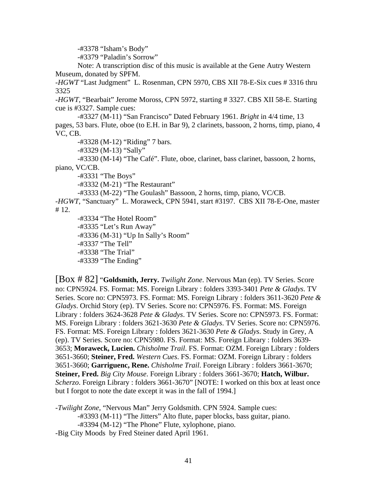-#3378 "Isham's Body"

-#3379 "Paladin's Sorrow"

 Note: A transcription disc of this music is available at the Gene Autry Western Museum, donated by SPFM.

-*HGWT* "Last Judgment" L. Rosenman, CPN 5970, CBS XII 78-E-Six cues # 3316 thru 3325

-*HGWT,* "Bearbait" Jerome Moross, CPN 5972, starting # 3327. CBS XII 58-E. Starting cue is #3327. Sample cues:

 -#3327 (M-11) "San Francisco" Dated February 1961. *Bright* in 4/4 time, 13 pages, 53 bars. Flute, oboe (to E.H. in Bar 9), 2 clarinets, bassoon, 2 horns, timp, piano, 4 VC, CB.

-#3328 (M-12) "Riding" 7 bars.

-#3329 (M-13) "Sally"

 -#3330 (M-14) "The Café". Flute, oboe, clarinet, bass clarinet, bassoon, 2 horns, piano, VC/CB.

-#3331 "The Boys"

-#3332 (M-21) "The Restaurant"

-#3333 (M-22) "The Goulash" Bassoon, 2 horns, timp, piano, VC/CB.

-*HGWT*, "Sanctuary" L. Moraweck, CPN 5941, start #3197. CBS XII 78-E-One, master # 12.

 -#3334 "The Hotel Room" -#3335 "Let's Run Away" -#3336 (M-31) "Up In Sally's Room" -#3337 "The Tell" -#3338 "The Trial" -#3339 "The Ending"

[Box # 82] "**Goldsmith, Jerry.** *Twilight Zone*. Nervous Man (ep). TV Series. Score no: CPN5924. FS. Format: MS. Foreign Library : folders 3393-3401 *Pete & Gladys*. TV Series. Score no: CPN5973. FS. Format: MS. Foreign Library : folders 3611-3620 *Pete & Gladys*. Orchid Story (ep). TV Series. Score no: CPN5976. FS. Format: MS. Foreign Library : folders 3624-3628 *Pete & Gladys*. TV Series. Score no: CPN5973. FS. Format: MS. Foreign Library : folders 3621-3630 *Pete & Gladys*. TV Series. Score no: CPN5976. FS. Format: MS. Foreign Library : folders 3621-3630 *Pete & Gladys*. Study in Grey, A (ep). TV Series. Score no: CPN5980. FS. Format: MS. Foreign Library : folders 3639- 3653; **Moraweck, Lucien.** *Chisholme Trail*. FS. Format: OZM. Foreign Library : folders 3651-3660; **Steiner, Fred.** *Western Cues*. FS. Format: OZM. Foreign Library : folders 3651-3660; **Garriguenc, Rene.** *Chisholme Trail*. Foreign Library : folders 3661-3670; **Steiner, Fred.** *Big City Mouse*. Foreign Library : folders 3661-3670; **Hatch, Wilbur.** *Scherzo*. Foreign Library : folders 3661-3670" [NOTE: I worked on this box at least once but I forgot to note the date except it was in the fall of 1994.]

-*Twilight Zone*, "Nervous Man" Jerry Goldsmith. CPN 5924. Sample cues: -#3393 (M-11) "The Jitters" Alto flute, paper blocks, bass guitar, piano. -#3394 (M-12) "The Phone" Flute, xylophone, piano. -Big City Moods by Fred Steiner dated April 1961.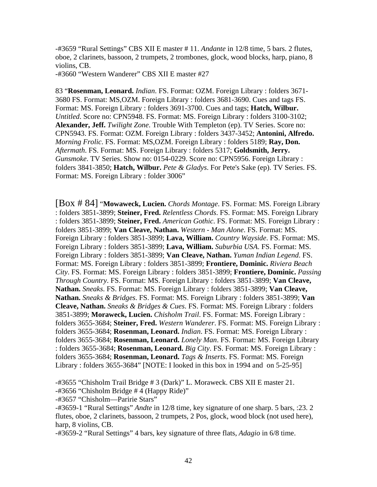-#3659 "Rural Settings" CBS XII E master # 11. *Andante* in 12/8 time, 5 bars. 2 flutes, oboe, 2 clarinets, bassoon, 2 trumpets, 2 trombones, glock, wood blocks, harp, piano, 8 violins, CB.

-#3660 "Western Wanderer" CBS XII E master #27

83 "**Rosenman, Leonard.** *Indian*. FS. Format: OZM. Foreign Library : folders 3671- 3680 FS. Format: MS,OZM. Foreign Library : folders 3681-3690. Cues and tags FS. Format: MS. Foreign Library : folders 3691-3700. Cues and tags; **Hatch, Wilbur.** *Untitled*. Score no: CPN5948. FS. Format: MS. Foreign Library : folders 3100-3102; **Alexander, Jeff.** *Twilight Zone*. Trouble With Templeton (ep). TV Series. Score no: CPN5943. FS. Format: OZM. Foreign Library : folders 3437-3452; **Antonini, Alfredo.** *Morning Frolic*. FS. Format: MS,OZM. Foreign Library : folders 5189; **Ray, Don.** *Aftermath*. FS. Format: MS. Foreign Library : folders 5317; **Goldsmith, Jerry.** *Gunsmoke*. TV Series. Show no: 0154-0229. Score no: CPN5956. Foreign Library : folders 3841-3850; **Hatch, Wilbur.** *Pete & Gladys*. For Pete's Sake (ep). TV Series. FS. Format: MS. Foreign Library : folder 3006"

[Box # 84] "**Mowaweck, Lucien.** *Chords Montage*. FS. Format: MS. Foreign Library : folders 3851-3899; **Steiner, Fred.** *Relentless Chords*. FS. Format: MS. Foreign Library : folders 3851-3899; **Steiner, Fred.** *American Gothic*. FS. Format: MS. Foreign Library : folders 3851-3899; **Van Cleave, Nathan.** *Western - Man Alone*. FS. Format: MS. Foreign Library : folders 3851-3899; **Lava, William.** *Country Wayside*. FS. Format: MS. Foreign Library : folders 3851-3899; **Lava, William.** *Suburbia USA*. FS. Format: MS. Foreign Library : folders 3851-3899; **Van Cleave, Nathan.** *Yuman Indian Legend*. FS. Format: MS. Foreign Library : folders 3851-3899; **Frontiere, Dominic.** *Riviera Beach City*. FS. Format: MS. Foreign Library : folders 3851-3899; **Frontiere, Dominic.** *Passing Through Country*. FS. Format: MS. Foreign Library : folders 3851-3899; **Van Cleave, Nathan.** *Sneaks*. FS. Format: MS. Foreign Library : folders 3851-3899; **Van Cleave, Nathan.** *Sneaks & Bridges*. FS. Format: MS. Foreign Library : folders 3851-3899; **Van Cleave, Nathan.** *Sneaks & Bridges & Cues*. FS. Format: MS. Foreign Library : folders 3851-3899; **Moraweck, Lucien.** *Chisholm Trail*. FS. Format: MS. Foreign Library : folders 3655-3684; **Steiner, Fred.** *Western Wanderer*. FS. Format: MS. Foreign Library : folders 3655-3684; **Rosenman, Leonard.** *Indian*. FS. Format: MS. Foreign Library : folders 3655-3684; **Rosenman, Leonard.** *Lonely Man*. FS. Format: MS. Foreign Library : folders 3655-3684; **Rosenman, Leonard.** *Big City*. FS. Format: MS. Foreign Library : folders 3655-3684; **Rosenman, Leonard.** *Tags & Inserts*. FS. Format: MS. Foreign Library : folders 3655-3684" [NOTE: I looked in this box in 1994 and on 5-25-95]

-#3655 "Chisholm Trail Bridge # 3 (Dark)" L. Moraweck. CBS XII E master 21. -#3656 "Chisholm Bridge # 4 (Happy Ride)"

-#3657 "Chisholm—Paririe Stars"

-#3659-1 "Rural Settings" *Andte* in 12/8 time, key signature of one sharp. 5 bars, :23. 2 flutes, oboe, 2 clarinets, bassoon, 2 trumpets, 2 Pos, glock, wood block (not used here), harp, 8 violins, CB.

-#3659-2 "Rural Settings" 4 bars, key signature of three flats, *Adagio* in 6/8 time.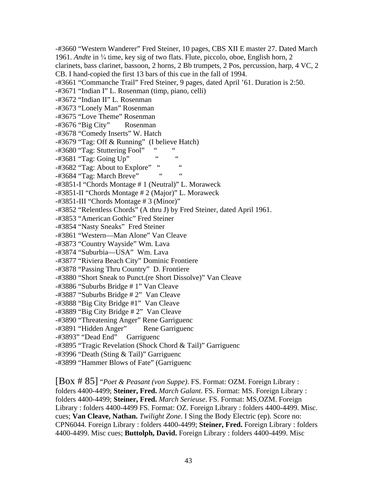-#3660 "Western Wanderer" Fred Steiner, 10 pages, CBS XII E master 27. Dated March 1961. *Andte* in <sup>3</sup>/<sub>4</sub> time, key sig of two flats. Flute, piccolo, oboe, English horn, 2 clarinets, bass clarinet, bassoon, 2 horns, 2 Bb trumpets, 2 Pos, percussion, harp, 4 VC, 2 CB. I hand-copied the first 13 bars of this cue in the fall of 1994. -#3661 "Commanche Trail" Fred Steiner, 9 pages, dated April '61. Duration is 2:50. -#3671 "Indian I" L. Rosenman (timp, piano, celli) -#3672 "Indian II" L. Rosenman -#3673 "Lonely Man" Rosenman -#3675 "Love Theme" Rosenman -#3676 "Big City" Rosenman -#3678 "Comedy Inserts" W. Hatch -#3679 "Tag: Off & Running" (I believe Hatch)  $-$ #3680 "Tag: Stuttering Fool" "  $-$ #3681 "Tag: Going Up" " " -#3682 "Tag: About to Explore" "  $-$ #3684 "Tag: March Breve" -#3851-I "Chords Montage # 1 (Neutral)" L. Moraweck -#3851-II "Chords Montage # 2 (Major)" L. Moraweck -#3851-III "Chords Montage # 3 (Minor)" -#3852 "Relentless Chords" (A thru J) by Fred Steiner, dated April 1961. -#3853 "American Gothic" Fred Steiner -#3854 "Nasty Sneaks" Fred Steiner -#3861 "Western—Man Alone" Van Cleave -#3873 "Country Wayside" Wm. Lava -#3874 "Suburbia—USA" Wm. Lava -#3877 "Riviera Beach City" Dominic Frontiere -#3878 "Passing Thru Country" D. Frontiere -#3880 "Short Sneak to Punct.(re Short Dissolve)" Van Cleave -#3886 "Suburbs Bridge # 1" Van Cleave -#3887 "Suburbs Bridge # 2" Van Cleave -#3888 "Big City Bridge #1" Van Cleave -#3889 "Big City Bridge # 2" Van Cleave -#3890 "Threatening Anger" Rene Garriguenc -#3891 "Hidden Anger" Rene Garriguenc -#3893" "Dead End" Garriguenc -#3895 "Tragic Revelation (Shock Chord & Tail)" Garriguenc -#3996 "Death (Sting & Tail)" Garriguenc -#3899 "Hammer Blows of Fate" (Garriguenc

[Box # 85] "*Poet & Peasant (von Suppe)*. FS. Format: OZM. Foreign Library : folders 4400-4499; **Steiner, Fred.** *March Galant*. FS. Format: MS. Foreign Library : folders 4400-4499; **Steiner, Fred.** *March Serieuse*. FS. Format: MS,OZM. Foreign Library : folders 4400-4499 FS. Format: OZ. Foreign Library : folders 4400-4499. Misc. cues; **Van Cleave, Nathan.** *Twilight Zone*. I Sing the Body Electric (ep). Score no: CPN6044. Foreign Library : folders 4400-4499; **Steiner, Fred.** Foreign Library : folders 4400-4499. Misc cues; **Buttolph, David.** Foreign Library : folders 4400-4499. Misc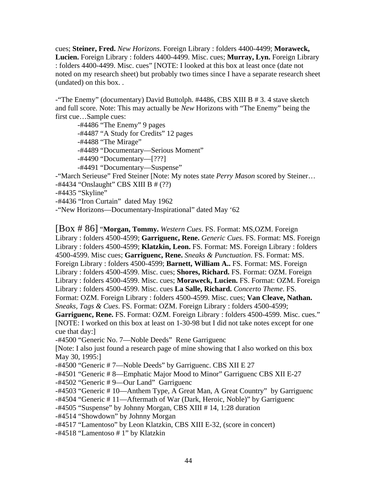cues; **Steiner, Fred.** *New Horizons*. Foreign Library : folders 4400-4499; **Moraweck, Lucien.** Foreign Library : folders 4400-4499. Misc. cues; **Murray, Lyn.** Foreign Library : folders 4400-4499. Misc. cues" [NOTE: I looked at this box at least once (date not noted on my research sheet) but probably two times since I have a separate research sheet (undated) on this box. .

-"The Enemy" (documentary) David Buttolph. #4486, CBS XIII B # 3. 4 stave sketch and full score. Note: This may actually be *New* Horizons with "The Enemy" being the first cue…Sample cues:

 -#4486 "The Enemy" 9 pages -#4487 "A Study for Credits" 12 pages -#4488 "The Mirage" -#4489 "Documentary—Serious Moment" -#4490 "Documentary—[???] -#4491 "Documentary—Suspense" -"March Serieuse" Fred Steiner [Note: My notes state *Perry Mason* scored by Steiner… -#4434 "Onslaught" CBS XIII B # (??) -#4435 "Skyline"

-#4436 "Iron Curtain" dated May 1962

-"New Horizons—Documentary-Inspirational" dated May '62

[Box # 86] "**Morgan, Tommy.** *Western Cues*. FS. Format: MS,OZM. Foreign

Library : folders 4500-4599; **Garriguenc, Rene.** *Generic Cues*. FS. Format: MS. Foreign Library : folders 4500-4599; **Klatzkin, Leon.** FS. Format: MS. Foreign Library : folders 4500-4599. Misc cues; **Garriguenc, Rene.** *Sneaks & Punctuation*. FS. Format: MS. Foreign Library : folders 4500-4599; **Barnett, William A..** FS. Format: MS. Foreign Library : folders 4500-4599. Misc. cues; **Shores, Richard.** FS. Format: OZM. Foreign Library : folders 4500-4599. Misc. cues; **Moraweck, Lucien.** FS. Format: OZM. Foreign Library : folders 4500-4599. Misc. cues **La Salle, Richard.** *Concerto Theme*. FS. Format: OZM. Foreign Library : folders 4500-4599. Misc. cues; **Van Cleave, Nathan.** *Sneaks, Tags & Cues*. FS. Format: OZM. Foreign Library : folders 4500-4599; **Garriguenc, Rene.** FS. Format: OZM. Foreign Library : folders 4500-4599. Misc. cues." [NOTE: I worked on this box at least on 1-30-98 but I did not take notes except for one cue that day:] -#4500 "Generic No. 7—Noble Deeds" Rene Garriguenc [Note: I also just found a research page of mine showing that I also worked on this box May 30, 1995:] -#4500 "Generic # 7—Noble Deeds" by Garriguenc. CBS XII E 27 -#4501 "Generic # 8—Emphatic Major Mood to Minor" Garriguenc CBS XII E-27 -#4502 "Generic # 9—Our Land" Garriguenc

-#4503 "Generic # 10—Anthem Type, A Great Man, A Great Country" by Garriguenc

-#4504 "Generic # 11—Aftermath of War (Dark, Heroic, Noble)" by Garriguenc

-#4505 "Suspense" by Johnny Morgan, CBS XIII # 14, 1:28 duration

-#4514 "Showdown" by Johnny Morgan

-#4517 "Lamentoso" by Leon Klatzkin, CBS XIII E-32, (score in concert)

-#4518 "Lamentoso # 1" by Klatzkin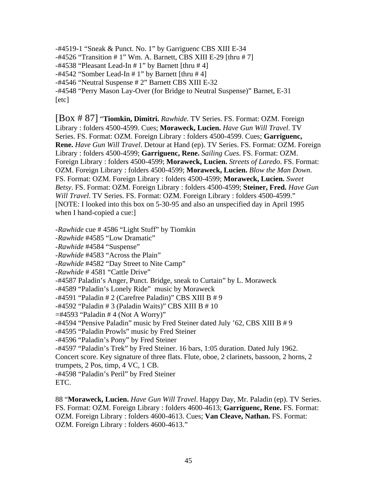-#4519-1 "Sneak & Punct. No. 1" by Garriguenc CBS XIII E-34 -#4526 "Transition # 1" Wm. A. Barnett, CBS XIII E-29 [thru # 7]  $-#4538$  "Pleasant Lead-In  $# 1$ " by Barnett [thru  $# 4$ ]  $-#4542$  "Somber Lead-In  $# 1$ " by Barnett [thru  $# 4$ ] -#4546 "Neutral Suspense # 2" Barnett CBS XIII E-32 -#4548 "Perry Mason Lay-Over (for Bridge to Neutral Suspense)" Barnet, E-31 [etc]

[Box # 87] "**Tiomkin, Dimitri.** *Rawhide*. TV Series. FS. Format: OZM. Foreign Library : folders 4500-4599. Cues; **Moraweck, Lucien.** *Have Gun Will Travel*. TV Series. FS. Format: OZM. Foreign Library : folders 4500-4599. Cues; **Garriguenc, Rene.** *Have Gun Will Travel*. Detour at Hand (ep). TV Series. FS. Format: OZM. Foreign Library : folders 4500-4599; **Garriguenc, Rene.** *Sailing Cues*. FS. Format: OZM. Foreign Library : folders 4500-4599; **Moraweck, Lucien.** *Streets of Laredo*. FS. Format: OZM. Foreign Library : folders 4500-4599; **Moraweck, Lucien.** *Blow the Man Down*. FS. Format: OZM. Foreign Library : folders 4500-4599; **Moraweck, Lucien.** *Sweet Betsy*. FS. Format: OZM. Foreign Library : folders 4500-4599; **Steiner, Fred.** *Have Gun Will Travel*. TV Series. FS. Format: OZM. Foreign Library : folders 4500-4599." [NOTE: I looked into this box on 5-30-95 and also an unspecified day in April 1995 when I hand-copied a cue:]

-*Rawhide* cue # 4586 "Light Stuff" by Tiomkin

-*Rawhide* #4585 "Low Dramatic"

-*Rawhide* #4584 "Suspense"

-*Rawhide* #4583 "Across the Plain"

-*Rawhide* #4582 "Day Street to Nite Camp"

-*Rawhide* # 4581 "Cattle Drive"

-#4587 Paladin's Anger, Punct. Bridge, sneak to Curtain" by L. Moraweck

-#4589 "Paladin's Lonely Ride" music by Moraweck

-#4591 "Paladin # 2 (Carefree Paladin)" CBS XIII B # 9

-#4592 "Paladin # 3 (Paladin Waits)" CBS XIII B # 10

 $=$ #4593 "Paladin # 4 (Not A Worry)"

-#4594 "Pensive Paladin" music by Fred Steiner dated July '62, CBS XIII B # 9

-#4595 "Paladin Prowls" music by Fred Steiner

-#4596 "Paladin's Pony" by Fred Steiner

-#4597 "Paladin's Trek" by Fred Steiner. 16 bars, 1:05 duration. Dated July 1962.

Concert score. Key signature of three flats. Flute, oboe, 2 clarinets, bassoon, 2 horns, 2 trumpets, 2 Pos, timp, 4 VC, 1 CB.

-#4598 "Paladin's Peril" by Fred Steiner

ETC.

88 "**Moraweck, Lucien.** *Have Gun Will Travel*. Happy Day, Mr. Paladin (ep). TV Series. FS. Format: OZM. Foreign Library : folders 4600-4613; **Garriguenc, Rene.** FS. Format: OZM. Foreign Library : folders 4600-4613. Cues; **Van Cleave, Nathan.** FS. Format: OZM. Foreign Library : folders 4600-4613."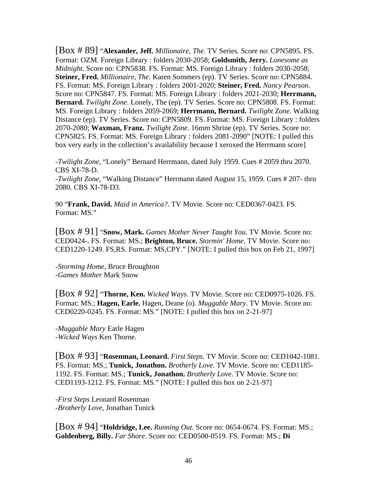[Box # 89] "**Alexander, Jeff.** *Millionaire, The*. TV Series. Score no: CPN5895. FS. Format: OZM. Foreign Library : folders 2030-2058; **Goldsmith, Jerry.** *Lonesome as Midnight*. Score no: CPN5838. FS. Format: MS. Foreign Library : folders 2030-2058; **Steiner, Fred.** *Millionaire, The*. Karen Sommers (ep). TV Series. Score no: CPN5884. FS. Format: MS. Foreign Library : folders 2001-2020; **Steiner, Fred.** *Nancy Pearson*. Score no: CPN5847. FS. Format: MS. Foreign Library : folders 2021-2030; **Herrmann, Bernard.** *Twilight Zone*. Lonely, The (ep). TV Series. Score no: CPN5808. FS. Format: MS. Foreign Library : folders 2059-2069; **Herrmann, Bernard.** *Twilight Zone*. Walking Distance (ep). TV Series. Score no: CPN5809. FS. Format: MS. Foreign Library : folders 2070-2080; **Waxman, Franz.** *Twilight Zone*. 16mm Shrine (ep). TV Series. Score no: CPN5825. FS. Format: MS. Foreign Library : folders 2081-2090" [NOTE: I pulled this box very early in the collection's availability because I xeroxed the Herrmann score]

-*Twilight Zone*, "Lonely" Bernard Herrmann, dated July 1959. Cues # 2059 thru 2070. CBS XI-78-D.

-*Twilight Zone*, "Walking Distance" Herrmann dated August 15, 1959. Cues # 207- thru 2080. CBS XI-78-D3.

90 "**Frank, David.** *Maid in America?*. TV Movie. Score no: CED0367-0423. FS. Format: MS."

[Box # 91] "**Snow, Mark.** *Games Mother Never Taught You*. TV Movie. Score no: CED0424-. FS. Format: MS.; **Brighton, Bruce.** *Stormin' Home*. TV Movie. Score no: CED1220-1249. FS,RS. Format: MS,CPY." [NOTE: I pulled this box on Feb 21, 1997]

-*Storming Home*, Bruce Broughton -*Games Mother* Mark Snow

[Box # 92] "**Thorne, Ken.** *Wicked Ways*. TV Movie. Score no: CED0975-1026. FS. Format: MS.; **Hagen, Earle.** Hagen, Deane (o). *Muggable Mary*. TV Movie. Score no: CED0220-0245. FS. Format: MS." [NOTE: I pulled this box on 2-21-97]

-*Muggable Mary* Earle Hagen -*Wicked Ways* Ken Thorne.

[Box # 93] "**Rosenman, Leonard.** *First Steps*. TV Movie. Score no: CED1042-1081. FS. Format: MS.; **Tunick, Jonathon.** *Brotherly Love*. TV Movie. Score no: CED1185- 1192. FS. Format: MS.; **Tunick, Jonathon.** *Brotherly Love*. TV Movie. Score no: CED1193-1212. FS. Format: MS." [NOTE: I pulled this box on 2-21-97]

-*First Steps* Leonard Rosenman -*Brotherly Love*, Jonathan Tunick

[Box # 94] "**Holdridge, Lee.** *Running Out*. Score no: 0654-0674. FS. Format: MS.; **Goldenberg, Billy.** *Far Shore*. Score no: CED0500-0519. FS. Format: MS.; **Di**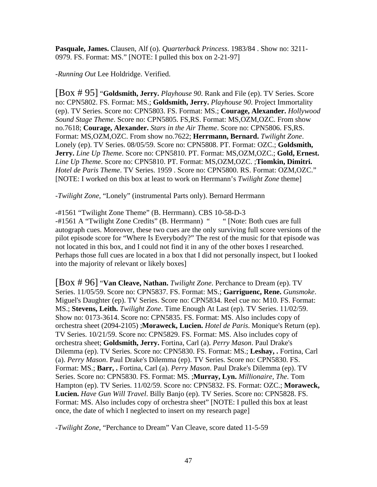**Pasquale, James.** Clausen, Alf (o). *Quarterback Princess*. 1983/84 . Show no: 3211- 0979. FS. Format: MS." [NOTE: I pulled this box on 2-21-97]

-*Running Out* Lee Holdridge. Verified.

[Box # 95] "**Goldsmith, Jerry.** *Playhouse 90*. Rank and File (ep). TV Series. Score no: CPN5802. FS. Format: MS.; **Goldsmith, Jerry.** *Playhouse 90*. Project Immortality (ep). TV Series. Score no: CPN5803. FS. Format: MS.; **Courage, Alexander.** *Hollywood Sound Stage Theme*. Score no: CPN5805. FS,RS. Format: MS,OZM,OZC. From show no.7618; **Courage, Alexander.** *Stars in the Air Theme*. Score no: CPN5806. FS,RS. Format: MS,OZM,OZC. From show no.7622; **Herrmann, Bernard.** *Twilight Zone*. Lonely (ep). TV Series. 08/05/59. Score no: CPN5808. PT. Format: OZC.; **Goldsmith, Jerry.** *Line Up Theme*. Score no: CPN5810. PT. Format: MS,OZM,OZC.; **Gold, Ernest.** *Line Up Theme*. Score no: CPN5810. PT. Format: MS,OZM,OZC. ;**Tiomkin, Dimitri.** *Hotel de Paris Theme*. TV Series. 1959 . Score no: CPN5800. RS. Format: OZM,OZC." [NOTE: I worked on this box at least to work on Herrmann's *Twilight Zone* theme]

-*Twilight Zone*, "Lonely" (instrumental Parts only). Bernard Herrmann

-#1561 "Twilight Zone Theme" (B. Herrmann). CBS 10-58-D-3

-#1561 A "Twilight Zone Credits" (B. Herrmann) " " [Note: Both cues are full autograph cues. Moreover, these two cues are the only surviving full score versions of the pilot episode score for "Where Is Everybody?" The rest of the music for that episode was not located in this box, and I could not find it in any of the other boxes I researched. Perhaps those full cues are located in a box that I did not personally inspect, but I looked into the majority of relevant or likely boxes]

[Box # 96] "**Van Cleave, Nathan.** *Twilight Zone*. Perchance to Dream (ep). TV Series. 11/05/59. Score no: CPN5837. FS. Format: MS.; **Garriguenc, Rene.** *Gunsmoke*. Miguel's Daughter (ep). TV Series. Score no: CPN5834. Reel cue no: M10. FS. Format: MS.; **Stevens, Leith.** *Twilight Zone*. Time Enough At Last (ep). TV Series. 11/02/59. Show no: 0173-3614. Score no: CPN5835. FS. Format: MS. Also includes copy of orchestra sheet (2094-2105) ;**Moraweck, Lucien.** *Hotel de Paris*. Monique's Return (ep). TV Series. 10/21/59. Score no: CPN5829. FS. Format: MS. Also includes copy of orchestra sheet; **Goldsmith, Jerry.** Fortina, Carl (a). *Perry Mason*. Paul Drake's Dilemma (ep). TV Series. Score no: CPN5830. FS. Format: MS.; **Leshay, .** Fortina, Carl (a). *Perry Mason*. Paul Drake's Dilemma (ep). TV Series. Score no: CPN5830. FS. Format: MS.; **Barr, .** Fortina, Carl (a). *Perry Mason*. Paul Drake's Dilemma (ep). TV Series. Score no: CPN5830. FS. Format: MS. ;**Murray, Lyn.** *Millionaire, The*. Tom Hampton (ep). TV Series. 11/02/59. Score no: CPN5832. FS. Format: OZC.; **Moraweck, Lucien.** *Have Gun Will Travel*. Billy Banjo (ep). TV Series. Score no: CPN5828. FS. Format: MS. Also includes copy of orchestra sheet" [NOTE: I pulled this box at least once, the date of which I neglected to insert on my research page]

-*Twilight Zone*, "Perchance to Dream" Van Cleave, score dated 11-5-59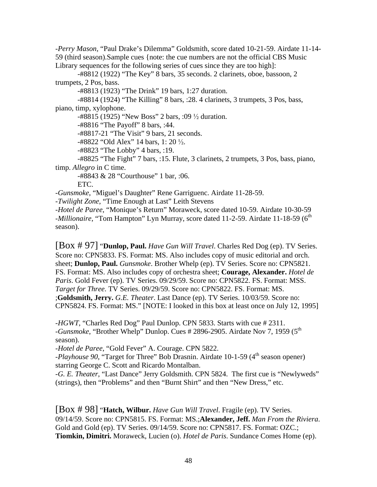-*Perry Mason*, "Paul Drake's Dilemma" Goldsmith, score dated 10-21-59. Airdate 11-14- 59 (third season).Sample cues {note: the cue numbers are not the official CBS Music Library sequences for the following series of cues since they are too high]:

 -#8812 (1922) "The Key" 8 bars, 35 seconds. 2 clarinets, oboe, bassoon, 2 trumpets, 2 Pos, bass.

-#8813 (1923) "The Drink" 19 bars, 1:27 duration.

 -#8814 (1924) "The Killing" 8 bars, :28. 4 clarinets, 3 trumpets, 3 Pos, bass, piano, timp, xylophone.

 $-48815$  (1925) "New Boss" 2 bars, :09  $\frac{1}{2}$  duration.

-#8816 "The Payoff" 8 bars, :44.

-#8817-21 "The Visit" 9 bars, 21 seconds.

-#8822 "Old Alex" 14 bars, 1: 20  $\frac{1}{2}$ .

-#8823 "The Lobby" 4 bars, :19.

 -#8825 "The Fight" 7 bars, :15. Flute, 3 clarinets, 2 trumpets, 3 Pos, bass, piano, timp. *Allegro* in C time.

 -#8843 & 28 "Courthouse" 1 bar, :06. ETC.

-*Gunsmoke*, "Miguel's Daughter" Rene Garriguenc. Airdate 11-28-59.

-*Twilight Zone*, "Time Enough at Last" Leith Stevens

-*Hotel de Paree*, "Monique's Return" Moraweck, score dated 10-59. Airdate 10-30-59 *-Millionaire*, "Tom Hampton" Lyn Murray, score dated 11-2-59. Airdate 11-18-59 (6<sup>th</sup>) season).

[Box # 97] "**Dunlop, Paul.** *Have Gun Will Travel*. Charles Red Dog (ep). TV Series. Score no: CPN5833. FS. Format: MS. Also includes copy of music editorial and orch. sheet; **Dunlop, Paul.** *Gunsmoke*. Brother Whelp (ep). TV Series. Score no: CPN5821. FS. Format: MS. Also includes copy of orchestra sheet; **Courage, Alexander.** *Hotel de Paris*. Gold Fever (ep). TV Series. 09/29/59. Score no: CPN5822. FS. Format: MSS. *Target for Three*. TV Series. 09/29/59. Score no: CPN5822. FS. Format: MS. ;**Goldsmith, Jerry.** *G.E. Theater*. Last Dance (ep). TV Series. 10/03/59. Score no: CPN5824. FS. Format: MS." [NOTE: I looked in this box at least once on July 12, 1995]

-*HGWT*, "Charles Red Dog" Paul Dunlop. CPN 5833. Starts with cue # 2311. -*Gunsmoke*, "Brother Whelp" Dunlop. Cues # 2896-2905. Airdate Nov 7, 1959 (5<sup>th</sup> season).

-*Hotel de Paree*, "Gold Fever" A. Courage. CPN 5822.

-*Playhouse 90*, "Target for Three" Bob Drasnin. Airdate 10-1-59 (4<sup>th</sup> season opener) starring George C. Scott and Ricardo Montalban.

-*G. E. Theater*, "Last Dance" Jerry Goldsmith. CPN 5824. The first cue is "Newlyweds" (strings), then "Problems" and then "Burnt Shirt" and then "New Dress," etc.

[Box # 98] "**Hatch, Wilbur.** *Have Gun Will Travel*. Fragile (ep). TV Series. 09/14/59. Score no: CPN5815. FS. Format: MS.;**Alexander, Jeff.** *Man From the Riviera*. Gold and Gold (ep). TV Series. 09/14/59. Score no: CPN5817. FS. Format: OZC.; **Tiomkin, Dimitri.** Moraweck, Lucien (o). *Hotel de Paris*. Sundance Comes Home (ep).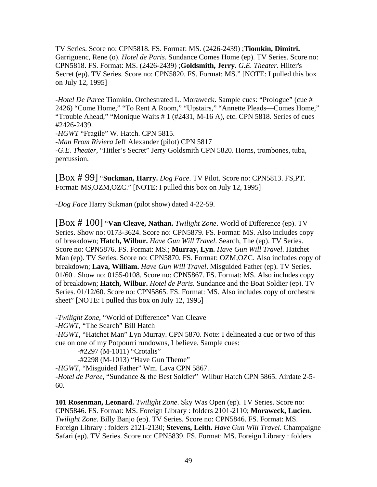TV Series. Score no: CPN5818. FS. Format: MS. (2426-2439) ;**Tiomkin, Dimitri.** Garriguenc, Rene (o). *Hotel de Paris*. Sundance Comes Home (ep). TV Series. Score no: CPN5818. FS. Format: MS. (2426-2439) ;**Goldsmith, Jerry.** *G.E. Theater*. Hilter's Secret (ep). TV Series. Score no: CPN5820. FS. Format: MS." [NOTE: I pulled this box on July 12, 1995]

-*Hotel De Paree* Tiomkin. Orchestrated L. Moraweck. Sample cues: "Prologue" (cue # 2426) "Come Home," "To Rent A Room," "Upstairs," "Annette Pleads—Comes Home," "Trouble Ahead," "Monique Waits # 1 (#2431, M-16 A), etc. CPN 5818. Series of cues #2426-2439.

-*HGWT* "Fragile" W. Hatch. CPN 5815.

-*Man From Riviera* Jeff Alexander (pilot) CPN 5817

-*G.E. Theater*, "Hitler's Secret" Jerry Goldsmith CPN 5820. Horns, trombones, tuba, percussion.

[Box # 99] "**Suckman, Harry.** *Dog Face*. TV Pilot. Score no: CPN5813. FS,PT. Format: MS, OZM, OZC." [NOTE: I pulled this box on July 12, 1995]

-*Dog Face* Harry Sukman (pilot show) dated 4-22-59.

[Box # 100] "**Van Cleave, Nathan.** *Twilight Zone*. World of Difference (ep). TV Series. Show no: 0173-3624. Score no: CPN5879. FS. Format: MS. Also includes copy of breakdown; **Hatch, Wilbur.** *Have Gun Will Travel*. Search, The (ep). TV Series. Score no: CPN5876. FS. Format: MS.; **Murray, Lyn.** *Have Gun Will Travel*. Hatchet Man (ep). TV Series. Score no: CPN5870. FS. Format: OZM,OZC. Also includes copy of breakdown; **Lava, William.** *Have Gun Will Travel*. Misguided Father (ep). TV Series. 01/60 . Show no: 0155-0108. Score no: CPN5867. FS. Format: MS. Also includes copy of breakdown; **Hatch, Wilbur.** *Hotel de Paris*. Sundance and the Boat Soldier (ep). TV Series. 01/12/60. Score no: CPN5865. FS. Format: MS. Also includes copy of orchestra sheet" [NOTE: I pulled this box on July 12, 1995]

-*Twilight Zone*, "World of Difference" Van Cleave

-*HGWT*, "The Search" Bill Hatch

-*HGWT*, "Hatchet Man" Lyn Murray. CPN 5870. Note: I delineated a cue or two of this cue on one of my Potpourri rundowns, I believe. Sample cues:

-#2297 (M-1011) "Crotalis"

-#2298 (M-1013) "Have Gun Theme"

-*HGWT*, "Misguided Father" Wm. Lava CPN 5867.

-*Hotel de Paree*, "Sundance & the Best Soldier" Wilbur Hatch CPN 5865. Airdate 2-5- 60.

**101 Rosenman, Leonard.** *Twilight Zone*. Sky Was Open (ep). TV Series. Score no: CPN5846. FS. Format: MS. Foreign Library : folders 2101-2110; **Moraweck, Lucien.** *Twilight Zone*. Billy Banjo (ep). TV Series. Score no: CPN5846. FS. Format: MS. Foreign Library : folders 2121-2130; **Stevens, Leith.** *Have Gun Will Travel*. Champaigne Safari (ep). TV Series. Score no: CPN5839. FS. Format: MS. Foreign Library : folders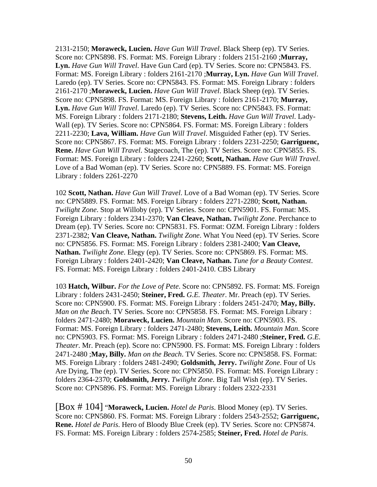2131-2150; **Moraweck, Lucien.** *Have Gun Will Travel*. Black Sheep (ep). TV Series. Score no: CPN5898. FS. Format: MS. Foreign Library : folders 2151-2160 ;**Murray, Lyn.** *Have Gun Will Travel*. Have Gun Card (ep). TV Series. Score no: CPN5843. FS. Format: MS. Foreign Library : folders 2161-2170 ;**Murray, Lyn.** *Have Gun Will Travel*. Laredo (ep). TV Series. Score no: CPN5843. FS. Format: MS. Foreign Library : folders 2161-2170 ;**Moraweck, Lucien.** *Have Gun Will Travel*. Black Sheep (ep). TV Series. Score no: CPN5898. FS. Format: MS. Foreign Library : folders 2161-2170; **Murray, Lyn.** *Have Gun Will Travel*. Laredo (ep). TV Series. Score no: CPN5843. FS. Format: MS. Foreign Library : folders 2171-2180; **Stevens, Leith.** *Have Gun Will Travel*. Lady-Wall (ep). TV Series. Score no: CPN5864. FS. Format: MS. Foreign Library : folders 2211-2230; **Lava, William.** *Have Gun Will Travel*. Misguided Father (ep). TV Series. Score no: CPN5867. FS. Format: MS. Foreign Library : folders 2231-2250; **Garriguenc, Rene.** *Have Gun Will Travel*. Stagecoach, The (ep). TV Series. Score no: CPN5855. FS. Format: MS. Foreign Library : folders 2241-2260; **Scott, Nathan.** *Have Gun Will Travel*. Love of a Bad Woman (ep). TV Series. Score no: CPN5889. FS. Format: MS. Foreign Library : folders 2261-2270

102 **Scott, Nathan.** *Have Gun Will Travel*. Love of a Bad Woman (ep). TV Series. Score no: CPN5889. FS. Format: MS. Foreign Library : folders 2271-2280; **Scott, Nathan.** *Twilight Zone*. Stop at Willoby (ep). TV Series. Score no: CPN5901. FS. Format: MS. Foreign Library : folders 2341-2370; **Van Cleave, Nathan.** *Twilight Zone*. Perchance to Dream (ep). TV Series. Score no: CPN5831. FS. Format: OZM. Foreign Library : folders 2371-2382; **Van Cleave, Nathan.** *Twilight Zone*. What You Need (ep). TV Series. Score no: CPN5856. FS. Format: MS. Foreign Library : folders 2381-2400; **Van Cleave, Nathan.** *Twilight Zone*. Elegy (ep). TV Series. Score no: CPN5869. FS. Format: MS. Foreign Library : folders 2401-2420; **Van Cleave, Nathan.** *Tune for a Beauty Contest*. FS. Format: MS. Foreign Library : folders 2401-2410. CBS Library

103 **Hatch, Wilbur.** *For the Love of Pete*. Score no: CPN5892. FS. Format: MS. Foreign Library : folders 2431-2450; **Steiner, Fred.** *G.E. Theater*. Mr. Preach (ep). TV Series. Score no: CPN5900. FS. Format: MS. Foreign Library : folders 2451-2470; **May, Billy.** *Man on the Beach*. TV Series. Score no: CPN5858. FS. Format: MS. Foreign Library : folders 2471-2480; **Moraweck, Lucien.** *Mountain Man*. Score no: CPN5903. FS. Format: MS. Foreign Library : folders 2471-2480; **Stevens, Leith.** *Mountain Man*. Score no: CPN5903. FS. Format: MS. Foreign Library : folders 2471-2480 ;**Steiner, Fred.** *G.E. Theater*. Mr. Preach (ep). Score no: CPN5900. FS. Format: MS. Foreign Library : folders 2471-2480 ;**May, Billy.** *Man on the Beach*. TV Series. Score no: CPN5858. FS. Format: MS. Foreign Library : folders 2481-2490; **Goldsmith, Jerry.** *Twilight Zone*. Four of Us Are Dying, The (ep). TV Series. Score no: CPN5850. FS. Format: MS. Foreign Library : folders 2364-2370; **Goldsmith, Jerry.** *Twilight Zone*. Big Tall Wish (ep). TV Series. Score no: CPN5896. FS. Format: MS. Foreign Library : folders 2322-2331

[Box # 104] "**Moraweck, Lucien.** *Hotel de Paris*. Blood Money (ep). TV Series. Score no: CPN5860. FS. Format: MS. Foreign Library : folders 2543-2552; **Garriguenc, Rene.** *Hotel de Paris*. Hero of Bloody Blue Creek (ep). TV Series. Score no: CPN5874. FS. Format: MS. Foreign Library : folders 2574-2585; **Steiner, Fred.** *Hotel de Paris*.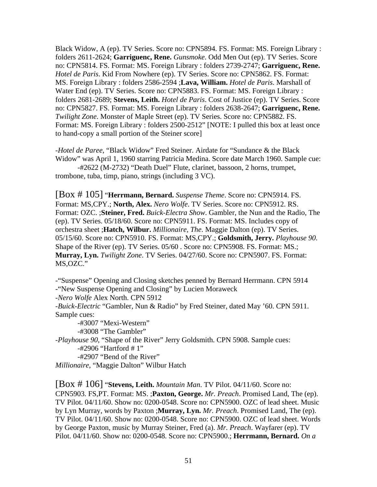Black Widow, A (ep). TV Series. Score no: CPN5894. FS. Format: MS. Foreign Library : folders 2611-2624; **Garriguenc, Rene.** *Gunsmoke*. Odd Men Out (ep). TV Series. Score no: CPN5814. FS. Format: MS. Foreign Library : folders 2739-2747; **Garriguenc, Rene.** *Hotel de Paris*. Kid From Nowhere (ep). TV Series. Score no: CPN5862. FS. Format: MS. Foreign Library : folders 2586-2594 ;**Lava, William.** *Hotel de Paris*. Marshall of Water End (ep). TV Series. Score no: CPN5883. FS. Format: MS. Foreign Library : folders 2681-2689; **Stevens, Leith.** *Hotel de Paris*. Cost of Justice (ep). TV Series. Score no: CPN5827. FS. Format: MS. Foreign Library : folders 2638-2647; **Garriguenc, Rene.** *Twilight Zone*. Monster of Maple Street (ep). TV Series. Score no: CPN5882. FS. Format: MS. Foreign Library : folders 2500-2512" [NOTE: I pulled this box at least once to hand-copy a small portion of the Steiner score]

-*Hotel de Paree*, "Black Widow" Fred Steiner. Airdate for "Sundance & the Black Widow" was April 1, 1960 starring Patricia Medina. Score date March 1960. Sample cue:

 -#2622 (M-2732) "Death Duel" Flute, clarinet, bassoon, 2 horns, trumpet, trombone, tuba, timp, piano, strings (including 3 VC).

[Box # 105] "**Herrmann, Bernard.** *Suspense Theme*. Score no: CPN5914. FS. Format: MS,CPY.; **North, Alex.** *Nero Wolfe*. TV Series. Score no: CPN5912. RS. Format: OZC. ;**Steiner, Fred.** *Buick-Electra Show*. Gambler, the Nun and the Radio, The (ep). TV Series. 05/18/60. Score no: CPN5911. FS. Format: MS. Includes copy of orchestra sheet ;**Hatch, Wilbur.** *Millionaire, The*. Maggie Dalton (ep). TV Series. 05/15/60. Score no: CPN5910. FS. Format: MS,CPY.; **Goldsmith, Jerry.** *Playhouse 90*. Shape of the River (ep). TV Series. 05/60 . Score no: CPN5908. FS. Format: MS.; **Murray, Lyn.** *Twilight Zone*. TV Series. 04/27/60. Score no: CPN5907. FS. Format: MS,OZC."

-"Suspense" Opening and Closing sketches penned by Bernard Herrmann. CPN 5914 -"New Suspense Opening and Closing" by Lucien Moraweck

-*Nero Wolfe* Alex North. CPN 5912

-*Buick-Electric* "Gambler, Nun & Radio" by Fred Steiner, dated May '60. CPN 5911. Sample cues:

-#3007 "Mexi-Western"

-#3008 "The Gambler"

-*Playhouse 90*, "Shape of the River" Jerry Goldsmith. CPN 5908. Sample cues:

-#2906 "Hartford # 1"

-#2907 "Bend of the River"

*Millionaire*, "Maggie Dalton" Wilbur Hatch

[Box # 106] "**Stevens, Leith.** *Mountain Man*. TV Pilot. 04/11/60. Score no: CPN5903. FS,PT. Format: MS. ;**Paxton, George.** *Mr. Preach*. Promised Land, The (ep). TV Pilot. 04/11/60. Show no: 0200-0548. Score no: CPN5900. OZC of lead sheet. Music by Lyn Murray, words by Paxton ;**Murray, Lyn.** *Mr. Preach*. Promised Land, The (ep). TV Pilot. 04/11/60. Show no: 0200-0548. Score no: CPN5900. OZC of lead sheet. Words by George Paxton, music by Murray Steiner, Fred (a). *Mr. Preach*. Wayfarer (ep). TV Pilot. 04/11/60. Show no: 0200-0548. Score no: CPN5900.; **Herrmann, Bernard.** *On a*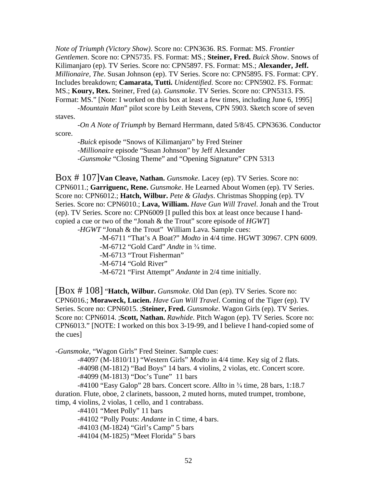*Note of Triumph (Victory Show)*. Score no: CPN3636. RS. Format: MS. *Frontier Gentlemen*. Score no: CPN5735. FS. Format: MS.; **Steiner, Fred.** *Buick Show*. Snows of Kilimanjaro (ep). TV Series. Score no: CPN5897. FS. Format: MS.; **Alexander, Jeff.** *Millionaire, The*. Susan Johnson (ep). TV Series. Score no: CPN5895. FS. Format: CPY. Includes breakdown; **Camarata, Tutti.** *Unidentified*. Score no: CPN5902. FS. Format: MS.; **Koury, Rex.** Steiner, Fred (a). *Gunsmoke*. TV Series. Score no: CPN5313. FS. Format: MS." [Note: I worked on this box at least a few times, including June 6, 1995]

 -*Mountain Man*" pilot score by Leith Stevens, CPN 5903. Sketch score of seven staves.

 -*On A Note of Triumph* by Bernard Herrmann, dated 5/8/45. CPN3636. Conductor score.

 -*Buick* episode "Snows of Kilimanjaro" by Fred Steiner -*Millionaire* episode "Susan Johnson" by Jeff Alexander -*Gunsmoke* "Closing Theme" and "Opening Signature" CPN 5313

Box # 107]**Van Cleave, Nathan.** *Gunsmoke*. Lacey (ep). TV Series. Score no: CPN6011.; **Garriguenc, Rene.** *Gunsmoke*. He Learned About Women (ep). TV Series. Score no: CPN6012.; **Hatch, Wilbur.** *Pete & Gladys*. Christmas Shopping (ep). TV Series. Score no: CPN6010.; **Lava, William.** *Have Gun Will Travel*. Jonah and the Trout (ep). TV Series. Score no: CPN6009 [I pulled this box at least once because I handcopied a cue or two of the "Jonah & the Trout" score episode of *HGWT*]

-*HGWT* "Jonah & the Trout" William Lava. Sample cues:

 -M-6711 "That's A Boat?" *Modto* in 4/4 time. HGWT 30967. CPN 6009. -M-6712 "Gold Card" *Andte* in <sup>3</sup>/<sub>4</sub> time. -M-6713 "Trout Fisherman" -M-6714 "Gold River"

-M-6721 "First Attempt" *Andante* in 2/4 time initially.

[Box # 108] "**Hatch, Wilbur.** *Gunsmoke*. Old Dan (ep). TV Series. Score no: CPN6016.; **Moraweck, Lucien.** *Have Gun Will Travel*. Coming of the Tiger (ep). TV Series. Score no: CPN6015. ;**Steiner, Fred.** *Gunsmoke*. Wagon Girls (ep). TV Series. Score no: CPN6014. ;**Scott, Nathan.** *Rawhide*. Pitch Wagon (ep). TV Series. Score no: CPN6013." [NOTE: I worked on this box 3-19-99, and I believe I hand-copied some of the cues]

-*Gunsmoke*, "Wagon Girls" Fred Steiner. Sample cues:

 -#4097 (M-1810/11) "Western Girls" *Modto* in 4/4 time. Key sig of 2 flats. -#4098 (M-1812) "Bad Boys" 14 bars. 4 violins, 2 violas, etc. Concert score. -#4099 (M-1813) "Doc's Tune" 11 bars

-#4100 "Easy Galop" 28 bars. Concert score. Allto in <sup>3</sup>/4 time, 28 bars, 1:18.7 duration. Flute, oboe, 2 clarinets, bassoon, 2 muted horns, muted trumpet, trombone, timp, 4 violins, 2 violas, 1 cello, and 1 contrabass.

-#4101 "Meet Polly" 11 bars

-#4102 "Polly Pouts: *Andante* in C time, 4 bars.

-#4103 (M-1824) "Girl's Camp" 5 bars

-#4104 (M-1825) "Meet Florida" 5 bars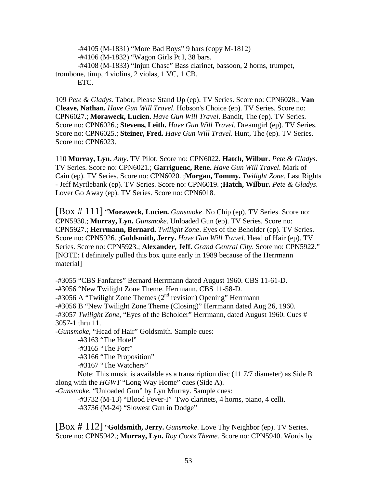-#4105 (M-1831) "More Bad Boys" 9 bars (copy M-1812) -#4106 (M-1832) "Wagon Girls Pt I, 38 bars. -#4108 (M-1833) "Injun Chase" Bass clarinet, bassoon, 2 horns, trumpet, trombone, timp, 4 violins, 2 violas, 1 VC, 1 CB. ETC.

109 *Pete & Gladys*. Tabor, Please Stand Up (ep). TV Series. Score no: CPN6028.; **Van Cleave, Nathan.** *Have Gun Will Travel*. Hobson's Choice (ep). TV Series. Score no: CPN6027.; **Moraweck, Lucien.** *Have Gun Will Travel*. Bandit, The (ep). TV Series. Score no: CPN6026.; **Stevens, Leith.** *Have Gun Will Travel*. Dreamgirl (ep). TV Series. Score no: CPN6025.; **Steiner, Fred.** *Have Gun Will Travel*. Hunt, The (ep). TV Series. Score no: CPN6023.

110 **Murray, Lyn.** *Amy*. TV Pilot. Score no: CPN6022. **Hatch, Wilbur.** *Pete & Gladys*. TV Series. Score no: CPN6021.; **Garriguenc, Rene.** *Have Gun Will Travel*. Mark of Cain (ep). TV Series. Score no: CPN6020. ;**Morgan, Tommy.** *Twilight Zone*. Last Rights - Jeff Myrtlebank (ep). TV Series. Score no: CPN6019. ;**Hatch, Wilbur.** *Pete & Gladys*. Lover Go Away (ep). TV Series. Score no: CPN6018.

[Box # 111] "**Moraweck, Lucien.** *Gunsmoke*. No Chip (ep). TV Series. Score no: CPN5930.; **Murray, Lyn.** *Gunsmoke*. Unloaded Gun (ep). TV Series. Score no: CPN5927.; **Herrmann, Bernard.** *Twilight Zone*. Eyes of the Beholder (ep). TV Series. Score no: CPN5926. ;**Goldsmith, Jerry.** *Have Gun Will Travel*. Head of Hair (ep). TV Series. Score no: CPN5923.; **Alexander, Jeff.** *Grand Central City*. Score no: CPN5922." [NOTE: I definitely pulled this box quite early in 1989 because of the Herrmann material]

-#3055 "CBS Fanfares" Bernard Herrmann dated August 1960. CBS 11-61-D. -#3056 "New Twilight Zone Theme. Herrmann. CBS 11-58-D.  $-$ #3056 A "Twilight Zone Themes ( $2<sup>nd</sup>$  revision) Opening" Herrmann -#3056 B "New Twilight Zone Theme (Closing)" Herrmann dated Aug 26, 1960. -#3057 *Twilight Zone*, "Eyes of the Beholder" Herrmann, dated August 1960. Cues # 3057-1 thru 11. -*Gunsmoke*, "Head of Hair" Goldsmith. Sample cues:

 -#3163 "The Hotel" -#3165 "The Fort"

-#3166 "The Proposition"

-#3167 "The Watchers"

 Note: This music is available as a transcription disc (11 7/7 diameter) as Side B along with the *HGWT* "Long Way Home" cues (Side A).

-*Gunsmoke*, "Unloaded Gun" by Lyn Murray. Sample cues:

 -#3732 (M-13) "Blood Fever-I" Two clarinets, 4 horns, piano, 4 celli. -#3736 (M-24) "Slowest Gun in Dodge"

[Box # 112] "**Goldsmith, Jerry.** *Gunsmoke*. Love Thy Neighbor (ep). TV Series. Score no: CPN5942.; **Murray, Lyn.** *Roy Coots Theme*. Score no: CPN5940. Words by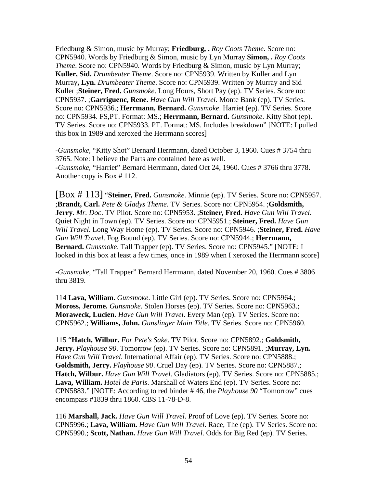Friedburg & Simon, music by Murray; **Friedburg, .** *Roy Coots Theme*. Score no: CPN5940. Words by Friedburg & Simon, music by Lyn Murray **Simon, .** *Roy Coots Theme*. Score no: CPN5940. Words by Friedburg & Simon, music by Lyn Murray; **Kuller, Sid.** *Drumbeater Theme*. Score no: CPN5939. Written by Kuller and Lyn Murray**, Lyn.** *Drumbeater Theme*. Score no: CPN5939. Written by Murray and Sid Kuller ;**Steiner, Fred.** *Gunsmoke*. Long Hours, Short Pay (ep). TV Series. Score no: CPN5937. ;**Garriguenc, Rene.** *Have Gun Will Travel*. Monte Bank (ep). TV Series. Score no: CPN5936.; **Herrmann, Bernard.** *Gunsmoke*. Harriet (ep). TV Series. Score no: CPN5934. FS,PT. Format: MS.; **Herrmann, Bernard.** *Gunsmoke*. Kitty Shot (ep). TV Series. Score no: CPN5933. PT. Format: MS. Includes breakdown" [NOTE: I pulled this box in 1989 and xeroxed the Herrmann scores]

-*Gunsmoke*, "Kitty Shot" Bernard Herrmann, dated October 3, 1960. Cues # 3754 thru 3765. Note: I believe the Parts are contained here as well. -*Gunsmoke*, "Harriet" Bernard Herrmann, dated Oct 24, 1960. Cues # 3766 thru 3778. Another copy is Box # 112.

[Box # 113] "**Steiner, Fred.** *Gunsmoke*. Minnie (ep). TV Series. Score no: CPN5957. ;**Brandt, Carl.** *Pete & Gladys Theme*. TV Series. Score no: CPN5954. ;**Goldsmith, Jerry.** *Mr. Doc*. TV Pilot. Score no: CPN5953. ;**Steiner, Fred.** *Have Gun Will Travel*. Quiet Night in Town (ep). TV Series. Score no: CPN5951.; **Steiner, Fred.** *Have Gun Will Travel*. Long Way Home (ep). TV Series. Score no: CPN5946. ;**Steiner, Fred.** *Have Gun Will Travel*. Fog Bound (ep). TV Series. Score no: CPN5944.; **Herrmann, Bernard.** *Gunsmoke*. Tall Trapper (ep). TV Series. Score no: CPN5945." [NOTE: I looked in this box at least a few times, once in 1989 when I xeroxed the Herrmann score]

-*Gunsmoke*, "Tall Trapper" Bernard Herrmann, dated November 20, 1960. Cues # 3806 thru 3819.

114 **Lava, William.** *Gunsmoke*. Little Girl (ep). TV Series. Score no: CPN5964.; **Moross, Jerome.** *Gunsmoke*. Stolen Horses (ep). TV Series. Score no: CPN5963.; **Moraweck, Lucien.** *Have Gun Will Travel*. Every Man (ep). TV Series. Score no: CPN5962.; **Williams, John.** *Gunslinger Main Title*. TV Series. Score no: CPN5960.

115 "**Hatch, Wilbur.** *For Pete's Sake*. TV Pilot. Score no: CPN5892.; **Goldsmith, Jerry.** *Playhouse 90*. Tomorrow (ep). TV Series. Score no: CPN5891. ;**Murray, Lyn.** *Have Gun Will Travel*. International Affair (ep). TV Series. Score no: CPN5888.; **Goldsmith, Jerry.** *Playhouse 90*. Cruel Day (ep). TV Series. Score no: CPN5887.; **Hatch, Wilbur.** *Have Gun Will Travel*. Gladiators (ep). TV Series. Score no: CPN5885.; **Lava, William.** *Hotel de Paris*. Marshall of Waters End (ep). TV Series. Score no: CPN5883." [NOTE: According to red binder # 46, the *Playhouse 90* "Tomorrow" cues encompass #1839 thru 1860. CBS 11-78-D-8.

116 **Marshall, Jack.** *Have Gun Will Travel*. Proof of Love (ep). TV Series. Score no: CPN5996.; **Lava, William.** *Have Gun Will Travel*. Race, The (ep). TV Series. Score no: CPN5990.; **Scott, Nathan.** *Have Gun Will Travel*. Odds for Big Red (ep). TV Series.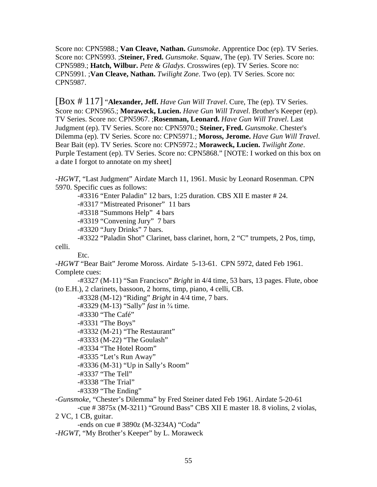Score no: CPN5988.; **Van Cleave, Nathan.** *Gunsmoke*. Apprentice Doc (ep). TV Series. Score no: CPN5993. ;**Steiner, Fred.** *Gunsmoke*. Squaw, The (ep). TV Series. Score no: CPN5989.; **Hatch, Wilbur.** *Pete & Gladys*. Crosswires (ep). TV Series. Score no: CPN5991. ;**Van Cleave, Nathan.** *Twilight Zone*. Two (ep). TV Series. Score no: CPN5987.

[Box # 117] "**Alexander, Jeff.** *Have Gun Will Travel*. Cure, The (ep). TV Series. Score no: CPN5965.; **Moraweck, Lucien.** *Have Gun Will Travel*. Brother's Keeper (ep). TV Series. Score no: CPN5967. ;**Rosenman, Leonard.** *Have Gun Will Travel*. Last Judgment (ep). TV Series. Score no: CPN5970.; **Steiner, Fred.** *Gunsmoke*. Chester's Dilemma (ep). TV Series. Score no: CPN5971.; **Moross, Jerome.** *Have Gun Will Travel*. Bear Bait (ep). TV Series. Score no: CPN5972.; **Moraweck, Lucien.** *Twilight Zone*. Purple Testament (ep). TV Series. Score no: CPN5868." [NOTE: I worked on this box on a date I forgot to annotate on my sheet]

-*HGWT*, "Last Judgment" Airdate March 11, 1961. Music by Leonard Rosenman. CPN 5970. Specific cues as follows:

 -#3316 "Enter Paladin" 12 bars, 1:25 duration. CBS XII E master # 24. -#3317 "Mistreated Prisoner" 11 bars

-#3318 "Summons Help" 4 bars

-#3319 "Convening Jury" 7 bars

-#3320 "Jury Drinks" 7 bars.

 -#3322 "Paladin Shot" Clarinet, bass clarinet, horn, 2 "C" trumpets, 2 Pos, timp, celli.

Etc.

-*HGWT* "Bear Bait" Jerome Moross. Airdate 5-13-61. CPN 5972, dated Feb 1961. Complete cues:

 -#3327 (M-11) "San Francisco" *Bright* in 4/4 time, 53 bars, 13 pages. Flute, oboe (to E.H.), 2 clarinets, bassoon, 2 horns, timp, piano, 4 celli, CB.

-#3328 (M-12) "Riding" *Bright* in 4/4 time, 7 bars.

-#3329 (M-13) "Sally" *fast* in <sup>3</sup>/<sub>4</sub> time.

-#3330 "The Café"

-#3331 "The Boys"

-#3332 (M-21) "The Restaurant"

-#3333 (M-22) "The Goulash"

-#3334 "The Hotel Room"

-#3335 "Let's Run Away"

-#3336 (M-31) "Up in Sally's Room"

-#3337 "The Tell"

-#3338 "The Trial"

-#3339 "The Ending"

-*Gunsmoke*, "Chester's Dilemma" by Fred Steiner dated Feb 1961. Airdate 5-20-61 -cue # 3875x (M-3211) "Ground Bass" CBS XII E master 18. 8 violins, 2 violas,

2 VC, 1 CB, guitar.

-ends on cue # 3890z (M-3234A) "Coda"

-*HGWT*, "My Brother's Keeper" by L. Moraweck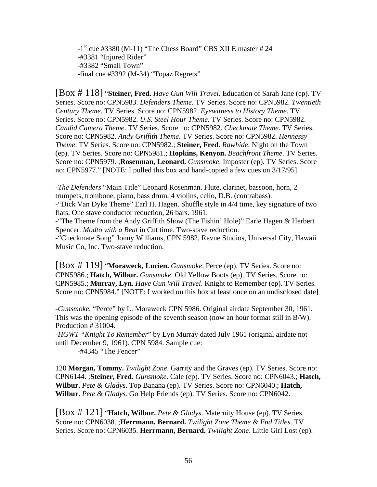$-1$ <sup>st</sup> cue #3380 (M-11) "The Chess Board" CBS XII E master #24 -#3381 "Injured Rider" -#3382 "Small Town" -final cue #3392 (M-34) "Topaz Regrets"

[Box # 118] "**Steiner, Fred.** *Have Gun Will Travel*. Education of Sarah Jane (ep). TV Series. Score no: CPN5983. *Defenders Theme*. TV Series. Score no: CPN5982. *Twentieth Century Theme*. TV Series. Score no: CPN5982. *Eyewitness to History Theme*. TV Series. Score no: CPN5982. *U.S. Steel Hour Theme*. TV Series. Score no: CPN5982. *Candid Camera Theme*. TV Series. Score no: CPN5982. *Checkmate Theme*. TV Series. Score no: CPN5982. *Andy Griffith Theme*. TV Series. Score no: CPN5982. *Hennessy Theme*. TV Series. Score no: CPN5982.; **Steiner, Fred.** *Rawhide*. Night on the Town (ep). TV Series. Score no: CPN5981.; **Hopkins, Kenyon.** *Beachfront Theme*. TV Series. Score no: CPN5979. ;**Rosenman, Leonard.** *Gunsmoke*. Imposter (ep). TV Series. Score no: CPN5977." [NOTE: I pulled this box and hand-copied a few cues on 3/17/95]

-*The Defenders* "Main Title" Leonard Rosenman. Flute, clarinet, bassoon, horn, 2 trumpets, trombone, piano, bass drum, 4 violins, cello, D.B. (contrabass). -"Dick Van Dyke Theme" Earl H. Hagen. Shuffle style in 4/4 time, key signature of two flats. One stave conductor reduction, 26 bars. 1961.

-"The Theme from the Andy Griffith Show (The Fishin' Hole)" Earle Hagen & Herbert Spencer. *Modto with a Beat* in Cut time. Two-stave reduction.

-"Checkmate Song" Jonny Williams, CPN 5982, Revue Studios, Universal City, Hawaii Music Co, Inc. Two-stave reduction.

[Box # 119] "**Moraweck, Lucien.** *Gunsmoke*. Perce (ep). TV Series. Score no: CPN5986.; **Hatch, Wilbur.** *Gunsmoke*. Old Yellow Boots (ep). TV Series. Score no: CPN5985.; **Murray, Lyn.** *Have Gun Will Travel*. Knight to Remember (ep). TV Series. Score no: CPN5984." [NOTE: I worked on this box at least once on an undisclosed date]

-*Gunsmoke*, "Perce" by L. Moraweck CPN 5986. Original airdate September 30, 1961. This was the opening episode of the seventh season (now an hour format still in B/W). Production # 31004.

-*HGWT "Knight To Remember*" by Lyn Murray dated July 1961 (original airdate not until December 9, 1961). CPN 5984. Sample cue:

-#4345 "The Fencer"

120 **Morgan, Tommy.** *Twilight Zone*. Garrity and the Graves (ep). TV Series. Score no: CPN6144. ;**Steiner, Fred.** *Gunsmoke*. Cale (ep). TV Series. Score no: CPN6043.; **Hatch, Wilbur.** *Pete & Gladys*. Top Banana (ep). TV Series. Score no: CPN6040.; **Hatch, Wilbur.** *Pete & Gladys*. Go Help Friends (ep). TV Series. Score no: CPN6042.

[Box # 121] "**Hatch, Wilbur.** *Pete & Gladys*. Maternity House (ep). TV Series. Score no: CPN6038. ;**Herrmann, Bernard.** *Twilight Zone Theme & End Titles*. TV Series. Score no: CPN6035. **Herrmann, Bernard.** *Twilight Zone*. Little Girl Lost (ep).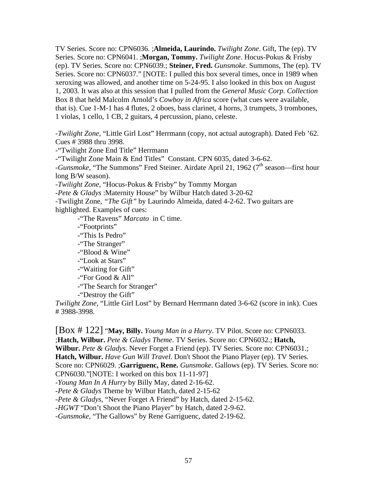TV Series. Score no: CPN6036. ;**Almeida, Laurindo.** *Twilight Zone*. Gift, The (ep). TV Series. Score no: CPN6041. ;**Morgan, Tommy.** *Twilight Zone*. Hocus-Pokus & Frisby (ep). TV Series. Score no: CPN6039.; **Steiner, Fred.** *Gunsmoke*. Summons, The (ep). TV Series. Score no: CPN6037." [NOTE: I pulled this box several times, once in 1989 when xeroxing was allowed, and another time on 5-24-95. I also looked in this box on August 1, 2003. It was also at this session that I pulled from the *General Music Corp. Collection* Box 8 that held Malcolm Arnold's *Cowboy in Africa* score (what cues were available, that is). Cue 1-M-1 has 4 flutes, 2 oboes, bass clarinet, 4 horns, 3 trumpets, 3 trombones, 1 violas, 1 cello, 1 CB, 2 guitars, 4 percussion, piano, celeste.

-*Twilight Zone*, "Little Girl Lost" Herrmann (copy, not actual autograph). Dated Feb '62. Cues # 3988 thru 3998.

-"Twilight Zone End Title" Herrmann

-"Twilight Zone Main & End Titles" Constant. CPN 6035, dated 3-6-62.

-*Gunsmoke*, "The Summons" Fred Steiner. Airdate April 21, 1962 (7<sup>th</sup> season—first hour long B/W season).

-*Twilight Zone*, "Hocus-Pokus & Frisby" by Tommy Morgan

-*Pete & Gladys* :Maternity House" by Wilbur Hatch dated 3-20-62

-Twilight Zone*, "The Gift"* by Laurindo Almeida, dated 4-2-62. Two guitars are highlighted. Examples of cues:

-"The Ravens" *Marcato* in C time.

-"Footprints"

-"This Is Pedro"

-"The Stranger"

-"Blood & Wine"

-"Look at Stars"

-"Waiting for Gift"

-"For Good & All"

-"The Search for Stranger"

-"Destroy the Gift"

*Twilight Zone*, "Little Girl Lost" by Bernard Herrmann dated 3-6-62 (score in ink). Cues # 3988-3998.

[Box # 122] "**May, Billy.** *Young Man in a Hurry*. TV Pilot. Score no: CPN6033. ;**Hatch, Wilbur.** *Pete & Gladys Theme*. TV Series. Score no: CPN6032.; **Hatch, Wilbur.** *Pete & Gladys*. Never Forget a Friend (ep). TV Series. Score no: CPN6031.; **Hatch, Wilbur.** *Have Gun Will Travel*. Don't Shoot the Piano Player (ep). TV Series. Score no: CPN6029. ;**Garriguenc, Rene.** *Gunsmoke*. Gallows (ep). TV Series. Score no: CPN6030."[NOTE: I worked on this box 11-11-97] -*Young Man In A Hurry* by Billy May, dated 2-16-62. -*Pete & Gladys* Theme by Wilbur Hatch, dated 2-15-62 -*Pete & Gladys*, "Never Forget A Friend" by Hatch, dated 2-15-62.

-*HGWT* "Don't Shoot the Piano Player" by Hatch, dated 2-9-62.

-*Gunsmoke*, "The Gallows" by Rene Garriguenc, dated 2-19-62.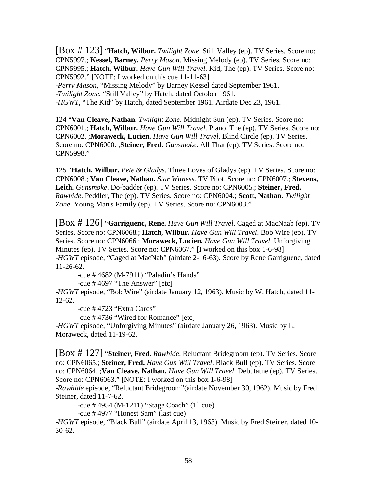[Box # 123] "**Hatch, Wilbur.** *Twilight Zone*. Still Valley (ep). TV Series. Score no: CPN5997.; **Kessel, Barney.** *Perry Mason*. Missing Melody (ep). TV Series. Score no: CPN5995.; **Hatch, Wilbur.** *Have Gun Will Travel*. Kid, The (ep). TV Series. Score no: CPN5992." [NOTE: I worked on this cue 11-11-63] -*Perry Mason*, "Missing Melody" by Barney Kessel dated September 1961. -*Twilight Zone*, "Still Valley" by Hatch, dated October 1961. -*HGWT*, "The Kid" by Hatch, dated September 1961. Airdate Dec 23, 1961.

124 "**Van Cleave, Nathan.** *Twilight Zone*. Midnight Sun (ep). TV Series. Score no: CPN6001.; **Hatch, Wilbur.** *Have Gun Will Travel*. Piano, The (ep). TV Series. Score no: CPN6002. ;**Moraweck, Lucien.** *Have Gun Will Travel*. Blind Circle (ep). TV Series. Score no: CPN6000. ;**Steiner, Fred.** *Gunsmoke*. All That (ep). TV Series. Score no: CPN5998."

125 "**Hatch, Wilbur.** *Pete & Gladys*. Three Loves of Gladys (ep). TV Series. Score no: CPN6008.; **Van Cleave, Nathan.** *Star Witness*. TV Pilot. Score no: CPN6007.; **Stevens, Leith.** *Gunsmoke*. Do-badder (ep). TV Series. Score no: CPN6005.; **Steiner, Fred.** *Rawhide*. Peddler, The (ep). TV Series. Score no: CPN6004.; **Scott, Nathan.** *Twilight Zone*. Young Man's Family (ep). TV Series. Score no: CPN6003."

[Box # 126] "**Garriguenc, Rene.** *Have Gun Will Travel*. Caged at MacNaab (ep). TV Series. Score no: CPN6068.; **Hatch, Wilbur.** *Have Gun Will Travel*. Bob Wire (ep). TV Series. Score no: CPN6066.; **Moraweck, Lucien.** *Have Gun Will Travel*. Unforgiving Minutes (ep). TV Series. Score no: CPN6067." [I worked on this box 1-6-98] -*HGWT* episode, "Caged at MacNab" (airdate 2-16-63). Score by Rene Garriguenc, dated 11-26-62.

-cue # 4682 (M-7911) "Paladin's Hands"

-cue  $\#$  4697 "The Answer"  $[etc]$ 

-*HGWT* episode, "Bob Wire" (airdate January 12, 1963). Music by W. Hatch, dated 11- 12-62.

-cue # 4723 "Extra Cards"

-cue # 4736 "Wired for Romance" [etc]

-*HGWT* episode, "Unforgiving Minutes" (airdate January 26, 1963). Music by L. Moraweck, dated 11-19-62.

[Box # 127] "**Steiner, Fred.** *Rawhide*. Reluctant Bridegroom (ep). TV Series. Score no: CPN6065.; **Steiner, Fred.** *Have Gun Will Travel*. Black Bull (ep). TV Series. Score no: CPN6064. ;**Van Cleave, Nathan.** *Have Gun Will Travel*. Debutatne (ep). TV Series. Score no: CPN6063." [NOTE: I worked on this box 1-6-98]

-*Rawhide* episode, "Reluctant Bridegroom"(airdate November 30, 1962). Music by Fred Steiner, dated 11-7-62.

-cue # 4954 (M-1211) "Stage Coach" ( $1<sup>st</sup>$  cue)

-cue # 4977 "Honest Sam" (last cue)

-*HGWT* episode, "Black Bull" (airdate April 13, 1963). Music by Fred Steiner, dated 10- 30-62.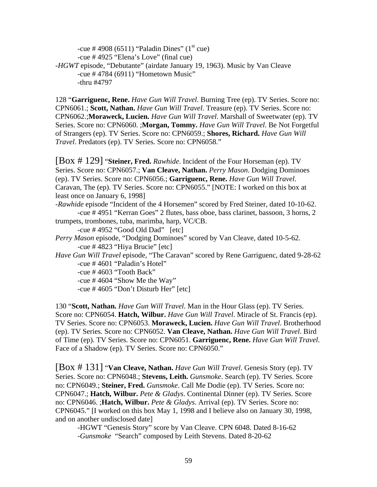-cue # 4908 (6511) "Paladin Dines" ( $1<sup>st</sup>$  cue) -cue # 4925 "Elena's Love" (final cue) -*HGWT* episode, "Debutante" (airdate January 19, 1963). Music by Van Cleave -cue # 4784 (6911) "Hometown Music" -thru #4797

128 "**Garriguenc, Rene.** *Have Gun Will Travel*. Burning Tree (ep). TV Series. Score no: CPN6061.; **Scott, Nathan.** *Have Gun Will Travel*. Treasure (ep). TV Series. Score no: CPN6062.;**Moraweck, Lucien.** *Have Gun Will Travel*. Marshall of Sweetwater (ep). TV Series. Score no: CPN6060. ;**Morgan, Tommy.** *Have Gun Will Travel*. Be Not Forgetful of Strangers (ep). TV Series. Score no: CPN6059.; **Shores, Richard.** *Have Gun Will Travel*. Predators (ep). TV Series. Score no: CPN6058."

[Box # 129] "**Steiner, Fred.** *Rawhide*. Incident of the Four Horseman (ep). TV Series. Score no: CPN6057.; **Van Cleave, Nathan.** *Perry Mason*. Dodging Dominoes (ep). TV Series. Score no: CPN6056.; **Garriguenc, Rene.** *Have Gun Will Travel*. Caravan, The (ep). TV Series. Score no: CPN6055." [NOTE: I worked on this box at least once on January 6, 1998]

-*Rawhide* episode "Incident of the 4 Horsemen" scored by Fred Steiner, dated 10-10-62. -cue # 4951 "Kerran Goes" 2 flutes, bass oboe, bass clarinet, bassoon, 3 horns, 2

trumpets, trombones, tuba, marimba, harp, VC/CB. -cue # 4952 "Good Old Dad" [etc]

*Perry Mason* episode, "Dodging Dominoes" scored by Van Cleave, dated 10-5-62. -cue # 4823 "Hiya Brucie" [etc]

*Have Gun Will Travel* episode, "The Caravan" scored by Rene Garriguenc, dated 9-28-62 -cue # 4601 "Paladin's Hotel"

-cue # 4603 "Tooth Back"

-cue # 4604 "Show Me the Way"

-cue # 4605 "Don't Disturb Her" [etc]

130 "**Scott, Nathan.** *Have Gun Will Travel*. Man in the Hour Glass (ep). TV Series. Score no: CPN6054. **Hatch, Wilbur.** *Have Gun Will Travel*. Miracle of St. Francis (ep). TV Series. Score no: CPN6053. **Moraweck, Lucien.** *Have Gun Will Travel*. Brotherhood (ep). TV Series. Score no: CPN6052. **Van Cleave, Nathan.** *Have Gun Will Travel*. Bird of Time (ep). TV Series. Score no: CPN6051. **Garriguenc, Rene.** *Have Gun Will Travel*. Face of a Shadow (ep). TV Series. Score no: CPN6050."

[Box # 131] "**Van Cleave, Nathan.** *Have Gun Will Travel*. Genesis Story (ep). TV Series. Score no: CPN6048.; **Stevens, Leith.** *Gunsmoke*. Search (ep). TV Series. Score no: CPN6049.; **Steiner, Fred.** *Gunsmoke*. Call Me Dodie (ep). TV Series. Score no: CPN6047.; **Hatch, Wilbur.** *Pete & Gladys*. Continental Dinner (ep). TV Series. Score no: CPN6046. ;**Hatch, Wilbur.** *Pete & Gladys*. Arrival (ep). TV Series. Score no: CPN6045." [I worked on this box May 1, 1998 and I believe also on January 30, 1998, and on another undisclosed date]

 -HGWT "Genesis Story" score by Van Cleave. CPN 6048. Dated 8-16-62 -*Gunsmoke* "Search" composed by Leith Stevens. Dated 8-20-62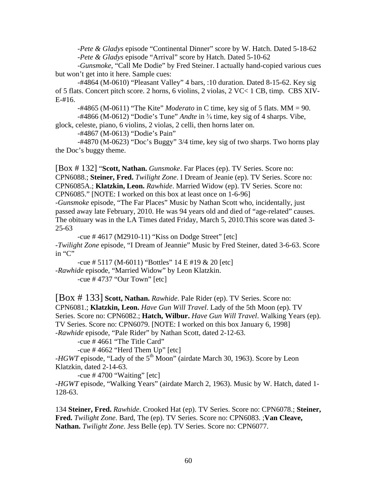-*Pete & Gladys* episode "Continental Dinner" score by W. Hatch. Dated 5-18-62 -*Pete & Gladys* episode "Arrival" score by Hatch. Dated 5-10-62

 -*Gunsmoke*, "Call Me Dodie" by Fred Steiner. I actually hand-copied various cues but won't get into it here. Sample cues:

 -#4864 (M-0610) "Pleasant Valley" 4 bars, :10 duration. Dated 8-15-62. Key sig of 5 flats. Concert pitch score. 2 horns, 6 violins, 2 violas, 2 VC< 1 CB, timp. CBS XIV-E-#16.

-#4865 (M-0611) "The Kite" *Moderato* in C time, key sig of 5 flats. MM = 90.

 $-$ #4866 (M-0612) "Dodie's Tune" *Andte* in  $\frac{3}{4}$  time, key sig of 4 sharps. Vibe,

glock, celeste, piano, 6 violins, 2 violas, 2 celli, then horns later on.

-#4867 (M-0613) "Dodie's Pain"

 -#4870 (M-0623) "Doc's Buggy" 3/4 time, key sig of two sharps. Two horns play the Doc's buggy theme.

[Box # 132] "**Scott, Nathan.** *Gunsmoke*. Far Places (ep). TV Series. Score no: CPN6088.; **Steiner, Fred.** *Twilight Zone*. I Dream of Jeanie (ep). TV Series. Score no: CPN6085A.; **Klatzkin, Leon.** *Rawhide*. Married Widow (ep). TV Series. Score no: CPN6085." [NOTE: I worked on this box at least once on 1-6-96]

-*Gunsmoke* episode, "The Far Places" Music by Nathan Scott who, incidentally, just passed away late February, 2010. He was 94 years old and died of "age-related" causes. The obituary was in the LA Times dated Friday, March 5, 2010.This score was dated 3- 25-63

 -cue # 4617 (M2910-11) "Kiss on Dodge Street" [etc] -*Twilight Zone* episode, "I Dream of Jeannie" Music by Fred Steiner, dated 3-6-63. Score in "C"

 -cue # 5117 (M-6011) "Bottles" 14 E #19 & 20 [etc] -*Rawhide* episode, "Married Widow" by Leon Klatzkin. -cue # 4737 "Our Town" [etc]

[Box # 133] **Scott, Nathan.** *Rawhide*. Pale Rider (ep). TV Series. Score no: CPN6081.; **Klatzkin, Leon.** *Have Gun Will Travel*. Lady of the 5th Moon (ep). TV Series. Score no: CPN6082.; **Hatch, Wilbur.** *Have Gun Will Travel*. Walking Years (ep). TV Series. Score no: CPN6079. [NOTE: I worked on this box January 6, 1998] -*Rawhide* episode, "Pale Rider" by Nathan Scott, dated 2-12-63.

-cue # 4661 "The Title Card"

-cue # 4662 "Herd Them Up" [etc]

-*HGWT* episode, "Lady of the 5<sup>th</sup> Moon" (airdate March 30, 1963). Score by Leon Klatzkin, dated 2-14-63.

-cue  $\#$  4700 "Waiting" [etc]

-*HGWT* episode, "Walking Years" (airdate March 2, 1963). Music by W. Hatch, dated 1- 128-63.

134 **Steiner, Fred.** *Rawhide*. Crooked Hat (ep). TV Series. Score no: CPN6078.; **Steiner, Fred.** *Twilight Zone*. Bard, The (ep). TV Series. Score no: CPN6083. ;**Van Cleave, Nathan.** *Twilight Zone*. Jess Belle (ep). TV Series. Score no: CPN6077.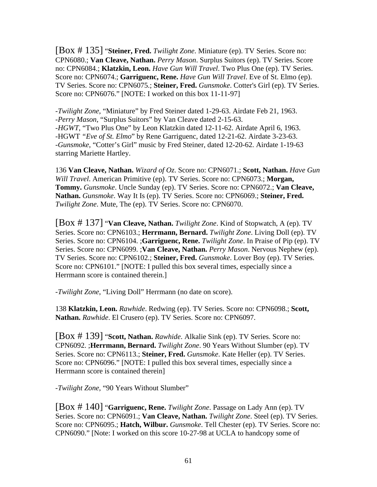[Box # 135] "**Steiner, Fred.** *Twilight Zone*. Miniature (ep). TV Series. Score no: CPN6080.; **Van Cleave, Nathan.** *Perry Mason*. Surplus Suitors (ep). TV Series. Score no: CPN6084.; **Klatzkin, Leon.** *Have Gun Will Travel*. Two Plus One (ep). TV Series. Score no: CPN6074.; **Garriguenc, Rene.** *Have Gun Will Travel*. Eve of St. Elmo (ep). TV Series. Score no: CPN6075.; **Steiner, Fred.** *Gunsmoke*. Cotter's Girl (ep). TV Series. Score no: CPN6076." [NOTE: I worked on this box 11-11-97]

-*Twilight Zone*, "Miniature" by Fred Steiner dated 1-29-63. Airdate Feb 21, 1963. -*Perry Mason*, "Surplus Suitors" by Van Cleave dated 2-15-63. -*HGWT*, "Two Plus One" by Leon Klatzkin dated 12-11-62. Airdate April 6, 1963. -HGWT *"Eve of St. Elmo*" by Rene Garriguenc, dated 12-21-62. Airdate 3-23-63. -*Gunsmoke*, "Cotter's Girl" music by Fred Steiner, dated 12-20-62. Airdate 1-19-63 starring Mariette Hartley.

136 **Van Cleave, Nathan.** *Wizard of Oz*. Score no: CPN6071.; **Scott, Nathan.** *Have Gun Will Travel*. American Primitive (ep). TV Series. Score no: CPN6073.; **Morgan, Tommy.** *Gunsmoke*. Uncle Sunday (ep). TV Series. Score no: CPN6072.; **Van Cleave, Nathan.** *Gunsmoke*. Way It Is (ep). TV Series. Score no: CPN6069.; **Steiner, Fred.** *Twilight Zone*. Mute, The (ep). TV Series. Score no: CPN6070.

[Box # 137] "**Van Cleave, Nathan.** *Twilight Zone*. Kind of Stopwatch, A (ep). TV Series. Score no: CPN6103.; **Herrmann, Bernard.** *Twilight Zone*. Living Doll (ep). TV Series. Score no: CPN6104. ;**Garriguenc, Rene.** *Twilight Zone*. In Praise of Pip (ep). TV Series. Score no: CPN6099. ;**Van Cleave, Nathan.** *Perry Mason*. Nervous Nephew (ep). TV Series. Score no: CPN6102.; **Steiner, Fred.** *Gunsmoke*. Lover Boy (ep). TV Series. Score no: CPN6101." [NOTE: I pulled this box several times, especially since a Herrmann score is contained therein.]

-*Twilight Zone*, "Living Doll" Herrmann (no date on score).

138 **Klatzkin, Leon.** *Rawhide*. Redwing (ep). TV Series. Score no: CPN6098.; **Scott, Nathan.** *Rawhide*. El Crusero (ep). TV Series. Score no: CPN6097.

[Box # 139] "**Scott, Nathan.** *Rawhide*. Alkalie Sink (ep). TV Series. Score no: CPN6092. ;**Herrmann, Bernard.** *Twilight Zone*. 90 Years Without Slumber (ep). TV Series. Score no: CPN6113.; **Steiner, Fred.** *Gunsmoke*. Kate Heller (ep). TV Series. Score no: CPN6096." [NOTE: I pulled this box several times, especially since a Herrmann score is contained therein]

-*Twilight Zone*, "90 Years Without Slumber"

[Box # 140] "**Garriguenc, Rene.** *Twilight Zone*. Passage on Lady Ann (ep). TV Series. Score no: CPN6091.; **Van Cleave, Nathan.** *Twilight Zone*. Steel (ep). TV Series. Score no: CPN6095.; **Hatch, Wilbur.** *Gunsmoke*. Tell Chester (ep). TV Series. Score no: CPN6090." [Note: I worked on this score 10-27-98 at UCLA to handcopy some of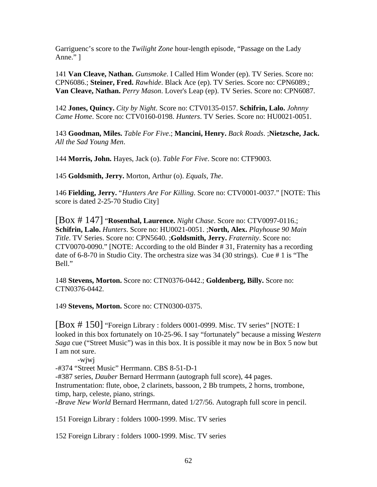Garriguenc's score to the *Twilight Zone* hour-length episode, "Passage on the Lady Anne." ]

141 **Van Cleave, Nathan.** *Gunsmoke*. I Called Him Wonder (ep). TV Series. Score no: CPN6086.; **Steiner, Fred.** *Rawhide*. Black Ace (ep). TV Series. Score no: CPN6089.; **Van Cleave, Nathan.** *Perry Mason*. Lover's Leap (ep). TV Series. Score no: CPN6087.

142 **Jones, Quincy.** *City by Night*. Score no: CTV0135-0157. **Schifrin, Lalo.** *Johnny Came Home*. Score no: CTV0160-0198. *Hunters*. TV Series. Score no: HU0021-0051.

143 **Goodman, Miles.** *Table For Five*.; **Mancini, Henry.** *Back Roads*. ;**Nietzsche, Jack.** *All the Sad Young Men*.

144 **Morris, John.** Hayes, Jack (o). *Table For Five*. Score no: CTF9003.

145 **Goldsmith, Jerry.** Morton, Arthur (o). *Equals, The*.

146 **Fielding, Jerry.** "*Hunters Are For Killing*. Score no: CTV0001-0037." [NOTE: This score is dated 2-25-70 Studio City]

[Box # 147] "**Rosenthal, Laurence.** *Night Chase*. Score no: CTV0097-0116.; **Schifrin, Lalo.** *Hunters*. Score no: HU0021-0051. ;**North, Alex.** *Playhouse 90 Main Title*. TV Series. Score no: CPN5640. ;**Goldsmith, Jerry.** *Fraternity*. Score no: CTV0070-0090." [NOTE: According to the old Binder # 31, Fraternity has a recording date of 6-8-70 in Studio City. The orchestra size was 34 (30 strings). Cue # 1 is "The Bell."

148 **Stevens, Morton.** Score no: CTN0376-0442.; **Goldenberg, Billy.** Score no: CTN0376-0442.

149 **Stevens, Morton.** Score no: CTN0300-0375.

[Box # 150] "Foreign Library : folders 0001-0999. Misc. TV series" [NOTE: I looked in this box fortunately on 10-25-96. I say "fortunately" because a missing *Western Saga* cue ("Street Music") was in this box. It is possible it may now be in Box 5 now but I am not sure.

-wjwj

-#374 "Street Music" Herrmann. CBS 8-51-D-1

-#387 series, *Dauber* Bernard Herrmann (autograph full score), 44 pages.

Instrumentation: flute, oboe, 2 clarinets, bassoon, 2 Bb trumpets, 2 horns, trombone, timp, harp, celeste, piano, strings.

-*Brave New World* Bernard Herrmann, dated 1/27/56. Autograph full score in pencil.

151 Foreign Library : folders 1000-1999. Misc. TV series

152 Foreign Library : folders 1000-1999. Misc. TV series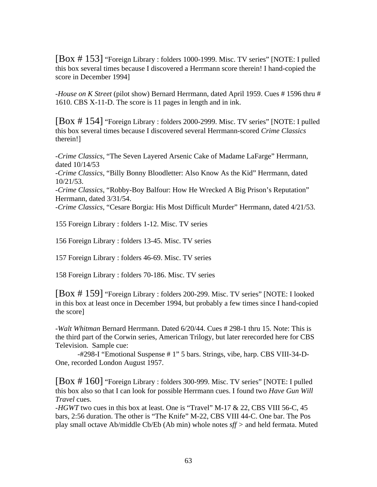[Box # 153] "Foreign Library : folders 1000-1999. Misc. TV series" [NOTE: I pulled this box several times because I discovered a Herrmann score therein! I hand-copied the score in December 1994]

-*House on K Street* (pilot show) Bernard Herrmann, dated April 1959. Cues # 1596 thru # 1610. CBS X-11-D. The score is 11 pages in length and in ink.

[Box # 154] "Foreign Library : folders 2000-2999. Misc. TV series" [NOTE: I pulled this box several times because I discovered several Herrmann-scored *Crime Classics* therein!]

-*Crime Classics*, "The Seven Layered Arsenic Cake of Madame LaFarge" Herrmann, dated 10/14/53

-*Crime Classics*, "Billy Bonny Bloodletter: Also Know As the Kid" Herrmann, dated 10/21/53.

-*Crime Classics*, "Robby-Boy Balfour: How He Wrecked A Big Prison's Reputation" Herrmann, dated 3/31/54.

-*Crime Classics*, "Cesare Borgia: His Most Difficult Murder" Herrmann, dated 4/21/53.

155 Foreign Library : folders 1-12. Misc. TV series

156 Foreign Library : folders 13-45. Misc. TV series

157 Foreign Library : folders 46-69. Misc. TV series

158 Foreign Library : folders 70-186. Misc. TV series

[Box # 159] "Foreign Library : folders 200-299. Misc. TV series" [NOTE: I looked in this box at least once in December 1994, but probably a few times since I hand-copied the score]

-*Walt Whitman* Bernard Herrmann. Dated 6/20/44. Cues # 298-1 thru 15. Note: This is the third part of the Corwin series, American Trilogy, but later rerecorded here for CBS Television. Sample cue:

 -#298-I "Emotional Suspense # 1" 5 bars. Strings, vibe, harp. CBS VIII-34-D-One, recorded London August 1957.

[Box # 160] "Foreign Library : folders 300-999. Misc. TV series" [NOTE: I pulled this box also so that I can look for possible Herrmann cues. I found two *Have Gun Will Travel* cues.

-*HGWT* two cues in this box at least. One is "Travel" M-17 & 22, CBS VIII 56-C, 45 bars, 2:56 duration. The other is "The Knife" M-22, CBS VIII 44-C. One bar. The Pos play small octave Ab/middle Cb/Eb (Ab min) whole notes *sff >* and held fermata. Muted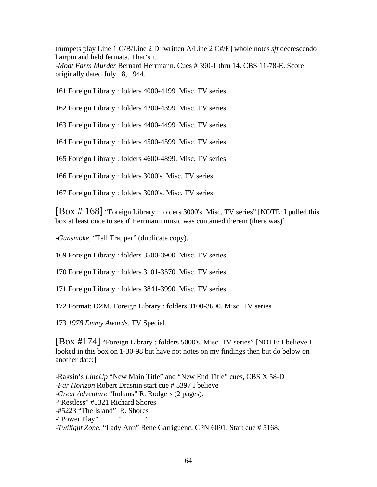trumpets play Line 1 G/B/Line 2 D [written A/Line 2 C#/E] whole notes *sff* decrescendo hairpin and held fermata. That's it. -*Moat Farm Murder* Bernard Herrmann. Cues # 390-1 thru 14. CBS 11-78-E. Score originally dated July 18, 1944.

161 Foreign Library : folders 4000-4199. Misc. TV series

162 Foreign Library : folders 4200-4399. Misc. TV series

163 Foreign Library : folders 4400-4499. Misc. TV series

164 Foreign Library : folders 4500-4599. Misc. TV series

165 Foreign Library : folders 4600-4899. Misc. TV series

166 Foreign Library : folders 3000's. Misc. TV series

167 Foreign Library : folders 3000's. Misc. TV series

[Box # 168] "Foreign Library : folders 3000's. Misc. TV series" [NOTE: I pulled this box at least once to see if Herrmann music was contained therein (there was)]

-*Gunsmoke*, "Tall Trapper" (duplicate copy).

169 Foreign Library : folders 3500-3900. Misc. TV series

170 Foreign Library : folders 3101-3570. Misc. TV series

171 Foreign Library : folders 3841-3990. Misc. TV series

172 Format: OZM. Foreign Library : folders 3100-3600. Misc. TV series

173 *1978 Emmy Awards*. TV Special.

[Box #174] "Foreign Library : folders 5000's. Misc. TV series" [NOTE: I believe I looked in this box on 1-30-98 but have not notes on my findings then but do below on another date:]

-Raksin's *LineUp* "New Main Title" and "New End Title" cues, CBS X 58-D -*Far Horizon* Robert Drasnin start cue # 5397 I believe -*Great Adventure* "Indians" R. Rodgers (2 pages). -"Restless" #5321 Richard Shores -#5223 "The Island" R. Shores -"Power Play" -*Twilight Zone*, "Lady Ann" Rene Garriguenc, CPN 6091. Start cue # 5168.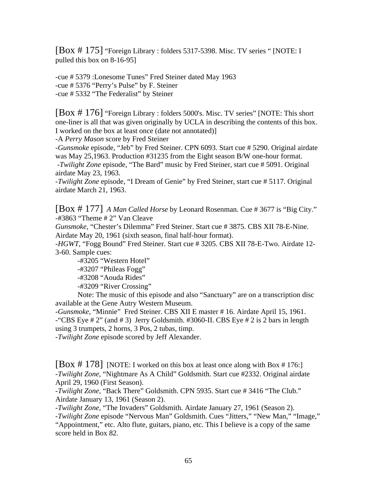[Box # 175] "Foreign Library : folders 5317-5398. Misc. TV series " [NOTE: I pulled this box on 8-16-95]

-cue # 5379 :Lonesome Tunes" Fred Steiner dated May 1963 -cue # 5376 "Perry's Pulse" by F. Steiner -cue # 5332 "The Federalist" by Steiner

[Box # 176] "Foreign Library : folders 5000's. Misc. TV series" [NOTE: This short one-liner is all that was given originally by UCLA in describing the contents of this box. I worked on the box at least once (date not annotated)]

-A *Perry Mason* score by Fred Steiner

-*Gunsmoke* episode, "Jeb" by Fred Steiner. CPN 6093. Start cue # 5290. Original airdate was May 25,1963. Production #31235 from the Eight season B/W one-hour format. -*Twilight Zone* episode, "The Bard" music by Fred Steiner, start cue # 5091. Original airdate May 23, 1963.

-*Twilight Zone* episode, "I Dream of Genie" by Fred Steiner, start cue # 5117. Original airdate March 21, 1963.

[Box # 177] *A Man Called Horse* by Leonard Rosenman. Cue # 3677 is "Big City." -#3863 "Theme # 2" Van Cleave

*Gunsmoke*, "Chester's Dilemma" Fred Steiner. Start cue # 3875. CBS XII 78-E-Nine. Airdate May 20, 1961 (sixth season, final half-hour format).

-*HGWT*, "Fogg Bound" Fred Steiner. Start cue # 3205. CBS XII 78-E-Two. Airdate 12- 3-60. Sample cues:

 -#3205 "Western Hotel" -#3207 "Phileas Fogg" -#3208 "Aouda Rides" -#3209 "River Crossing"

 Note: The music of this episode and also "Sanctuary" are on a transcription disc available at the Gene Autry Western Museum.

-*Gunsmoke*, "Minnie" Fred Steiner. CBS XII E master # 16. Airdate April 15, 1961. -"CBS Eye  $\# 2$ " (and  $\# 3$ ) Jerry Goldsmith.  $\# 3060$ -II. CBS Eye  $\# 2$  is 2 bars in length using 3 trumpets, 2 horns, 3 Pos, 2 tubas, timp.

-*Twilight Zone* episode scored by Jeff Alexander.

[Box # 178] [NOTE: I worked on this box at least once along with Box # 176:] -*Twilight Zone*, "Nightmare As A Child" Goldsmith. Start cue #2332. Original airdate April 29, 1960 (First Season).

-*Twilight Zone*, "Back There" Goldsmith. CPN 5935. Start cue # 3416 "The Club." Airdate January 13, 1961 (Season 2).

-*Twilight Zone*, "The Invaders" Goldsmith. Airdate January 27, 1961 (Season 2).

-*Twilight Zone* episode "Nervous Man" Goldsmith. Cues "Jitters," "New Man," "Image," "Appointment," etc. Alto flute, guitars, piano, etc. This I believe is a copy of the same score held in Box 82.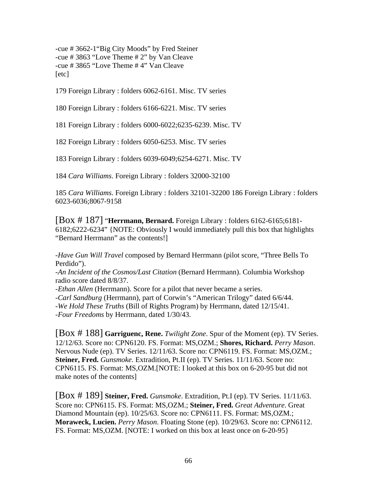-cue # 3662-1"Big City Moods" by Fred Steiner -cue # 3863 "Love Theme # 2" by Van Cleave -cue # 3865 "Love Theme # 4" Van Cleave [etc]

179 Foreign Library : folders 6062-6161. Misc. TV series

180 Foreign Library : folders 6166-6221. Misc. TV series

181 Foreign Library : folders 6000-6022;6235-6239. Misc. TV

182 Foreign Library : folders 6050-6253. Misc. TV series

183 Foreign Library : folders 6039-6049;6254-6271. Misc. TV

184 *Cara Williams*. Foreign Library : folders 32000-32100

185 *Cara Williams*. Foreign Library : folders 32101-32200 186 Foreign Library : folders 6023-6036;8067-9158

[Box # 187] "**Herrmann, Bernard.** Foreign Library : folders 6162-6165;6181- 6182;6222-6234" {NOTE: Obviously I would immediately pull this box that highlights "Bernard Herrmann" as the contents!]

-*Have Gun Will Travel* composed by Bernard Herrmann (pilot score, "Three Bells To Perdido").

-*An Incident of the Cosmos/Last Citation* (Bernard Herrmann). Columbia Workshop radio score dated 8/8/37.

-*Ethan Allen* (Herrmann). Score for a pilot that never became a series.

-*Carl Sandburg* (Herrmann), part of Corwin's "American Trilogy" dated 6/6/44.

-*We Hold These Truths* (Bill of Rights Program) by Herrmann, dated 12/15/41.

-*Four Freedoms* by Herrmann, dated 1/30/43.

[Box # 188] **Garriguenc, Rene.** *Twilight Zone*. Spur of the Moment (ep). TV Series. 12/12/63. Score no: CPN6120. FS. Format: MS,OZM.; **Shores, Richard.** *Perry Mason*. Nervous Nude (ep). TV Series. 12/11/63. Score no: CPN6119. FS. Format: MS,OZM.; **Steiner, Fred.** *Gunsmoke*. Extradition, Pt.II (ep). TV Series. 11/11/63. Score no: CPN6115. FS. Format: MS,OZM.[NOTE: I looked at this box on 6-20-95 but did not make notes of the contents]

[Box # 189] **Steiner, Fred.** *Gunsmoke*. Extradition, Pt.I (ep). TV Series. 11/11/63. Score no: CPN6115. FS. Format: MS,OZM.; **Steiner, Fred.** *Great Adventure*. Great Diamond Mountain (ep). 10/25/63. Score no: CPN6111. FS. Format: MS,OZM.; **Moraweck, Lucien.** *Perry Mason*. Floating Stone (ep). 10/29/63. Score no: CPN6112. FS. Format: MS,OZM. [NOTE: I worked on this box at least once on 6-20-95}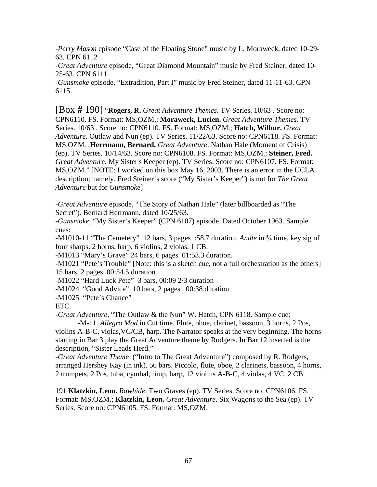-*Perry Mason* episode "Case of the Floating Stone" music by L. Moraweck, dated 10-29- 63. CPN 6112

-*Great Adventure* episode, "Great Diamond Mountain" music by Fred Steiner, dated 10- 25-63. CPN 6111.

-*Gunsmoke* episode, "Extradition, Part I" music by Fred Steiner, dated 11-11-63. CPN 6115.

[Box # 190] "**Rogers, R.** *Great Adventure Themes*. TV Series. 10/63 . Score no: CPN6110. FS. Format: MS,OZM.; **Moraweck, Lucien.** *Great Adventure Themes*. TV Series. 10/63 . Score no: CPN6110. FS. Format: MS,OZM.; **Hatch, Wilbur.** *Great Adventure*. Outlaw and Nun (ep). TV Series. 11/22/63. Score no: CPN6118. FS. Format: MS,OZM. ;**Herrmann, Bernard.** *Great Adventure*. Nathan Hale (Moment of Crisis) (ep). TV Series. 10/14/63. Score no: CPN6108. FS. Format: MS,OZM.; **Steiner, Fred.** *Great Adventure*. My Sister's Keeper (ep). TV Series. Score no: CPN6107. FS. Format: MS,OZM." [NOTE: I worked on this box May 16, 2003. There is an error in the UCLA description; namely, Fred Steiner's score ("My Sister's Keeper") is not for *The Great Adventure* but for *Gunsmoke*]

-*Great Adventure* episode, "The Story of Nathan Hale" (later billboarded as "The Secret"). Bernard Herrmann, dated 10/25/63.

-*Gunsmoke*, "My Sister's Keeper" (CPN 6107) episode. Dated October 1963. Sample cues:

-M1010-11 "The Cemetery" 12 bars, 3 pages :58.7 duration. *Andte* in <sup>3</sup>/<sub>4</sub> time, key sig of four sharps. 2 horns, harp, 6 violins, 2 violas, 1 CB.

-M1013 "Mary's Grave" 24 bars, 6 pages 01:53.3 duration.

-M1021 "Pete's Trouble" [Note: this is a sketch cue, not a full orchestration as the others] 15 bars, 2 pages 00:54.5 duration

-M1022 "Hard Luck Pete" 3 bars, 00:09 2/3 duration

-M1024 "Good Advice" 10 bars, 2 pages 00:38 duration

-M1025 "Pete's Chance"

ETC.

-*Great Adventure*, "The Outlaw & the Nun" W. Hatch, CPN 6118. Sample cue:

 -M-11. *Allegro Mod* in Cut time. Flute, oboe, clarinet, bassoon, 3 horns, 2 Pos, violins A-B-C, violas,VC/CB, harp. The Narrator speaks at the very beginning. The horns starting in Bar 3 play the Great Adventure theme by Rodgers. In Bar 12 inserted is the description, "Sister Leads Herd."

-*Great Adventure Theme* ("Intro to The Great Adventure") composed by R. Rodgers, arranged Hershey Kay (in ink). 56 bars. Piccolo, flute, oboe, 2 clarinets, bassoon, 4 horns, 2 trumpets, 2 Pos, tuba, cymbal, timp, harp, 12 violins A-B-C, 4 violas, 4 VC, 2 CB.

191 **Klatzkin, Leon.** *Rawhide*. Two Graves (ep). TV Series. Score no: CPN6106. FS. Format: MS,OZM.; **Klatzkin, Leon.** *Great Adventure*. Six Wagons to the Sea (ep). TV Series. Score no: CPN6105. FS. Format: MS,OZM.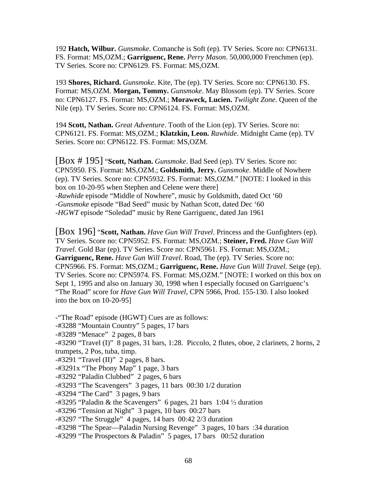192 **Hatch, Wilbur.** *Gunsmoke*. Comanche is Soft (ep). TV Series. Score no: CPN6131. FS. Format: MS,OZM.; **Garriguenc, Rene.** *Perry Mason*. 50,000,000 Frenchmen (ep). TV Series. Score no: CPN6129. FS. Format: MS,OZM.

193 **Shores, Richard.** *Gunsmoke*. Kite, The (ep). TV Series. Score no: CPN6130. FS. Format: MS,OZM. **Morgan, Tommy.** *Gunsmoke*. May Blossom (ep). TV Series. Score no: CPN6127. FS. Format: MS,OZM.; **Moraweck, Lucien.** *Twilight Zone*. Queen of the Nile (ep). TV Series. Score no: CPN6124. FS. Format: MS,OZM.

194 **Scott, Nathan.** *Great Adventure*. Tooth of the Lion (ep). TV Series. Score no: CPN6121. FS. Format: MS,OZM.; **Klatzkin, Leon.** *Rawhide*. Midnight Came (ep). TV Series. Score no: CPN6122. FS. Format: MS,OZM.

[Box # 195] "**Scott, Nathan.** *Gunsmoke*. Bad Seed (ep). TV Series. Score no: CPN5950. FS. Format: MS,OZM.; **Goldsmith, Jerry.** *Gunsmoke*. Middle of Nowhere (ep). TV Series. Score no: CPN5932. FS. Format: MS,OZM." [NOTE: I looked in this box on 10-20-95 when Stephen and Celene were there] -*Rawhide* episode "Middle of Nowhere", music by Goldsmith, dated Oct '60 -*Gunsmoke* episode "Bad Seed" music by Nathan Scott, dated Dec '60 -*HGWT* episode "Soledad" music by Rene Garriguenc, dated Jan 1961

[Box 196] "**Scott, Nathan.** *Have Gun Will Travel*. Princess and the Gunfighters (ep). TV Series. Score no: CPN5952. FS. Format: MS,OZM.; **Steiner, Fred.** *Have Gun Will Travel*. Gold Bar (ep). TV Series. Score no: CPN5961. FS. Format: MS,OZM.; **Garriguenc, Rene.** *Have Gun Will Travel*. Road, The (ep). TV Series. Score no: CPN5966. FS. Format: MS,OZM.; **Garriguenc, Rene.** *Have Gun Will Travel*. Seige (ep). TV Series. Score no: CPN5974. FS. Format: MS,OZM." [NOTE: I worked on this box on Sept 1, 1995 and also on January 30, 1998 when I especially focused on Garriguenc's "The Road" score for *Have Gun Will Travel*, CPN 5966, Prod. 155-130. I also looked into the box on 10-20-95]

-"The Road" episode (HGWT) Cues are as follows: -#3288 "Mountain Country" 5 pages, 17 bars -#3289 "Menace" 2 pages, 8 bars -#3290 "Travel (I)" 8 pages, 31 bars, 1:28. Piccolo, 2 flutes, oboe, 2 clarinets, 2 horns, 2 trumpets, 2 Pos, tuba, timp.  $-$ #3291 "Travel (II)" 2 pages, 8 bars. -#3291x "The Phony Map" 1 page, 3 bars -#3292 "Paladin Clubbed" 2 pages, 6 bars -#3293 "The Scavengers" 3 pages, 11 bars 00:30 1/2 duration -#3294 "The Card" 3 pages, 9 bars  $-$ #3295 "Paladin & the Scavengers" 6 pages, 21 bars 1:04  $\frac{1}{2}$  duration -#3296 "Tension at Night" 3 pages, 10 bars 00:27 bars -#3297 "The Struggle" 4 pages, 14 bars 00:42 2/3 duration -#3298 "The Spear—Paladin Nursing Revenge" 3 pages, 10 bars :34 duration -#3299 "The Prospectors & Paladin" 5 pages, 17 bars 00:52 duration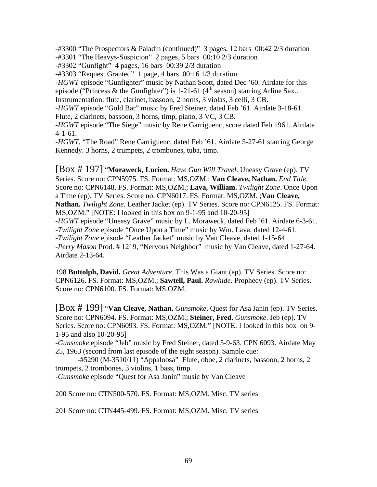-#3300 "The Prospectors & Paladin (continued)" 3 pages, 12 bars 00:42 2/3 duration -#3301 "The Heavys-Suspicion" 2 pages, 5 bars 00:10 2/3 duration

-#3302 "Gunfight" 4 pages, 16 bars 00:39 2/3 duration

-#3303 "Request Granted" 1 page, 4 bars 00:16 1/3 duration

-*HGWT* episode "Gunfighter" music by Nathan Scott, dated Dec '60. Airdate for this episode ("Princess & the Gunfighter") is 1-21-61 ( $4<sup>th</sup>$  season) starring Arline Sax.. Instrumentation: flute, clarinet, bassoon, 2 horns, 3 violas, 3 celli, 3 CB.

-*HGWT* episode "Gold Bar" music by Fred Steiner, dated Feb '61. Airdate 3-18-61. Flute, 2 clarinets, bassoon, 3 horns, timp, piano, 3 VC, 3 CB.

-*HGWT* episode "The Siege" music by Rene Garriguenc, score dated Feb 1961. Airdate 4-1-61.

-*HGWT*, "The Road" Rene Garriguenc, dated Feb '61. Airdate 5-27-61 starring George Kennedy. 3 horns, 2 trumpets, 2 trombones, tuba, timp.

[Box # 197] "**Moraweck, Lucien.** *Have Gun Will Travel*. Uneasy Grave (ep). TV Series. Score no: CPN5975. FS. Format: MS,OZM.; **Van Cleave, Nathan.** *End Title*. Score no: CPN6148. FS. Format: MS,OZM.; **Lava, William.** *Twilight Zone*. Once Upon a Time (ep). TV Series. Score no: CPN6017. FS. Format: MS,OZM. ;**Van Cleave, Nathan.** *Twilight Zone*. Leather Jacket (ep). TV Series. Score no: CPN6125. FS. Format: MS,OZM." [NOTE: I looked in this box on 9-1-95 and 10-20-95] -*HGWT* episode "Uneasy Grave" music by L. Moraweck, dated Feb '61. Airdate 6-3-61. -*Twilight Zone* episode "Once Upon a Time" music by Wm. Lava, dated 12-4-61. -*Twilight Zone* episode "Leather Jacket" music by Van Cleave, dated 1-15-64 -*Perry Mason* Prod. # 1219, "Nervous Neighbor" music by Van Cleave, dated 1-27-64. Airdate 2-13-64.

198 **Buttolph, David.** *Great Adventure*. This Was a Giant (ep). TV Series. Score no: CPN6126. FS. Format: MS,OZM.; **Sawtell, Paul.** *Rawhide*. Prophecy (ep). TV Series. Score no: CPN6100. FS. Format: MS,OZM.

[Box # 199] "**Van Cleave, Nathan.** *Gunsmoke*. Quest for Asa Janin (ep). TV Series. Score no: CPN6094. FS. Format: MS,OZM.; **Steiner, Fred.** *Gunsmoke*. Jeb (ep). TV Series. Score no: CPN6093. FS. Format: MS,OZM." [NOTE: I looked in this box on 9- 1-95 and also 10-20-95]

-*Gunsmoke* episode "Jeb" music by Fred Steiner, dated 5-9-63. CPN 6093. Airdate May 25, 1963 (second from last episode of the eight season). Sample cue:

 -#5290 (M-3510/11) "Appaloosa" Flute, oboe, 2 clarinets, bassoon, 2 horns, 2 trumpets, 2 trombones, 3 violins, 1 bass, timp.

-*Gunsmoke* episode "Quest for Asa Janin" music by Van Cleave

200 Score no: CTN500-570. FS. Format: MS,OZM. Misc. TV series

201 Score no: CTN445-499. FS. Format: MS,OZM. Misc. TV series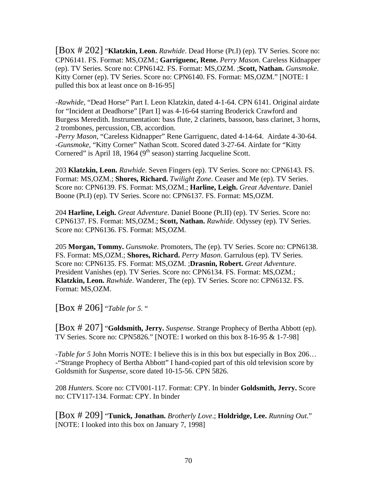[Box # 202] "**Klatzkin, Leon.** *Rawhide*. Dead Horse (Pt.I) (ep). TV Series. Score no: CPN6141. FS. Format: MS,OZM.; **Garriguenc, Rene.** *Perry Mason*. Careless Kidnapper (ep). TV Series. Score no: CPN6142. FS. Format: MS,OZM. ;**Scott, Nathan.** *Gunsmoke*. Kitty Corner (ep). TV Series. Score no: CPN6140. FS. Format: MS,OZM." [NOTE: I pulled this box at least once on 8-16-95]

-*Rawhide*, "Dead Horse" Part I. Leon Klatzkin, dated 4-1-64. CPN 6141. Original airdate for "Incident at Deadhorse" [Part I] was 4-16-64 starring Broderick Crawford and Burgess Meredith. Instrumentation: bass flute, 2 clarinets, bassoon, bass clarinet, 3 horns, 2 trombones, percussion, CB, accordion.

-*Perry Mason*, "Careless Kidnapper" Rene Garriguenc, dated 4-14-64. Airdate 4-30-64. -*Gunsmoke*, "Kitty Corner" Nathan Scott. Scored dated 3-27-64. Airdate for "Kitty Cornered" is April 18, 1964 ( $9<sup>th</sup>$  season) starring Jacqueline Scott.

203 **Klatzkin, Leon.** *Rawhide*. Seven Fingers (ep). TV Series. Score no: CPN6143. FS. Format: MS,OZM.; **Shores, Richard.** *Twilight Zone*. Ceaser and Me (ep). TV Series. Score no: CPN6139. FS. Format: MS,OZM.; **Harline, Leigh.** *Great Adventure*. Daniel Boone (Pt.I) (ep). TV Series. Score no: CPN6137. FS. Format: MS,OZM.

204 **Harline, Leigh.** *Great Adventure*. Daniel Boone (Pt.II) (ep). TV Series. Score no: CPN6137. FS. Format: MS,OZM.; **Scott, Nathan.** *Rawhide*. Odyssey (ep). TV Series. Score no: CPN6136. FS. Format: MS,OZM.

205 **Morgan, Tommy.** *Gunsmoke*. Promoters, The (ep). TV Series. Score no: CPN6138. FS. Format: MS,OZM.; **Shores, Richard.** *Perry Mason*. Garrulous (ep). TV Series. Score no: CPN6135. FS. Format: MS,OZM. ;**Drasnin, Robert.** *Great Adventure*. President Vanishes (ep). TV Series. Score no: CPN6134. FS. Format: MS,OZM.; **Klatzkin, Leon.** *Rawhide*. Wanderer, The (ep). TV Series. Score no: CPN6132. FS. Format: MS,OZM.

[Box # 206] "*Table for 5*. "

[Box # 207] "**Goldsmith, Jerry.** *Suspense*. Strange Prophecy of Bertha Abbott (ep). TV Series. Score no: CPN5826." [NOTE: I worked on this box 8-16-95 & 1-7-98]

-*Table for 5* John Morris NOTE: I believe this is in this box but especially in Box 206… -"Strange Prophecy of Bertha Abbott" I hand-copied part of this old television score by Goldsmith for *Suspense*, score dated 10-15-56. CPN 5826.

208 *Hunters*. Score no: CTV001-117. Format: CPY. In binder **Goldsmith, Jerry.** Score no: CTV117-134. Format: CPY. In binder

[Box # 209] "**Tunick, Jonathan.** *Brotherly Love*.; **Holdridge, Lee.** *Running Out*." [NOTE: I looked into this box on January 7, 1998]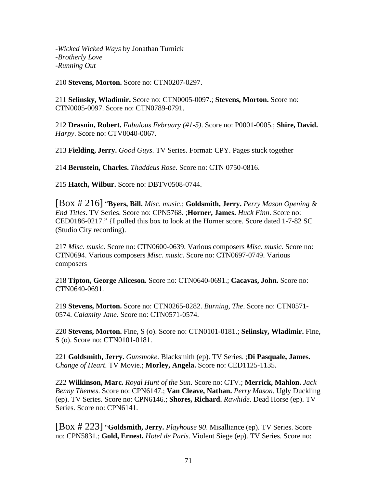-*Wicked Wicked Ways* by Jonathan Turnick -*Brotherly Love* -*Running Out*

210 **Stevens, Morton.** Score no: CTN0207-0297.

211 **Selinsky, Wladimir.** Score no: CTN0005-0097.; **Stevens, Morton.** Score no: CTN0005-0097. Score no: CTN0789-0791.

212 **Drasnin, Robert.** *Fabulous February (#1-5)*. Score no: P0001-0005.; **Shire, David.** *Harpy*. Score no: CTV0040-0067.

213 **Fielding, Jerry.** *Good Guys*. TV Series. Format: CPY. Pages stuck together

214 **Bernstein, Charles.** *Thaddeus Rose*. Score no: CTN 0750-0816.

215 **Hatch, Wilbur.** Score no: DBTV0508-0744.

[Box # 216] "**Byers, Bill.** *Misc. music*.; **Goldsmith, Jerry.** *Perry Mason Opening & End Titles*. TV Series. Score no: CPN5768. ;**Horner, James.** *Huck Finn*. Score no: CED0186-0217." {I pulled this box to look at the Horner score. Score dated 1-7-82 SC (Studio City recording).

217 *Misc. music*. Score no: CTN0600-0639. Various composers *Misc. music*. Score no: CTN0694. Various composers *Misc. music*. Score no: CTN0697-0749. Various composers

218 **Tipton, George Aliceson.** Score no: CTN0640-0691.; **Cacavas, John.** Score no: CTN0640-0691.

219 **Stevens, Morton.** Score no: CTN0265-0282. *Burning, The*. Score no: CTN0571- 0574. *Calamity Jane*. Score no: CTN0571-0574.

220 **Stevens, Morton.** Fine, S (o). Score no: CTN0101-0181.; **Selinsky, Wladimir.** Fine, S (o). Score no: CTN0101-0181.

221 **Goldsmith, Jerry.** *Gunsmoke*. Blacksmith (ep). TV Series. ;**Di Pasquale, James.** *Change of Heart*. TV Movie.; **Morley, Angela.** Score no: CED1125-1135.

222 **Wilkinson, Marc.** *Royal Hunt of the Sun*. Score no: CTV.; **Merrick, Mahlon.** *Jack Benny Themes*. Score no: CPN6147.; **Van Cleave, Nathan.** *Perry Mason*. Ugly Duckling (ep). TV Series. Score no: CPN6146.; **Shores, Richard.** *Rawhide*. Dead Horse (ep). TV Series. Score no: CPN6141.

[Box # 223] "**Goldsmith, Jerry.** *Playhouse 90*. Misalliance (ep). TV Series. Score no: CPN5831.; **Gold, Ernest.** *Hotel de Paris*. Violent Siege (ep). TV Series. Score no: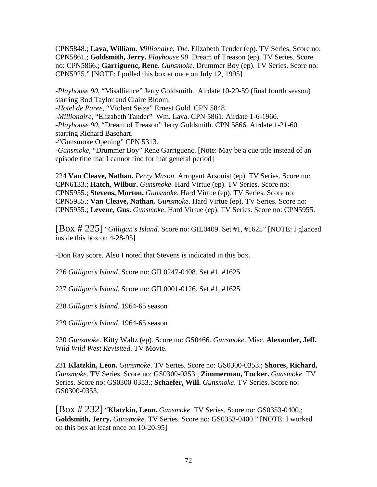CPN5848.; **Lava, William.** *Millionaire, The*. Elizabeth Tender (ep). TV Series. Score no: CPN5861.; **Goldsmith, Jerry.** *Playhouse 90*. Dream of Treason (ep). TV Series. Score no: CPN5866.; **Garriguenc, Rene.** *Gunsmoke*. Drummer Boy (ep). TV Series. Score no: CPN5925." [NOTE: I pulled this box at once on July 12, 1995]

-*Playhouse 90*, "Misalliance" Jerry Goldsmith. Airdate 10-29-59 (final fourth season) starring Rod Taylor and Claire Bloom.

-*Hotel de Paree*, "Violent Seize" Ernest Gold. CPN 5848.

-*Millionaire*, "Elizabeth Tander" Wm. Lava. CPN 5861. Airdate 1-6-1960. -*Playhouse 90*, "Dream of Treason" Jerry Goldsmith. CPN 5866. Airdate 1-21-60

starring Richard Basehart.

-"Gunsmoke Opening" CPN 5313.

-*Gunsmoke*, "Drummer Boy" Rene Garriguenc. [Note: May be a cue title instead of an episode title that I cannot find for that general period]

224 **Van Cleave, Nathan.** *Perry Mason*. Arrogant Arsonist (ep). TV Series. Score no: CPN6133.; **Hatch, Wilbur.** *Gunsmoke*. Hard Virtue (ep). TV Series. Score no: CPN5955.; **Stevens, Morton.** *Gunsmoke*. Hard Virtue (ep). TV Series. Score no: CPN5955.; **Van Cleave, Nathan.** *Gunsmoke*. Hard Virtue (ep). TV Series. Score no: CPN5955.; **Levene, Gus.** *Gunsmoke*. Hard Virtue (ep). TV Series. Score no: CPN5955.

[Box # 225] "*Gilligan's Island*. Score no: GIL0409. Set #1, #1625" [NOTE: I glanced inside this box on 4-28-95]

-Don Ray score. Also I noted that Stevens is indicated in this box.

226 *Gilligan's Island*. Score no: GIL0247-0408. Set #1, #1625

227 *Gilligan's Island*. Score no: GIL0001-0126. Set #1, #1625

228 *Gilligan's Island*. 1964-65 season

229 *Gilligan's Island*. 1964-65 season

230 *Gunsmoke*. Kitty Waltz (ep). Score no: GS0466. *Gunsmoke*. Misc. **Alexander, Jeff.** *Wild Wild West Revisited*. TV Movie.

231 **Klatzkin, Leon.** *Gunsmoke*. TV Series. Score no: GS0300-0353.; **Shores, Richard.** *Gunsmoke*. TV Series. Score no: GS0300-0353.; **Zimmerman, Tucker.** *Gunsmoke*. TV Series. Score no: GS0300-0353.; **Schaefer, Will.** *Gunsmoke*. TV Series. Score no: GS0300-0353.

[Box # 232] "**Klatzkin, Leon.** *Gunsmoke*. TV Series. Score no: GS0353-0400.; **Goldsmith, Jerry.** *Gunsmoke*. TV Series. Score no: GS0353-0400." [NOTE: I worked on this box at least once on 10-20-95]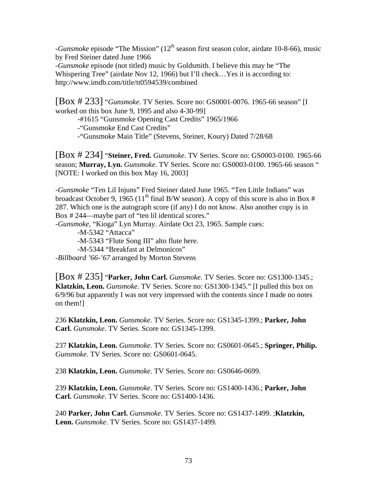-*Gunsmoke* episode "The Mission" (12<sup>th</sup> season first season color, airdate 10-8-66), music by Fred Steiner dated June 1966

-*Gunsmoke* episode (not titled) music by Goldsmith. I believe this may be "The Whispering Tree" (airdate Nov 12, 1966) but I'll check…Yes it is according to: http://www.imdb.com/title/tt0594539/combined

[Box # 233] "*Gunsmoke*. TV Series. Score no: GS0001-0076. 1965-66 season" [I worked on this box June 9, 1995 and also 4-30-99]

-#1615 "Gunsmoke Opening Cast Credits" 1965/1966

-"Gunsmoke End Cast Credits"

-"Gunsmoke Main Title" (Stevens, Steiner, Koury) Dated 7/28/68

[Box # 234] "**Steiner, Fred.** *Gunsmoke*. TV Series. Score no: GS0003-0100. 1965-66 season; **Murray, Lyn.** *Gunsmoke*. TV Series. Score no: GS0003-0100. 1965-66 season " [NOTE: I worked on this box May 16, 2003]

-*Gunsmoke* "Ten Lil Injuns" Fred Steiner dated June 1965. "Ten Little Indians" was broadcast October 9, 1965 (11<sup>th</sup> final B/W season). A copy of this score is also in Box # 287. Which one is the autograph score (if any) I do not know. Also another copy is in Box # 244—maybe part of "ten lil identical scores."

-*Gunsmoke*, "Kioga" Lyn Murray. Airdate Oct 23, 1965. Sample cues:

-M-5342 "Attacca"

-M-5343 "Flute Song III" alto flute here.

-M-5344 "Breakfast at Delmonicos"

-*Billboard '66-'67* arranged by Morton Stevens

[Box # 235] "**Parker, John Carl.** *Gunsmoke*. TV Series. Score no: GS1300-1345.; **Klatzkin, Leon.** *Gunsmoke*. TV Series. Score no: GS1300-1345." [I pulled this box on 6/9/96 but apparently I was not very impressed with the contents since I made no notes on them!]

236 **Klatzkin, Leon.** *Gunsmoke*. TV Series. Score no: GS1345-1399.; **Parker, John Carl.** *Gunsmoke*. TV Series. Score no: GS1345-1399.

237 **Klatzkin, Leon.** *Gunsmoke*. TV Series. Score no: GS0601-0645.; **Springer, Philip.** *Gunsmoke*. TV Series. Score no: GS0601-0645.

238 **Klatzkin, Leon.** *Gunsmoke*. TV Series. Score no: GS0646-0699.

239 **Klatzkin, Leon.** *Gunsmoke*. TV Series. Score no: GS1400-1436.; **Parker, John Carl.** *Gunsmoke*. TV Series. Score no: GS1400-1436.

240 **Parker, John Carl.** *Gunsmoke*. TV Series. Score no: GS1437-1499. ;**Klatzkin, Leon.** *Gunsmoke*. TV Series. Score no: GS1437-1499.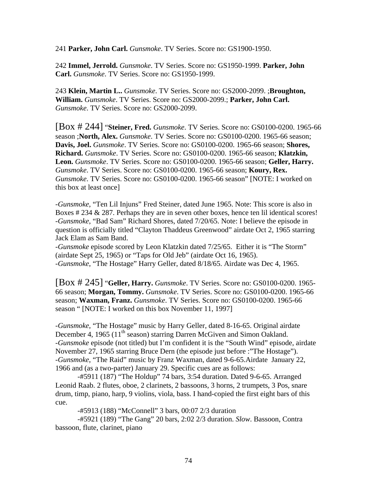241 **Parker, John Carl.** *Gunsmoke*. TV Series. Score no: GS1900-1950.

242 **Immel, Jerrold.** *Gunsmoke*. TV Series. Score no: GS1950-1999. **Parker, John Carl.** *Gunsmoke*. TV Series. Score no: GS1950-1999.

243 **Klein, Martin L..** *Gunsmoke*. TV Series. Score no: GS2000-2099. ;**Broughton, William.** *Gunsmoke*. TV Series. Score no: GS2000-2099.; **Parker, John Carl.** *Gunsmoke*. TV Series. Score no: GS2000-2099.

[Box # 244] "**Steiner, Fred.** *Gunsmoke*. TV Series. Score no: GS0100-0200. 1965-66 season ;**North, Alex.** *Gunsmoke*. TV Series. Score no: GS0100-0200. 1965-66 season; **Davis, Joel.** *Gunsmoke*. TV Series. Score no: GS0100-0200. 1965-66 season; **Shores, Richard.** *Gunsmoke*. TV Series. Score no: GS0100-0200. 1965-66 season; **Klatzkin, Leon.** *Gunsmoke*. TV Series. Score no: GS0100-0200. 1965-66 season; **Geller, Harry.** *Gunsmoke*. TV Series. Score no: GS0100-0200. 1965-66 season; **Koury, Rex.** *Gunsmoke*. TV Series. Score no: GS0100-0200. 1965-66 season" [NOTE: I worked on this box at least once]

-*Gunsmoke*, "Ten Lil Injuns" Fred Steiner, dated June 1965. Note: This score is also in Boxes # 234 & 287. Perhaps they are in seven other boxes, hence ten lil identical scores! -*Gunsmoke*, "Bad Sam" Richard Shores, dated 7/20/65. Note: I believe the episode in question is officially titled "Clayton Thaddeus Greenwood" airdate Oct 2, 1965 starring Jack Elam as Sam Band.

-*Gunsmoke* episode scored by Leon Klatzkin dated 7/25/65. Either it is "The Storm" (airdate Sept 25, 1965) or "Taps for Old Jeb" (airdate Oct 16, 1965). -*Gunsmoke*, "The Hostage" Harry Geller, dated 8/18/65. Airdate was Dec 4, 1965.

[Box # 245] "**Geller, Harry.** *Gunsmoke*. TV Series. Score no: GS0100-0200. 1965- 66 season; **Morgan, Tommy.** *Gunsmoke*. TV Series. Score no: GS0100-0200. 1965-66 season; **Waxman, Franz.** *Gunsmoke*. TV Series. Score no: GS0100-0200. 1965-66 season " [NOTE: I worked on this box November 11, 1997]

-*Gunsmoke*, "The Hostage" music by Harry Geller, dated 8-16-65. Original airdate December 4, 1965 (11<sup>th</sup> season) starring Darren McGiven and Simon Oakland. -*Gunsmoke* episode (not titled) but I'm confident it is the "South Wind" episode, airdate November 27, 1965 starring Bruce Dern (the episode just before :"The Hostage"). -*Gunsmoke*, "The Raid" music by Franz Waxman, dated 9-6-65.Airdate January 22, 1966 and (as a two-parter) January 29. Specific cues are as follows:

 -#5911 (187) "The Holdup" 74 bars, 3:54 duration. Dated 9-6-65. Arranged Leonid Raab. 2 flutes, oboe, 2 clarinets, 2 bassoons, 3 horns, 2 trumpets, 3 Pos, snare drum, timp, piano, harp, 9 violins, viola, bass. I hand-copied the first eight bars of this cue.

-#5913 (188) "McConnell" 3 bars, 00:07 2/3 duration

 -#5921 (189) "The Gang" 20 bars, 2:02 2/3 duration. *Slow*. Bassoon, Contra bassoon, flute, clarinet, piano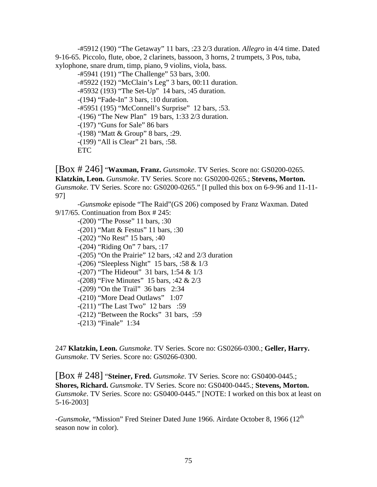-#5912 (190) "The Getaway" 11 bars, :23 2/3 duration. *Allegro* in 4/4 time. Dated 9-16-65. Piccolo, flute, oboe, 2 clarinets, bassoon, 3 horns, 2 trumpets, 3 Pos, tuba, xylophone, snare drum, timp, piano, 9 violins, viola, bass.

 -#5941 (191) "The Challenge" 53 bars, 3:00. -#5922 (192) "McClain's Leg" 3 bars, 00:11 duration. -#5932 (193) "The Set-Up" 14 bars, :45 duration. -(194) "Fade-In" 3 bars, :10 duration. -#5951 (195) "McConnell's Surprise" 12 bars, :53. -(196) "The New Plan" 19 bars, 1:33 2/3 duration. -(197) "Guns for Sale" 86 bars -(198) "Matt & Group" 8 bars, :29. -(199) "All is Clear" 21 bars, :58. ETC

[Box # 246] "**Waxman, Franz.** *Gunsmoke*. TV Series. Score no: GS0200-0265. **Klatzkin, Leon.** *Gunsmoke*. TV Series. Score no: GS0200-0265.; **Stevens, Morton.** *Gunsmoke*. TV Series. Score no: GS0200-0265." [I pulled this box on 6-9-96 and 11-11- 97]

 -*Gunsmoke* episode "The Raid"(GS 206) composed by Franz Waxman. Dated 9/17/65. Continuation from Box # 245:

 -(200) "The Posse" 11 bars, :30 -(201) "Matt & Festus" 11 bars, :30 -(202) "No Rest" 15 bars, :40 -(204) "Riding On" 7 bars, :17 -(205) "On the Prairie" 12 bars, :42 and 2/3 duration -(206) "Sleepless Night" 15 bars, :58 & 1/3 -(207) "The Hideout" 31 bars, 1:54 & 1/3 -(208) "Five Minutes" 15 bars, :42 & 2/3 -(209) "On the Trail" 36 bars 2:34 -(210) "More Dead Outlaws" 1:07 -(211) "The Last Two" 12 bars :59 -(212) "Between the Rocks" 31 bars, :59 -(213) "Finale" 1:34

247 **Klatzkin, Leon.** *Gunsmoke*. TV Series. Score no: GS0266-0300.; **Geller, Harry.** *Gunsmoke*. TV Series. Score no: GS0266-0300.

[Box # 248] "**Steiner, Fred.** *Gunsmoke*. TV Series. Score no: GS0400-0445.; **Shores, Richard.** *Gunsmoke*. TV Series. Score no: GS0400-0445.; **Stevens, Morton.** *Gunsmoke*. TV Series. Score no: GS0400-0445." [NOTE: I worked on this box at least on 5-16-2003]

-*Gunsmoke*, "Mission" Fred Steiner Dated June 1966. Airdate October 8, 1966 (12th season now in color).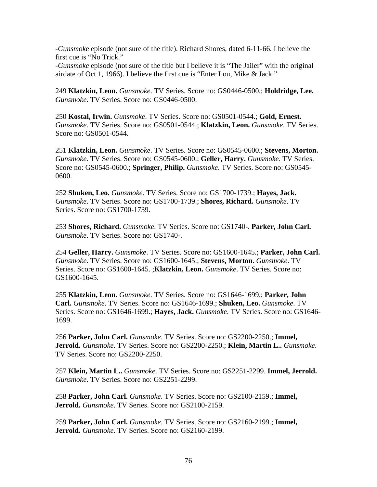-*Gunsmoke* episode (not sure of the title). Richard Shores, dated 6-11-66. I believe the first cue is "No Trick."

-*Gunsmoke* episode (not sure of the title but I believe it is "The Jailer" with the original airdate of Oct 1, 1966). I believe the first cue is "Enter Lou, Mike & Jack."

249 **Klatzkin, Leon.** *Gunsmoke*. TV Series. Score no: GS0446-0500.; **Holdridge, Lee.** *Gunsmoke*. TV Series. Score no: GS0446-0500.

250 **Kostal, Irwin.** *Gunsmoke*. TV Series. Score no: GS0501-0544.; **Gold, Ernest.** *Gunsmoke*. TV Series. Score no: GS0501-0544.; **Klatzkin, Leon.** *Gunsmoke*. TV Series. Score no: GS0501-0544.

251 **Klatzkin, Leon.** *Gunsmoke*. TV Series. Score no: GS0545-0600.; **Stevens, Morton.** *Gunsmoke*. TV Series. Score no: GS0545-0600.; **Geller, Harry.** *Gunsmoke*. TV Series. Score no: GS0545-0600.; **Springer, Philip.** *Gunsmoke*. TV Series. Score no: GS0545- 0600.

252 **Shuken, Leo.** *Gunsmoke*. TV Series. Score no: GS1700-1739.; **Hayes, Jack.** *Gunsmoke*. TV Series. Score no: GS1700-1739.; **Shores, Richard.** *Gunsmoke*. TV Series. Score no: GS1700-1739.

253 **Shores, Richard.** *Gunsmoke*. TV Series. Score no: GS1740-. **Parker, John Carl.** *Gunsmoke*. TV Series. Score no: GS1740-.

254 **Geller, Harry.** *Gunsmoke*. TV Series. Score no: GS1600-1645.; **Parker, John Carl.** *Gunsmoke*. TV Series. Score no: GS1600-1645.; **Stevens, Morton.** *Gunsmoke*. TV Series. Score no: GS1600-1645. ;**Klatzkin, Leon.** *Gunsmoke*. TV Series. Score no: GS1600-1645.

255 **Klatzkin, Leon.** *Gunsmoke*. TV Series. Score no: GS1646-1699.; **Parker, John Carl.** *Gunsmoke*. TV Series. Score no: GS1646-1699.; **Shuken, Leo.** *Gunsmoke*. TV Series. Score no: GS1646-1699.; **Hayes, Jack.** *Gunsmoke*. TV Series. Score no: GS1646- 1699.

256 **Parker, John Carl.** *Gunsmoke*. TV Series. Score no: GS2200-2250.; **Immel, Jerrold.** *Gunsmoke*. TV Series. Score no: GS2200-2250.; **Klein, Martin L..** *Gunsmoke*. TV Series. Score no: GS2200-2250.

257 **Klein, Martin L..** *Gunsmoke*. TV Series. Score no: GS2251-2299. **Immel, Jerrold.** *Gunsmoke*. TV Series. Score no: GS2251-2299.

258 **Parker, John Carl.** *Gunsmoke*. TV Series. Score no: GS2100-2159.; **Immel, Jerrold.** *Gunsmoke*. TV Series. Score no: GS2100-2159.

259 **Parker, John Carl.** *Gunsmoke*. TV Series. Score no: GS2160-2199.; **Immel, Jerrold.** *Gunsmoke*. TV Series. Score no: GS2160-2199.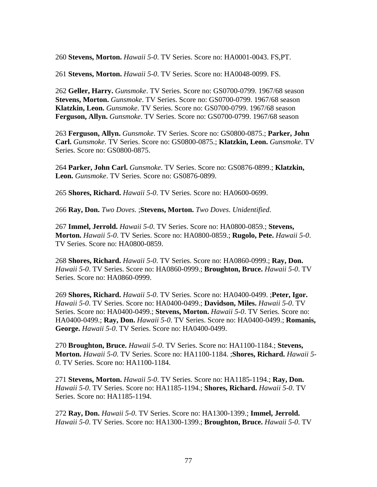260 **Stevens, Morton.** *Hawaii 5-0*. TV Series. Score no: HA0001-0043. FS,PT.

261 **Stevens, Morton.** *Hawaii 5-0*. TV Series. Score no: HA0048-0099. FS.

262 **Geller, Harry.** *Gunsmoke*. TV Series. Score no: GS0700-0799. 1967/68 season **Stevens, Morton.** *Gunsmoke*. TV Series. Score no: GS0700-0799. 1967/68 season **Klatzkin, Leon.** *Gunsmoke*. TV Series. Score no: GS0700-0799. 1967/68 season **Ferguson, Allyn.** *Gunsmoke*. TV Series. Score no: GS0700-0799. 1967/68 season

263 **Ferguson, Allyn.** *Gunsmoke*. TV Series. Score no: GS0800-0875.; **Parker, John Carl.** *Gunsmoke*. TV Series. Score no: GS0800-0875.; **Klatzkin, Leon.** *Gunsmoke*. TV Series. Score no: GS0800-0875.

264 **Parker, John Carl.** *Gunsmoke*. TV Series. Score no: GS0876-0899.; **Klatzkin, Leon.** *Gunsmoke*. TV Series. Score no: GS0876-0899.

265 **Shores, Richard.** *Hawaii 5-0*. TV Series. Score no: HA0600-0699.

266 **Ray, Don.** *Two Doves*. ;**Stevens, Morton.** *Two Doves*. *Unidentified*.

267 **Immel, Jerrold.** *Hawaii 5-0*. TV Series. Score no: HA0800-0859.; **Stevens, Morton.** *Hawaii 5-0*. TV Series. Score no: HA0800-0859.; **Rugolo, Pete.** *Hawaii 5-0*. TV Series. Score no: HA0800-0859.

268 **Shores, Richard.** *Hawaii 5-0*. TV Series. Score no: HA0860-0999.; **Ray, Don.** *Hawaii 5-0*. TV Series. Score no: HA0860-0999.; **Broughton, Bruce.** *Hawaii 5-0*. TV Series. Score no: HA0860-0999.

269 **Shores, Richard.** *Hawaii 5-0*. TV Series. Score no: HA0400-0499. ;**Peter, Igor.** *Hawaii 5-0*. TV Series. Score no: HA0400-0499.; **Davidson, Miles.** *Hawaii 5-0*. TV Series. Score no: HA0400-0499.; **Stevens, Morton.** *Hawaii 5-0*. TV Series. Score no: HA0400-0499.; **Ray, Don.** *Hawaii 5-0*. TV Series. Score no: HA0400-0499.; **Romanis, George.** *Hawaii 5-0*. TV Series. Score no: HA0400-0499.

270 **Broughton, Bruce.** *Hawaii 5-0*. TV Series. Score no: HA1100-1184.; **Stevens, Morton.** *Hawaii 5-0*. TV Series. Score no: HA1100-1184. ;**Shores, Richard.** *Hawaii 5- 0*. TV Series. Score no: HA1100-1184.

271 **Stevens, Morton.** *Hawaii 5-0*. TV Series. Score no: HA1185-1194.; **Ray, Don.** *Hawaii 5-0*. TV Series. Score no: HA1185-1194.; **Shores, Richard.** *Hawaii 5-0*. TV Series. Score no: HA1185-1194.

272 **Ray, Don.** *Hawaii 5-0*. TV Series. Score no: HA1300-1399.; **Immel, Jerrold.** *Hawaii 5-0*. TV Series. Score no: HA1300-1399.; **Broughton, Bruce.** *Hawaii 5-0*. TV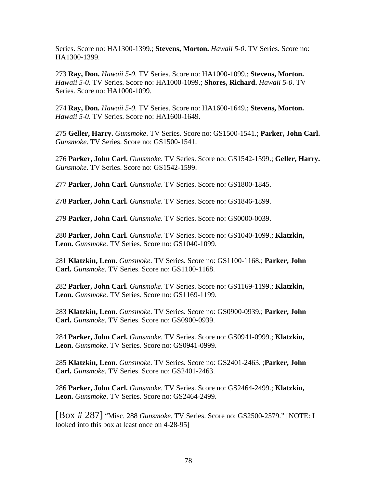Series. Score no: HA1300-1399.; **Stevens, Morton.** *Hawaii 5-0*. TV Series. Score no: HA1300-1399.

273 **Ray, Don.** *Hawaii 5-0*. TV Series. Score no: HA1000-1099.; **Stevens, Morton.** *Hawaii 5-0*. TV Series. Score no: HA1000-1099.; **Shores, Richard.** *Hawaii 5-0*. TV Series. Score no: HA1000-1099.

274 **Ray, Don.** *Hawaii 5-0*. TV Series. Score no: HA1600-1649.; **Stevens, Morton.** *Hawaii 5-0*. TV Series. Score no: HA1600-1649.

275 **Geller, Harry.** *Gunsmoke*. TV Series. Score no: GS1500-1541.; **Parker, John Carl.** *Gunsmoke*. TV Series. Score no: GS1500-1541.

276 **Parker, John Carl.** *Gunsmoke*. TV Series. Score no: GS1542-1599.; **Geller, Harry.** *Gunsmoke*. TV Series. Score no: GS1542-1599.

277 **Parker, John Carl.** *Gunsmoke*. TV Series. Score no: GS1800-1845.

278 **Parker, John Carl.** *Gunsmoke*. TV Series. Score no: GS1846-1899.

279 **Parker, John Carl.** *Gunsmoke*. TV Series. Score no: GS0000-0039.

280 **Parker, John Carl.** *Gunsmoke*. TV Series. Score no: GS1040-1099.; **Klatzkin, Leon.** *Gunsmoke*. TV Series. Score no: GS1040-1099.

281 **Klatzkin, Leon.** *Gunsmoke*. TV Series. Score no: GS1100-1168.; **Parker, John Carl.** *Gunsmoke*. TV Series. Score no: GS1100-1168.

282 **Parker, John Carl.** *Gunsmoke*. TV Series. Score no: GS1169-1199.; **Klatzkin, Leon.** *Gunsmoke*. TV Series. Score no: GS1169-1199.

283 **Klatzkin, Leon.** *Gunsmoke*. TV Series. Score no: GS0900-0939.; **Parker, John Carl.** *Gunsmoke*. TV Series. Score no: GS0900-0939.

284 **Parker, John Carl.** *Gunsmoke*. TV Series. Score no: GS0941-0999.; **Klatzkin, Leon.** *Gunsmoke*. TV Series. Score no: GS0941-0999.

285 **Klatzkin, Leon.** *Gunsmoke*. TV Series. Score no: GS2401-2463. ;**Parker, John Carl.** *Gunsmoke*. TV Series. Score no: GS2401-2463.

286 **Parker, John Carl.** *Gunsmoke*. TV Series. Score no: GS2464-2499.; **Klatzkin, Leon.** *Gunsmoke*. TV Series. Score no: GS2464-2499.

[Box # 287] "Misc. 288 *Gunsmoke*. TV Series. Score no: GS2500-2579." [NOTE: I looked into this box at least once on 4-28-95]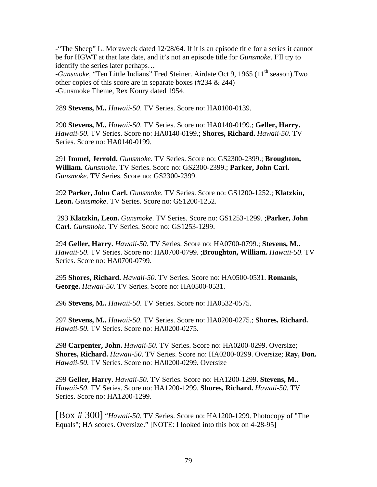-"The Sheep" L. Moraweck dated 12/28/64. If it is an episode title for a series it cannot be for HGWT at that late date, and it's not an episode title for *Gunsmoke*. I'll try to identify the series later perhaps…

-*Gunsmoke*, "Ten Little Indians" Fred Steiner. Airdate Oct 9, 1965 (11<sup>th</sup> season).Two other copies of this score are in separate boxes (#234 & 244) -Gunsmoke Theme, Rex Koury dated 1954.

289 **Stevens, M..** *Hawaii-50*. TV Series. Score no: HA0100-0139.

290 **Stevens, M..** *Hawaii-50*. TV Series. Score no: HA0140-0199.; **Geller, Harry.** *Hawaii-50*. TV Series. Score no: HA0140-0199.; **Shores, Richard.** *Hawaii-50*. TV Series. Score no: HA0140-0199.

291 **Immel, Jerrold.** *Gunsmoke*. TV Series. Score no: GS2300-2399.; **Broughton, William.** *Gunsmoke*. TV Series. Score no: GS2300-2399.; **Parker, John Carl.** *Gunsmoke*. TV Series. Score no: GS2300-2399.

292 **Parker, John Carl.** *Gunsmoke*. TV Series. Score no: GS1200-1252.; **Klatzkin, Leon.** *Gunsmoke*. TV Series. Score no: GS1200-1252.

 293 **Klatzkin, Leon.** *Gunsmoke*. TV Series. Score no: GS1253-1299. ;**Parker, John Carl.** *Gunsmoke*. TV Series. Score no: GS1253-1299.

294 **Geller, Harry.** *Hawaii-50*. TV Series. Score no: HA0700-0799.; **Stevens, M..** *Hawaii-50*. TV Series. Score no: HA0700-0799. ;**Broughton, William.** *Hawaii-50*. TV Series. Score no: HA0700-0799.

295 **Shores, Richard.** *Hawaii-50*. TV Series. Score no: HA0500-0531. **Romanis, George.** *Hawaii-50*. TV Series. Score no: HA0500-0531.

296 **Stevens, M..** *Hawaii-50*. TV Series. Score no: HA0532-0575.

297 **Stevens, M..** *Hawaii-50*. TV Series. Score no: HA0200-0275.; **Shores, Richard.** *Hawaii-50*. TV Series. Score no: HA0200-0275.

298 **Carpenter, John.** *Hawaii-50*. TV Series. Score no: HA0200-0299. Oversize; **Shores, Richard.** *Hawaii-50*. TV Series. Score no: HA0200-0299. Oversize; **Ray, Don.** *Hawaii-50*. TV Series. Score no: HA0200-0299. Oversize

299 **Geller, Harry.** *Hawaii-50*. TV Series. Score no: HA1200-1299. **Stevens, M..** *Hawaii-50*. TV Series. Score no: HA1200-1299. **Shores, Richard.** *Hawaii-50*. TV Series. Score no: HA1200-1299.

[Box # 300] "*Hawaii-50*. TV Series. Score no: HA1200-1299. Photocopy of "The Equals"; HA scores. Oversize." [NOTE: I looked into this box on 4-28-95]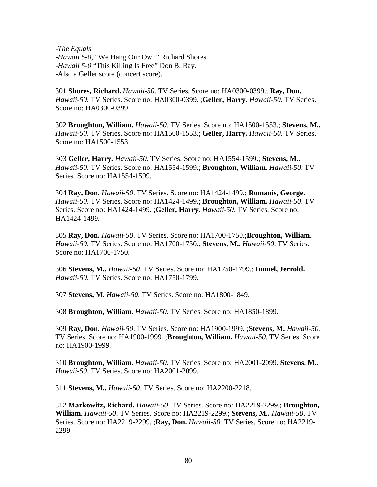-*The Equals* -*Hawaii 5-0*, "We Hang Our Own" Richard Shores -*Hawaii 5-0* "This Killing Is Free" Don B. Ray. -Also a Geller score (concert score).

301 **Shores, Richard.** *Hawaii-50*. TV Series. Score no: HA0300-0399.; **Ray, Don.** *Hawaii-50*. TV Series. Score no: HA0300-0399. ;**Geller, Harry.** *Hawaii-50*. TV Series. Score no: HA0300-0399.

302 **Broughton, William.** *Hawaii-50*. TV Series. Score no: HA1500-1553.; **Stevens, M..** *Hawaii-50*. TV Series. Score no: HA1500-1553.; **Geller, Harry.** *Hawaii-50*. TV Series. Score no: HA1500-1553.

303 **Geller, Harry.** *Hawaii-50*. TV Series. Score no: HA1554-1599.; **Stevens, M..** *Hawaii-50*. TV Series. Score no: HA1554-1599.; **Broughton, William.** *Hawaii-50*. TV Series. Score no: HA1554-1599.

304 **Ray, Don.** *Hawaii-50*. TV Series. Score no: HA1424-1499.; **Romanis, George.** *Hawaii-50*. TV Series. Score no: HA1424-1499.; **Broughton, William.** *Hawaii-50*. TV Series. Score no: HA1424-1499. ;**Geller, Harry.** *Hawaii-50*. TV Series. Score no: HA1424-1499.

305 **Ray, Don.** *Hawaii-50*. TV Series. Score no: HA1700-1750.;**Broughton, William.** *Hawaii-50*. TV Series. Score no: HA1700-1750.; **Stevens, M..** *Hawaii-50*. TV Series. Score no: HA1700-1750.

306 **Stevens, M..** *Hawaii-50*. TV Series. Score no: HA1750-1799.; **Immel, Jerrold.** *Hawaii-50*. TV Series. Score no: HA1750-1799.

307 **Stevens, M.** *Hawaii-50*. TV Series. Score no: HA1800-1849.

308 **Broughton, William.** *Hawaii-50*. TV Series. Score no: HA1850-1899.

309 **Ray, Don.** *Hawaii-50*. TV Series. Score no: HA1900-1999. ;**Stevens, M.** *Hawaii-50*. TV Series. Score no: HA1900-1999. ;**Broughton, William.** *Hawaii-50*. TV Series. Score no: HA1900-1999.

310 **Broughton, William.** *Hawaii-50*. TV Series. Score no: HA2001-2099. **Stevens, M..** *Hawaii-50*. TV Series. Score no: HA2001-2099.

311 **Stevens, M..** *Hawaii-50*. TV Series. Score no: HA2200-2218.

312 **Markowitz, Richard.** *Hawaii-50*. TV Series. Score no: HA2219-2299.; **Broughton, William.** *Hawaii-50*. TV Series. Score no: HA2219-2299.; **Stevens, M..** *Hawaii-50*. TV Series. Score no: HA2219-2299. ;**Ray, Don.** *Hawaii-50*. TV Series. Score no: HA2219- 2299.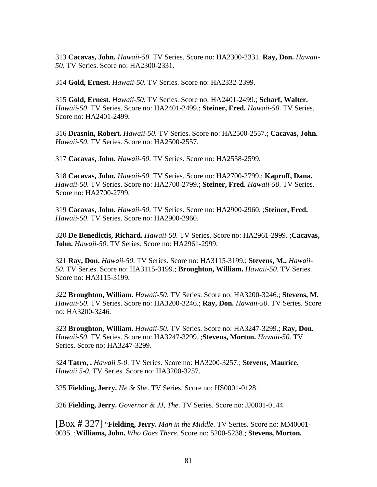313 **Cacavas, John.** *Hawaii-50*. TV Series. Score no: HA2300-2331. **Ray, Don.** *Hawaii-50*. TV Series. Score no: HA2300-2331.

314 **Gold, Ernest.** *Hawaii-50*. TV Series. Score no: HA2332-2399.

315 **Gold, Ernest.** *Hawaii-50*. TV Series. Score no: HA2401-2499.; **Scharf, Walter.** *Hawaii-50*. TV Series. Score no: HA2401-2499.; **Steiner, Fred.** *Hawaii-50*. TV Series. Score no: HA2401-2499.

316 **Drasnin, Robert.** *Hawaii-50*. TV Series. Score no: HA2500-2557.; **Cacavas, John.** *Hawaii-50*. TV Series. Score no: HA2500-2557.

317 **Cacavas, John.** *Hawaii-50*. TV Series. Score no: HA2558-2599.

318 **Cacavas, John.** *Hawaii-50*. TV Series. Score no: HA2700-2799.; **Kaproff, Dana.** *Hawaii-50*. TV Series. Score no: HA2700-2799.; **Steiner, Fred.** *Hawaii-50*. TV Series. Score no: HA2700-2799.

319 **Cacavas, John.** *Hawaii-50*. TV Series. Score no: HA2900-2960. ;**Steiner, Fred.** *Hawaii-50*. TV Series. Score no: HA2900-2960.

320 **De Benedictis, Richard.** *Hawaii-50*. TV Series. Score no: HA2961-2999. ;**Cacavas, John.** *Hawaii-50*. TV Series. Score no: HA2961-2999.

321 **Ray, Don.** *Hawaii-50*. TV Series. Score no: HA3115-3199.; **Stevens, M..** *Hawaii-50*. TV Series. Score no: HA3115-3199.; **Broughton, William.** *Hawaii-50*. TV Series. Score no: HA3115-3199.

322 **Broughton, William.** *Hawaii-50*. TV Series. Score no: HA3200-3246.; **Stevens, M.** *Hawaii-50*. TV Series. Score no: HA3200-3246.; **Ray, Don.** *Hawaii-50*. TV Series. Score no: HA3200-3246.

323 **Broughton, William.** *Hawaii-50*. TV Series. Score no: HA3247-3299.; **Ray, Don.** *Hawaii-50*. TV Series. Score no: HA3247-3299. ;**Stevens, Morton.** *Hawaii-50*. TV Series. Score no: HA3247-3299.

324 **Tatro, .** *Hawaii 5-0*. TV Series. Score no: HA3200-3257.; **Stevens, Maurice.** *Hawaii 5-0*. TV Series. Score no: HA3200-3257.

325 **Fielding, Jerry.** *He & She*. TV Series. Score no: HS0001-0128.

326 **Fielding, Jerry.** *Governor & JJ, The*. TV Series. Score no: JJ0001-0144.

[Box # 327] "**Fielding, Jerry.** *Man in the Middle*. TV Series. Score no: MM0001- 0035. ;**Williams, John.** *Who Goes There*. Score no: 5200-5238.; **Stevens, Morton.**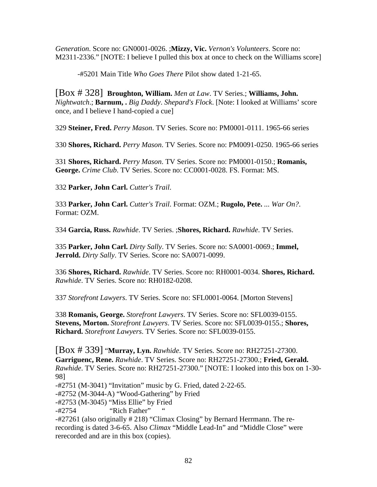*Generation*. Score no: GN0001-0026. ;**Mizzy, Vic.** *Vernon's Volunteers*. Score no: M2311-2336." [NOTE: I believe I pulled this box at once to check on the Williams score]

-#5201 Main Title *Who Goes There* Pilot show dated 1-21-65.

[Box # 328] **Broughton, William.** *Men at Law*. TV Series.; **Williams, John.** *Nightwatch*.; **Barnum, .** *Big Daddy*. *Shepard's Flock*. [Note: I looked at Williams' score once, and I believe I hand-copied a cue]

329 **Steiner, Fred.** *Perry Mason*. TV Series. Score no: PM0001-0111. 1965-66 series

330 **Shores, Richard.** *Perry Mason*. TV Series. Score no: PM0091-0250. 1965-66 series

331 **Shores, Richard.** *Perry Mason*. TV Series. Score no: PM0001-0150.; **Romanis, George.** *Crime Club*. TV Series. Score no: CC0001-0028. FS. Format: MS.

332 **Parker, John Carl.** *Cutter's Trail*.

333 **Parker, John Carl.** *Cutter's Trail*. Format: OZM.; **Rugolo, Pete.** *... War On?*. Format: OZM.

334 **Garcia, Russ.** *Rawhide*. TV Series. ;**Shores, Richard.** *Rawhide*. TV Series.

335 **Parker, John Carl.** *Dirty Sally*. TV Series. Score no: SA0001-0069.; **Immel, Jerrold.** *Dirty Sally*. TV Series. Score no: SA0071-0099.

336 **Shores, Richard.** *Rawhide*. TV Series. Score no: RH0001-0034. **Shores, Richard.** *Rawhide*. TV Series. Score no: RH0182-0208.

337 *Storefront Lawyers*. TV Series. Score no: SFL0001-0064. [Morton Stevens]

338 **Romanis, George.** *Storefront Lawyers*. TV Series. Score no: SFL0039-0155. **Stevens, Morton.** *Storefront Lawyers*. TV Series. Score no: SFL0039-0155.; **Shores, Richard.** *Storefront Lawyers*. TV Series. Score no: SFL0039-0155.

[Box # 339] "**Murray, Lyn.** *Rawhide*. TV Series. Score no: RH27251-27300. **Garriguenc, Rene.** *Rawhide*. TV Series. Score no: RH27251-27300.; **Fried, Gerald.** *Rawhide*. TV Series. Score no: RH27251-27300." [NOTE: I looked into this box on 1-30- 98]

-#2751 (M-3041) "Invitation" music by G. Fried, dated 2-22-65.

-#2752 (M-3044-A) "Wood-Gathering" by Fried

-#2753 (M-3045) "Miss Ellie" by Fried

-#2754 "Rich Father"

-#27261 (also originally # 218) "Climax Closing" by Bernard Herrmann. The rerecording is dated 3-6-65. Also *Climax* "Middle Lead-In" and "Middle Close" were rerecorded and are in this box (copies).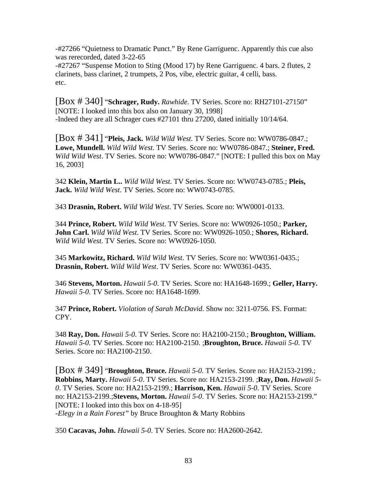-#27266 "Quietness to Dramatic Punct." By Rene Garriguenc. Apparently this cue also was rerecorded, dated 3-22-65

-#27267 "Suspense Motion to Sting (Mood 17) by Rene Garriguenc. 4 bars. 2 flutes, 2 clarinets, bass clarinet, 2 trumpets, 2 Pos, vibe, electric guitar, 4 celli, bass. etc.

[Box # 340] "**Schrager, Rudy.** *Rawhide*. TV Series. Score no: RH27101-27150" [NOTE: I looked into this box also on January 30, 1998] -Indeed they are all Schrager cues #27101 thru 27200, dated initially 10/14/64.

[Box # 341] "**Pleis, Jack.** *Wild Wild West*. TV Series. Score no: WW0786-0847.; **Lowe, Mundell.** *Wild Wild West*. TV Series. Score no: WW0786-0847.; **Steiner, Fred.** *Wild Wild West*. TV Series. Score no: WW0786-0847." [NOTE: I pulled this box on May 16, 2003]

342 **Klein, Martin L..** *Wild Wild West*. TV Series. Score no: WW0743-0785.; **Pleis, Jack.** *Wild Wild West*. TV Series. Score no: WW0743-0785.

343 **Drasnin, Robert.** *Wild Wild West*. TV Series. Score no: WW0001-0133.

344 **Prince, Robert.** *Wild Wild West*. TV Series. Score no: WW0926-1050.; **Parker, John Carl.** *Wild Wild West*. TV Series. Score no: WW0926-1050.; **Shores, Richard.** *Wild Wild West*. TV Series. Score no: WW0926-1050.

345 **Markowitz, Richard.** *Wild Wild West*. TV Series. Score no: WW0361-0435.; **Drasnin, Robert.** *Wild Wild West*. TV Series. Score no: WW0361-0435.

346 **Stevens, Morton.** *Hawaii 5-0*. TV Series. Score no: HA1648-1699.; **Geller, Harry.** *Hawaii 5-0*. TV Series. Score no: HA1648-1699.

347 **Prince, Robert.** *Violation of Sarah McDavid*. Show no: 3211-0756. FS. Format: CPY.

348 **Ray, Don.** *Hawaii 5-0*. TV Series. Score no: HA2100-2150.; **Broughton, William.** *Hawaii 5-0*. TV Series. Score no: HA2100-2150. ;**Broughton, Bruce.** *Hawaii 5-0*. TV Series. Score no: HA2100-2150.

[Box # 349] "**Broughton, Bruce.** *Hawaii 5-0*. TV Series. Score no: HA2153-2199.; **Robbins, Marty.** *Hawaii 5-0*. TV Series. Score no: HA2153-2199. ;**Ray, Don.** *Hawaii 5- 0*. TV Series. Score no: HA2153-2199.; **Harrison, Ken.** *Hawaii 5-0*. TV Series. Score no: HA2153-2199.;**Stevens, Morton.** *Hawaii 5-0*. TV Series. Score no: HA2153-2199." [NOTE: I looked into this box on 4-18-95] -*Elegy in a Rain Forest"* by Bruce Broughton & Marty Robbins

350 **Cacavas, John.** *Hawaii 5-0*. TV Series. Score no: HA2600-2642.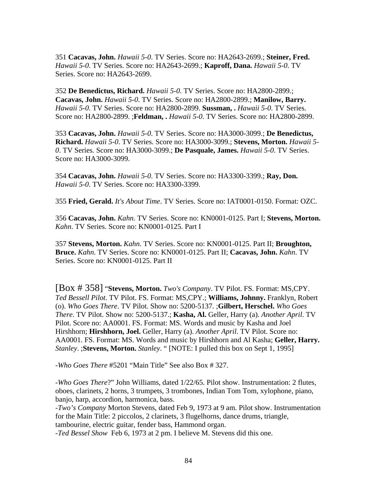351 **Cacavas, John.** *Hawaii 5-0*. TV Series. Score no: HA2643-2699.; **Steiner, Fred.** *Hawaii 5-0*. TV Series. Score no: HA2643-2699.; **Kaproff, Dana.** *Hawaii 5-0*. TV Series. Score no: HA2643-2699.

352 **De Benedictus, Richard.** *Hawaii 5-0*. TV Series. Score no: HA2800-2899.; **Cacavas, John.** *Hawaii 5-0*. TV Series. Score no: HA2800-2899.; **Manilow, Barry.** *Hawaii 5-0*. TV Series. Score no: HA2800-2899. **Sussman, .** *Hawaii 5-0*. TV Series. Score no: HA2800-2899. ;**Feldman, .** *Hawaii 5-0*. TV Series. Score no: HA2800-2899.

353 **Cacavas, John.** *Hawaii 5-0*. TV Series. Score no: HA3000-3099.; **De Benedictus, Richard.** *Hawaii 5-0*. TV Series. Score no: HA3000-3099.; **Stevens, Morton.** *Hawaii 5- 0*. TV Series. Score no: HA3000-3099.; **De Pasquale, James.** *Hawaii 5-0*. TV Series. Score no: HA3000-3099.

354 **Cacavas, John.** *Hawaii 5-0*. TV Series. Score no: HA3300-3399.; **Ray, Don.** *Hawaii 5-0*. TV Series. Score no: HA3300-3399.

355 **Fried, Gerald.** *It's About Time*. TV Series. Score no: IAT0001-0150. Format: OZC.

356 **Cacavas, John.** *Kahn*. TV Series. Score no: KN0001-0125. Part I; **Stevens, Morton.** *Kahn*. TV Series. Score no: KN0001-0125. Part I

357 **Stevens, Morton.** *Kahn*. TV Series. Score no: KN0001-0125. Part II; **Broughton, Bruce.** *Kahn*. TV Series. Score no: KN0001-0125. Part II; **Cacavas, John.** *Kahn*. TV Series. Score no: KN0001-0125. Part II

[Box # 358] "**Stevens, Morton.** *Two's Company*. TV Pilot. FS. Format: MS,CPY. *Ted Bessell Pilot*. TV Pilot. FS. Format: MS,CPY.; **Williams, Johnny.** Franklyn, Robert (o). *Who Goes There*. TV Pilot. Show no: 5200-5137. ;**Gilbert, Herschel.** *Who Goes There*. TV Pilot. Show no: 5200-5137.; **Kasha, Al.** Geller, Harry (a). *Another April*. TV Pilot. Score no: AA0001. FS. Format: MS. Words and music by Kasha and Joel Hirshhorn; **Hirshhorn, Joel.** Geller, Harry (a). *Another April*. TV Pilot. Score no: AA0001. FS. Format: MS. Words and music by Hirshhorn and Al Kasha; **Geller, Harry.** *Stanley*. ;**Stevens, Morton.** *Stanley*. " [NOTE: I pulled this box on Sept 1, 1995]

-*Who Goes There* #5201 "Main Title" See also Box # 327.

-*Who Goes There*?" John Williams, dated 1/22/65. Pilot show. Instrumentation: 2 flutes, oboes, clarinets, 2 horns, 3 trumpets, 3 trombones, Indian Tom Tom, xylophone, piano, banjo, harp, accordion, harmonica, bass.

-*Two's Company* Morton Stevens, dated Feb 9, 1973 at 9 am. Pilot show. Instrumentation for the Main Title: 2 piccolos, 2 clarinets, 3 flugelhorns, dance drums, triangle, tambourine, electric guitar, fender bass, Hammond organ. -*Ted Bessel Show* Feb 6, 1973 at 2 pm. I believe M. Stevens did this one.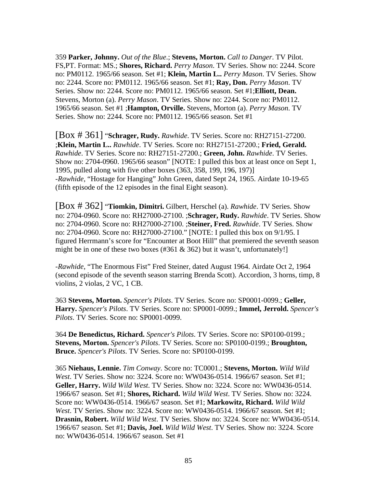359 **Parker, Johnny.** *Out of the Blue*.; **Stevens, Morton.** *Call to Danger*. TV Pilot. FS,PT. Format: MS.; **Shores, Richard.** *Perry Mason*. TV Series. Show no: 2244. Score no: PM0112. 1965/66 season. Set #1; **Klein, Martin L..** *Perry Mason*. TV Series. Show no: 2244. Score no: PM0112. 1965/66 season. Set #1; **Ray, Don.** *Perry Mason*. TV Series. Show no: 2244. Score no: PM0112. 1965/66 season. Set #1;**Elliott, Dean.** Stevens, Morton (a). *Perry Mason*. TV Series. Show no: 2244. Score no: PM0112. 1965/66 season. Set #1 ;**Hampton, Orville.** Stevens, Morton (a). *Perry Mason*. TV Series. Show no: 2244. Score no: PM0112. 1965/66 season. Set #1

[Box # 361] "**Schrager, Rudy.** *Rawhide*. TV Series. Score no: RH27151-27200. ;**Klein, Martin L..** *Rawhide*. TV Series. Score no: RH27151-27200.; **Fried, Gerald.** *Rawhide*. TV Series. Score no: RH27151-27200.; **Green, John.** *Rawhide*. TV Series. Show no: 2704-0960. 1965/66 season" [NOTE: I pulled this box at least once on Sept 1, 1995, pulled along with five other boxes (363, 358, 199, 196, 197)] -*Rawhide*, "Hostage for Hanging" John Green, dated Sept 24, 1965. Airdate 10-19-65 (fifth episode of the 12 episodes in the final Eight season).

[Box # 362] "**Tiomkin, Dimitri.** Gilbert, Herschel (a). *Rawhide*. TV Series. Show no: 2704-0960. Score no: RH27000-27100. ;**Schrager, Rudy.** *Rawhide*. TV Series. Show no: 2704-0960. Score no: RH27000-27100. ;**Steiner, Fred.** *Rawhide*. TV Series. Show no: 2704-0960. Score no: RH27000-27100." [NOTE: I pulled this box on 9/1/95. I figured Herrmann's score for "Encounter at Boot Hill" that premiered the seventh season might be in one of these two boxes (#361  $& 362$ ) but it wasn't, unfortunately!

-*Rawhide*, "The Enormous Fist" Fred Steiner, dated August 1964. Airdate Oct 2, 1964 (second episode of the seventh season starring Brenda Scott). Accordion, 3 horns, timp, 8 violins, 2 violas, 2 VC, 1 CB.

363 **Stevens, Morton.** *Spencer's Pilots*. TV Series. Score no: SP0001-0099.; **Geller, Harry.** *Spencer's Pilots*. TV Series. Score no: SP0001-0099.; **Immel, Jerrold.** *Spencer's Pilots*. TV Series. Score no: SP0001-0099.

364 **De Benedictus, Richard.** *Spencer's Pilots*. TV Series. Score no: SP0100-0199.; **Stevens, Morton.** *Spencer's Pilots*. TV Series. Score no: SP0100-0199.; **Broughton, Bruce.** *Spencer's Pilots*. TV Series. Score no: SP0100-0199.

365 **Niehaus, Lennie.** *Tim Conway*. Score no: TC0001.; **Stevens, Morton.** *Wild Wild West*. TV Series. Show no: 3224. Score no: WW0436-0514. 1966/67 season. Set #1; **Geller, Harry.** *Wild Wild West*. TV Series. Show no: 3224. Score no: WW0436-0514. 1966/67 season. Set #1; **Shores, Richard.** *Wild Wild West*. TV Series. Show no: 3224. Score no: WW0436-0514. 1966/67 season. Set #1; **Markowitz, Richard.** *Wild Wild West*. TV Series. Show no: 3224. Score no: WW0436-0514. 1966/67 season. Set #1; **Drasnin, Robert.** *Wild Wild West*. TV Series. Show no: 3224. Score no: WW0436-0514. 1966/67 season. Set #1; **Davis, Joel.** *Wild Wild West*. TV Series. Show no: 3224. Score no: WW0436-0514. 1966/67 season. Set #1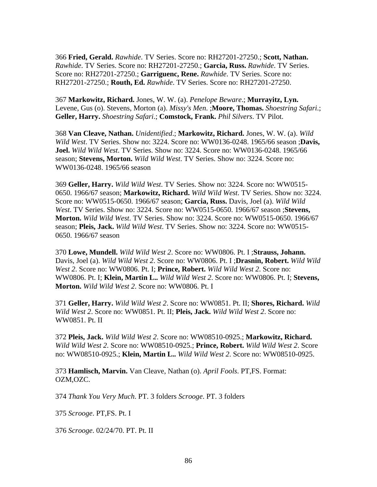366 **Fried, Gerald.** *Rawhide*. TV Series. Score no: RH27201-27250.; **Scott, Nathan.** *Rawhide*. TV Series. Score no: RH27201-27250.; **Garcia, Russ.** *Rawhide*. TV Series. Score no: RH27201-27250.; **Garriguenc, Rene.** *Rawhide*. TV Series. Score no: RH27201-27250.; **Routh, Ed.** *Rawhide*. TV Series. Score no: RH27201-27250.

367 **Markowitz, Richard.** Jones, W. W. (a). *Penelope Beware*.; **Murrayitz, Lyn.** Levene, Gus (o). Stevens, Morton (a). *Missy's Men*. ;**Moore, Thomas.** *Shoestring Safari*.; **Geller, Harry.** *Shoestring Safari*.; **Comstock, Frank.** *Phil Silvers*. TV Pilot.

368 **Van Cleave, Nathan.** *Unidentified*.; **Markowitz, Richard.** Jones, W. W. (a). *Wild Wild West*. TV Series. Show no: 3224. Score no: WW0136-0248. 1965/66 season ;**Davis, Joel.** *Wild Wild West*. TV Series. Show no: 3224. Score no: WW0136-0248. 1965/66 season; **Stevens, Morton.** *Wild Wild West*. TV Series. Show no: 3224. Score no: WW0136-0248. 1965/66 season

369 **Geller, Harry.** *Wild Wild West*. TV Series. Show no: 3224. Score no: WW0515- 0650. 1966/67 season; **Markowitz, Richard.** *Wild Wild West*. TV Series. Show no: 3224. Score no: WW0515-0650. 1966/67 season; **Garcia, Russ.** Davis, Joel (a). *Wild Wild West*. TV Series. Show no: 3224. Score no: WW0515-0650. 1966/67 season ;**Stevens, Morton.** *Wild Wild West*. TV Series. Show no: 3224. Score no: WW0515-0650. 1966/67 season; **Pleis, Jack.** *Wild Wild West*. TV Series. Show no: 3224. Score no: WW0515- 0650. 1966/67 season

370 **Lowe, Mundell.** *Wild Wild West 2*. Score no: WW0806. Pt. I ;**Strauss, Johann.** Davis, Joel (a). *Wild Wild West 2*. Score no: WW0806. Pt. I ;**Drasnin, Robert.** *Wild Wild West 2*. Score no: WW0806. Pt. I; **Prince, Robert.** *Wild Wild West 2*. Score no: WW0806. Pt. I; **Klein, Martin L..** *Wild Wild West 2*. Score no: WW0806. Pt. I; **Stevens, Morton.** *Wild Wild West 2*. Score no: WW0806. Pt. I

371 **Geller, Harry.** *Wild Wild West 2*. Score no: WW0851. Pt. II; **Shores, Richard.** *Wild Wild West 2*. Score no: WW0851. Pt. II; **Pleis, Jack.** *Wild Wild West 2*. Score no: WW0851. Pt. II

372 **Pleis, Jack.** *Wild Wild West 2*. Score no: WW08510-0925.; **Markowitz, Richard.** *Wild Wild West 2*. Score no: WW08510-0925.; **Prince, Robert.** *Wild Wild West 2*. Score no: WW08510-0925.; **Klein, Martin L..** *Wild Wild West 2*. Score no: WW08510-0925.

373 **Hamlisch, Marvin.** Van Cleave, Nathan (o). *April Fools*. PT,FS. Format: OZM,OZC.

374 *Thank You Very Much*. PT. 3 folders *Scrooge*. PT. 3 folders

375 *Scrooge*. PT,FS. Pt. I

376 *Scrooge*. 02/24/70. PT. Pt. II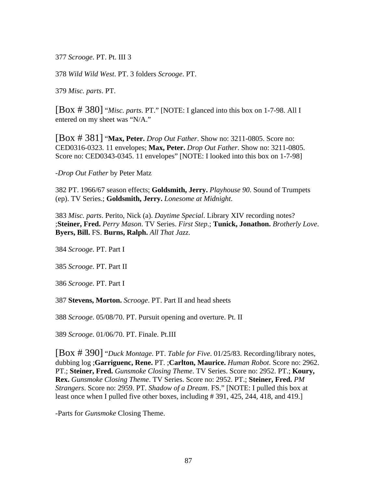377 *Scrooge*. PT. Pt. III 3

378 *Wild Wild West*. PT. 3 folders *Scrooge*. PT.

379 *Misc. parts*. PT.

[Box # 380] "*Misc. parts*. PT." [NOTE: I glanced into this box on 1-7-98. All I entered on my sheet was "N/A."

[Box # 381] "**Max, Peter.** *Drop Out Father*. Show no: 3211-0805. Score no: CED0316-0323. 11 envelopes; **Max, Peter.** *Drop Out Father*. Show no: 3211-0805. Score no: CED0343-0345. 11 envelopes" [NOTE: I looked into this box on 1-7-98]

-*Drop Out Father* by Peter Matz

382 PT. 1966/67 season effects; **Goldsmith, Jerry.** *Playhouse 90*. Sound of Trumpets (ep). TV Series.; **Goldsmith, Jerry.** *Lonesome at Midnight*.

383 *Misc. parts*. Perito, Nick (a). *Daytime Special*. Library XIV recording notes? ;**Steiner, Fred.** *Perry Mason*. TV Series. *First Step*.; **Tunick, Jonathon.** *Brotherly Love*. **Byers, Bill.** FS. **Burns, Ralph.** *All That Jazz*.

384 *Scrooge*. PT. Part I

385 *Scrooge*. PT. Part II

386 *Scrooge*. PT. Part I

387 **Stevens, Morton.** *Scrooge*. PT. Part II and head sheets

388 *Scrooge*. 05/08/70. PT. Pursuit opening and overture. Pt. II

389 *Scrooge*. 01/06/70. PT. Finale. Pt.III

[Box # 390] "*Duck Montage*. PT. *Table for Five*. 01/25/83. Recording/library notes, dubbing log ;**Garriguenc, Rene.** PT. ;**Carlton, Maurice.** *Human Robot*. Score no: 2962. PT.; **Steiner, Fred.** *Gunsmoke Closing Theme*. TV Series. Score no: 2952. PT.; **Koury, Rex.** *Gunsmoke Closing Theme*. TV Series. Score no: 2952. PT.; **Steiner, Fred.** *PM Strangers*. Score no: 2959. PT. *Shadow of a Dream*. FS." [NOTE: I pulled this box at least once when I pulled five other boxes, including # 391, 425, 244, 418, and 419.]

-Parts for *Gunsmoke* Closing Theme.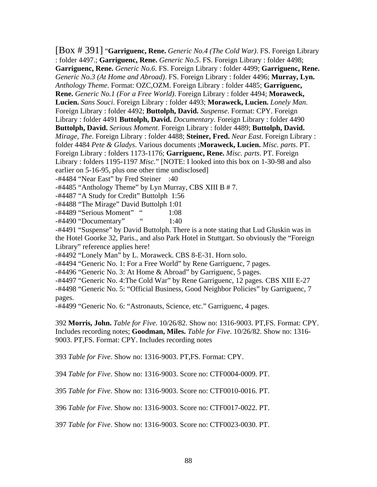[Box # 391] "**Garriguenc, Rene.** *Generic No.4 (The Cold War)*. FS. Foreign Library : folder 4497.; **Garriguenc, Rene.** *Generic No.5*. FS. Foreign Library : folder 4498; **Garriguenc, Rene.** *Generic No.6*. FS. Foreign Library : folder 4499; **Garriguenc, Rene.** *Generic No.3 (At Home and Abroad)*. FS. Foreign Library : folder 4496; **Murray, Lyn.** *Anthology Theme*. Format: OZC,OZM. Foreign Library : folder 4485; **Garriguenc, Rene.** *Generic No.1 (For a Free World)*. Foreign Library : folder 4494; **Moraweck, Lucien.** *Sans Souci*. Foreign Library : folder 4493; **Moraweck, Lucien.** *Lonely Man*. Foreign Library : folder 4492; **Buttolph, David.** *Suspense*. Format: CPY. Foreign Library : folder 4491 **Buttolph, David.** *Documentary*. Foreign Library : folder 4490 **Buttolph, David.** *Serious Moment*. Foreign Library : folder 4489; **Buttolph, David.** *Mirage, The*. Foreign Library : folder 4488; **Steiner, Fred.** *Near East*. Foreign Library : folder 4484 *Pete & Gladys*. Various documents ;**Moraweck, Lucien.** *Misc. parts*. PT. Foreign Library : folders 1173-1176; **Garriguenc, Rene.** *Misc. parts*. PT. Foreign Library : folders 1195-1197 *Misc.*" [NOTE: I looked into this box on 1-30-98 and also earlier on 5-16-95, plus one other time undisclosed]

-#4484 "Near East" by Fred Steiner :40

-#4485 "Anthology Theme" by Lyn Murray, CBS XIII B # 7.

-#4487 "A Study for Credit" Buttolph 1:56

-#4488 "The Mirage" David Buttolph 1:01

-#4489 "Serious Moment" " 1:08

-#4490 "Documentary" " 1:40

-#4491 "Suspense" by David Buttolph. There is a note stating that Lud Gluskin was in the Hotel Goorke 32, Paris., and also Park Hotel in Stuttgart. So obviously the "Foreign Library" reference applies here!

-#4492 "Lonely Man" by L. Moraweck. CBS 8-E-31. Horn solo.

-#4494 "Generic No. 1: For a Free World" by Rene Garriguenc, 7 pages.

-#4496 "Generic No. 3: At Home & Abroad" by Garriguenc, 5 pages.

-#4497 "Generic No. 4:The Cold War" by Rene Garriguenc, 12 pages. CBS XIII E-27

-#4498 "Generic No. 5: "Official Business, Good Neighbor Policies" by Garriguenc, 7 pages.

-#4499 "Generic No. 6: "Astronauts, Science, etc." Garriguenc, 4 pages.

392 **Morris, John.** *Table for Five*. 10/26/82. Show no: 1316-9003. PT,FS. Format: CPY. Includes recording notes; **Goodman, Miles.** *Table for Five*. 10/26/82. Show no: 1316- 9003. PT,FS. Format: CPY. Includes recording notes

393 *Table for Five*. Show no: 1316-9003. PT,FS. Format: CPY.

394 *Table for Five*. Show no: 1316-9003. Score no: CTF0004-0009. PT.

395 *Table for Five*. Show no: 1316-9003. Score no: CTF0010-0016. PT.

396 *Table for Five*. Show no: 1316-9003. Score no: CTF0017-0022. PT.

397 *Table for Five*. Show no: 1316-9003. Score no: CTF0023-0030. PT.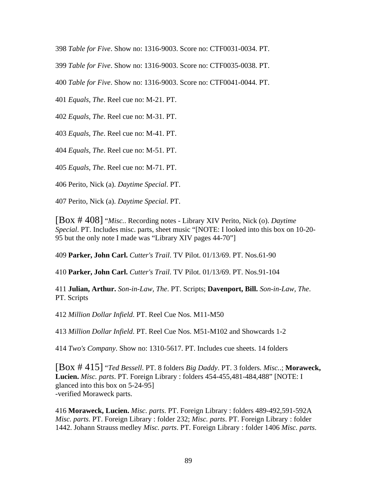398 *Table for Five*. Show no: 1316-9003. Score no: CTF0031-0034. PT.

399 *Table for Five*. Show no: 1316-9003. Score no: CTF0035-0038. PT.

400 *Table for Five*. Show no: 1316-9003. Score no: CTF0041-0044. PT.

401 *Equals, The*. Reel cue no: M-21. PT.

402 *Equals, The*. Reel cue no: M-31. PT.

403 *Equals, The*. Reel cue no: M-41. PT.

404 *Equals, The*. Reel cue no: M-51. PT.

405 *Equals, The*. Reel cue no: M-71. PT.

406 Perito, Nick (a). *Daytime Special*. PT.

407 Perito, Nick (a). *Daytime Special*. PT.

[Box # 408] "*Misc.*. Recording notes - Library XIV Perito, Nick (o). *Daytime Special*. PT. Includes misc. parts, sheet music "[NOTE: I looked into this box on 10-20- 95 but the only note I made was "Library XIV pages 44-70"]

409 **Parker, John Carl.** *Cutter's Trail*. TV Pilot. 01/13/69. PT. Nos.61-90

410 **Parker, John Carl.** *Cutter's Trail*. TV Pilot. 01/13/69. PT. Nos.91-104

411 **Julian, Arthur.** *Son-in-Law, The*. PT. Scripts; **Davenport, Bill.** *Son-in-Law, The*. PT. Scripts

412 *Million Dollar Infield*. PT. Reel Cue Nos. M11-M50

413 *Million Dollar Infield*. PT. Reel Cue Nos. M51-M102 and Showcards 1-2

414 *Two's Company*. Show no: 1310-5617. PT. Includes cue sheets. 14 folders

[Box # 415] "*Ted Bessell*. PT. 8 folders *Big Daddy*. PT. 3 folders. *Misc.*.; **Moraweck, Lucien.** *Misc. parts*. PT. Foreign Library : folders 454-455,481-484,488" [NOTE: I glanced into this box on 5-24-95] -verified Moraweck parts.

416 **Moraweck, Lucien.** *Misc. parts*. PT. Foreign Library : folders 489-492,591-592A *Misc. parts*. PT. Foreign Library : folder 232; *Misc. parts*. PT. Foreign Library : folder 1442. Johann Strauss medley *Misc. parts*. PT. Foreign Library : folder 1406 *Misc. parts*.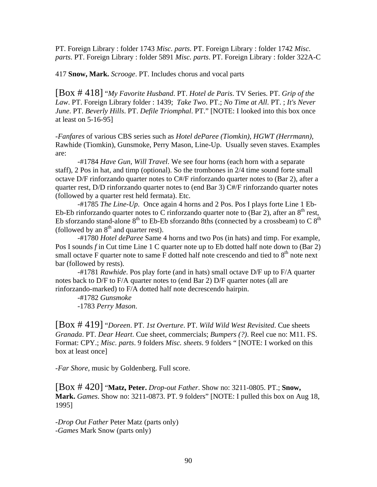PT. Foreign Library : folder 1743 *Misc. parts*. PT. Foreign Library : folder 1742 *Misc. parts*. PT. Foreign Library : folder 5891 *Misc. parts*. PT. Foreign Library : folder 322A-C

417 **Snow, Mark.** *Scrooge*. PT. Includes chorus and vocal parts

[Box # 418] "*My Favorite Husband*. PT. *Hotel de Paris*. TV Series. PT. *Grip of the Law*. PT. Foreign Library folder : 1439; *Take Two*. PT.; *No Time at All*. PT. ; *It's Never June*. PT. *Beverly Hills*. PT. *Defile Triomphal*. PT." [NOTE: I looked into this box once at least on 5-16-95]

-*Fanfares* of various CBS series such as *Hotel deParee (Tiomkin), HGWT (Herrmann),*  Rawhide (Tiomkin), Gunsmoke, Perry Mason, Line-Up. Usually seven staves. Examples are:

 -#1784 *Have Gun, Will Travel*. We see four horns (each horn with a separate staff), 2 Pos in hat, and timp (optional). So the trombones in 2/4 time sound forte small octave D/F rinforzando quarter notes to C#/F rinforzando quarter notes to (Bar 2), after a quarter rest, D/D rinforzando quarter notes to (end Bar 3) C#/F rinforzando quarter notes (followed by a quarter rest held fermata). Etc.

 -#1785 *The Line-Up*. Once again 4 horns and 2 Pos. Pos I plays forte Line 1 Eb-Eb-Eb rinforzando quarter notes to C rinforzando quarter note to  $(Bar 2)$ , after an  $8<sup>th</sup>$  rest, Eb sforzando stand-alone  $8<sup>th</sup>$  to Eb-Eb sforzando 8ths (connected by a crossbeam) to C  $8<sup>th</sup>$ (followed by an  $8<sup>th</sup>$  and quarter rest).

 -#1780 *Hotel deParee* Same 4 horns and two Pos (in hats) and timp. For example, Pos I sounds *f* in Cut time Line 1 C quarter note up to Eb dotted half note down to (Bar 2) small octave F quarter note to same F dotted half note crescendo and tied to  $8<sup>th</sup>$  note next bar (followed by rests).

-#1781 *Rawhide*. Pos play forte (and in hats) small octave D/F up to F/A quarter notes back to D/F to F/A quarter notes to (end Bar 2) D/F quarter notes (all are rinforzando-marked) to F/A dotted half note decrescendo hairpin.

 -#1782 *Gunsmoke* -1783 *Perry Mason*.

[Box # 419] "*Doreen*. PT. *1st Overture*. PT. *Wild Wild West Revisited*. Cue sheets *Granada*. PT. *Dear Heart*. Cue sheet, commercials; *Bumpers (?)*. Reel cue no: M11. FS. Format: CPY.; *Misc. parts*. 9 folders *Misc. sheets*. 9 folders " [NOTE: I worked on this box at least once]

-*Far Shore*, music by Goldenberg. Full score.

[Box # 420] "**Matz, Peter.** *Drop-out Father*. Show no: 3211-0805. PT.; **Snow, Mark.** *Games*. Show no: 3211-0873. PT. 9 folders" [NOTE: I pulled this box on Aug 18, 1995]

-*Drop Out Father* Peter Matz (parts only) -*Games* Mark Snow (parts only)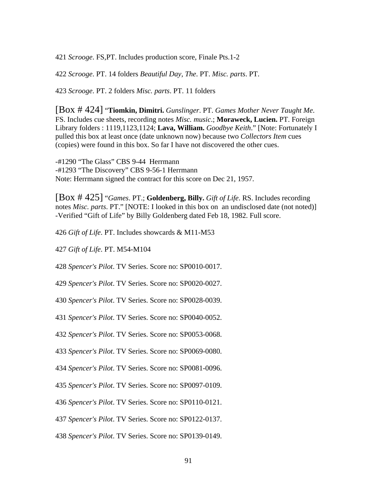*Scrooge*. FS,PT. Includes production score, Finale Pts.1-2

*Scrooge*. PT. 14 folders *Beautiful Day, The*. PT. *Misc. parts*. PT.

*Scrooge*. PT. 2 folders *Misc. parts*. PT. 11 folders

[Box # 424] "**Tiomkin, Dimitri.** *Gunslinger*. PT. *Games Mother Never Taught Me*. FS. Includes cue sheets, recording notes *Misc. music*.; **Moraweck, Lucien.** PT. Foreign Library folders : 1119,1123,1124; **Lava, William.** *Goodbye Keith*." [Note: Fortunately I pulled this box at least once (date unknown now) because two *Collectors Item* cues (copies) were found in this box. So far I have not discovered the other cues.

-#1290 "The Glass" CBS 9-44 Herrmann -#1293 "The Discovery" CBS 9-56-1 Herrmann Note: Herrmann signed the contract for this score on Dec 21, 1957.

[Box # 425] "*Games*. PT.; **Goldenberg, Billy.** *Gift of Life*. RS. Includes recording notes *Misc. parts*. PT." [NOTE: I looked in this box on an undisclosed date (not noted)] -Verified "Gift of Life" by Billy Goldenberg dated Feb 18, 1982. Full score.

*Gift of Life*. PT. Includes showcards & M11-M53

*Gift of Life*. PT. M54-M104

*Spencer's Pilot*. TV Series. Score no: SP0010-0017.

*Spencer's Pilot*. TV Series. Score no: SP0020-0027.

*Spencer's Pilot*. TV Series. Score no: SP0028-0039.

*Spencer's Pilot*. TV Series. Score no: SP0040-0052.

*Spencer's Pilot*. TV Series. Score no: SP0053-0068.

*Spencer's Pilot*. TV Series. Score no: SP0069-0080.

*Spencer's Pilot*. TV Series. Score no: SP0081-0096.

*Spencer's Pilot*. TV Series. Score no: SP0097-0109.

*Spencer's Pilot*. TV Series. Score no: SP0110-0121.

*Spencer's Pilot*. TV Series. Score no: SP0122-0137.

*Spencer's Pilot*. TV Series. Score no: SP0139-0149.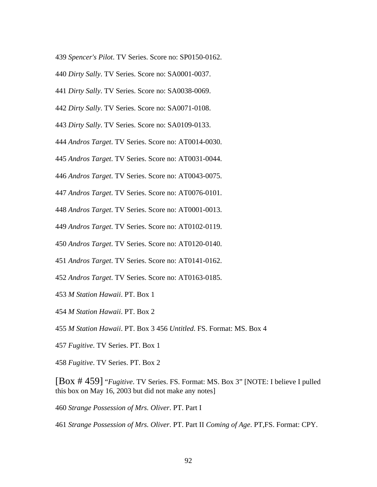- *Spencer's Pilot*. TV Series. Score no: SP0150-0162.
- *Dirty Sally*. TV Series. Score no: SA0001-0037.
- *Dirty Sally*. TV Series. Score no: SA0038-0069.
- *Dirty Sally*. TV Series. Score no: SA0071-0108.
- *Dirty Sally*. TV Series. Score no: SA0109-0133.
- *Andros Target*. TV Series. Score no: AT0014-0030.
- *Andros Target*. TV Series. Score no: AT0031-0044.
- *Andros Target*. TV Series. Score no: AT0043-0075.
- *Andros Target*. TV Series. Score no: AT0076-0101.
- *Andros Target*. TV Series. Score no: AT0001-0013.
- *Andros Target*. TV Series. Score no: AT0102-0119.
- *Andros Target*. TV Series. Score no: AT0120-0140.
- *Andros Target*. TV Series. Score no: AT0141-0162.
- *Andros Target*. TV Series. Score no: AT0163-0185.
- *M Station Hawaii*. PT. Box 1
- *M Station Hawaii*. PT. Box 2
- *M Station Hawaii*. PT. Box 3 456 *Untitled*. FS. Format: MS. Box 4
- *Fugitive*. TV Series. PT. Box 1
- *Fugitive*. TV Series. PT. Box 2

[Box # 459] "*Fugitive*. TV Series. FS. Format: MS. Box 3" [NOTE: I believe I pulled this box on May 16, 2003 but did not make any notes]

- *Strange Possession of Mrs. Oliver*. PT. Part I
- *Strange Possession of Mrs. Oliver*. PT. Part II *Coming of Age*. PT,FS. Format: CPY.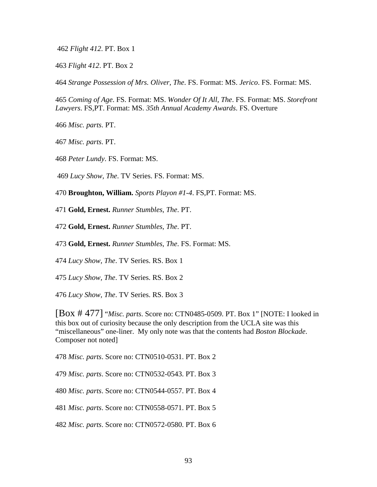*Flight 412*. PT. Box 1

*Flight 412*. PT. Box 2

*Strange Possession of Mrs. Oliver, The*. FS. Format: MS. *Jerico*. FS. Format: MS.

*Coming of Age*. FS. Format: MS. *Wonder Of It All, The*. FS. Format: MS. *Storefront Lawyers*. FS,PT. Format: MS. *35th Annual Academy Awards*. FS. Overture

*Misc. parts*. PT.

*Misc. parts*. PT.

*Peter Lundy*. FS. Format: MS.

*Lucy Show, The*. TV Series. FS. Format: MS.

**Broughton, William.** *Sports Playon #1-4*. FS,PT. Format: MS.

**Gold, Ernest.** *Runner Stumbles, The*. PT.

**Gold, Ernest.** *Runner Stumbles, The*. PT.

**Gold, Ernest.** *Runner Stumbles, The*. FS. Format: MS.

*Lucy Show, The*. TV Series. RS. Box 1

*Lucy Show, The*. TV Series. RS. Box 2

*Lucy Show, The*. TV Series. RS. Box 3

[Box # 477] "*Misc. parts*. Score no: CTN0485-0509. PT. Box 1" [NOTE: I looked in this box out of curiosity because the only description from the UCLA site was this "miscellaneous" one-liner. My only note was that the contents had *Boston Blockade*. Composer not noted]

*Misc. parts*. Score no: CTN0510-0531. PT. Box 2

*Misc. parts*. Score no: CTN0532-0543. PT. Box 3

*Misc. parts*. Score no: CTN0544-0557. PT. Box 4

*Misc. parts*. Score no: CTN0558-0571. PT. Box 5

*Misc. parts*. Score no: CTN0572-0580. PT. Box 6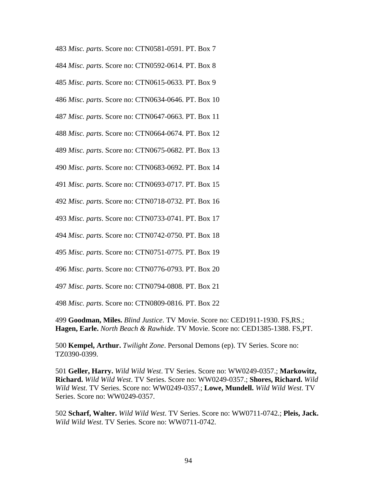*Misc. parts*. Score no: CTN0581-0591. PT. Box 7 *Misc. parts*. Score no: CTN0592-0614. PT. Box 8 *Misc. parts*. Score no: CTN0615-0633. PT. Box 9 *Misc. parts*. Score no: CTN0634-0646. PT. Box 10 *Misc. parts*. Score no: CTN0647-0663. PT. Box 11 *Misc. parts*. Score no: CTN0664-0674. PT. Box 12 *Misc. parts*. Score no: CTN0675-0682. PT. Box 13 *Misc. parts*. Score no: CTN0683-0692. PT. Box 14 *Misc. parts*. Score no: CTN0693-0717. PT. Box 15 *Misc. parts*. Score no: CTN0718-0732. PT. Box 16 *Misc. parts*. Score no: CTN0733-0741. PT. Box 17 *Misc. parts*. Score no: CTN0742-0750. PT. Box 18 *Misc. parts*. Score no: CTN0751-0775. PT. Box 19 *Misc. parts*. Score no: CTN0776-0793. PT. Box 20

*Misc. parts*. Score no: CTN0794-0808. PT. Box 21

*Misc. parts*. Score no: CTN0809-0816. PT. Box 22

**Goodman, Miles.** *Blind Justice*. TV Movie. Score no: CED1911-1930. FS,RS.; **Hagen, Earle.** *North Beach & Rawhide*. TV Movie. Score no: CED1385-1388. FS,PT.

**Kempel, Arthur.** *Twilight Zone*. Personal Demons (ep). TV Series. Score no: TZ0390-0399.

**Geller, Harry.** *Wild Wild West*. TV Series. Score no: WW0249-0357.; **Markowitz, Richard.** *Wild Wild West*. TV Series. Score no: WW0249-0357.; **Shores, Richard.** *Wild Wild West*. TV Series. Score no: WW0249-0357.; **Lowe, Mundell.** *Wild Wild West*. TV Series. Score no: WW0249-0357.

**Scharf, Walter.** *Wild Wild West*. TV Series. Score no: WW0711-0742.; **Pleis, Jack.** *Wild Wild West*. TV Series. Score no: WW0711-0742.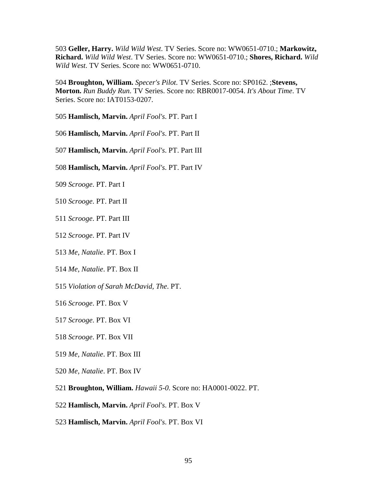**Geller, Harry.** *Wild Wild West*. TV Series. Score no: WW0651-0710.; **Markowitz, Richard.** *Wild Wild West*. TV Series. Score no: WW0651-0710.; **Shores, Richard.** *Wild Wild West*. TV Series. Score no: WW0651-0710.

**Broughton, William.** *Specer's Pilot*. TV Series. Score no: SP0162. ;**Stevens, Morton.** *Run Buddy Run*. TV Series. Score no: RBR0017-0054. *It's About Time*. TV Series. Score no: IAT0153-0207.

**Hamlisch, Marvin.** *April Fool's*. PT. Part I

**Hamlisch, Marvin.** *April Fool's*. PT. Part II

**Hamlisch, Marvin.** *April Fool's*. PT. Part III

- **Hamlisch, Marvin.** *April Fool's*. PT. Part IV
- *Scrooge*. PT. Part I
- *Scrooge*. PT. Part II
- *Scrooge*. PT. Part III
- *Scrooge*. PT. Part IV
- *Me, Natalie*. PT. Box I
- *Me, Natalie*. PT. Box II
- *Violation of Sarah McDavid, The*. PT.
- *Scrooge*. PT. Box V
- *Scrooge*. PT. Box VI
- *Scrooge*. PT. Box VII
- *Me, Natalie*. PT. Box III
- *Me, Natalie*. PT. Box IV
- **Broughton, William.** *Hawaii 5-0*. Score no: HA0001-0022. PT.
- **Hamlisch, Marvin.** *April Fool's*. PT. Box V
- **Hamlisch, Marvin.** *April Fool's*. PT. Box VI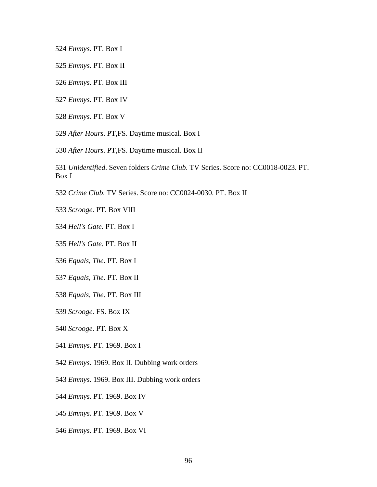*Emmys*. PT. Box I

- *Emmys*. PT. Box II
- *Emmys*. PT. Box III
- *Emmys*. PT. Box IV
- *Emmys*. PT. Box V
- *After Hours*. PT,FS. Daytime musical. Box I
- *After Hours*. PT,FS. Daytime musical. Box II
- *Unidentified*. Seven folders *Crime Club*. TV Series. Score no: CC0018-0023. PT. Box I
- *Crime Club*. TV Series. Score no: CC0024-0030. PT. Box II
- *Scrooge*. PT. Box VIII
- *Hell's Gate*. PT. Box I
- *Hell's Gate*. PT. Box II
- *Equals, The*. PT. Box I
- *Equals, The*. PT. Box II
- *Equals, The*. PT. Box III
- *Scrooge*. FS. Box IX
- *Scrooge*. PT. Box X
- *Emmys*. PT. 1969. Box I
- *Emmys*. 1969. Box II. Dubbing work orders
- *Emmys*. 1969. Box III. Dubbing work orders
- *Emmys*. PT. 1969. Box IV
- *Emmys*. PT. 1969. Box V
- *Emmys*. PT. 1969. Box VI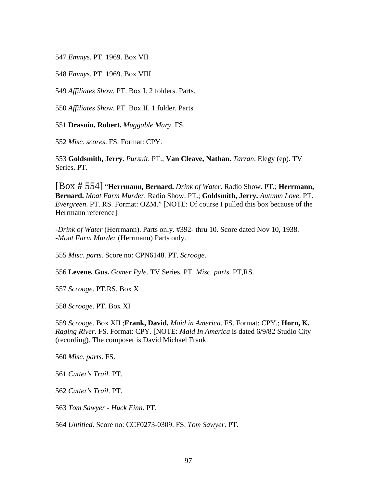*Emmys*. PT. 1969. Box VII

*Emmys*. PT. 1969. Box VIII

*Affiliates Show*. PT. Box I. 2 folders. Parts.

*Affiliates Show*. PT. Box II. 1 folder. Parts.

**Drasnin, Robert.** *Muggable Mary*. FS.

*Misc. scores*. FS. Format: CPY.

**Goldsmith, Jerry.** *Pursuit*. PT.; **Van Cleave, Nathan.** *Tarzan*. Elegy (ep). TV Series. PT.

[Box # 554] "**Herrmann, Bernard.** *Drink of Water*. Radio Show. PT.; **Herrmann, Bernard.** *Moat Farm Murder*. Radio Show. PT.; **Goldsmith, Jerry.** *Autumn Love*. PT. *Evergreen*. PT. RS. Format: OZM." [NOTE: Of course I pulled this box because of the Herrmann reference]

-*Drink of Water* (Herrmann). Parts only. #392- thru 10. Score dated Nov 10, 1938. -*Moat Farm Murder* (Herrmann) Parts only.

*Misc. parts*. Score no: CPN6148. PT. *Scrooge*.

**Levene, Gus.** *Gomer Pyle*. TV Series. PT. *Misc. parts*. PT,RS.

*Scrooge*. PT,RS. Box X

*Scrooge*. PT. Box XI

*Scrooge*. Box XII ;**Frank, David.** *Maid in America*. FS. Format: CPY.; **Horn, K.** *Raging River*. FS. Format: CPY. [NOTE: *Maid In America* is dated 6/9/82 Studio City (recording). The composer is David Michael Frank.

*Misc. parts*. FS.

*Cutter's Trail*. PT.

*Cutter's Trail*. PT.

*Tom Sawyer - Huck Finn*. PT.

*Untitled*. Score no: CCF0273-0309. FS. *Tom Sawyer*. PT.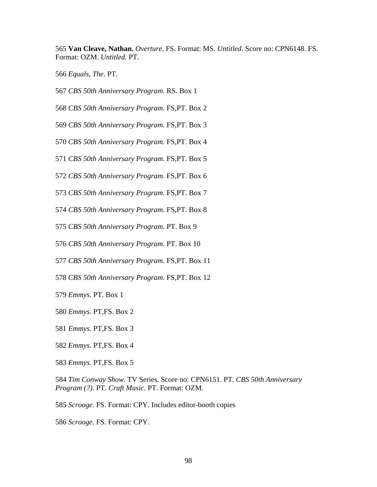**Van Cleave, Nathan.** *Overture*. FS. Format: MS. *Untitled*. Score no: CPN6148. FS. Format: OZM. *Untitled*. PT.

*Equals, The*. PT.

- *CBS 50th Anniversary Program*. RS. Box 1
- *CBS 50th Anniversary Program*. FS,PT. Box 2
- *CBS 50th Anniversary Program*. FS,PT. Box 3
- *CBS 50th Anniversary Program*. FS,PT. Box 4
- *CBS 50th Anniversary Program*. FS,PT. Box 5
- *CBS 50th Anniversary Program*. FS,PT. Box 6
- *CBS 50th Anniversary Program*. FS,PT. Box 7
- *CBS 50th Anniversary Program*. FS,PT. Box 8
- *CBS 50th Anniversary Program*. PT. Box 9
- *CBS 50th Anniversary Program*. PT. Box 10
- *CBS 50th Anniversary Program*. FS,PT. Box 11
- *CBS 50th Anniversary Program*. FS,PT. Box 12
- *Emmys*. PT. Box 1
- *Emmys*. PT,FS. Box 2
- *Emmys*. PT,FS. Box 3
- *Emmys*. PT,FS. Box 4
- *Emmys*. PT,FS. Box 5
- *Tim Conway Show*. TV Series. Score no: CPN6151. PT. *CBS 50th Anniversary Program (?)*. PT. *Craft Music*. PT. Format: OZM.
- *Scrooge*. FS. Format: CPY. Includes editor-booth copies
- *Scrooge*. FS. Format: CPY.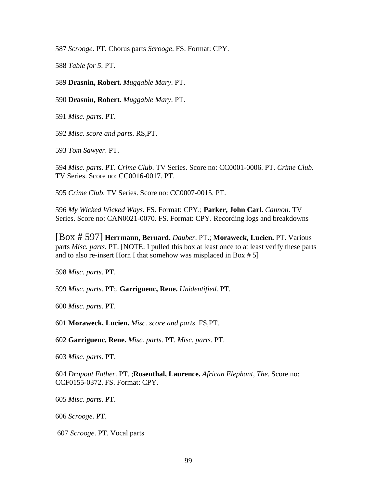*Scrooge*. PT. Chorus parts *Scrooge*. FS. Format: CPY.

*Table for 5*. PT.

**Drasnin, Robert.** *Muggable Mary*. PT.

**Drasnin, Robert.** *Muggable Mary*. PT.

*Misc. parts*. PT.

*Misc. score and parts*. RS,PT.

*Tom Sawyer*. PT.

*Misc. parts*. PT. *Crime Club*. TV Series. Score no: CC0001-0006. PT. *Crime Club*. TV Series. Score no: CC0016-0017. PT.

*Crime Club*. TV Series. Score no: CC0007-0015. PT.

*My Wicked Wicked Ways*. FS. Format: CPY.; **Parker, John Carl.** *Cannon*. TV Series. Score no: CAN0021-0070. FS. Format: CPY. Recording logs and breakdowns

[Box # 597] **Herrmann, Bernard.** *Dauber*. PT.; **Moraweck, Lucien.** PT. Various parts *Misc. parts*. PT. [NOTE: I pulled this box at least once to at least verify these parts and to also re-insert Horn I that somehow was misplaced in Box # 5]

*Misc. parts*. PT.

*Misc. parts*. PT;. **Garriguenc, Rene.** *Unidentified*. PT.

*Misc. parts*. PT.

**Moraweck, Lucien.** *Misc. score and parts*. FS,PT.

**Garriguenc, Rene.** *Misc. parts*. PT. *Misc. parts*. PT.

*Misc. parts*. PT.

*Dropout Father*. PT. ;**Rosenthal, Laurence.** *African Elephant, The*. Score no: CCF0155-0372. FS. Format: CPY.

*Misc. parts*. PT.

*Scrooge*. PT.

*Scrooge*. PT. Vocal parts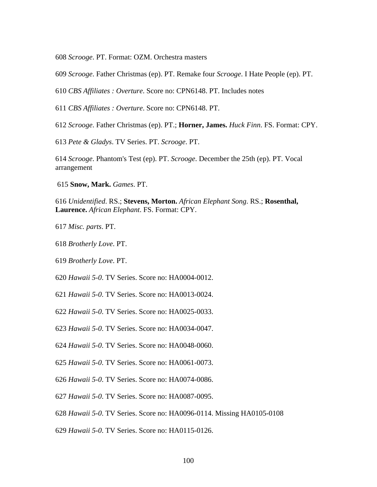*Scrooge*. PT. Format: OZM. Orchestra masters

*Scrooge*. Father Christmas (ep). PT. Remake four *Scrooge*. I Hate People (ep). PT.

*CBS Affiliates : Overture*. Score no: CPN6148. PT. Includes notes

*CBS Affiliates : Overture*. Score no: CPN6148. PT.

*Scrooge*. Father Christmas (ep). PT.; **Horner, James.** *Huck Finn*. FS. Format: CPY.

*Pete & Gladys*. TV Series. PT. *Scrooge*. PT.

*Scrooge*. Phantom's Test (ep). PT. *Scrooge*. December the 25th (ep). PT. Vocal arrangement

**Snow, Mark.** *Games*. PT.

*Unidentified*. RS.; **Stevens, Morton.** *African Elephant Song*. RS.; **Rosenthal, Laurence.** *African Elephant*. FS. Format: CPY.

*Misc. parts*. PT.

*Brotherly Love*. PT.

*Brotherly Love*. PT.

*Hawaii 5-0*. TV Series. Score no: HA0004-0012.

*Hawaii 5-0*. TV Series. Score no: HA0013-0024.

*Hawaii 5-0*. TV Series. Score no: HA0025-0033.

*Hawaii 5-0*. TV Series. Score no: HA0034-0047.

*Hawaii 5-0*. TV Series. Score no: HA0048-0060.

*Hawaii 5-0*. TV Series. Score no: HA0061-0073.

*Hawaii 5-0*. TV Series. Score no: HA0074-0086.

*Hawaii 5-0*. TV Series. Score no: HA0087-0095.

*Hawaii 5-0*. TV Series. Score no: HA0096-0114. Missing HA0105-0108

*Hawaii 5-0*. TV Series. Score no: HA0115-0126.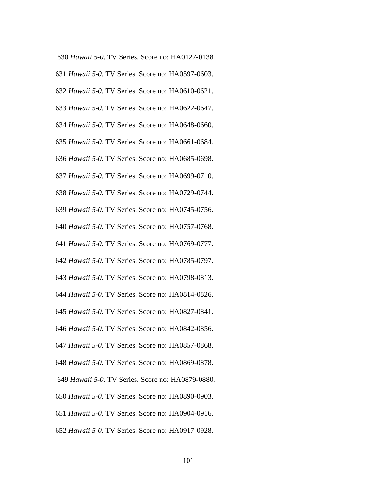- *Hawaii 5-0*. TV Series. Score no: HA0127-0138.
- *Hawaii 5-0*. TV Series. Score no: HA0597-0603.
- *Hawaii 5-0*. TV Series. Score no: HA0610-0621.
- *Hawaii 5-0*. TV Series. Score no: HA0622-0647.
- *Hawaii 5-0*. TV Series. Score no: HA0648-0660.
- *Hawaii 5-0*. TV Series. Score no: HA0661-0684.
- *Hawaii 5-0*. TV Series. Score no: HA0685-0698.
- *Hawaii 5-0*. TV Series. Score no: HA0699-0710.
- *Hawaii 5-0*. TV Series. Score no: HA0729-0744.
- *Hawaii 5-0*. TV Series. Score no: HA0745-0756.
- *Hawaii 5-0*. TV Series. Score no: HA0757-0768.
- *Hawaii 5-0*. TV Series. Score no: HA0769-0777.
- *Hawaii 5-0*. TV Series. Score no: HA0785-0797.
- *Hawaii 5-0*. TV Series. Score no: HA0798-0813.
- *Hawaii 5-0*. TV Series. Score no: HA0814-0826.
- *Hawaii 5-0*. TV Series. Score no: HA0827-0841.
- *Hawaii 5-0*. TV Series. Score no: HA0842-0856.
- *Hawaii 5-0*. TV Series. Score no: HA0857-0868.
- *Hawaii 5-0*. TV Series. Score no: HA0869-0878.
- *Hawaii 5-0*. TV Series. Score no: HA0879-0880.
- *Hawaii 5-0*. TV Series. Score no: HA0890-0903.
- *Hawaii 5-0*. TV Series. Score no: HA0904-0916.
- *Hawaii 5-0*. TV Series. Score no: HA0917-0928.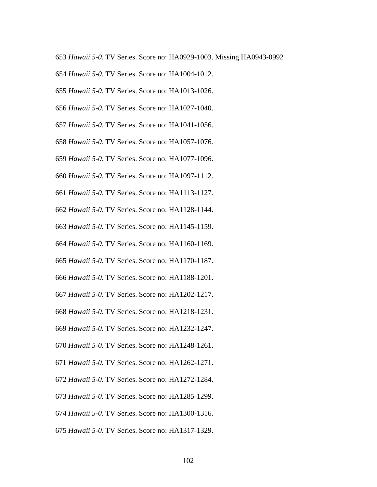- *Hawaii 5-0*. TV Series. Score no: HA0929-1003. Missing HA0943-0992
- *Hawaii 5-0*. TV Series. Score no: HA1004-1012.
- *Hawaii 5-0*. TV Series. Score no: HA1013-1026.
- *Hawaii 5-0*. TV Series. Score no: HA1027-1040.
- *Hawaii 5-0*. TV Series. Score no: HA1041-1056.
- *Hawaii 5-0*. TV Series. Score no: HA1057-1076.
- *Hawaii 5-0*. TV Series. Score no: HA1077-1096.
- *Hawaii 5-0*. TV Series. Score no: HA1097-1112.
- *Hawaii 5-0*. TV Series. Score no: HA1113-1127.
- *Hawaii 5-0*. TV Series. Score no: HA1128-1144.
- *Hawaii 5-0*. TV Series. Score no: HA1145-1159.
- *Hawaii 5-0*. TV Series. Score no: HA1160-1169.
- *Hawaii 5-0*. TV Series. Score no: HA1170-1187.
- *Hawaii 5-0*. TV Series. Score no: HA1188-1201.
- *Hawaii 5-0*. TV Series. Score no: HA1202-1217.
- *Hawaii 5-0*. TV Series. Score no: HA1218-1231.
- *Hawaii 5-0*. TV Series. Score no: HA1232-1247.
- *Hawaii 5-0*. TV Series. Score no: HA1248-1261.
- *Hawaii 5-0*. TV Series. Score no: HA1262-1271.
- *Hawaii 5-0*. TV Series. Score no: HA1272-1284.
- *Hawaii 5-0*. TV Series. Score no: HA1285-1299.
- *Hawaii 5-0*. TV Series. Score no: HA1300-1316.
- *Hawaii 5-0*. TV Series. Score no: HA1317-1329.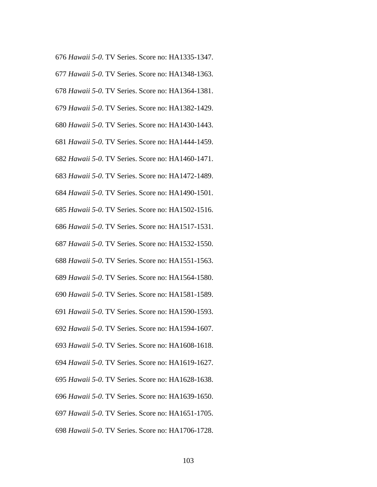- *Hawaii 5-0*. TV Series. Score no: HA1335-1347.
- *Hawaii 5-0*. TV Series. Score no: HA1348-1363.
- *Hawaii 5-0*. TV Series. Score no: HA1364-1381.
- *Hawaii 5-0*. TV Series. Score no: HA1382-1429.
- *Hawaii 5-0*. TV Series. Score no: HA1430-1443.
- *Hawaii 5-0*. TV Series. Score no: HA1444-1459.
- *Hawaii 5-0*. TV Series. Score no: HA1460-1471.
- *Hawaii 5-0*. TV Series. Score no: HA1472-1489.
- *Hawaii 5-0*. TV Series. Score no: HA1490-1501.
- *Hawaii 5-0*. TV Series. Score no: HA1502-1516.
- *Hawaii 5-0*. TV Series. Score no: HA1517-1531.
- *Hawaii 5-0*. TV Series. Score no: HA1532-1550.
- *Hawaii 5-0*. TV Series. Score no: HA1551-1563.
- *Hawaii 5-0*. TV Series. Score no: HA1564-1580.
- *Hawaii 5-0*. TV Series. Score no: HA1581-1589.
- *Hawaii 5-0*. TV Series. Score no: HA1590-1593.
- *Hawaii 5-0*. TV Series. Score no: HA1594-1607.
- *Hawaii 5-0*. TV Series. Score no: HA1608-1618.
- *Hawaii 5-0*. TV Series. Score no: HA1619-1627.
- *Hawaii 5-0*. TV Series. Score no: HA1628-1638.
- *Hawaii 5-0*. TV Series. Score no: HA1639-1650.
- *Hawaii 5-0*. TV Series. Score no: HA1651-1705.
- *Hawaii 5-0*. TV Series. Score no: HA1706-1728.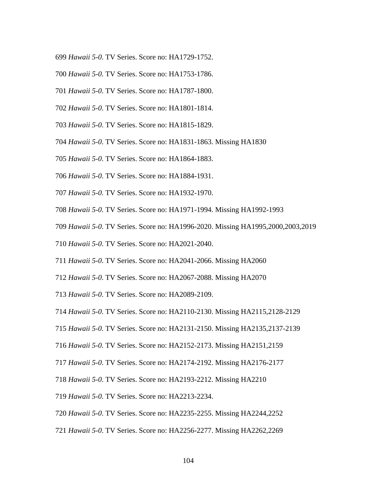- *Hawaii 5-0*. TV Series. Score no: HA1729-1752.
- *Hawaii 5-0*. TV Series. Score no: HA1753-1786.
- *Hawaii 5-0*. TV Series. Score no: HA1787-1800.
- *Hawaii 5-0*. TV Series. Score no: HA1801-1814.
- *Hawaii 5-0*. TV Series. Score no: HA1815-1829.
- *Hawaii 5-0*. TV Series. Score no: HA1831-1863. Missing HA1830
- *Hawaii 5-0*. TV Series. Score no: HA1864-1883.
- *Hawaii 5-0*. TV Series. Score no: HA1884-1931.
- *Hawaii 5-0*. TV Series. Score no: HA1932-1970.
- *Hawaii 5-0*. TV Series. Score no: HA1971-1994. Missing HA1992-1993
- *Hawaii 5-0*. TV Series. Score no: HA1996-2020. Missing HA1995,2000,2003,2019
- *Hawaii 5-0*. TV Series. Score no: HA2021-2040.
- *Hawaii 5-0*. TV Series. Score no: HA2041-2066. Missing HA2060
- *Hawaii 5-0*. TV Series. Score no: HA2067-2088. Missing HA2070
- *Hawaii 5-0*. TV Series. Score no: HA2089-2109.
- *Hawaii 5-0*. TV Series. Score no: HA2110-2130. Missing HA2115,2128-2129
- *Hawaii 5-0*. TV Series. Score no: HA2131-2150. Missing HA2135,2137-2139
- *Hawaii 5-0*. TV Series. Score no: HA2152-2173. Missing HA2151,2159
- *Hawaii 5-0*. TV Series. Score no: HA2174-2192. Missing HA2176-2177
- *Hawaii 5-0*. TV Series. Score no: HA2193-2212. Missing HA2210
- *Hawaii 5-0*. TV Series. Score no: HA2213-2234.
- *Hawaii 5-0*. TV Series. Score no: HA2235-2255. Missing HA2244,2252
- *Hawaii 5-0*. TV Series. Score no: HA2256-2277. Missing HA2262,2269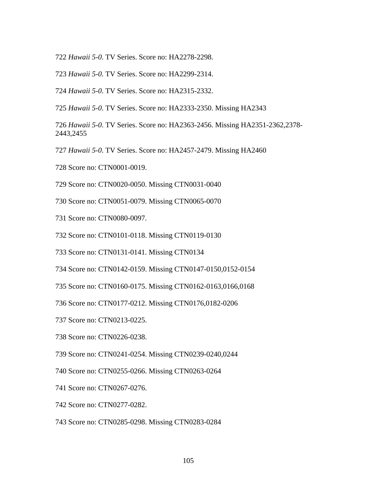- 722 *Hawaii 5-0*. TV Series. Score no: HA2278-2298.
- 723 *Hawaii 5-0*. TV Series. Score no: HA2299-2314.
- 724 *Hawaii 5-0*. TV Series. Score no: HA2315-2332.
- 725 *Hawaii 5-0*. TV Series. Score no: HA2333-2350. Missing HA2343

726 *Hawaii 5-0*. TV Series. Score no: HA2363-2456. Missing HA2351-2362,2378- 2443,2455

- 727 *Hawaii 5-0*. TV Series. Score no: HA2457-2479. Missing HA2460
- 728 Score no: CTN0001-0019.
- 729 Score no: CTN0020-0050. Missing CTN0031-0040
- 730 Score no: CTN0051-0079. Missing CTN0065-0070
- 731 Score no: CTN0080-0097.
- 732 Score no: CTN0101-0118. Missing CTN0119-0130
- 733 Score no: CTN0131-0141. Missing CTN0134
- 734 Score no: CTN0142-0159. Missing CTN0147-0150,0152-0154
- 735 Score no: CTN0160-0175. Missing CTN0162-0163,0166,0168
- 736 Score no: CTN0177-0212. Missing CTN0176,0182-0206
- 737 Score no: CTN0213-0225.
- 738 Score no: CTN0226-0238.
- 739 Score no: CTN0241-0254. Missing CTN0239-0240,0244
- 740 Score no: CTN0255-0266. Missing CTN0263-0264
- 741 Score no: CTN0267-0276.
- 742 Score no: CTN0277-0282.
- 743 Score no: CTN0285-0298. Missing CTN0283-0284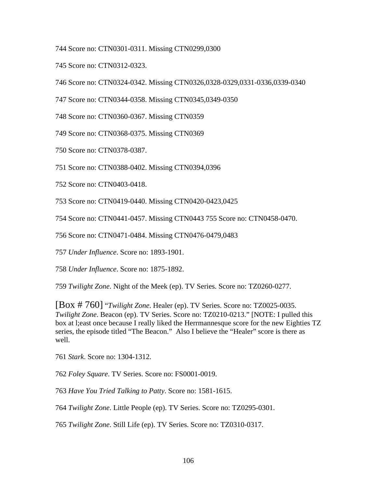744 Score no: CTN0301-0311. Missing CTN0299,0300

745 Score no: CTN0312-0323.

746 Score no: CTN0324-0342. Missing CTN0326,0328-0329,0331-0336,0339-0340

747 Score no: CTN0344-0358. Missing CTN0345,0349-0350

748 Score no: CTN0360-0367. Missing CTN0359

749 Score no: CTN0368-0375. Missing CTN0369

750 Score no: CTN0378-0387.

751 Score no: CTN0388-0402. Missing CTN0394,0396

752 Score no: CTN0403-0418.

753 Score no: CTN0419-0440. Missing CTN0420-0423,0425

754 Score no: CTN0441-0457. Missing CTN0443 755 Score no: CTN0458-0470.

756 Score no: CTN0471-0484. Missing CTN0476-0479,0483

757 *Under Influence*. Score no: 1893-1901.

758 *Under Influence*. Score no: 1875-1892.

759 *Twilight Zone*. Night of the Meek (ep). TV Series. Score no: TZ0260-0277.

[Box # 760] "*Twilight Zone*. Healer (ep). TV Series. Score no: TZ0025-0035. *Twilight Zone*. Beacon (ep). TV Series. Score no: TZ0210-0213." [NOTE: I pulled this box at l;east once because I really liked the Herrmannesque score for the new Eighties TZ series, the episode titled "The Beacon." Also I believe the "Healer" score is there as well.

761 *Stark*. Score no: 1304-1312.

762 *Foley Square*. TV Series. Score no: FS0001-0019.

763 *Have You Tried Talking to Patty*. Score no: 1581-1615.

764 *Twilight Zone*. Little People (ep). TV Series. Score no: TZ0295-0301.

765 *Twilight Zone*. Still Life (ep). TV Series. Score no: TZ0310-0317.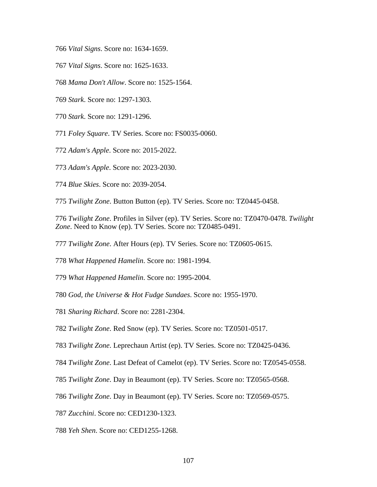*Vital Signs*. Score no: 1634-1659.

- *Vital Signs*. Score no: 1625-1633.
- *Mama Don't Allow*. Score no: 1525-1564.
- *Stark*. Score no: 1297-1303.
- *Stark*. Score no: 1291-1296.

*Foley Square*. TV Series. Score no: FS0035-0060.

- *Adam's Apple*. Score no: 2015-2022.
- *Adam's Apple*. Score no: 2023-2030.
- *Blue Skies*. Score no: 2039-2054.

*Twilight Zone*. Button Button (ep). TV Series. Score no: TZ0445-0458.

*Twilight Zone*. Profiles in Silver (ep). TV Series. Score no: TZ0470-0478. *Twilight Zone*. Need to Know (ep). TV Series. Score no: TZ0485-0491.

*Twilight Zone*. After Hours (ep). TV Series. Score no: TZ0605-0615.

*What Happened Hamelin*. Score no: 1981-1994.

*What Happened Hamelin*. Score no: 1995-2004.

*God, the Universe & Hot Fudge Sundaes*. Score no: 1955-1970.

- *Sharing Richard*. Score no: 2281-2304.
- *Twilight Zone*. Red Snow (ep). TV Series. Score no: TZ0501-0517.

*Twilight Zone*. Leprechaun Artist (ep). TV Series. Score no: TZ0425-0436.

*Twilight Zone*. Last Defeat of Camelot (ep). TV Series. Score no: TZ0545-0558.

- *Twilight Zone*. Day in Beaumont (ep). TV Series. Score no: TZ0565-0568.
- *Twilight Zone*. Day in Beaumont (ep). TV Series. Score no: TZ0569-0575.
- *Zucchini*. Score no: CED1230-1323.
- *Yeh Shen*. Score no: CED1255-1268.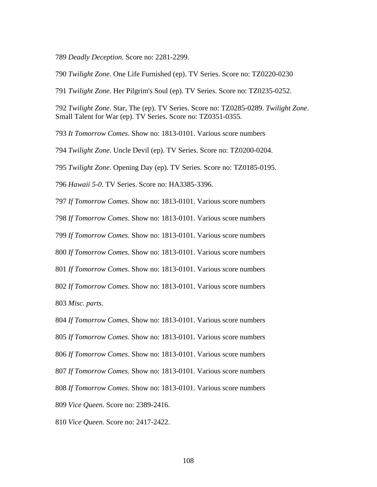*Deadly Deception*. Score no: 2281-2299.

*Twilight Zone*. One Life Furnished (ep). TV Series. Score no: TZ0220-0230

*Twilight Zone*. Her Pilgrim's Soul (ep). TV Series. Score no: TZ0235-0252.

*Twilight Zone*. Star, The (ep). TV Series. Score no: TZ0285-0289. *Twilight Zone*. Small Talent for War (ep). TV Series. Score no: TZ0351-0355.

*It Tomorrow Comes*. Show no: 1813-0101. Various score numbers

*Twilight Zone*. Uncle Devil (ep). TV Series. Score no: TZ0200-0204.

*Twilight Zone*. Opening Day (ep). TV Series. Score no: TZ0185-0195.

*Hawaii 5-0*. TV Series. Score no: HA3385-3396.

*If Tomorrow Comes*. Show no: 1813-0101. Various score numbers

*If Tomorrow Comes*. Show no: 1813-0101. Various score numbers

*If Tomorrow Comes*. Show no: 1813-0101. Various score numbers

*If Tomorrow Comes*. Show no: 1813-0101. Various score numbers

*If Tomorrow Comes*. Show no: 1813-0101. Various score numbers

*If Tomorrow Comes*. Show no: 1813-0101. Various score numbers

*Misc. parts*.

*If Tomorrow Comes*. Show no: 1813-0101. Various score numbers

*If Tomorrow Comes*. Show no: 1813-0101. Various score numbers

*If Tomorrow Comes*. Show no: 1813-0101. Various score numbers

*If Tomorrow Comes*. Show no: 1813-0101. Various score numbers

*If Tomorrow Comes*. Show no: 1813-0101. Various score numbers

*Vice Queen*. Score no: 2389-2416.

*Vice Queen*. Score no: 2417-2422.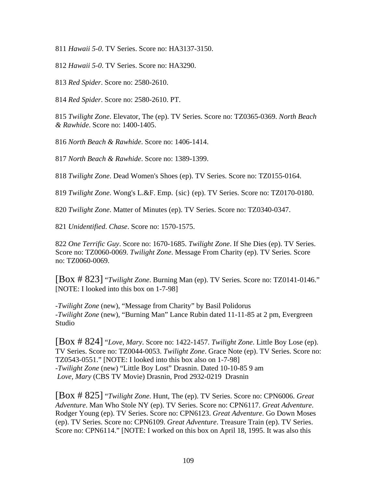811 *Hawaii 5-0*. TV Series. Score no: HA3137-3150.

812 *Hawaii 5-0*. TV Series. Score no: HA3290.

813 *Red Spider*. Score no: 2580-2610.

814 *Red Spider*. Score no: 2580-2610. PT.

815 *Twilight Zone*. Elevator, The (ep). TV Series. Score no: TZ0365-0369. *North Beach & Rawhide*. Score no: 1400-1405.

816 *North Beach & Rawhide*. Score no: 1406-1414.

817 *North Beach & Rawhide*. Score no: 1389-1399.

818 *Twilight Zone*. Dead Women's Shoes (ep). TV Series. Score no: TZ0155-0164.

819 *Twilight Zone*. Wong's L.&F. Emp. {sic} (ep). TV Series. Score no: TZ0170-0180.

820 *Twilight Zone*. Matter of Minutes (ep). TV Series. Score no: TZ0340-0347.

821 *Unidentified*. *Chase*. Score no: 1570-1575.

822 *One Terrific Guy*. Score no: 1670-1685. *Twilight Zone*. If She Dies (ep). TV Series. Score no: TZ0060-0069. *Twilight Zone*. Message From Charity (ep). TV Series. Score no: TZ0060-0069.

[Box # 823] "*Twilight Zone*. Burning Man (ep). TV Series. Score no: TZ0141-0146." [NOTE: I looked into this box on 1-7-98]

-*Twilight Zone* (new), "Message from Charity" by Basil Polidorus -*Twilight Zone* (new), "Burning Man" Lance Rubin dated 11-11-85 at 2 pm, Evergreen Studio

[Box # 824] "*Love, Mary*. Score no: 1422-1457. *Twilight Zone*. Little Boy Lose (ep). TV Series. Score no: TZ0044-0053. *Twilight Zone*. Grace Note (ep). TV Series. Score no: TZ0543-0551." [NOTE: I looked into this box also on 1-7-98] -*Twilight Zone* (new) "Little Boy Lost" Drasnin. Dated 10-10-85 9 am *Love, Mary* (CBS TV Movie) Drasnin, Prod 2932-0219 Drasnin

[Box # 825] "*Twilight Zone*. Hunt, The (ep). TV Series. Score no: CPN6006. *Great Adventure*. Man Who Stole NY (ep). TV Series. Score no: CPN6117. *Great Adventure*. Rodger Young (ep). TV Series. Score no: CPN6123. *Great Adventure*. Go Down Moses (ep). TV Series. Score no: CPN6109. *Great Adventure*. Treasure Train (ep). TV Series. Score no: CPN6114." [NOTE: I worked on this box on April 18, 1995. It was also this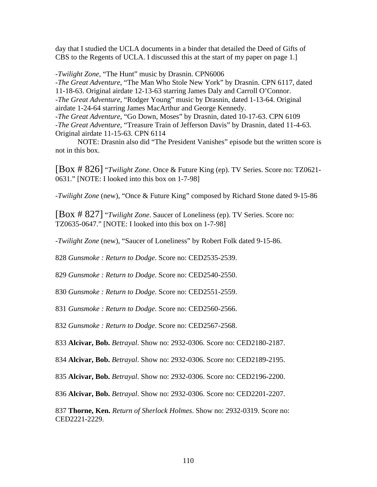day that I studied the UCLA documents in a binder that detailed the Deed of Gifts of CBS to the Regents of UCLA. I discussed this at the start of my paper on page 1.]

-*Twilight Zone*, "The Hunt" music by Drasnin. CPN6006 -*The Great Adventure*, "The Man Who Stole New York" by Drasnin. CPN 6117, dated 11-18-63. Original airdate 12-13-63 starring James Daly and Carroll O'Connor. -*The Great Adventure*, "Rodger Young" music by Drasnin, dated 1-13-64. Original airdate 1-24-64 starring James MacArthur and George Kennedy. -*The Great Adventure*, "Go Down, Moses" by Drasnin, dated 10-17-63. CPN 6109 -*The Great Adventure*, "Treasure Train of Jefferson Davis" by Drasnin, dated 11-4-63. Original airdate 11-15-63. CPN 6114

 NOTE: Drasnin also did "The President Vanishes" episode but the written score is not in this box.

[Box # 826] "*Twilight Zone*. Once & Future King (ep). TV Series. Score no: TZ0621- 0631." [NOTE: I looked into this box on 1-7-98]

-*Twilight Zone* (new), "Once & Future King" composed by Richard Stone dated 9-15-86

[Box # 827] "*Twilight Zone*. Saucer of Loneliness (ep). TV Series. Score no: TZ0635-0647." [NOTE: I looked into this box on 1-7-98]

-*Twilight Zone* (new), "Saucer of Loneliness" by Robert Folk dated 9-15-86.

828 *Gunsmoke : Return to Dodge*. Score no: CED2535-2539.

829 *Gunsmoke : Return to Dodge*. Score no: CED2540-2550.

830 *Gunsmoke : Return to Dodge*. Score no: CED2551-2559.

831 *Gunsmoke : Return to Dodge*. Score no: CED2560-2566.

832 *Gunsmoke : Return to Dodge*. Score no: CED2567-2568.

833 **Alcivar, Bob.** *Betrayal*. Show no: 2932-0306. Score no: CED2180-2187.

834 **Alcivar, Bob.** *Betrayal*. Show no: 2932-0306. Score no: CED2189-2195.

835 **Alcivar, Bob.** *Betrayal*. Show no: 2932-0306. Score no: CED2196-2200.

836 **Alcivar, Bob.** *Betrayal*. Show no: 2932-0306. Score no: CED2201-2207.

837 **Thorne, Ken.** *Return of Sherlock Holmes*. Show no: 2932-0319. Score no: CED2221-2229.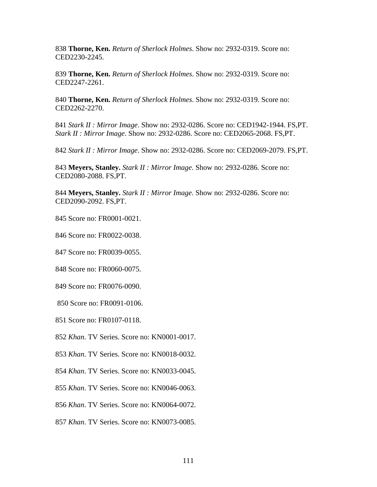838 **Thorne, Ken.** *Return of Sherlock Holmes*. Show no: 2932-0319. Score no: CED2230-2245.

839 **Thorne, Ken.** *Return of Sherlock Holmes*. Show no: 2932-0319. Score no: CED2247-2261.

840 **Thorne, Ken.** *Return of Sherlock Holmes*. Show no: 2932-0319. Score no: CED2262-2270.

841 *Stark II : Mirror Image*. Show no: 2932-0286. Score no: CED1942-1944. FS,PT. *Stark II : Mirror Image*. Show no: 2932-0286. Score no: CED2065-2068. FS,PT.

842 *Stark II : Mirror Image*. Show no: 2932-0286. Score no: CED2069-2079. FS,PT.

843 **Meyers, Stanley.** *Stark II : Mirror Image*. Show no: 2932-0286. Score no: CED2080-2088. FS,PT.

844 **Meyers, Stanley.** *Stark II : Mirror Image*. Show no: 2932-0286. Score no: CED2090-2092. FS,PT.

845 Score no: FR0001-0021.

846 Score no: FR0022-0038.

847 Score no: FR0039-0055.

848 Score no: FR0060-0075.

849 Score no: FR0076-0090.

850 Score no: FR0091-0106.

851 Score no: FR0107-0118.

852 *Khan*. TV Series. Score no: KN0001-0017.

853 *Khan*. TV Series. Score no: KN0018-0032.

854 *Khan*. TV Series. Score no: KN0033-0045.

855 *Khan*. TV Series. Score no: KN0046-0063.

856 *Khan*. TV Series. Score no: KN0064-0072.

857 *Khan*. TV Series. Score no: KN0073-0085.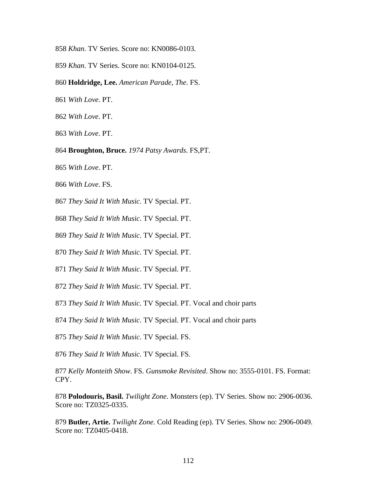- *Khan*. TV Series. Score no: KN0086-0103.
- *Khan*. TV Series. Score no: KN0104-0125.
- **Holdridge, Lee.** *American Parade, The*. FS.
- *With Love*. PT.
- *With Love*. PT.
- *With Love*. PT.
- **Broughton, Bruce.** *1974 Patsy Awards*. FS,PT.
- *With Love*. PT.
- *With Love*. FS.
- *They Said It With Music*. TV Special. PT.
- *They Said It With Music*. TV Special. PT.
- *They Said It With Music*. TV Special. PT.
- *They Said It With Music*. TV Special. PT.
- *They Said It With Music*. TV Special. PT.
- *They Said It With Music*. TV Special. PT.
- *They Said It With Music*. TV Special. PT. Vocal and choir parts
- *They Said It With Music*. TV Special. PT. Vocal and choir parts
- *They Said It With Music*. TV Special. FS.
- *They Said It With Music*. TV Special. FS.
- *Kelly Monteith Show*. FS. *Gunsmoke Revisited*. Show no: 3555-0101. FS. Format: CPY.
- **Polodouris, Basil.** *Twilight Zone*. Monsters (ep). TV Series. Show no: 2906-0036. Score no: TZ0325-0335.
- **Butler, Artie.** *Twilight Zone*. Cold Reading (ep). TV Series. Show no: 2906-0049. Score no: TZ0405-0418.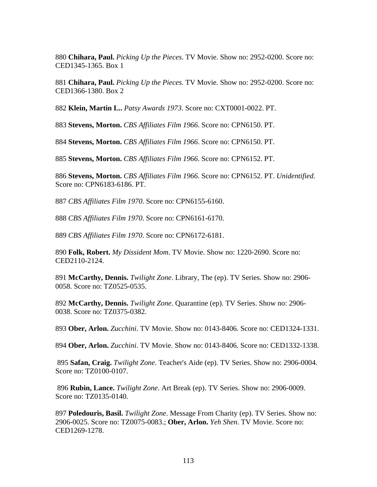**Chihara, Paul.** *Picking Up the Pieces*. TV Movie. Show no: 2952-0200. Score no: CED1345-1365. Box 1

**Chihara, Paul.** *Picking Up the Pieces*. TV Movie. Show no: 2952-0200. Score no: CED1366-1380. Box 2

**Klein, Martin L..** *Patsy Awards 1973*. Score no: CXT0001-0022. PT.

**Stevens, Morton.** *CBS Affiliates Film 1966*. Score no: CPN6150. PT.

**Stevens, Morton.** *CBS Affiliates Film 1966*. Score no: CPN6150. PT.

**Stevens, Morton.** *CBS Affiliates Film 1966*. Score no: CPN6152. PT.

**Stevens, Morton.** *CBS Affiliates Film 1966*. Score no: CPN6152. PT. *Unidentified*. Score no: CPN6183-6186. PT.

*CBS Affiliates Film 1970*. Score no: CPN6155-6160.

*CBS Affiliates Film 1970*. Score no: CPN6161-6170.

*CBS Affiliates Film 1970*. Score no: CPN6172-6181.

**Folk, Robert.** *My Dissident Mom*. TV Movie. Show no: 1220-2690. Score no: CED2110-2124.

**McCarthy, Dennis.** *Twilight Zone*. Library, The (ep). TV Series. Show no: 2906- 0058. Score no: TZ0525-0535.

**McCarthy, Dennis.** *Twilight Zone*. Quarantine (ep). TV Series. Show no: 2906- 0038. Score no: TZ0375-0382.

**Ober, Arlon.** *Zucchini*. TV Movie. Show no: 0143-8406. Score no: CED1324-1331.

**Ober, Arlon.** *Zucchini*. TV Movie. Show no: 0143-8406. Score no: CED1332-1338.

**Safan, Craig.** *Twilight Zone*. Teacher's Aide (ep). TV Series. Show no: 2906-0004. Score no: TZ0100-0107.

**Rubin, Lance.** *Twilight Zone*. Art Break (ep). TV Series. Show no: 2906-0009. Score no: TZ0135-0140.

**Poledouris, Basil.** *Twilight Zone*. Message From Charity (ep). TV Series. Show no: 2906-0025. Score no: TZ0075-0083.; **Ober, Arlon.** *Yeh Shen*. TV Movie. Score no: CED1269-1278.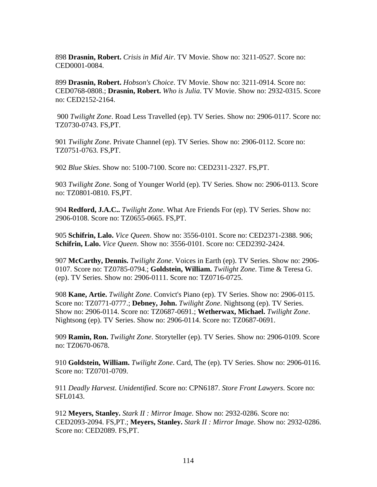898 **Drasnin, Robert.** *Crisis in Mid Air*. TV Movie. Show no: 3211-0527. Score no: CED0001-0084.

899 **Drasnin, Robert.** *Hobson's Choice*. TV Movie. Show no: 3211-0914. Score no: CED0768-0808.; **Drasnin, Robert.** *Who is Julia*. TV Movie. Show no: 2932-0315. Score no: CED2152-2164.

 900 *Twilight Zone*. Road Less Travelled (ep). TV Series. Show no: 2906-0117. Score no: TZ0730-0743. FS,PT.

901 *Twilight Zone*. Private Channel (ep). TV Series. Show no: 2906-0112. Score no: TZ0751-0763. FS,PT.

902 *Blue Skies*. Show no: 5100-7100. Score no: CED2311-2327. FS,PT.

903 *Twilight Zone*. Song of Younger World (ep). TV Series. Show no: 2906-0113. Score no: TZ0801-0810. FS,PT.

904 **Redford, J.A.C..** *Twilight Zone*. What Are Friends For (ep). TV Series. Show no: 2906-0108. Score no: TZ0655-0665. FS,PT.

905 **Schifrin, Lalo.** *Vice Queen*. Show no: 3556-0101. Score no: CED2371-2388. 906; **Schifrin, Lalo.** *Vice Queen*. Show no: 3556-0101. Score no: CED2392-2424.

907 **McCarthy, Dennis.** *Twilight Zone*. Voices in Earth (ep). TV Series. Show no: 2906- 0107. Score no: TZ0785-0794.; **Goldstein, William.** *Twilight Zone*. Time & Teresa G. (ep). TV Series. Show no: 2906-0111. Score no: TZ0716-0725.

908 **Kane, Artie.** *Twilight Zone*. Convict's Piano (ep). TV Series. Show no: 2906-0115. Score no: TZ0771-0777.; **Debney, John.** *Twilight Zone*. Nightsong (ep). TV Series. Show no: 2906-0114. Score no: TZ0687-0691.; **Wetherwax, Michael.** *Twilight Zone*. Nightsong (ep). TV Series. Show no: 2906-0114. Score no: TZ0687-0691.

909 **Ramin, Ron.** *Twilight Zone*. Storyteller (ep). TV Series. Show no: 2906-0109. Score no: TZ0670-0678.

910 **Goldstein, William.** *Twilight Zone*. Card, The (ep). TV Series. Show no: 2906-0116. Score no: TZ0701-0709.

911 *Deadly Harvest*. *Unidentified*. Score no: CPN6187. *Store Front Lawyers*. Score no: SFL0143.

912 **Meyers, Stanley.** *Stark II : Mirror Image*. Show no: 2932-0286. Score no: CED2093-2094. FS,PT.; **Meyers, Stanley.** *Stark II : Mirror Image*. Show no: 2932-0286. Score no: CED2089. FS,PT.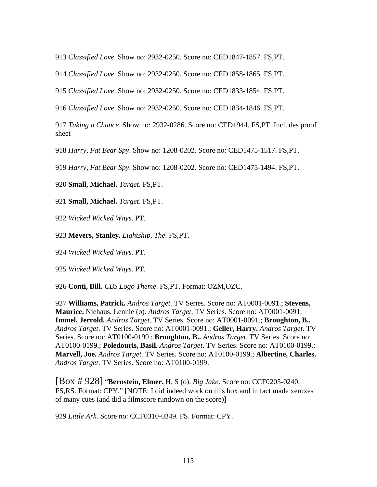*Classified Love*. Show no: 2932-0250. Score no: CED1847-1857. FS,PT.

*Classified Love*. Show no: 2932-0250. Score no: CED1858-1865. FS,PT.

*Classified Love*. Show no: 2932-0250. Score no: CED1833-1854. FS,PT.

*Classified Love*. Show no: 2932-0250. Score no: CED1834-1846. FS,PT.

*Taking a Chance*. Show no: 2932-0286. Score no: CED1944. FS,PT. Includes proof sheet

*Harry, Fat Bear Spy*. Show no: 1208-0202. Score no: CED1475-1517. FS,PT.

*Harry, Fat Bear Spy*. Show no: 1208-0202. Score no: CED1475-1494. FS,PT.

**Small, Michael.** *Target*. FS,PT.

**Small, Michael.** *Target*. FS,PT.

*Wicked Wicked Ways*. PT.

**Meyers, Stanley.** *Lightship, The*. FS,PT.

*Wicked Wicked Ways*. PT.

*Wicked Wicked Ways*. PT.

**Conti, Bill.** *CBS Logo Theme*. FS,PT. Format: OZM,OZC.

**Williams, Patrick.** *Andros Target*. TV Series. Score no: AT0001-0091.; **Stevens, Maurice.** Niehaus, Lennie (o). *Andros Target*. TV Series. Score no: AT0001-0091. **Immel, Jerrold.** *Andros Target*. TV Series. Score no: AT0001-0091.; **Broughton, B..** *Andros Target*. TV Series. Score no: AT0001-0091.; **Geller, Harry.** *Andros Target*. TV Series. Score no: AT0100-0199.; **Broughton, B..** *Andros Target*. TV Series. Score no: AT0100-0199.; **Poledouris, Basil.** *Andros Target*. TV Series. Score no: AT0100-0199.; **Marvell, Joe.** *Andros Target*. TV Series. Score no: AT0100-0199.; **Albertine, Charles.** *Andros Target*. TV Series. Score no: AT0100-0199.

[Box # 928] "**Bernstein, Elmer.** H, S (o). *Big Jake*. Score no: CCF0205-0240. FS,RS. Format: CPY." [NOTE: I did indeed work on this box and in fact made xeroxes of many cues (and did a filmscore rundown on the score)]

*Little Ark*. Score no: CCF0310-0349. FS. Format: CPY.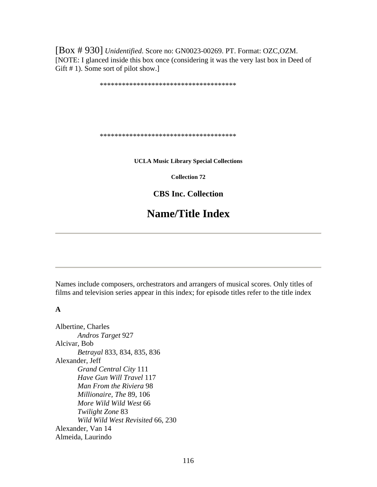[Box # 930] *Unidentified*. Score no: GN0023-00269. PT. Format: OZC,OZM. [NOTE: I glanced inside this box once (considering it was the very last box in Deed of Gift # 1). Some sort of pilot show.]

\*\*\*\*\*\*\*\*\*\*\*\*\*\*\*\*\*\*\*\*\*\*\*\*\*\*\*\*\*\*\*\*\*\*\*\*\*

\*\*\*\*\*\*\*\*\*\*\*\*\*\*\*\*\*\*\*\*\*\*\*\*\*\*\*\*\*\*\*\*\*\*\*\*\*

**UCLA Music Library Special Collections** 

**Collection 72** 

**CBS Inc. Collection** 

# **Name/Title Index**

Names include composers, orchestrators and arrangers of musical scores. Only titles of films and television series appear in this index; for episode titles refer to the title index

#### **A**

Albertine, Charles *Andros Target* 927 Alcivar, Bob *Betrayal* 833, 834, 835, 836 Alexander, Jeff *Grand Central City* 111 *Have Gun Will Travel* 117 *Man From the Riviera* 98 *Millionaire, The* 89, 106 *More Wild Wild West* 66 *Twilight Zone* 83 *Wild Wild West Revisited* 66, 230 Alexander, Van 14 Almeida, Laurindo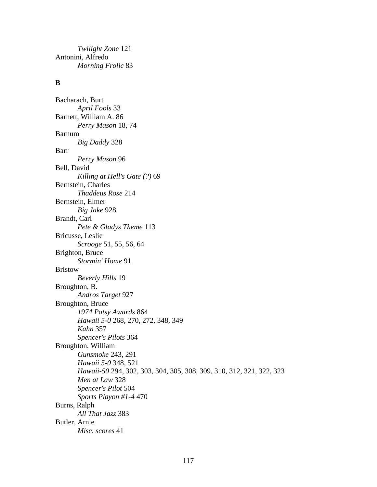*Twilight Zone* 121 Antonini, Alfredo *Morning Frolic* 83

## **B**

Bacharach, Burt *April Fools* 33 Barnett, William A. 86 *Perry Mason* 18, 74 Barnum *Big Daddy* 328 Barr *Perry Mason* 96 Bell, David *Killing at Hell's Gate (?)* 69 Bernstein, Charles *Thaddeus Rose* 214 Bernstein, Elmer *Big Jake* 928 Brandt, Carl *Pete & Gladys Theme* 113 Bricusse, Leslie *Scrooge* 51, 55, 56, 64 Brighton, Bruce *Stormin' Home* 91 Bristow *Beverly Hills* 19 Broughton, B. *Andros Target* 927 Broughton, Bruce *1974 Patsy Awards* 864 *Hawaii 5-0* 268, 270, 272, 348, 349 *Kahn* 357 *Spencer's Pilots* 364 Broughton, William *Gunsmoke* 243, 291 *Hawaii 5-0* 348, 521 *Hawaii-50* 294, 302, 303, 304, 305, 308, 309, 310, 312, 321, 322, 323 *Men at Law* 328 *Spencer's Pilot* 504 *Sports Playon #1-4* 470 Burns, Ralph *All That Jazz* 383 Butler, Arnie *Misc. scores* 41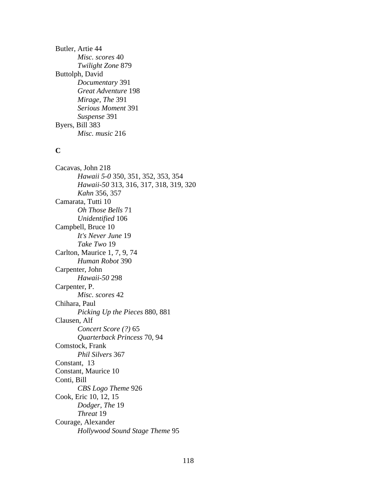Butler, Artie 44 *Misc. scores* 40 *Twilight Zone* 879 Buttolph, David *Documentary* 391 *Great Adventure* 198 *Mirage, The* 391 *Serious Moment* 391 *Suspense* 391 Byers, Bill 383 *Misc. music* 216

#### **C**

Cacavas, John 218 *Hawaii 5-0* 350, 351, 352, 353, 354 *Hawaii-50* 313, 316, 317, 318, 319, 320 *Kahn* 356, 357 Camarata, Tutti 10 *Oh Those Bells* 71 *Unidentified* 106 Campbell, Bruce 10 *It's Never June* 19 *Take Two* 19 Carlton, Maurice 1, 7, 9, 74 *Human Robot* 390 Carpenter, John *Hawaii-50* 298 Carpenter, P. *Misc. scores* 42 Chihara, Paul *Picking Up the Pieces* 880, 881 Clausen, Alf *Concert Score (?)* 65 *Quarterback Princess* 70, 94 Comstock, Frank *Phil Silvers* 367 Constant, 13 Constant, Maurice 10 Conti, Bill *CBS Logo Theme* 926 Cook, Eric 10, 12, 15 *Dodger, The* 19 *Threat* 19 Courage, Alexander *Hollywood Sound Stage Theme* 95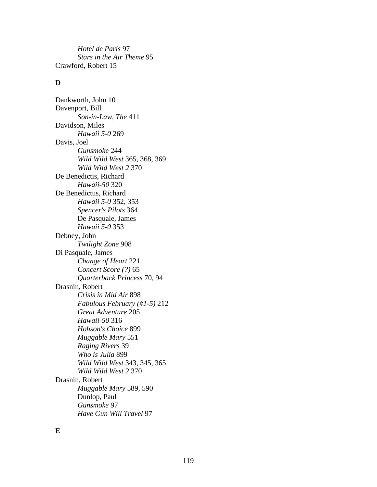*Hotel de Paris* 97 *Stars in the Air Theme* 95 Crawford, Robert 15

## **D**

Dankworth, John 10 Davenport, Bill *Son-in-Law, The* 411 Davidson, Miles *Hawaii 5-0* 269 Davis, Joel *Gunsmoke* 244 *Wild Wild West* 365, 368, 369 *Wild Wild West 2* 370 De Benedictis, Richard *Hawaii-50* 320 De Benedictus, Richard *Hawaii 5-0* 352, 353 *Spencer's Pilots* 364 De Pasquale, James *Hawaii 5-0* 353 Debney, John *Twilight Zone* 908 Di Pasquale, James *Change of Heart* 221 *Concert Score (?)* 65 *Quarterback Princess* 70, 94 Drasnin, Robert *Crisis in Mid Air* 898 *Fabulous February (#1-5)* 212 *Great Adventure* 205 *Hawaii-50* 316 *Hobson's Choice* 899 *Muggable Mary* 551 *Raging Rivers* 39 *Who is Julia* 899 *Wild Wild West* 343, 345, 365 *Wild Wild West 2* 370 Drasnin, Robert *Muggable Mary* 589, 590 Dunlop, Paul *Gunsmoke* 97 *Have Gun Will Travel* 97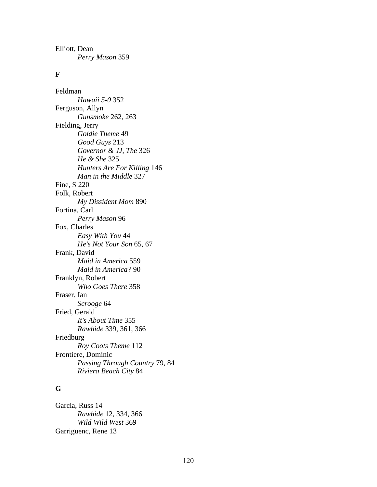Elliott, Dean *Perry Mason* 359

## **F**

Feldman *Hawaii 5-0* 352 Ferguson, Allyn *Gunsmoke* 262, 263 Fielding, Jerry *Goldie Theme* 49 *Good Guys* 213 *Governor & JJ, The* 326 *He & She* 325 *Hunters Are For Killing* 146 *Man in the Middle* 327 Fine, S 220 Folk, Robert *My Dissident Mom* 890 Fortina, Carl *Perry Mason* 96 Fox, Charles *Easy With You* 44 *He's Not Your Son* 65, 67 Frank, David *Maid in America* 559 *Maid in America?* 90 Franklyn, Robert *Who Goes There* 358 Fraser, Ian *Scrooge* 64 Fried, Gerald *It's About Time* 355 *Rawhide* 339, 361, 366 Friedburg *Roy Coots Theme* 112 Frontiere, Dominic *Passing Through Country* 79, 84 *Riviera Beach City* 84

## **G**

Garcia, Russ 14 *Rawhide* 12, 334, 366 *Wild Wild West* 369 Garriguenc, Rene 13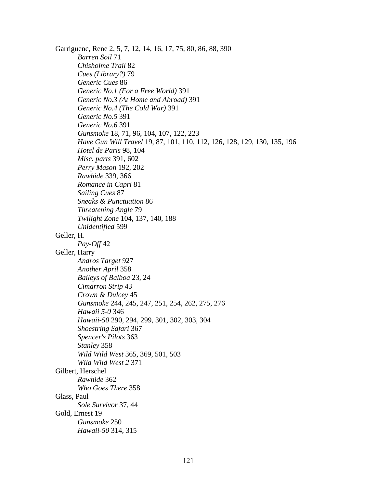Garriguenc, Rene 2, 5, 7, 12, 14, 16, 17, 75, 80, 86, 88, 390 *Barren Soil* 71 *Chisholme Trail* 82 *Cues (Library?)* 79 *Generic Cues* 86 *Generic No.1 (For a Free World)* 391 *Generic No.3 (At Home and Abroad)* 391 *Generic No.4 (The Cold War)* 391 *Generic No.5* 391 *Generic No.6* 391 *Gunsmoke* 18, 71, 96, 104, 107, 122, 223 *Have Gun Will Travel* 19, 87, 101, 110, 112, 126, 128, 129, 130, 135, 196 *Hotel de Paris* 98, 104 *Misc. parts* 391, 602 *Perry Mason* 192, 202 *Rawhide* 339, 366 *Romance in Capri* 81 *Sailing Cues* 87 *Sneaks & Punctuation* 86 *Threatening Angle* 79 *Twilight Zone* 104, 137, 140, 188 *Unidentified* 599 Geller, H. *Pay-Off* 42 Geller, Harry *Andros Target* 927 *Another April* 358 *Baileys of Balboa* 23, 24 *Cimarron Strip* 43 *Crown & Dulcey* 45 *Gunsmoke* 244, 245, 247, 251, 254, 262, 275, 276 *Hawaii 5-0* 346 *Hawaii-50* 290, 294, 299, 301, 302, 303, 304 *Shoestring Safari* 367 *Spencer's Pilots* 363 *Stanley* 358 *Wild Wild West* 365, 369, 501, 503 *Wild Wild West 2* 371 Gilbert, Herschel *Rawhide* 362 *Who Goes There* 358 Glass, Paul *Sole Survivor* 37, 44 Gold, Ernest 19 *Gunsmoke* 250 *Hawaii-50* 314, 315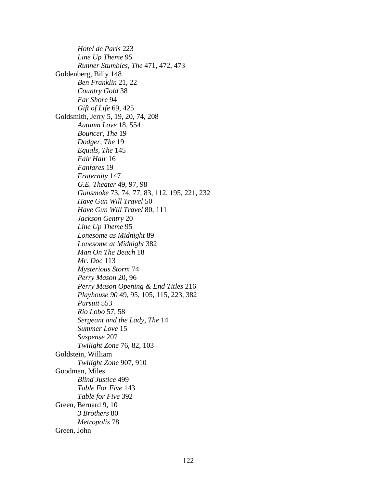*Hotel de Paris* 223 *Line Up Theme* 95 *Runner Stumbles, The* 471, 472, 473 Goldenberg, Billy 148 *Ben Franklin* 21, 22 *Country Gold* 38 *Far Shore* 94 *Gift of Life* 69, 425 Goldsmith, Jerry 5, 19, 20, 74, 208 *Autumn Love* 18, 554 *Bouncer, The* 19 *Dodger, The* 19 *Equals, The* 145 *Fair Hair* 16 *Fanfares* 19 *Fraternity* 147 *G.E. Theater* 49, 97, 98 *Gunsmoke* 73, 74, 77, 83, 112, 195, 221, 232 *Have Gun Will Travel* 50 *Have Gun Will Travel* 80, 111 *Jackson Gentry* 20 *Line Up Theme* 95 *Lonesome as Midnight* 89 *Lonesome at Midnight* 382 *Man On The Beach* 18 *Mr. Doc* 113 *Mysterious Storm* 74 *Perry Mason* 20, 96 *Perry Mason Opening & End Titles* 216 *Playhouse 90* 49, 95, 105, 115, 223, 382 *Pursuit* 553 *Rio Lobo* 57, 58 *Sergeant and the Lady, The* 14 *Summer Love* 15 *Suspense* 207 *Twilight Zone* 76, 82, 103 Goldstein, William *Twilight Zone* 907, 910 Goodman, Miles *Blind Justice* 499 *Table For Five* 143 *Table for Five* 392 Green, Bernard 9, 10 *3 Brothers* 80 *Metropolis* 78 Green, John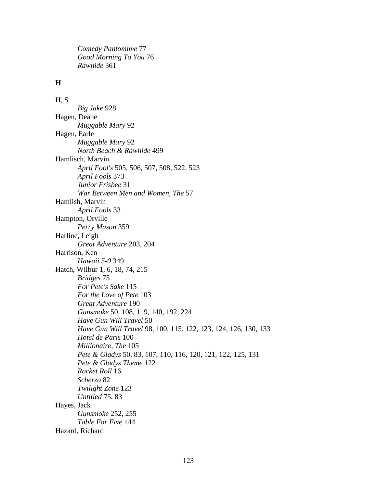*Comedy Pantomime* 77 *Good Morning To You* 76 *Rawhide* 361

# **H**

H, S *Big Jake* 928 Hagen, Deane *Muggable Mary* 92 Hagen, Earle *Muggable Mary* 92 *North Beach & Rawhide* 499 Hamlisch, Marvin *April Fool's* 505, 506, 507, 508, 522, 523 *April Fools* 373 *Junior Frisbee* 31 *War Between Men and Women, The* 57 Hamlish, Marvin *April Fools* 33 Hampton, Orville *Perry Mason* 359 Harline, Leigh *Great Adventure* 203, 204 Harrison, Ken *Hawaii 5-0* 349 Hatch, Wilbur 1, 6, 18, 74, 215 *Bridges* 75 *For Pete's Sake* 115 *For the Love of Pete* 103 *Great Adventure* 190 *Gunsmoke* 50, 108, 119, 140, 192, 224 *Have Gun Will Travel* 50 *Have Gun Will Travel* 98, 100, 115, 122, 123, 124, 126, 130, 133 *Hotel de Paris* 100 *Millionaire, The* 105 *Pete & Gladys* 50, 83, 107, 110, 116, 120, 121, 122, 125, 131 *Pete & Gladys Theme* 122 *Rocket Roll* 16 *Scherzo* 82 *Twilight Zone* 123 *Untitled* 75, 83 Hayes, Jack *Gunsmoke* 252, 255 *Table For Five* 144 Hazard, Richard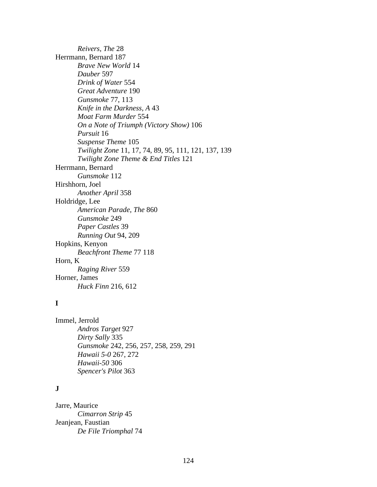*Reivers, The* 28 Herrmann, Bernard 187 *Brave New World* 14 *Dauber* 597 *Drink of Water* 554 *Great Adventure* 190 *Gunsmoke* 77, 113 *Knife in the Darkness, A* 43 *Moat Farm Murder* 554 *On a Note of Triumph (Victory Show)* 106 *Pursuit* 16 *Suspense Theme* 105 *Twilight Zone* 11, 17, 74, 89, 95, 111, 121, 137, 139 *Twilight Zone Theme & End Titles* 121 Herrmann, Bernard *Gunsmoke* 112 Hirshhorn, Joel *Another April* 358 Holdridge, Lee *American Parade, The* 860 *Gunsmoke* 249 *Paper Castles* 39 *Running Out* 94, 209 Hopkins, Kenyon *Beachfront Theme* 77 118 Horn, K *Raging River* 559 Horner, James *Huck Finn* 216, 612

## **I**

Immel, Jerrold *Andros Target* 927 *Dirty Sally* 335 *Gunsmoke* 242, 256, 257, 258, 259, 291 *Hawaii 5-0* 267, 272 *Hawaii-50* 306 *Spencer's Pilot* 363

## **J**

Jarre, Maurice *Cimarron Strip* 45 Jeanjean, Faustian *De File Triomphal* 74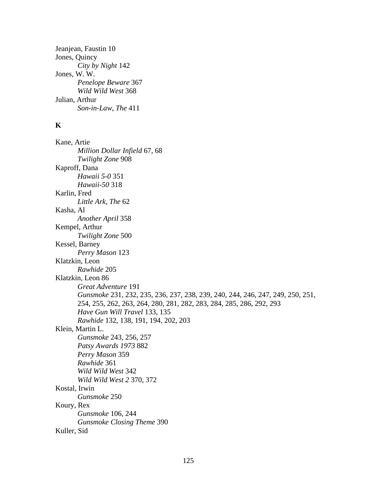Jeanjean, Faustin 10 Jones, Quincy *City by Night* 142 Jones, W. W. *Penelope Beware* 367 *Wild Wild West* 368 Julian, Arthur *Son-in-Law, The* 411

# **K**

Kane, Artie *Million Dollar Infield* 67, 68 *Twilight Zone* 908 Kaproff, Dana *Hawaii 5-0* 351 *Hawaii-50* 318 Karlin, Fred *Little Ark, The* 62 Kasha, Al *Another April* 358 Kempel, Arthur *Twilight Zone* 500 Kessel, Barney *Perry Mason* 123 Klatzkin, Leon *Rawhide* 205 Klatzkin, Leon 86 *Great Adventure* 191 *Gunsmoke* 231, 232, 235, 236, 237, 238, 239, 240, 244, 246, 247, 249, 250, 251, 254, 255, 262, 263, 264, 280, 281, 282, 283, 284, 285, 286, 292, 293 *Have Gun Will Travel* 133, 135 *Rawhide* 132, 138, 191, 194, 202, 203 Klein, Martin L. *Gunsmoke* 243, 256, 257 *Patsy Awards 1973* 882 *Perry Mason* 359 *Rawhide* 361 *Wild Wild West* 342 *Wild Wild West 2* 370, 372 Kostal, Irwin *Gunsmoke* 250 Koury, Rex *Gunsmoke* 106, 244 *Gunsmoke Closing Theme* 390 Kuller, Sid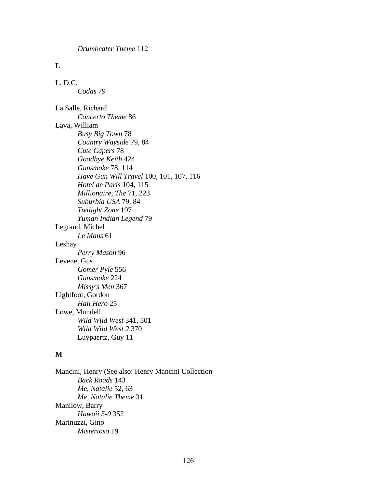#### **L**

L, D.C. *Codas* 79 La Salle, Richard *Concerto Theme* 86 Lava, William

*Busy Big Town* 78 *Country Wayside* 79, 84 *Cute Capers* 78 *Goodbye Keith* 424 *Gunsmoke* 78, 114 *Have Gun Will Travel* 100, 101, 107, 116 *Hotel de Paris* 104, 115 *Millionaire, The* 71, 223 *Suburbia USA* 79, 84 *Twilight Zone* 197 *Yuman Indian Legend* 79 Legrand, Michel *Le Mans* 61 Leshay *Perry Mason* 96 Levene, Gus *Gomer Pyle* 556 *Gunsmoke* 224 *Missy's Men* 367 Lightfoot, Gordon *Hail Hero* 25 Lowe, Mundell *Wild Wild West* 341, 501 *Wild Wild West 2* 370 Luypaertz, Guy 11

#### **M**

Mancini, Henry (See also: Henry Mancini Collection *Back Roads* 143 *Me, Natalie* 52, 63 *Me, Natalie Theme* 31 Manilow, Barry *Hawaii 5-0* 352 Marinuzzi, Gino *Misterioso* 19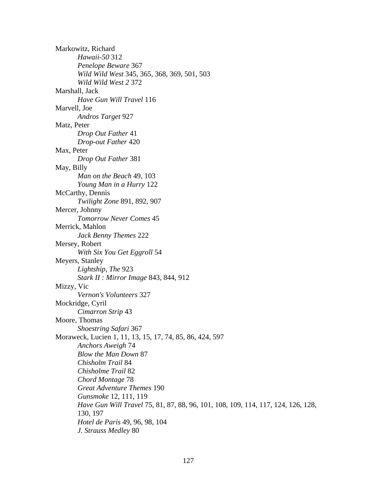Markowitz, Richard *Hawaii-50* 312 *Penelope Beware* 367 *Wild Wild West* 345, 365, 368, 369, 501, 503 *Wild Wild West 2* 372 Marshall, Jack *Have Gun Will Travel* 116 Marvell, Joe *Andros Target* 927 Matz, Peter *Drop Out Father* 41 *Drop-out Father* 420 Max, Peter *Drop Out Father* 381 May, Billy *Man on the Beach* 49, 103 *Young Man in a Hurry* 122 McCarthy, Dennis *Twilight Zone* 891, 892, 907 Mercer, Johnny *Tomorrow Never Comes* 45 Merrick, Mahlon *Jack Benny Themes* 222 Mersey, Robert *With Six You Get Eggroll* 54 Meyers, Stanley *Lightship, The* 923 *Stark II : Mirror Image* 843, 844, 912 Mizzy, Vic *Vernon's Volunteers* 327 Mockridge, Cyril *Cimarron Strip* 43 Moore, Thomas *Shoestring Safari* 367 Moraweck, Lucien 1, 11, 13, 15, 17, 74, 85, 86, 424, 597 *Anchors Aweigh* 74 *Blow the Man Down* 87 *Chisholm Trail* 84 *Chisholme Trail* 82 *Chord Montage* 78 *Great Adventure Themes* 190 *Gunsmoke* 12, 111, 119 *Have Gun Will Travel* 75, 81, 87, 88, 96, 101, 108, 109, 114, 117, 124, 126, 128, 130, 197 *Hotel de Paris* 49, 96, 98, 104 *J. Strauss Medley* 80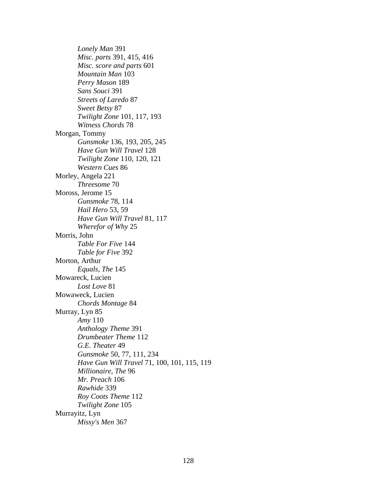*Lonely Man* 391 *Misc. parts* 391, 415, 416 *Misc. score and parts* 601 *Mountain Man* 103 *Perry Mason* 189 *Sans Souci* 391 *Streets of Laredo* 87 *Sweet Betsy* 87 *Twilight Zone* 101, 117, 193 *Witness Chords* 78 Morgan, Tommy *Gunsmoke* 136, 193, 205, 245 *Have Gun Will Travel* 128 *Twilight Zone* 110, 120, 121 *Western Cues* 86 Morley, Angela 221 *Threesome* 70 Moross, Jerome 15 *Gunsmoke* 78, 114 *Hail Hero* 53, 59 *Have Gun Will Travel* 81, 117 *Wherefor of Why* 25 Morris, John *Table For Five* 144 *Table for Five* 392 Morton, Arthur *Equals, The* 145 Mowareck, Lucien *Lost Love* 81 Mowaweck, Lucien *Chords Montage* 84 Murray, Lyn 85 *Amy* 110 *Anthology Theme* 391 *Drumbeater Theme* 112 *G.E. Theater* 49 *Gunsmoke* 50, 77, 111, 234 *Have Gun Will Travel* 71, 100, 101, 115, 119 *Millionaire, The* 96 *Mr. Preach* 106 *Rawhide* 339 *Roy Coots Theme* 112 *Twilight Zone* 105 Murrayitz, Lyn *Missy's Men* 367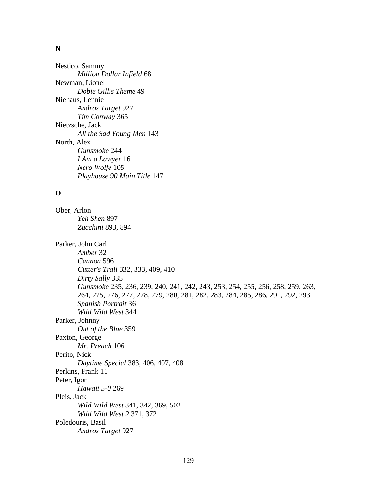#### **N**

Nestico, Sammy *Million Dollar Infield* 68 Newman, Lionel *Dobie Gillis Theme* 49 Niehaus, Lennie *Andros Target* 927 *Tim Conway* 365 Nietzsche, Jack *All the Sad Young Men* 143 North, Alex *Gunsmoke* 244 *I Am a Lawyer* 16 *Nero Wolfe* 105 *Playhouse 90 Main Title* 147

## **O**

Ober, Arlon *Yeh Shen* 897 *Zucchini* 893, 894 Parker, John Carl *Amber* 32 *Cannon* 596 *Cutter's Trail* 332, 333, 409, 410 *Dirty Sally* 335 *Gunsmoke* 235, 236, 239, 240, 241, 242, 243, 253, 254, 255, 256, 258, 259, 263, 264, 275, 276, 277, 278, 279, 280, 281, 282, 283, 284, 285, 286, 291, 292, 293 *Spanish Portrait* 36 *Wild Wild West* 344 Parker, Johnny *Out of the Blue* 359 Paxton, George *Mr. Preach* 106 Perito, Nick *Daytime Special* 383, 406, 407, 408 Perkins, Frank 11 Peter, Igor *Hawaii 5-0* 269 Pleis, Jack *Wild Wild West* 341, 342, 369, 502 *Wild Wild West 2* 371, 372 Poledouris, Basil *Andros Target* 927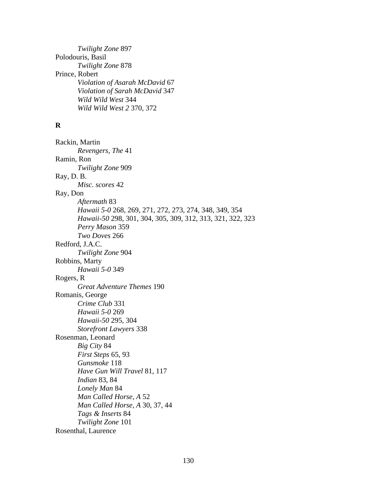*Twilight Zone* 897 Polodouris, Basil *Twilight Zone* 878 Prince, Robert *Violation of Asarah McDavid* 67 *Violation of Sarah McDavid* 347 *Wild Wild West* 344 *Wild Wild West 2* 370, 372

# **R**

Rackin, Martin *Revengers, The* 41 Ramin, Ron *Twilight Zone* 909 Ray, D. B. *Misc. scores* 42 Ray, Don *Aftermath* 83 *Hawaii 5-0* 268, 269, 271, 272, 273, 274, 348, 349, 354 *Hawaii-50* 298, 301, 304, 305, 309, 312, 313, 321, 322, 323 *Perry Mason* 359 *Two Doves* 266 Redford, J.A.C. *Twilight Zone* 904 Robbins, Marty *Hawaii 5-0* 349 Rogers, R *Great Adventure Themes* 190 Romanis, George *Crime Club* 331 *Hawaii 5-0* 269 *Hawaii-50* 295, 304 *Storefront Lawyers* 338 Rosenman, Leonard *Big City* 84 *First Steps* 65, 93 *Gunsmoke* 118 *Have Gun Will Travel* 81, 117 *Indian* 83, 84 *Lonely Man* 84 *Man Called Horse, A* 52 *Man Called Horse, A* 30, 37, 44 *Tags & Inserts* 84 *Twilight Zone* 101 Rosenthal, Laurence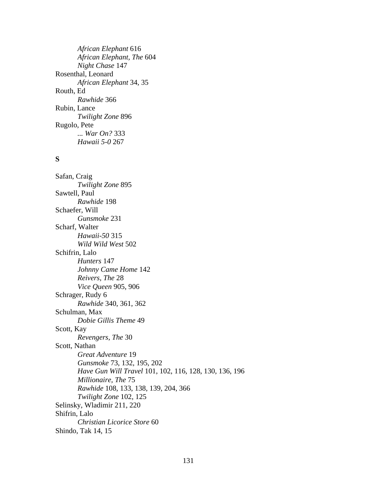*African Elephant* 616 *African Elephant, The* 604 *Night Chase* 147 Rosenthal, Leonard *African Elephant* 34, 35 Routh, Ed *Rawhide* 366 Rubin, Lance *Twilight Zone* 896 Rugolo, Pete *... War On?* 333 *Hawaii 5-0* 267

## **S**

Safan, Craig *Twilight Zone* 895 Sawtell, Paul *Rawhide* 198 Schaefer, Will *Gunsmoke* 231 Scharf, Walter *Hawaii-50* 315 *Wild Wild West* 502 Schifrin, Lalo *Hunters* 147 *Johnny Came Home* 142 *Reivers, The* 28 *Vice Queen* 905, 906 Schrager, Rudy 6 *Rawhide* 340, 361, 362 Schulman, Max *Dobie Gillis Theme* 49 Scott, Kay *Revengers, The* 30 Scott, Nathan *Great Adventure* 19 *Gunsmoke* 73, 132, 195, 202 *Have Gun Will Travel* 101, 102, 116, 128, 130, 136, 196 *Millionaire, The* 75 *Rawhide* 108, 133, 138, 139, 204, 366 *Twilight Zone* 102, 125 Selinsky, Wladimir 211, 220 Shifrin, Lalo *Christian Licorice Store* 60 Shindo, Tak 14, 15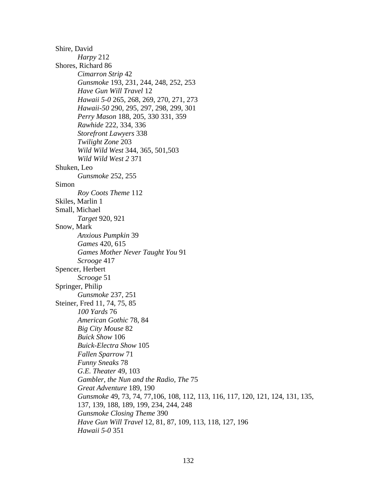Shire, David *Harpy* 212 Shores, Richard 86 *Cimarron Strip* 42 *Gunsmoke* 193, 231, 244, 248, 252, 253 *Have Gun Will Travel* 12 *Hawaii 5-0* 265, 268, 269, 270, 271, 273 *Hawaii-50* 290, 295, 297, 298, 299, 301 *Perry Mason* 188, 205, 330 331, 359 *Rawhide* 222, 334, 336 *Storefront Lawyers* 338 *Twilight Zone* 203 *Wild Wild West* 344, 365, 501,503 *Wild Wild West 2* 371 Shuken, Leo *Gunsmoke* 252, 255 Simon *Roy Coots Theme* 112 Skiles, Marlin 1 Small, Michael *Target* 920, 921 Snow, Mark *Anxious Pumpkin* 39 *Games* 420, 615 *Games Mother Never Taught You* 91 *Scrooge* 417 Spencer, Herbert *Scrooge* 51 Springer, Philip *Gunsmoke* 237, 251 Steiner, Fred 11, 74, 75, 85 *100 Yards* 76 *American Gothic* 78, 84 *Big City Mouse* 82 *Buick Show* 106 *Buick-Electra Show* 105 *Fallen Sparrow* 71 *Funny Sneaks* 78 *G.E. Theater* 49, 103 *Gambler, the Nun and the Radio, The* 75 *Great Adventure* 189, 190 *Gunsmoke* 49, 73, 74, 77,106, 108, 112, 113, 116, 117, 120, 121, 124, 131, 135, 137, 139, 188, 189, 199, 234, 244, 248 *Gunsmoke Closing Theme* 390 *Have Gun Will Travel* 12, 81, 87, 109, 113, 118, 127, 196 *Hawaii 5-0* 351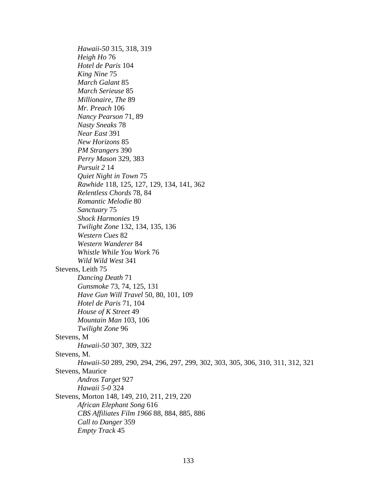*Hawaii-50* 315, 318, 319 *Heigh Ho* 76 *Hotel de Paris* 104 *King Nine* 75 *March Galant* 85 *March Serieuse* 85 *Millionaire, The* 89 *Mr. Preach* 106 *Nancy Pearson* 71, 89 *Nasty Sneaks* 78 *Near East* 391 *New Horizons* 85 *PM Strangers* 390 *Perry Mason* 329, 383 *Pursuit 2* 14 *Quiet Night in Town* 75 *Rawhide* 118, 125, 127, 129, 134, 141, 362 *Relentless Chords* 78, 84 *Romantic Melodie* 80 *Sanctuary* 75 *Shock Harmonies* 19 *Twilight Zone* 132, 134, 135, 136 *Western Cues* 82 *Western Wanderer* 84 *Whistle While You Work* 76 *Wild Wild West* 341 Stevens, Leith 75 *Dancing Death* 71 *Gunsmoke* 73, 74, 125, 131 *Have Gun Will Travel* 50, 80, 101, 109 *Hotel de Paris* 71, 104 *House of K Street* 49 *Mountain Man* 103, 106 *Twilight Zone* 96 Stevens, M *Hawaii-50* 307, 309, 322 Stevens, M. *Hawaii-50* 289, 290, 294, 296, 297, 299, 302, 303, 305, 306, 310, 311, 312, 321 Stevens, Maurice *Andros Target* 927 *Hawaii 5-0* 324 Stevens, Morton 148, 149, 210, 211, 219, 220 *African Elephant Song* 616 *CBS Affiliates Film 1966* 88, 884, 885, 886 *Call to Danger* 359 *Empty Track* 45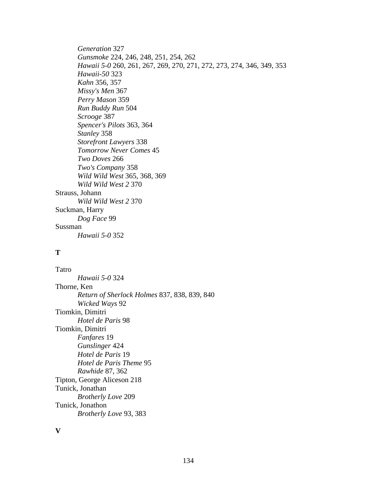*Generation* 327 *Gunsmoke* 224, 246, 248, 251, 254, 262 *Hawaii 5-0* 260, 261, 267, 269, 270, 271, 272, 273, 274, 346, 349, 353 *Hawaii-50* 323 *Kahn* 356, 357 *Missy's Men* 367 *Perry Mason* 359 *Run Buddy Run* 504 *Scrooge* 387 *Spencer's Pilots* 363, 364 *Stanley* 358 *Storefront Lawyers* 338 *Tomorrow Never Comes* 45 *Two Doves* 266 *Two's Company* 358 *Wild Wild West* 365, 368, 369 *Wild Wild West 2* 370 Strauss, Johann *Wild Wild West 2* 370 Suckman, Harry *Dog Face* 99 Sussman *Hawaii 5-0* 352

#### **T**

Tatro *Hawaii 5-0* 324 Thorne, Ken *Return of Sherlock Holmes* 837, 838, 839, 840 *Wicked Ways* 92 Tiomkin, Dimitri *Hotel de Paris* 98 Tiomkin, Dimitri *Fanfares* 19 *Gunslinger* 424 *Hotel de Paris* 19 *Hotel de Paris Theme* 95 *Rawhide* 87, 362 Tipton, George Aliceson 218 Tunick, Jonathan *Brotherly Love* 209 Tunick, Jonathon *Brotherly Love* 93, 383

**V**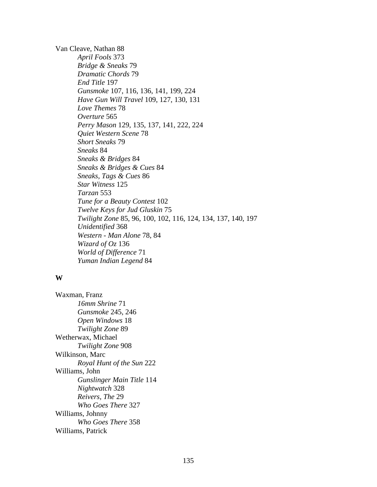Van Cleave, Nathan 88 *April Fools* 373 *Bridge & Sneaks* 79 *Dramatic Chords* 79 *End Title* 197 *Gunsmoke* 107, 116, 136, 141, 199, 224 *Have Gun Will Travel* 109, 127, 130, 131 *Love Themes* 78 *Overture* 565 *Perry Mason* 129, 135, 137, 141, 222, 224 *Quiet Western Scene* 78 *Short Sneaks* 79 *Sneaks* 84 *Sneaks & Bridges* 84 *Sneaks & Bridges & Cues* 84 *Sneaks, Tags & Cues* 86 *Star Witness* 125 *Tarzan* 553 *Tune for a Beauty Contest* 102 *Twelve Keys for Jud Gluskin* 75 *Twilight Zone* 85, 96, 100, 102, 116, 124, 134, 137, 140, 197 *Unidentified* 368 *Western - Man Alone* 78, 84 *Wizard of Oz* 136 *World of Difference* 71 *Yuman Indian Legend* 84

#### **W**

Waxman, Franz *16mm Shrine* 71 *Gunsmoke* 245, 246 *Open Windows* 18 *Twilight Zone* 89 Wetherwax, Michael *Twilight Zone* 908 Wilkinson, Marc *Royal Hunt of the Sun* 222 Williams, John *Gunslinger Main Title* 114 *Nightwatch* 328 *Reivers, The* 29 *Who Goes There* 327 Williams, Johnny *Who Goes There* 358 Williams, Patrick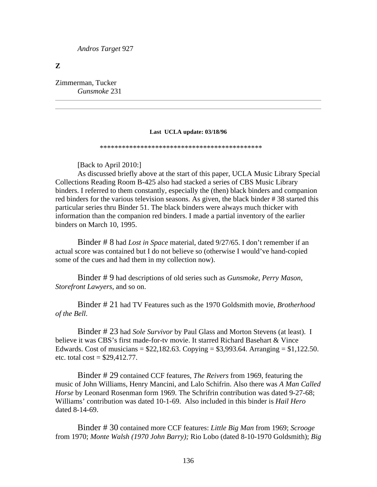*Andros Target* 927

**Z**

Zimmerman, Tucker *Gunsmoke* 231

#### **Last UCLA update: 03/18/96**

\*\*\*\*\*\*\*\*\*\*\*\*\*\*\*\*\*\*\*\*\*\*\*\*\*\*\*\*\*\*\*\*\*\*\*\*\*\*\*\*\*\*\*\*

[Back to April 2010:]

 As discussed briefly above at the start of this paper, UCLA Music Library Special Collections Reading Room B-425 also had stacked a series of CBS Music Library binders. I referred to them constantly, especially the (then) black binders and companion red binders for the various television seasons. As given, the black binder # 38 started this particular series thru Binder 51. The black binders were always much thicker with information than the companion red binders. I made a partial inventory of the earlier binders on March 10, 1995.

Binder # 8 had *Lost in Space* material, dated 9/27/65. I don't remember if an actual score was contained but I do not believe so (otherwise I would've hand-copied some of the cues and had them in my collection now).

Binder # 9 had descriptions of old series such as *Gunsmoke, Perry Mason, Storefront Lawyers*, and so on.

Binder # 21 had TV Features such as the 1970 Goldsmith movie, *Brotherhood of the Bell*.

Binder # 23 had *Sole Survivor* by Paul Glass and Morton Stevens (at least). I believe it was CBS's first made-for-tv movie. It starred Richard Basehart & Vince Edwards. Cost of musicians =  $$22,182.63$ . Copying =  $$3,993.64$ . Arranging =  $$1,122.50$ . etc. total  $cost = $29,412.77$ .

Binder # 29 contained CCF features, *The Reivers* from 1969, featuring the music of John Williams, Henry Mancini, and Lalo Schifrin. Also there was *A Man Called Horse* by Leonard Rosenman form 1969. The Schrifrin contribution was dated 9-27-68; Williams' contribution was dated 10-1-69. Also included in this binder is *Hail Hero* dated 8-14-69.

Binder # 30 contained more CCF features: *Little Big Man* from 1969; *Scrooge* from 1970; *Monte Walsh (1970 John Barry);* Rio Lobo (dated 8-10-1970 Goldsmith); *Big*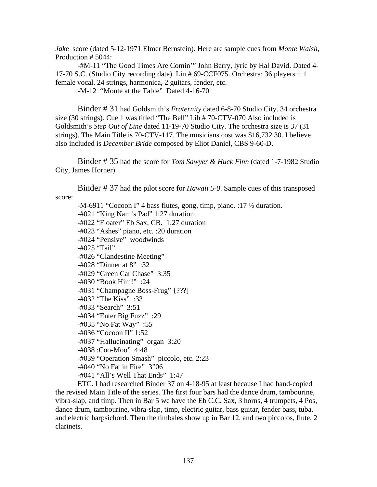*Jake* score (dated 5-12-1971 Elmer Bernstein). Here are sample cues from *Monte Walsh*, Production # 5044:

 -#M-11 "The Good Times Are Comin'" John Barry, lyric by Hal David. Dated 4- 17-70 S.C. (Studio City recording date). Lin # 69-CCF075. Orchestra: 36 players + 1 female vocal. 24 strings, harmonica, 2 guitars, fender, etc.

-M-12 "Monte at the Table" Dated 4-16-70

Binder # 31 had Goldsmith's *Fraternity* dated 6-8-70 Studio City. 34 orchestra size (30 strings). Cue 1 was titled "The Bell" Lib # 70-CTV-070 Also included is Goldsmith's *Step Out of Line* dated 11-19-70 Studio City. The orchestra size is 37 (31 strings). The Main Title is 70-CTV-117. The musicians cost was \$16,732.30. I believe also included is *December Bride* composed by Eliot Daniel, CBS 9-60-D.

Binder # 35 had the score for *Tom Sawyer & Huck Finn* (dated 1-7-1982 Studio City, James Horner).

Binder # 37 had the pilot score for *Hawaii 5-0*. Sample cues of this transposed score:

-M-6911 "Cocoon I" 4 bass flutes, gong, timp, piano. :17  $\frac{1}{2}$  duration. -#021 "King Nam's Pad" 1:27 duration -#022 "Floater" Eb Sax, CB. 1:27 duration -#023 "Ashes" piano, etc. :20 duration -#024 "Pensive" woodwinds -#025 "Tail" -#026 "Clandestine Meeting" -#028 "Dinner at 8" :32 -#029 "Green Car Chase" 3:35 -#030 "Book Him!" :24 -#031 "Champagne Boss-Frug" {???] -#032 "The Kiss" :33 -#033 "Search" 3:51 -#034 "Enter Big Fuzz" :29 -#035 "No Fat Way" :55 -#036 "Cocoon II" 1:52 -#037 "Hallucinating" organ 3:20 -#038 :Coo-Moo" 4:48 -#039 "Operation Smash" piccolo, etc. 2:23 -#040 "No Fat in Fire" 3"06 -#041 "All's Well That Ends" 1:47

 ETC. I had researched Binder 37 on 4-18-95 at least because I had hand-copied the revised Main Title of the series. The first four bars had the dance drum, tambourine, vibra-slap, and timp. Then in Bar 5 we have the Eb C.C. Sax, 3 horns, 4 trumpets, 4 Pos, dance drum, tambourine, vibra-slap, timp, electric guitar, bass guitar, fender bass, tuba, and electric harpsichord. Then the timbales show up in Bar 12, and two piccolos, flute, 2 clarinets.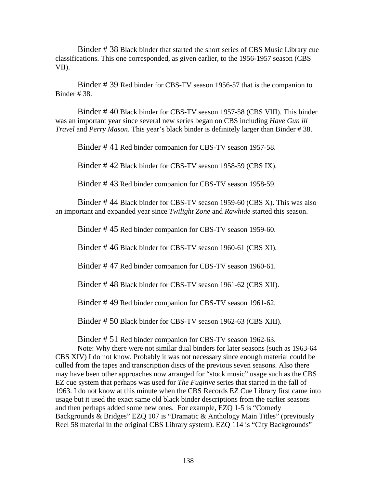Binder # 38 Black binder that started the short series of CBS Music Library cue classifications. This one corresponded, as given earlier, to the 1956-1957 season (CBS VII).

Binder # 39 Red binder for CBS-TV season 1956-57 that is the companion to Binder # 38.

Binder # 40 Black binder for CBS-TV season 1957-58 (CBS VIII). This binder was an important year since several new series began on CBS including *Have Gun ill Travel* and *Perry Mason*. This year's black binder is definitely larger than Binder # 38.

Binder # 41 Red binder companion for CBS-TV season 1957-58.

Binder # 42 Black binder for CBS-TV season 1958-59 (CBS IX).

Binder # 43 Red binder companion for CBS-TV season 1958-59.

Binder # 44 Black binder for CBS-TV season 1959-60 (CBS X). This was also an important and expanded year since *Twilight Zone* and *Rawhide* started this season.

Binder # 45 Red binder companion for CBS-TV season 1959-60.

Binder # 46 Black binder for CBS-TV season 1960-61 (CBS XI).

Binder # 47 Red binder companion for CBS-TV season 1960-61.

Binder # 48 Black binder for CBS-TV season 1961-62 (CBS XII).

Binder # 49 Red binder companion for CBS-TV season 1961-62.

Binder # 50 Black binder for CBS-TV season 1962-63 (CBS XIII).

Binder # 51 Red binder companion for CBS-TV season 1962-63.

 Note: Why there were not similar dual binders for later seasons (such as 1963-64 CBS XIV) I do not know. Probably it was not necessary since enough material could be culled from the tapes and transcription discs of the previous seven seasons. Also there may have been other approaches now arranged for "stock music" usage such as the CBS EZ cue system that perhaps was used for *The Fugitive* series that started in the fall of 1963. I do not know at this minute when the CBS Records EZ Cue Library first came into usage but it used the exact same old black binder descriptions from the earlier seasons and then perhaps added some new ones. For example, EZQ 1-5 is "Comedy Backgrounds & Bridges" EZQ 107 is "Dramatic & Anthology Main Titles" (previously Reel 58 material in the original CBS Library system). EZQ 114 is "City Backgrounds"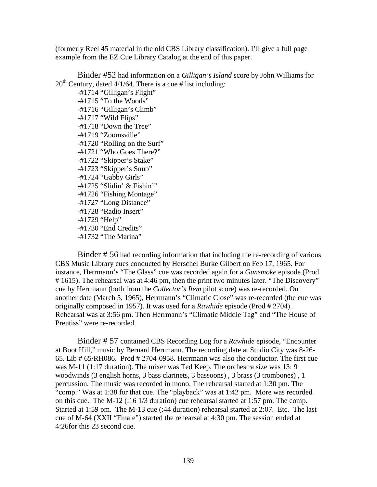(formerly Reel 45 material in the old CBS Library classification). I'll give a full page example from the EZ Cue Library Catalog at the end of this paper.

Binder #52 had information on a *Gilligan's Island* score by John Williams for  $20<sup>th</sup>$  Century, dated 4/1/64. There is a cue # list including:

 -#1714 "Gilligan's Flight" -#1715 "To the Woods" -#1716 "Gilligan's Climb" -#1717 "Wild Flips" -#1718 "Down the Tree" -#1719 "Zoomsville" -#1720 "Rolling on the Surf" -#1721 "Who Goes There?" -#1722 "Skipper's Stake" -#1723 "Skipper's Snub" -#1724 "Gabby Girls" -#1725 "Slidin' & Fishin'" -#1726 "Fishing Montage" -#1727 "Long Distance" -#1728 "Radio Insert" -#1729 "Help" -#1730 "End Credits" -#1732 "The Marina"

Binder # 56 had recording information that including the re-recording of various CBS Music Library cues conducted by Herschel Burke Gilbert on Feb 17, 1965. For instance, Herrmann's "The Glass" cue was recorded again for a *Gunsmoke* episode (Prod # 1615). The rehearsal was at 4:46 pm, then the print two minutes later. "The Discovery" cue by Herrmann (both from the *Collector's Item* pilot score) was re-recorded. On another date (March 5, 1965), Herrmann's "Climatic Close" was re-recorded (the cue was originally composed in 1957). It was used for a *Rawhide* episode (Prod # 2704). Rehearsal was at 3:56 pm. Then Herrmann's "Climatic Middle Tag" and "The House of Prentiss" were re-recorded.

Binder # 57 contained CBS Recording Log for a *Rawhide* episode, "Encounter at Boot Hill," music by Bernard Herrmann. The recording date at Studio City was 8-26- 65. Lib # 65/RH086. Prod # 2704-0958. Herrmann was also the conductor. The first cue was M-11 (1:17 duration). The mixer was Ted Keep. The orchestra size was 13: 9 woodwinds (3 english horns, 3 bass clarinets, 3 bassoons) , 3 brass (3 trombones) , 1 percussion. The music was recorded in mono. The rehearsal started at 1:30 pm. The "comp." Was at 1:38 for that cue. The "playback" was at 1:42 pm. More was recorded on this cue. The M-12 (:16 1/3 duration) cue rehearsal started at 1:57 pm. The comp. Started at 1:59 pm. The M-13 cue (:44 duration) rehearsal started at 2:07. Etc. The last cue of M-64 (XXII "Finale") started the rehearsal at 4:30 pm. The session ended at 4:26for this 23 second cue.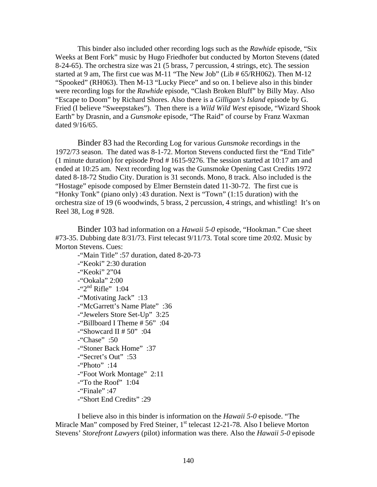This binder also included other recording logs such as the *Rawhide* episode, "Six Weeks at Bent Fork" music by Hugo Friedhofer but conducted by Morton Stevens (dated 8-24-65). The orchestra size was 21 (5 brass, 7 percussion, 4 strings, etc). The session started at 9 am, The first cue was M-11 "The New Job" (Lib # 65/RH062). Then M-12 "Spooked" (RH063). Then M-13 "Lucky Piece" and so on. I believe also in this binder were recording logs for the *Rawhide* episode, "Clash Broken Bluff" by Billy May. Also "Escape to Doom" by Richard Shores. Also there is a *Gilligan's Island* episode by G. Fried (I believe "Sweepstakes"). Then there is a *Wild Wild West* episode, "Wizard Shook Earth" by Drasnin, and a *Gunsmoke* episode, "The Raid" of course by Franz Waxman dated 9/16/65.

Binder 83 had the Recording Log for various *Gunsmoke* recordings in the 1972/73 season. The dated was 8-1-72. Morton Stevens conducted first the "End Title" (1 minute duration) for episode Prod # 1615-9276. The session started at 10:17 am and ended at 10:25 am. Next recording log was the Gunsmoke Opening Cast Credits 1972 dated 8-18-72 Studio City. Duration is 31 seconds. Mono, 8 track. Also included is the "Hostage" episode composed by Elmer Bernstein dated 11-30-72. The first cue is "Honky Tonk" (piano only) :43 duration. Next is "Town" (1:15 duration) with the orchestra size of 19 (6 woodwinds, 5 brass, 2 percussion, 4 strings, and whistling! It's on Reel 38, Log # 928.

Binder 103 had information on a *Hawaii 5-0* episode, "Hookman." Cue sheet #73-35. Dubbing date 8/31/73. First telecast 9/11/73. Total score time 20:02. Music by Morton Stevens. Cues:

 -"Main Title" :57 duration, dated 8-20-73 -"Keoki" 2:30 duration -"Keoki" 2"04 -"Ookala" 2:00  $-$ "2<sup>nd</sup> Rifle" 1:04 -"Motivating Jack" :13 -"McGarrett's Name Plate" :36 -"Jewelers Store Set-Up" 3:25 -"Billboard I Theme # 56" :04 -"Showcard II #  $50"$  :04 -"Chase" :50 -"Stoner Back Home" :37 -"Secret's Out" :53 -"Photo" :14 -"Foot Work Montage" 2:11 -"To the Roof" 1:04  $-i$ Finale" :47 -"Short End Credits" :29

 I believe also in this binder is information on the *Hawaii 5-0* episode. "The Miracle Man" composed by Fred Steiner,  $1<sup>st</sup>$  telecast 12-21-78. Also I believe Morton Stevens' *Storefront Lawyers* (pilot) information was there. Also the *Hawaii 5-0* episode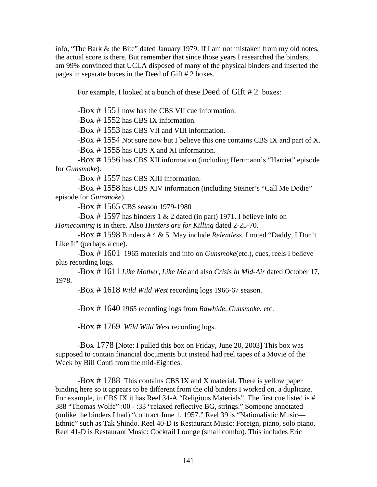info, "The Bark & the Bite" dated January 1979. If I am not mistaken from my old notes, the actual score is there. But remember that since those years I researched the binders, am 99% convinced that UCLA disposed of many of the physical binders and inserted the pages in separate boxes in the Deed of Gift # 2 boxes.

For example, I looked at a bunch of these Deed of Gift # 2 boxes:

-Box # 1551 now has the CBS VII cue information.

-Box # 1552 has CBS IX information.

-Box # 1553 has CBS VII and VIII information.

-Box # 1554 Not sure now but I believe this one contains CBS IX and part of X.

-Box # 1555 has CBS X and XI information.

 -Box # 1556 has CBS XII information (including Herrmann's "Harriet" episode for *Gunsmoke*).

-Box # 1557 has CBS XIII information.

 -Box # 1558 has CBS XIV information (including Steiner's "Call Me Dodie" episode for *Gunsmoke*).

-Box # 1565 CBS season 1979-1980

-Box #1597 has binders 1  $& 2$  dated (in part) 1971. I believe info on *Homecoming* is in there. Also *Hunters are for Killing* dated 2-25-70.

 -Box # 1598 Binders # 4 & 5. May include *Relentless*. I noted "Daddy, I Don't Like It" (perhaps a cue).

 -Box # 1601 1965 materials and info on *Gunsmoke*(etc.), cues, reels I believe plus recording logs.

 -Box # 1611 *Like Mother, Like Me* and also *Crisis in Mid-Air* dated October 17, 1978.

-Box # 1618 *Wild Wild West* recording logs 1966-67 season.

-Box # 1640 1965 recording logs from *Rawhide*, *Gunsmoke*, etc.

-Box # 1769 *Wild Wild West* recording logs.

 -Box 1778 [Note: I pulled this box on Friday, June 20, 2003] This box was supposed to contain financial documents but instead had reel tapes of a Movie of the Week by Bill Conti from the mid-Eighties.

 -Box # 1788 This contains CBS IX and X material. There is yellow paper binding here so it appears to be different from the old binders I worked on, a duplicate. For example, in CBS IX it has Reel 34-A "Religious Materials". The first cue listed is # 388 "Thomas Wolfe" :00 - :33 "relaxed reflective BG, strings." Someone annotated (unlike the binders I had) "contract June 1, 1957." Reel 39 is "Nationalistic Music— Ethnic" such as Tak Shindo. Reel 40-D is Restaurant Music: Foreign, piano, solo piano. Reel 41-D is Restaurant Music: Cocktail Lounge (small combo). This includes Eric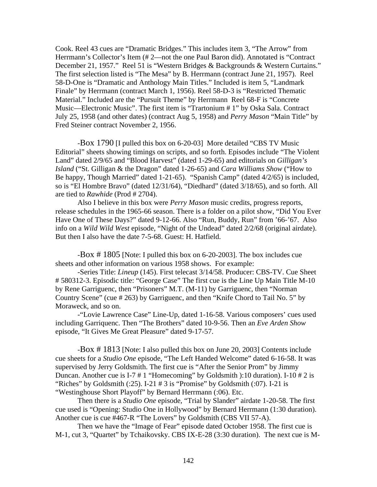Cook. Reel 43 cues are "Dramatic Bridges." This includes item 3, "The Arrow" from Herrmann's Collector's Item (# 2—not the one Paul Baron did). Annotated is "Contract December 21, 1957." Reel 51 is "Western Bridges & Backgrounds & Western Curtains." The first selection listed is "The Mesa" by B. Herrmann (contract June 21, 1957). Reel 58-D-One is "Dramatic and Anthology Main Titles." Included is item 5, "Landmark Finale" by Herrmann (contract March 1, 1956). Reel 58-D-3 is "Restricted Thematic Material." Included are the "Pursuit Theme" by Herrmann Reel 68-F is "Concrete Music—Electronic Music". The first item is "Trartonium # 1" by Oska Sala. Contract July 25, 1958 (and other dates) (contract Aug 5, 1958) and *Perry Mason* "Main Title" by Fred Steiner contract November 2, 1956.

 -Box 1790 [I pulled this box on 6-20-03] More detailed "CBS TV Music Editorial" sheets showing timings on scripts, and so forth. Episodes include "The Violent Land" dated 2/9/65 and "Blood Harvest" (dated 1-29-65) and editorials on *Gilligan's Island* ("St. Gilligan & the Dragon" dated 1-26-65) and *Cara Williams Show* ("How to Be happy, Though Married" dated 1-21-65). "Spanish Camp" (dated 4/2/65) is included, so is "El Hombre Bravo" (dated 12/31/64), "Diedhard" (dated 3/18/65), and so forth. All are tied to *Rawhide* (Prod # 2704).

 Also I believe in this box were *Perry Mason* music credits, progress reports, release schedules in the 1965-66 season. There is a folder on a pilot show, "Did You Ever Have One of These Days?" dated 9-12-66. Also "Run, Buddy, Run" from '66-'67. Also info on a *Wild Wild West* episode, "Night of the Undead" dated 2/2/68 (original airdate). But then I also have the date 7-5-68. Guest: H. Hatfield.

 -Box # 1805 [Note: I pulled this box on 6-20-2003]. The box includes cue sheets and other information on various 1958 shows. For example:

 -Series Title: *Lineup* (145). First telecast 3/14/58. Producer: CBS-TV. Cue Sheet # 580312-3. Episodic title: "George Case" The first cue is the Line Up Main Title M-10 by Rene Garriguenc, then "Prisoners" M.T. (M-11) by Garriguenc, then "Norman Country Scene" (cue # 263) by Garriguenc, and then "Knife Chord to Tail No. 5" by Moraweck, and so on.

 -"Lovie Lawrence Case" Line-Up, dated 1-16-58. Various composers' cues used including Garriquenc. Then "The Brothers" dated 10-9-56. Then an *Eve Arden Show* episode, "It Gives Me Great Pleasure" dated 9-17-57.

 -Box # 1813 [Note: I also pulled this box on June 20, 2003] Contents include cue sheets for a *Studio One* episode, "The Left Handed Welcome" dated 6-16-58. It was supervised by Jerry Goldsmith. The first cue is "After the Senior Prom" by Jimmy Duncan. Another cue is I-7 # 1 "Homecoming" by Goldsmith ):10 duration). I-10 # 2 is "Riches" by Goldsmith  $(.25)$ . I-21 # 3 is "Promise" by Goldsmith  $(.07)$ . I-21 is "Westinghouse Short Playoff" by Bernard Herrmann (:06). Etc.

 Then there is a *Studio One* episode, "Trial by Slander" airdate 1-20-58. The first cue used is "Opening: Studio One in Hollywood" by Bernard Herrmann (1:30 duration). Another cue is cue #467-R "The Lovers" by Goldsmith (CBS VII 57-A).

 Then we have the "Image of Fear" episode dated October 1958. The first cue is M-1, cut 3, "Quartet" by Tchaikovsky. CBS IX-E-28 (3:30 duration). The next cue is M-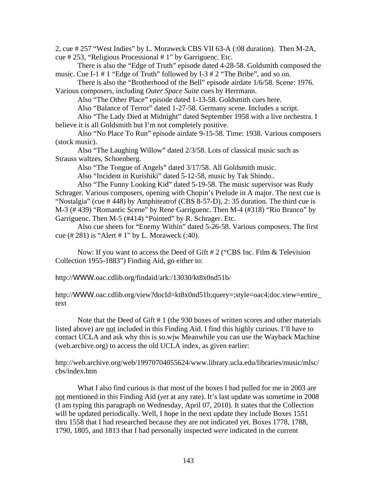2, cue # 257 "West Indies" by L. Moraweck CBS VII 63-A (:08 duration). Then M-2A, cue # 253, "Religious Processional # 1" by Garriguenc. Etc.

 There is also the "Edge of Truth" episode dated 4-28-58. Goldsmith composed the music. Cue I-1 # 1 "Edge of Truth" followed by I-3 # 2 "The Bribe", and so on.

 There is also the "Brotherhood of the Bell" episode airdate 1/6/58. Scene: 1976. Various composers, including *Outer Space Suite* cues by Herrmann.

Also "The Other Place" episode dated 1-13-58. Goldsmith cues here.

Also "Balance of Terror" dated 1-27-58. Germany scene. Includes a script.

 Also "The Lady Died at Midnight" dated September 1958 with a live orchestra. I believe it is all Goldsmith but I'm not completely positive.

 Also "No Place To Run" episode airdate 9-15-58. Time: 1938. Various composers (stock music).

 Also "The Laughing Willow" dated 2/3/58. Lots of classical music such as Strauss waltzes, Schoenberg.

Also "The Tongue of Angels" dated 3/17/58. All Goldsmith music.

Also "Incident in Kurishiki" dated 5-12-58, music by Tak Shindo..

 Also "The Funny Looking Kid" dated 5-19-58. The music supervisor was Rudy Schrager. Various composers, opening with Chopin's Prelude in A major. The next cue is "Nostalgia" (cue # 448) by Amphiteatrof (CBS 8-57-D), 2: 35 duration. The third cue is M-3 (# 439) "Romantic Scene" by Rene Garriguenc. Then M-4 (#318) "Rio Branco" by Garriguenc. Then M-5 (#414) "Pointed" by R. Schrager. Etc.

 Also cue sheets for "Enemy Within" dated 5-26-58. Various composers. The first cue (# 281) is "Alert # 1" by L. Moraweck (:40).

 Now: If you want to access the Deed of Gift # 2 ("CBS Inc. Film & Television Collection 1955-1883") Finding Aid, go either to:

http://WWW.oac.cdlib.org/findaid/ark:/13030/kt8x0nd51b/

http://WWW.oac.cdlib.org/view?docId=kt8x0nd51b;query=;style=oac4;doc.view=entire\_ text

 Note that the Deed of Gift # 1 (the 930 boxes of written scores and other materials listed above) are not included in this Finding Aid. I find this highly curious. I'll have to contact UCLA and ask why this is so.wjw Meanwhile you can use the Wayback Machine (web.archive.org) to access the old UCLA index, as given earlier:

http://web.archive.org/web/19970704055624/www.library.ucla.edu/libraries/music/mlsc/ cbs/index.htm

What I also find curious is that most of the boxes I had pulled for me in 2003 are not mentioned in this Finding Aid (*yet* at any rate). It's last update was sometime in 2008 (I am typing this paragraph on Wednesday, April 07, 2010). It states that the Collection will be updated periodically. Well, I hope in the next update they include Boxes 1551 thru 1558 that I had researched because they are not indicated yet. Boxes 1778, 1788, 1790, 1805, and 1813 that I had personally inspected *were* indicated in the current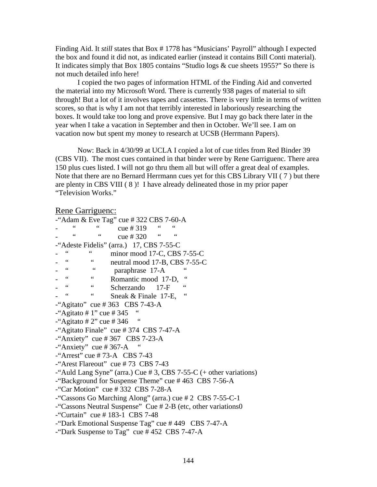Finding Aid. It *still* states that Box # 1778 has "Musicians' Payroll" although I expected the box and found it did not, as indicated earlier (instead it contains Bill Conti material). It indicates simply that Box 1805 contains "Studio logs & cue sheets 1955?" So there is not much detailed info here!

 I copied the two pages of information HTML of the Finding Aid and converted the material into my Microsoft Word. There is currently 938 pages of material to sift through! But a lot of it involves tapes and cassettes. There is very little in terms of written scores, so that is why I am not that terribly interested in laboriously researching the boxes. It would take too long and prove expensive. But I may go back there later in the year when I take a vacation in September and then in October. We'll see. I am on vacation now but spent my money to research at UCSB (Herrmann Papers).

 Now: Back in 4/30/99 at UCLA I copied a lot of cue titles from Red Binder 39 (CBS VII). The most cues contained in that binder were by Rene Garriguenc. There area 150 plus cues listed. I will not go thru them all but will offer a great deal of examples. Note that there are no Bernard Herrmann cues yet for this CBS Library VII ( 7 ) but there are plenty in CBS VIII ( 8 )! I have already delineated those in my prior paper "Television Works."

#### Rene Garriguenc:

| -"Adam & Eve Tag" cue # 322 CBS 7-60-A                               |
|----------------------------------------------------------------------|
| cue # $319$                                                          |
| 66<br>66<br>cue # $320$                                              |
| -"Adeste Fidelis" (arra.) 17, CBS 7-55-C                             |
| $\leq$ $\leq$<br>minor mood 17-C, CBS 7-55-C                         |
| $\zeta$ $\zeta$<br>$\zeta$ $\zeta$<br>neutral mood 17-B, CBS 7-55-C  |
| 66<br>66<br>paraphrase 17-A                                          |
| 66<br>$66\,$<br>$\zeta$ $\zeta$<br>Romantic mood 17-D,               |
| $\leq$ $\leq$<br>66<br>66<br>Scherzando 17-F                         |
| $\mbox{\bf 6}$<br>Sneak $&$ Finale 17-E,                             |
| -"Agitato" cue # 363 CBS 7-43-A                                      |
| -"Agitato # 1" cue # 345                                             |
| -"Agitato # 2" cue # 346                                             |
| -"Agitato Finale" cue # 374 CBS 7-47-A                               |
| -"Anxiety" cue #367 CBS 7-23-A                                       |
| -"Anxiety" cue # 367-A                                               |
| -"Arrest" cue # 73-A $\;$ CBS 7-43                                   |
| -"Arest Flareout" cue #73 CBS 7-43                                   |
| -"Auld Lang Syne" (arra.) Cue $#3$ , CBS 7-55-C (+ other variations) |
| -"Background for Suspense Theme" cue #463 CBS 7-56-A                 |
| -"Car Motion" cue #332 CBS 7-28-A                                    |
| -"Cassons Go Marching Along" (arra.) cue # 2 CBS 7-55-C-1            |
| -"Cassons Neutral Suspense" Cue #2-B (etc, other variations0         |
| -"Curtain" cue # 183-1 CBS 7-48                                      |
| -"Dark Emotional Suspense Tag" cue $#449$ CBS 7-47-A                 |
| -"Dark Suspense to Tag" cue $#452$ CBS 7-47-A                        |
|                                                                      |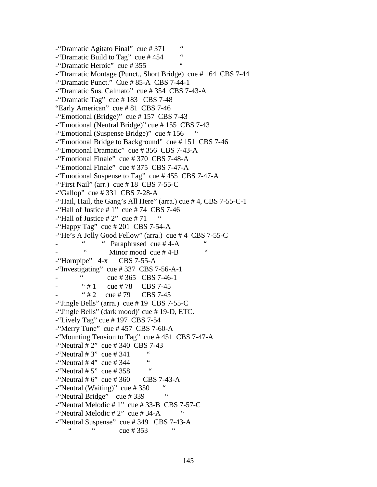-"Dramatic Agitato Final" cue # 371 "  $\frac{1000 \text{ m}}{1000 \text{ m}}$  Cue # 454 " -"Dramatic Heroic" cue # 355 " -"Dramatic Montage (Punct., Short Bridge) cue # 164 CBS 7-44 -"Dramatic Punct." Cue # 85-A CBS 7-44-1 -"Dramatic Sus. Calmato" cue # 354 CBS 7-43-A -"Dramatic Tag" cue # 183 CBS 7-48 "Early American" cue # 81 CBS 7-46 -"Emotional (Bridge)" cue # 157 CBS 7-43 -"Emotional (Neutral Bridge)" cue # 155 CBS 7-43 -"Emotional (Suspense Bridge)" cue #156 -"Emotional Bridge to Background" cue # 151 CBS 7-46 -"Emotional Dramatic" cue # 356 CBS 7-43-A -"Emotional Finale" cue # 370 CBS 7-48-A -"Emotional Finale" cue # 375 CBS 7-47-A -"Emotional Suspense to Tag" cue # 455 CBS 7-47-A  $-$ "First Nail" (arr.) cue #18 CBS 7-55-C  $-$ "Gallop" cue # 331 CBS 7-28-A -"Hail, Hail, the Gang's All Here" (arra.) cue # 4, CBS 7-55-C-1 -"Hall of Justice  $# 1$ " cue  $# 74$  CBS 7-46 -"Hall of Justice  $# 2"$  cue  $# 71$ -"Happy Tag" cue  $\#$  201 CBS 7-54-A -"He's A Jolly Good Fellow" (arra.) cue # 4 CBS 7-55-C  $\ldots$  " Paraphrased cue # 4-A " Minor mood cue  $#4-B$ -"Hornpipe" 4-x CBS 7-55-A -"Investigating" cue # 337 CBS 7-56-A-1  $\text{cue} \# 365 \quad \text{CBS} \; 7-46-1$  $"# 1$  cue # 78 CBS 7-45  $"#2$  cue #79 CBS 7-45 -"Jingle Bells" (arra.) cue # 19 CBS 7-55-C -"Jingle Bells" (dark mood)' cue # 19-D, ETC.  $-$ "Lively Tag" cue # 197 CBS 7-54  $-$ "Merry Tune" cue # 457 CBS 7-60-A -"Mounting Tension to Tag" cue # 451 CBS 7-47-A  $-$ "Neutral # 2" cue # 340 CBS 7-43  $\frac{1}{2}$  "Neutral # 3" cue # 341 "  $-$ "Neutral # 4" cue # 344  $-$ "Neutral # 5" cue # 358 "  $-$ "Neutral # 6" cue # 360 CBS 7-43-A  $-$ "Neutral (Waiting)" cue # 350 " -"Neutral Bridge" cue # 339 -"Neutral Melodic  $# 1$ " cue  $# 33-B$  CBS 7-57-C -"Neutral Melodic  $# 2"$  cue  $# 34-A$ <sup>-"</sup>Neutral Suspense" cue # 349 CBS 7-43-A cue # 353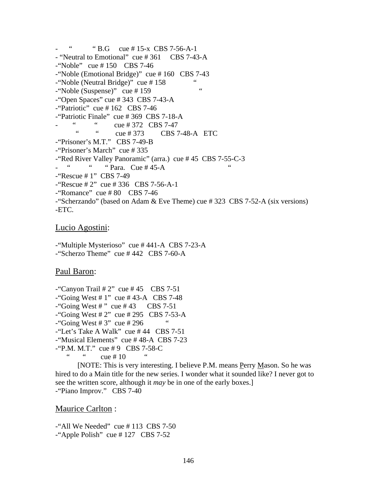"  $\cdot$  " B.G cue # 15-x CBS 7-56-A-1 - "Neutral to Emotional" cue # 361 CBS 7-43-A -"Noble" cue # 150 CBS 7-46 -"Noble (Emotional Bridge)" cue # 160 CBS 7-43 -"Noble (Neutral Bridge)" cue # 158 " -"Noble (Suspense)" cue # 159 " -"Open Spaces" cue # 343 CBS 7-43-A  $-$ "Patriotic" cue #162 CBS 7-46 -"Patriotic Finale" cue # 369 CBS 7-18-A  $\frac{1}{2}$  cue # 372 CBS 7-47<br> $\frac{1}{2}$  CBS 7 cue # 373 CBS 7-48-A ETC -"Prisoner's M.T." CBS 7-49-B -"Prisoner's March" cue # 335 -"Red River Valley Panoramic" (arra.) cue # 45 CBS 7-55-C-3  $-$  "  $-$  "  $-$  "  $\text{Para.}$  Cue # 45-A -"Rescue # 1" CBS 7-49 -"Rescue # 2" cue # 336 CBS 7-56-A-1  $-$ "Romance" cue #80 CBS 7-46 -"Scherzando" (based on Adam & Eve Theme) cue # 323 CBS 7-52-A (six versions) -ETC.

## Lucio Agostini:

-"Multiple Mysterioso" cue # 441-A CBS 7-23-A -"Scherzo Theme" cue # 442 CBS 7-60-A

# Paul Baron:

 $-$ "Canyon Trail # 2" cue # 45 CBS 7-51  $-$ "Going West # 1" cue # 43-A CBS 7-48  $-$ "Going West #" cue #43 CBS 7-51  $-$ "Going West # 2" cue # 295 CBS 7-53-A  $-$ "Going West # 3" cue # 296 -"Let's Take A Walk" cue # 44 CBS 7-51 -"Musical Elements" cue # 48-A CBS 7-23  $-$ "P.M. M.T." cue #9 CBS 7-58-C

 $cue # 10"$ 

 [NOTE: This is very interesting. I believe P.M. means Perry Mason. So he was hired to do a Main title for the new series. I wonder what it sounded like? I never got to see the written score, although it *may* be in one of the early boxes.] -"Piano Improv." CBS 7-40

# Maurice Carlton :

-"All We Needed" cue # 113 CBS 7-50  $-$ "Apple Polish" cue #127 CBS 7-52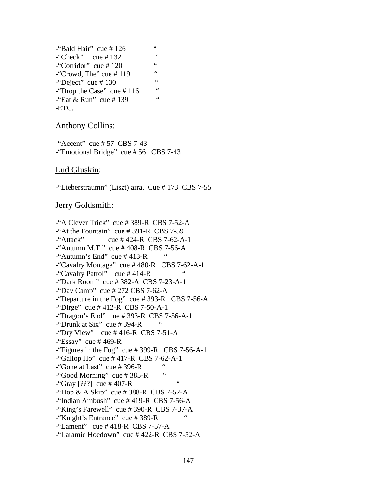| -"Bald Hair" cue # 126        | $\leq$          |
|-------------------------------|-----------------|
| -"Check" cue #132             | 66              |
| -"Corridor" cue #120          | $\zeta$ $\zeta$ |
| -"Crowd, The" cue $\#$ 119    | $\zeta$ $\zeta$ |
| -"Deject" cue #130            | $\zeta$ $\zeta$ |
| -"Drop the Case" cue $\#$ 116 | 66              |
| -"Eat & Run" cue # 139        | 66              |
| -ETC.                         |                 |
|                               |                 |

## Anthony Collins:

 $-$ "Accent" cue # 57 CBS 7-43 -"Emotional Bridge" cue # 56 CBS 7-43

#### Lud Gluskin:

-"Lieberstraumn" (Liszt) arra. Cue # 173 CBS 7-55

## Jerry Goldsmith:

-"A Clever Trick" cue # 389-R CBS 7-52-A -"At the Fountain" cue # 391-R CBS 7-59  $-$ "Attack" cue # 424-R CBS 7-62-A-1  $-$ "Autumn M.T." cue # 408-R CBS 7-56-A  $-$ "Autumn's End" cue #413-R -"Cavalry Montage" cue # 480-R CBS 7-62-A-1  $-$ "Cavalry Patrol" cue # 414-R -"Dark Room" cue # 382-A CBS 7-23-A-1 -"Day Camp" cue # 272 CBS 7-62-A -"Departure in the Fog" cue # 393-R CBS 7-56-A -"Dirge" cue # 412-R CBS 7-50-A-1 -"Dragon's End" cue # 393-R CBS 7-56-A-1  $-$ "Drunk at Six" cue # 394-R -"Dry View" cue  $\#$  416-R CBS 7-51-A  $-$ "Essay" cue #469-R -"Figures in the Fog" cue # 399-R CBS 7-56-A-1  $-$ "Gallop Ho" cue #417-R CBS 7-62-A-1  $-$ "Gone at Last" cue # 396-R "  $-$ "Good Morning" cue # 385-R  $-$ "Gray [???] cue # 407-R " -"Hop & A Skip" cue # 388-R CBS 7-52-A -"Indian Ambush" cue # 419-R CBS 7-56-A -"King's Farewell" cue # 390-R CBS 7-37-A -"Knight's Entrance" cue # 389-R "  $-$ "Lament" cue # 418-R CBS 7-57-A -"Laramie Hoedown" cue # 422-R CBS 7-52-A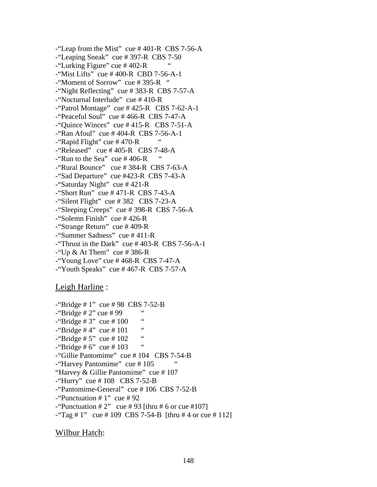-"Leap from the Mist" cue # 401-R CBS 7-56-A -"Leaping Sneak" cue # 397-R CBS 7-50  $-$ "Lurking Figure" cue #402-R -"Mist Lifts" cue # 400-R CBD 7-56-A-1 -"Moment of Sorrow" cue # 395-R " -"Night Reflecting" cue # 383-R CBS 7-57-A -"Nocturnal Interlude" cue # 410-R  $-$ "Patrol Montage" cue # 425-R CBS 7-62-A-1 -"Peaceful Soul" cue # 466-R CBS 7-47-A -"Quince Winces" cue # 415-R CBS 7-51-A -"Ran Afoul" cue # 404-R CBS 7-56-A-1  $-$ "Rapid Flight" cue #470-R  $-$ "Released" cue # 405-R CBS 7-48-A  $-$ "Run to the Sea" cue # 406-R -"Rural Bounce" cue # 384-R CBS 7-63-A -"Sad Departure" cue #423-R CBS 7-43-A -"Saturday Night" cue # 421-R  $-$ "Short Run" cue # 471-R CBS 7-43-A -"Silent Flight" cue # 382 CBS 7-23-A -"Sleeping Creeps" cue # 398-R CBS 7-56-A -"Solemn Finish" cue # 426-R -"Strange Return" cue # 409-R -"Summer Sadness" cue # 411-R -"Thrust in the Dark" cue  $\#$  403-R CBS 7-56-A-1 -"Up & At Them" cue # 386-R  $-$ "Young Love" cue #468-R CBS 7-47-A -"Youth Speaks" cue # 467-R CBS 7-57-A

# Leigh Harline :

```
-"Bridge # 1" cue # 98 CBS 7-52-B
\frac{1}{2}"Bridge # 2" cue # 99 "
\frac{1}{2} "Bridge # 3" cue # 100 "
\frac{100}{100} "Bridge # 4" cue # 101 "
-"Bridge # 5" cue # 102
-"Bridge # 6" cue # 103 "
-"Gillie Pantomime" cue # 104 CBS 7-54-B 
- "Harvey Pantomime" cue #105
"Harvey & Gillie Pantomime" cue # 107 
-"Hurry" cue # 108 CBS 7-52-B
-"Pantomime-General" cue # 106 CBS 7-52-B 
-"Punctuation # 1" cue # 92
-"Punctuation \# 2" cue \# 93 [thru \# 6 or cue \# 107]
-"Tag # 1" cue # 109 CBS 7-54-B [thru # 4 or cue # 112]
```
# Wilbur Hatch: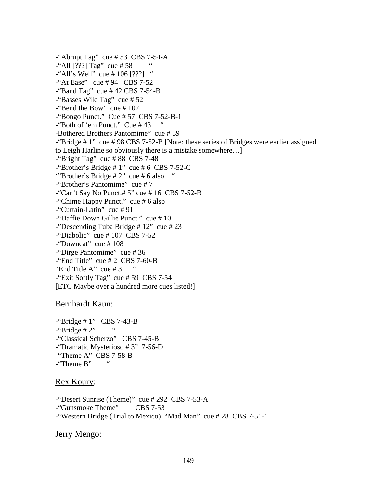$-$ "Abrupt Tag" cue # 53 CBS 7-54-A  $-$ "All [???] Tag" cue # 58  $-$ "All's Well" cue # 106 [???] " -"At Ease" cue # 94 CBS 7-52 -"Band Tag" cue  $\#$  42 CBS 7-54-B -"Basses Wild Tag" cue # 52 -"Bend the Bow" cue # 102 -"Bongo Punct." Cue # 57 CBS 7-52-B-1 -"Both of 'em Punct." Cue # 43 " -Bothered Brothers Pantomime" cue # 39 -"Bridge # 1" cue # 98 CBS 7-52-B [Note: these series of Bridges were earlier assigned to Leigh Harline so obviously there is a mistake somewhere…]  $-$ "Bright Tag" cue # 88 CBS 7-48  $-$ "Brother's Bridge # 1" cue # 6 CBS 7-52-C '"Brother's Bridge # 2" cue # 6 also " -"Brother's Pantomime" cue # 7  $-$ "Can't Say No Punct.# 5" cue # 16 CBS 7-52-B -"Chime Happy Punct." cue # 6 also -"Curtain-Latin" cue # 91 -"Daffie Down Gillie Punct." cue # 10 -"Descending Tuba Bridge # 12" cue # 23  $-$ "Diabolic" cue # 107 CBS 7-52 -"Downcat" cue # 108 -"Dirge Pantomime" cue # 36  $-$ "End Title" cue # 2 CBS 7-60-B "End Title A" cue  $#3$  $-$ "Exit Softly Tag" cue # 59 CBS 7-54 [ETC Maybe over a hundred more cues listed!]

# Bernhardt Kaun:

 $-$ "Bridge # 1" CBS 7-43-B  $-$ "Bridge # 2" -"Classical Scherzo" CBS 7-45-B -"Dramatic Mysterioso # 3" 7-56-D -"Theme A" CBS 7-58-B -"Theme B" "

# Rex Koury:

-"Desert Sunrise (Theme)" cue # 292 CBS 7-53-A -"Gunsmoke Theme" CBS 7-53 -"Western Bridge (Trial to Mexico) "Mad Man" cue # 28 CBS 7-51-1

Jerry Mengo: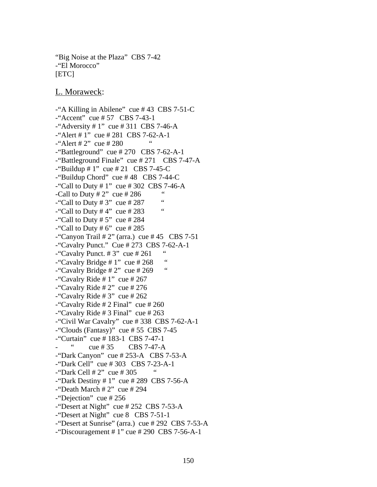"Big Noise at the Plaza" CBS 7-42 -"El Morocco" [ETC]

L. Moraweck:

-"A Killing in Abilene" cue # 43 CBS 7-51-C -"Accent" cue # 57 CBS 7-43-1  $-$ "Adversity # 1" cue # 311 CBS 7-46-A -"Alert # 1" cue # 281 CBS 7-62-A-1  $-$ "Alert # 2" cue # 280  $-$ "Battleground" cue # 270 CBS 7-62-A-1 -"Battleground Finale" cue # 271 CBS 7-47-A  $-$ "Buildup # 1" cue # 21 CBS 7-45-C -"Buildup Chord" cue # 48 CBS 7-44-C  $-$ "Call to Duty # 1" cue # 302 CBS 7-46-A -Call to Duty  $\# 2$ " cue  $\# 286$  "  $-$ "Call to Duty # 3" cue # 287 " -"Call to Duty  $#4"$  cue  $#283$ -"Call to Duty  $# 5"$  cue  $# 284$ -"Call to Duty  $# 6$ " cue  $# 285$ -"Canyon Trail  $# 2$ " (arra.) cue  $# 45$  CBS 7-51 -"Cavalry Punct." Cue # 273 CBS 7-62-A-1 -"Cavalry Punct.  $\# 3"$  cue  $\# 261$ -"Cavalry Bridge  $# 1$ " cue  $# 268$  " -"Cavalry Bridge  $# 2"$  cue  $# 269"$ -"Cavalry Ride # 1" cue # 267  $-$ "Cavalry Ride # 2" cue # 276  $-$ "Cavalry Ride # 3" cue # 262 -"Cavalry Ride  $\# 2$  Final" cue  $\# 260$ -"Cavalry Ride  $\#$  3 Final" cue  $\#$  263 -"Civil War Cavalry" cue # 338 CBS 7-62-A-1 -"Clouds (Fantasy)" cue # 55 CBS 7-45 -"Curtain" cue # 183-1 CBS 7-47-1  $\text{cue} \# 35$  CBS 7-47-A -"Dark Canyon" cue # 253-A CBS 7-53-A -"Dark Cell" cue # 303 CBS 7-23-A-1  $-$ "Dark Cell # 2" cue # 305  $-$ "Dark Destiny # 1" cue # 289 CBS 7-56-A  $-$ "Death March # 2" cue # 294 -"Dejection" cue # 256 -"Desert at Night" cue # 252 CBS 7-53-A -"Desert at Night" cue 8 CBS 7-51-1 -"Desert at Sunrise" (arra.) cue # 292 CBS 7-53-A  $-$ "Discouragement # 1" cue # 290 CBS 7-56-A-1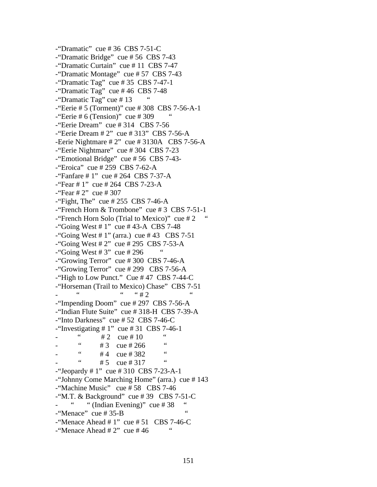-"Dramatic" cue # 36 CBS 7-51-C -"Dramatic Bridge" cue # 56 CBS 7-43 -"Dramatic Curtain" cue # 11 CBS 7-47 -"Dramatic Montage" cue # 57 CBS 7-43 -"Dramatic Tag" cue  $\# 35$  CBS 7-47-1 -"Dramatic Tag" cue # 46 CBS 7-48 -"Dramatic Tag" cue # 13 " -"Eerie # 5 (Torment)" cue # 308 CBS 7-56-A-1  $-$ "Eerie # 6 (Tension)" cue # 309 -"Eerie Dream" cue # 314 CBS 7-56  $-$ "Eerie Dream # 2" cue # 313" CBS 7-56-A -Eerie Nightmare # 2" cue # 3130A CBS 7-56-A -"Eerie Nightmare" cue # 304 CBS 7-23 -"Emotional Bridge" cue # 56 CBS 7-43- -"Eroica" cue # 259 CBS 7-62-A -"Fanfare # 1" cue # 264 CBS 7-37-A -"Fear # 1" cue # 264 CBS 7-23-A  $-$ "Fear # 2" cue # 307  $-$ "Fight, The" cue # 255 CBS 7-46-A -"French Horn & Trombone" cue # 3 CBS 7-51-1 -"French Horn Solo (Trial to Mexico)" cue  $#2$ -"Going West # 1" cue # 43-A CBS 7-48  $-$ "Going West # 1" (arra.) cue # 43 CBS 7-51  $-$ "Going West # 2" cue # 295 CBS 7-53-A  $-$ "Going West # 3" cue # 296 -"Growing Terror" cue # 300 CBS 7-46-A -"Growing Terror" cue # 299 CBS 7-56-A -"High to Low Punct." Cue # 47 CBS 7-44-C -"Horseman (Trail to Mexico) Chase" CBS 7-51  $-$  "  $-$  "  $+2$  " -"Impending Doom" cue # 297 CBS 7-56-A -"Indian Flute Suite" cue # 318-H CBS 7-39-A -"Into Darkness" cue # 52 CBS 7-46-C -"Investigating  $\# 1$ " cue  $\# 31$  CBS 7-46-1  $\frac{4}{12}$  cue # 10  $\frac{4}{12}$  cue # 10  $\frac{4}{12}$  cue # 266  $\frac{4}{12}$  $# 3$  cue  $# 266$  $\frac{44}{11}$  cue # 382  $# 5$  cue  $# 317$ -"Jeopardy # 1" cue # 310 CBS 7-23-A-1 -"Johnny Come Marching Home" (arra.) cue # 143 -"Machine Music" cue # 58 CBS 7-46  $-$ "M.T. & Background" cue #39 CBS 7-51-C " (Indian Evening)" cue  $#38$  $-$ "Menace" cue # 35-B  $-$ "Menace Ahead # 1" cue # 51 CBS 7-46-C -"Menace Ahead  $# 2"$  cue  $# 46"$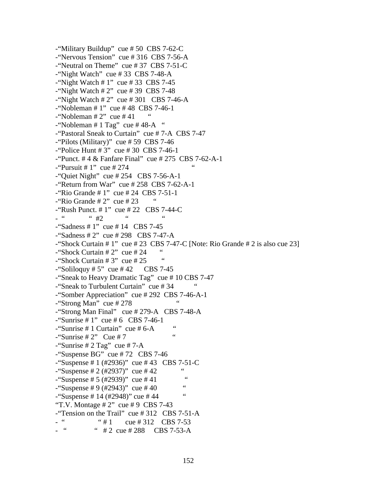```
-"Military Buildup" cue # 50 CBS 7-62-C 
-"Nervous Tension" cue # 316 CBS 7-56-A 
-"Neutral on Theme" cue # 37 CBS 7-51-C 
-"Night Watch" cue # 33 CBS 7-48-A 
-"Night Watch # 1" cue # 33 CBS 7-45
-"Night Watch # 2" cue # 39 CBS 7-48
-"Night Watch # 2" cue # 301 CBS 7-46-A
-"Nobleman # 1" cue # 48 CBS 7-46-1
-"Nobleman # 2" cue # 41
-"Nobleman # 1 Tag" cue # 48-A "
-"Pastoral Sneak to Curtain" cue # 7-A CBS 7-47 
-"Pilots (Military)" cue # 59 CBS 7-46 
-"Police Hunt # 3" cue # 30 CBS 7-46-1 
-"Punct. # 4 & Fanfare Final" cue # 275 CBS 7-62-A-1 
-"Pursuit # 1" cue # 274
-"Quiet Night" cue # 254 CBS 7-56-A-1
-"Return from War" cue # 258 CBS 7-62-A-1
-"Rio Grande # 1" cue # 24 CBS 7-51-1 
-"Rio Grande # 2" cue # 23
-"Rush Punct. # 1" cue # 22 CBS 7-44-C 
- " #2 "
-"Sadness # 1" cue # 14 CBS 7-45 
-"Sadness # 2" cue # 298 CBS 7-47-A 
-"Shock Curtain \# 1" cue \# 23 CBS 7-47-C [Note: Rio Grande \# 2 is also cue 23]
-"Shock Curtain # 2" cue # 24
-"Shock Curtain # 3" cue # 25
-"Soliloquy # 5" cue # 42 CBS 7-45
-"Sneak to Heavy Dramatic Tag" cue # 10 CBS 7-47 
-"Sneak to Turbulent Curtain" cue # 34 " 
-"Somber Appreciation" cue # 292 CBS 7-46-A-1 
-"Strong Man" cue # 278 "
-"Strong Man Final" cue # 279-A CBS 7-48-A 
-"Sunrise # 1" cue # 6 CBS 7-46-1
\frac{1}{2} "Sunrise # 1 Curtain" cue # 6-A "
-"Sunrise # 2" Cue # 7
-"Sunrise # 2 Tag" cue # 7-A
-"Suspense BG" cue # 72 CBS 7-46 
-"Suspense # 1 (#2936)" cue # 43 CBS 7-51-C 
-"Suspense # 2 (#2937)" cue # 42 "
-"Suspense # 5 (#2939)" cue # 41
-"Suspense # 9 (#2943)" cue # 40 "
-"Suspense # 14 (#2948)" cue # 44
"T.V. Montage # 2" cue # 9 CBS 7-43
-"Tension on the Trail" cue # 312 CBS 7-51-A 
- " \# 1 cue \# 312 CBS 7-53
           " # 2 cue # 288 CBS 7-53-A
```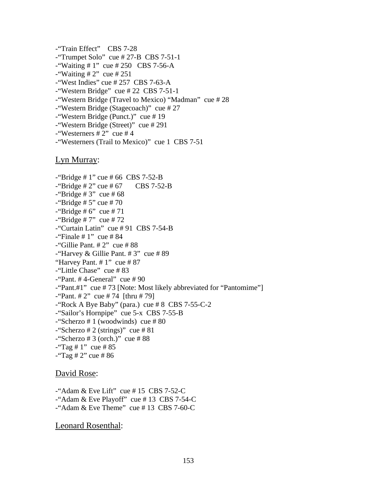-"Train Effect" CBS 7-28  $-$ "Trumpet Solo" cue # 27-B CBS 7-51-1  $-$ "Waiting # 1" cue # 250 CBS 7-56-A  $-$ "Waiting # 2" cue # 251  $-$ "West Indies" cue # 257 CBS 7-63-A -"Western Bridge" cue # 22 CBS 7-51-1 -"Western Bridge (Travel to Mexico) "Madman" cue # 28 -"Western Bridge (Stagecoach)" cue # 27 -"Western Bridge (Punct.)" cue # 19 -"Western Bridge (Street)" cue # 291  $-$ "Westerners # 2" cue # 4 -"Westerners (Trail to Mexico)" cue 1 CBS 7-51

## Lyn Murray:

-"Bridge # 1" cue # 66 CBS 7-52-B  $-$ "Bridge # 2" cue # 67 CBS 7-52-B  $-$ "Bridge # 3" cue # 68  $-$ "Bridge # 5" cue # 70  $-$ "Bridge # 6" cue # 71  $-$ "Bridge # 7" cue # 72 -"Curtain Latin" cue # 91 CBS 7-54-B  $-$ "Finale # 1" cue # 84  $-$ "Gillie Pant. # 2" cue # 88 -"Harvey & Gillie Pant.  $\# 3$ " cue  $\# 89$ "Harvey Pant.  $# 1$ " cue  $# 87$ -"Little Chase" cue # 83  $-$ "Pant. #4-General" cue #90 -"Pant.#1" cue # 73 [Note: Most likely abbreviated for "Pantomime"]  $-$ "Pant. # 2" cue # 74 [thru # 79] -"Rock A Bye Baby" (para.) cue # 8 CBS 7-55-C-2 -"Sailor's Hornpipe" cue 5-x CBS 7-55-B  $-$ "Scherzo # 1 (woodwinds) cue # 80  $-$ "Scherzo # 2 (strings)" cue # 81  $-$ "Scherzo # 3 (orch.)" cue # 88  $-$ "Tag # 1" cue # 85  $-$ "Tag # 2" cue # 86

# David Rose:

-"Adam & Eve Lift" cue # 15 CBS 7-52-C -"Adam & Eve Playoff" cue # 13 CBS 7-54-C -"Adam & Eve Theme" cue # 13 CBS 7-60-C

Leonard Rosenthal: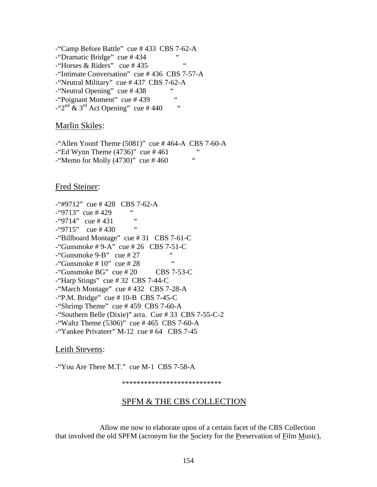-"Camp Before Battle" cue # 433 CBS 7-62-A -"Dramatic Bridge" cue # 434 "  $-$ "Horses & Riders" cue #435 -"Intimate Conversation" cue # 436 CBS 7-57-A -"Neutral Military" cue # 437 CBS 7-62-A -"Neutral Opening" cue #438 -"Poignant Moment" cue # 439 "  $-$ "2<sup>nd</sup> & 3<sup>rd</sup> Act Opening" cue #440 "

## Marlin Skiles:

-"Allen Younf Theme  $(5081)$ " cue #464-A CBS 7-60-A  $-$  Ed Wynn Theme (4736)" cue # 461  $-$ "Memo for Molly (4730)" cue #460

Fred Steiner:

 $-$ "#9712" cue # 428 CBS 7-62-A  $-$ "9713" cue #429  $-$  "9714" cue # 431  $-$  "9715" cue # 430 " -"Billboard Montage" cue # 31 CBS 7-61-C  $-$ "Gunsmoke #9-A" cue #26 CBS 7-51-C  $\frac{10}{100}$   $\frac{100}{100}$   $\frac{100}{100}$   $\frac{100}{100}$   $\frac{100}{100}$   $\frac{100}{100}$   $\frac{100}{100}$   $\frac{100}{100}$   $\frac{100}{100}$   $\frac{100}{100}$  $-$ "Gunsmoke # 10" cue # 28  $-$ "Gunsmoke BG" cue # 20 CBS 7-53-C -"Harp Stings" cue # 32 CBS 7-44-C -"March Montage" cue # 432 CBS 7-28-A  $-$ "P.M. Bridge" cue # 10-B CBS 7-45-C -"Shrimp Theme" cue # 459 CBS 7-60-A -"Southern Belle (Dixie)" arra. Cue # 33 CBS 7-55-C-2  $-$ "Waltz Theme (5306)" cue #465 CBS 7-60-A -"Yankee Privateer" M-12 cue # 64 CBS 7-45

## Leith Stevens:

-"You Are There M.T." cue M-1 CBS 7-58-A

\*\*\*\*\*\*\*\*\*\*\*\*\*\*\*\*\*\*\*\*\*\*\*\*\*\*\*

# SPFM & THE CBS COLLECTION

 Allow me now to elaborate upon of a certain facet of the CBS Collection that involved the old SPFM (acronym for the Society for the Preservation of Film Music),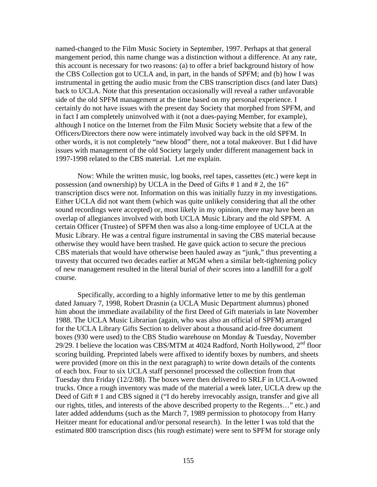named-changed to the Film Music Society in September, 1997. Perhaps at that general mangement period, this name change was a distinction without a difference. At any rate, this account is necessary for two reasons: (a) to offer a brief background history of how the CBS Collection got to UCLA and, in part, in the hands of SPFM; and (b) how I was instrumental in getting the audio music from the CBS transcription discs (and later Dats) back to UCLA. Note that this presentation occasionally will reveal a rather unfavorable side of the old SPFM management at the time based on my personal experience. I certainly do not have issues with the present day Society that morphed from SPFM, and in fact I am completely uninvolved with it (not a dues-paying Member, for example), although I notice on the Internet from the Film Music Society website that a few of the Officers/Directors there now were intimately involved way back in the old SPFM. In other words, it is not completely "new blood" there, not a total makeover. But I did have issues with management of the old Society largely under different management back in 1997-1998 related to the CBS material. Let me explain.

 Now: While the written music, log books, reel tapes, cassettes (etc.) were kept in possession (and ownership) by UCLA in the Deed of Gifts # 1 and # 2, the 16" transcription discs were not. Information on this was initially fuzzy in my investigations. Either UCLA did not want them (which was quite unlikely considering that all the other sound recordings were accepted) or, most likely in my opinion, there may have been an overlap of allegiances involved with both UCLA Music Library and the old SPFM. A certain Officer (Trustee) of SPFM then was also a long-time employee of UCLA at the Music Library. He was a central figure instrumental in saving the CBS material because otherwise they would have been trashed. He gave quick action to secure the precious CBS materials that would have otherwise been hauled away as "junk," thus preventing a travesty that occurred two decades earlier at MGM when a similar belt-tightening policy of new management resulted in the literal burial of *their* scores into a landfill for a golf course.

 Specifically, according to a highly informative letter to me by this gentleman dated January 7, 1998, Robert Drasnin (a UCLA Music Department alumnus) phoned him about the immediate availability of the first Deed of Gift materials in late November 1988. The UCLA Music Librarian (again, who was also an official of SPFM) arranged for the UCLA Library Gifts Section to deliver about a thousand acid-free document boxes (930 were used) to the CBS Studio warehouse on Monday & Tuesday, November 29/29. I believe the location was CBS/MTM at 4024 Radford, North Hollywood,  $2<sup>nd</sup>$  floor scoring building. Preprinted labels were affixed to identify boxes by numbers, and sheets were provided (more on this in the next paragraph) to write down details of the contents of each box. Four to six UCLA staff personnel processed the collection from that Tuesday thru Friday (12/2/88). The boxes were then delivered to SRLF in UCLA-owned trucks. Once a rough inventory was made of the material a week later, UCLA drew up the Deed of Gift # 1 and CBS signed it ("I do hereby irrevocably assign, transfer and give all our rights, titles, and interests of the above described property to the Regents…" etc.) and later added addendums (such as the March 7, 1989 permission to photocopy from Harry Heitzer meant for educational and/or personal research). In the letter I was told that the estimated 800 transcription discs (his rough estimate) were sent to SPFM for storage only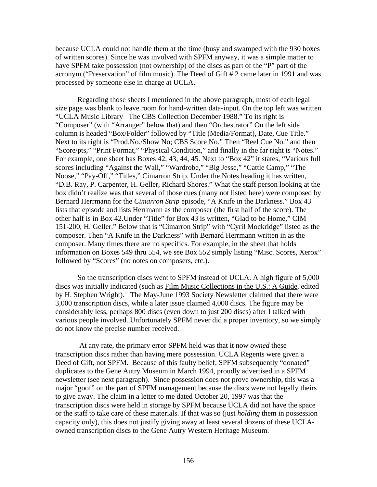because UCLA could not handle them at the time (busy and swamped with the 930 boxes of written scores). Since he was involved with SPFM anyway, it was a simple matter to have SPFM take possession (not ownership) of the discs as part of the "P" part of the acronym ("Preservation" of film music). The Deed of Gift # 2 came later in 1991 and was processed by someone else in charge at UCLA.

 Regarding those sheets I mentioned in the above paragraph, most of each legal size page was blank to leave room for hand-written data-input. On the top left was written "UCLA Music Library The CBS Collection December 1988." To its right is "Composer" (with "Arranger" below that) and then "Orchestrator" On the left side column is headed "Box/Folder" followed by "Title (Media/Format), Date, Cue Title." Next to its right is "Prod.No./Show No; CBS Score No." Then "Reel Cue No." and then "Score/pts," "Print Format," "Physical Condition," and finally in the far right is "Notes." For example, one sheet has Boxes 42, 43, 44, 45. Next to "Box 42" it states, "Various full scores including "Against the Wall," "Wardrobe," "Big Jesse," "Cattle Camp," "The Noose," "Pay-Off," "Titles," Cimarron Strip. Under the Notes heading it has written, "D.B. Ray, P. Carpenter, H. Geller, Richard Shores." What the staff person looking at the box didn't realize was that several of those cues (many not listed here) were composed by Bernard Herrmann for the *Cimarron Strip* episode, "A Knife in the Darkness." Box 43 lists that episode and lists Herrmann as the composer (the first half of the score). The other half is in Box 42.Under "Title" for Box 43 is written, "Glad to be Home," CIM 151-200, H. Geller." Below that is "Cimarron Strip" with "Cyril Mockridge" listed as the composer. Then "A Knife in the Darkness" with Bernard Herrmann written in as the composer. Many times there are no specifics. For example, in the sheet that holds information on Boxes 549 thru 554, we see Box 552 simply listing "Misc. Scores, Xerox" followed by "Scores" (no notes on composers, etc.).

 So the transcription discs went to SPFM instead of UCLA. A high figure of 5,000 discs was initially indicated (such as Film Music Collections in the U.S.: A Guide, edited by H. Stephen Wright). The May-June 1993 Society Newsletter claimed that there were 3,000 transcription discs, while a later issue claimed 4,000 discs. The figure may be considerably less, perhaps 800 discs (even down to just 200 discs) after I talked with various people involved. Unfortunately SPFM never did a proper inventory, so we simply do not know the precise number received.

 At any rate, the primary error SPFM held was that it now *owned* these transcription discs rather than having mere possession. UCLA Regents were given a Deed of Gift, not SPFM. Because of this faulty belief, SPFM subsequently "donated" duplicates to the Gene Autry Museum in March 1994, proudly advertised in a SPFM newsletter (see next paragraph). Since possession does not prove ownership, this was a major "goof" on the part of SPFM management because the discs were not legally theirs to give away. The claim in a letter to me dated October 20, 1997 was that the transcription discs were held in storage by SPFM because UCLA did not have the space or the staff to take care of these materials. If that was so (just *holding* them in possession capacity only), this does not justify giving away at least several dozens of these UCLAowned transcription discs to the Gene Autry Western Heritage Museum.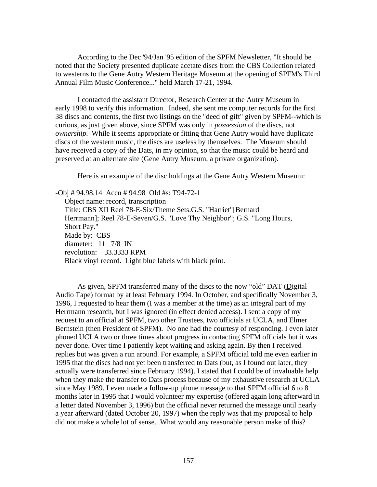According to the Dec '94/Jan '95 edition of the SPFM Newsletter, "It should be noted that the Society presented duplicate acetate discs from the CBS Collection related to westerns to the Gene Autry Western Heritage Museum at the opening of SPFM's Third Annual Film Music Conference..." held March 17-21, 1994.

 I contacted the assistant Director, Research Center at the Autry Museum in early 1998 to verify this information. Indeed, she sent me computer records for the first 38 discs and contents, the first two listings on the "deed of gift" given by SPFM--which is curious, as just given above, since SPFM was only in *possession* of the discs, not *ownership*. While it seems appropriate or fitting that Gene Autry would have duplicate discs of the western music, the discs are useless by themselves. The Museum should have received a copy of the Dats, in my opinion, so that the music could be heard and preserved at an alternate site (Gene Autry Museum, a private organization).

Here is an example of the disc holdings at the Gene Autry Western Museum:

-Obj # 94.98.14 Accn # 94.98 Old #s: T94-72-1 Object name: record, transcription Title: CBS XII Reel 78-E-Six/Theme Sets.G.S. "Harriet"[Bernard Herrmann]; Reel 78-E-Seven/G.S. "Love Thy Neighbor"; G.S. "Long Hours, Short Pay." Made by: CBS diameter: 11 7/8 IN revolution: 33.3333 RPM Black vinyl record. Light blue labels with black print.

As given, SPFM transferred many of the discs to the now "old" DAT (Digital Audio Tape) format by at least February 1994. In October, and specifically November 3, 1996, I requested to hear them (I was a member at the time) as an integral part of my Herrmann research, but I was ignored (in effect denied access). I sent a copy of my request to an official at SPFM, two other Trustees, two officials at UCLA, and Elmer Bernstein (then President of SPFM). No one had the courtesy of responding. I even later phoned UCLA two or three times about progress in contacting SPFM officials but it was never done. Over time I patiently kept waiting and asking again. By then I received replies but was given a run around. For example, a SPFM official told me even earlier in 1995 that the discs had not yet been transferred to Dats (but, as I found out later, they actually were transferred since February 1994). I stated that I could be of invaluable help when they make the transfer to Dats process because of my exhaustive research at UCLA since May 1989. I even made a follow-up phone message to that SPFM official 6 to 8 months later in 1995 that I would volunteer my expertise (offered again long afterward in a letter dated November 3, 1996) but the official never returned the message until nearly a year afterward (dated October 20, 1997) when the reply was that my proposal to help did not make a whole lot of sense. What would any reasonable person make of this?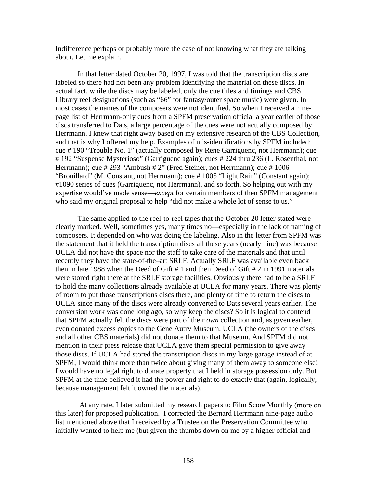Indifference perhaps or probably more the case of not knowing what they are talking about. Let me explain.

 In that letter dated October 20, 1997, I was told that the transcription discs are labeled so there had not been any problem identifying the material on these discs. In actual fact, while the discs may be labeled, only the cue titles and timings and CBS Library reel designations (such as "66" for fantasy/outer space music) were given. In most cases the names of the composers were not identified. So when I received a ninepage list of Herrmann-only cues from a SPFM preservation official a year earlier of those discs transferred to Dats, a large percentage of the cues were not actually composed by Herrmann. I knew that right away based on my extensive research of the CBS Collection, and that is why I offered my help. Examples of mis-identifications by SPFM included: cue # 190 "Trouble No. 1" (actually composed by Rene Garriguenc, not Herrmann); cue # 192 "Suspense Mysterioso" (Garriguenc again); cues # 224 thru 236 (L. Rosenthal, not Herrmann); cue # 293 "Ambush # 2" (Fred Steiner, not Herrmann); cue # 1006 "Brouillard" (M. Constant, not Herrmann); cue # 1005 "Light Rain" (Constant again); #1090 series of cues (Garriguenc, not Herrmann), and so forth. So helping out with my expertise would've made sense—*except* for certain members of then SPFM management who said my original proposal to help "did not make a whole lot of sense to us."

 The same applied to the reel-to-reel tapes that the October 20 letter stated were clearly marked. Well, sometimes yes, many times no—especially in the lack of naming of composers. It depended on who was doing the labeling. Also in the letter from SPFM was the statement that it held the transcription discs all these years (nearly nine) was because UCLA did not have the space nor the staff to take care of the materials and that until recently they have the state-of-the–art SRLF. Actually SRLF was available even back then in late 1988 when the Deed of Gift # 1 and then Deed of Gift # 2 in 1991 materials were stored right there at the SRLF storage facilities. Obviously there had to be a SRLF to hold the many collections already available at UCLA for many years. There was plenty of room to put those transcriptions discs there, and plenty of time to return the discs to UCLA since many of the discs were already converted to Dats several years earlier. The conversion work was done long ago, so why keep the discs? So it is logical to contend that SPFM actually felt the discs were part of their *own* collection and, as given earlier, even donated excess copies to the Gene Autry Museum. UCLA (the owners of the discs and all other CBS materials) did not donate them to that Museum. And SPFM did not mention in their press release that UCLA gave them special permission to give away those discs. If UCLA had stored the transcription discs in my large garage instead of at SPFM, I would think more than twice about giving many of them away to someone else! I would have no legal right to donate property that I held in storage possession only. But SPFM at the time believed it had the power and right to do exactly that (again, logically, because management felt it owned the materials).

 At any rate, I later submitted my research papers to Film Score Monthly (more on this later) for proposed publication. I corrected the Bernard Herrmann nine-page audio list mentioned above that I received by a Trustee on the Preservation Committee who initially wanted to help me (but given the thumbs down on me by a higher official and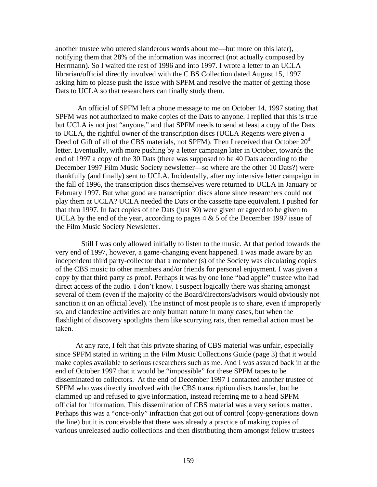another trustee who uttered slanderous words about me—but more on this later), notifying them that 28% of the information was incorrect (not actually composed by Herrmann). So I waited the rest of 1996 and into 1997. I wrote a letter to an UCLA librarian/official directly involved with the C BS Collection dated August 15, 1997 asking him to please push the issue with SPFM and resolve the matter of getting those Dats to UCLA so that researchers can finally study them.

 An official of SPFM left a phone message to me on October 14, 1997 stating that SPFM was not authorized to make copies of the Dats to anyone. I replied that this is true but UCLA is not just "anyone," and that SPFM needs to send at least a copy of the Dats to UCLA, the rightful owner of the transcription discs (UCLA Regents were given a Deed of Gift of all of the CBS materials, not SPFM). Then I received that October 20<sup>th</sup> letter. Eventually, with more pushing by a letter campaign later in October, towards the end of 1997 a copy of the 30 Dats (there was supposed to be 40 Dats according to the December 1997 Film Music Society newsletter—so where are the other 10 Dats?) were thankfully (and finally) sent to UCLA. Incidentally, after my intensive letter campaign in the fall of 1996, the transcription discs themselves were returned to UCLA in January or February 1997. But what good are transcription discs alone since researchers could not play them at UCLA? UCLA needed the Dats or the cassette tape equivalent. I pushed for that thru 1997. In fact copies of the Dats (just 30) were given or agreed to be given to UCLA by the end of the year, according to pages  $4 \& 5$  of the December 1997 issue of the Film Music Society Newsletter.

 Still I was only allowed initially to listen to the music. At that period towards the very end of 1997, however, a game-changing event happened. I was made aware by an independent third party-collector that a member (s) of the Society was circulating copies of the CBS music to other members and/or friends for personal enjoyment. I was given a copy by that third party as proof. Perhaps it was by one lone "bad apple" trustee who had direct access of the audio. I don't know. I suspect logically there was sharing amongst several of them (even if the majority of the Board/directors/advisors would obviously not sanction it on an official level). The instinct of most people is to share, even if improperly so, and clandestine activities are only human nature in many cases, but when the flashlight of discovery spotlights them like scurrying rats, then remedial action must be taken.

 At any rate, I felt that this private sharing of CBS material was unfair, especially since SPFM stated in writing in the Film Music Collections Guide (page 3) that it would make copies available to serious researchers such as me. And I was assured back in at the end of October 1997 that it would be "impossible" for these SPFM tapes to be disseminated to collectors. At the end of December 1997 I contacted another trustee of SPFM who was directly involved with the CBS transcription discs transfer, but he clammed up and refused to give information, instead referring me to a head SPFM official for information. This dissemination of CBS material was a very serious matter. Perhaps this was a "once-only" infraction that got out of control (copy-generations down the line) but it is conceivable that there was already a practice of making copies of various unreleased audio collections and then distributing them amongst fellow trustees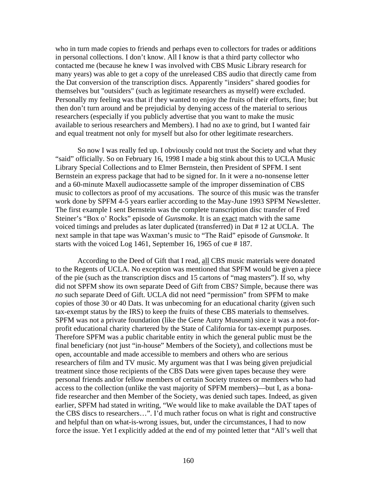who in turn made copies to friends and perhaps even to collectors for trades or additions in personal collections. I don't know. All I know is that a third party collector who contacted me (because he knew I was involved with CBS Music Library research for many years) was able to get a copy of the unreleased CBS audio that directly came from the Dat conversion of the transcription discs. Apparently "insiders" shared goodies for themselves but "outsiders" (such as legitimate researchers as myself) were excluded. Personally my feeling was that if they wanted to enjoy the fruits of their efforts, fine; but then don't turn around and be prejudicial by denying access of the material to serious researchers (especially if you publicly advertise that you want to make the music available to serious researchers and Members). I had no axe to grind, but I wanted fair and equal treatment not only for myself but also for other legitimate researchers.

 So now I was really fed up. I obviously could not trust the Society and what they "said" officially. So on February 16, 1998 I made a big stink about this to UCLA Music Library Special Collections and to Elmer Bernstein, then President of SPFM. I sent Bernstein an express package that had to be signed for. In it were a no-nonsense letter and a 60-minute Maxell audiocassette sample of the improper dissemination of CBS music to collectors as proof of my accusations. The source of this music was the transfer work done by SPFM 4-5 years earlier according to the May-June 1993 SPFM Newsletter. The first example I sent Bernstein was the complete transcription disc transfer of Fred Steiner's "Box o' Rocks" episode of *Gunsmoke*. It is an exact match with the same voiced timings and preludes as later duplicated (transferred) in Dat # 12 at UCLA. The next sample in that tape was Waxman's music to "The Raid" episode of *Gunsmoke*. It starts with the voiced Log 1461, September 16, 1965 of cue # 187.

 According to the Deed of Gift that I read, all CBS music materials were donated to the Regents of UCLA. No exception was mentioned that SPFM would be given a piece of the pie (such as the transcription discs and 15 cartons of "mag masters"). If so, why did not SPFM show its own separate Deed of Gift from CBS? Simple, because there was *no* such separate Deed of Gift. UCLA did not need "permission" from SPFM to make copies of those 30 or 40 Dats. It was unbecoming for an educational charity (given such tax-exempt status by the IRS) to keep the fruits of these CBS materials to themselves. SPFM was not a private foundation (like the Gene Autry Museum) since it was a not-forprofit educational charity chartered by the State of California for tax-exempt purposes. Therefore SPFM was a public charitable entity in which the general public must be the final beneficiary (not just "in-house" Members of the Society), and collections must be open, accountable and made accessible to members and others who are serious researchers of film and TV music. My argument was that I was being given prejudicial treatment since those recipients of the CBS Dats were given tapes because they were personal friends and/or fellow members of certain Society trustees or members who had access to the collection (unlike the vast majority of SPFM members)—but I, as a bonafide researcher and then Member of the Society, was denied such tapes. Indeed, as given earlier, SPFM had stated in writing, "We would like to make available the DAT tapes of the CBS discs to researchers…". I'd much rather focus on what is right and constructive and helpful than on what-is-wrong issues, but, under the circumstances, I had to now force the issue. Yet I explicitly added at the end of my pointed letter that "All's well that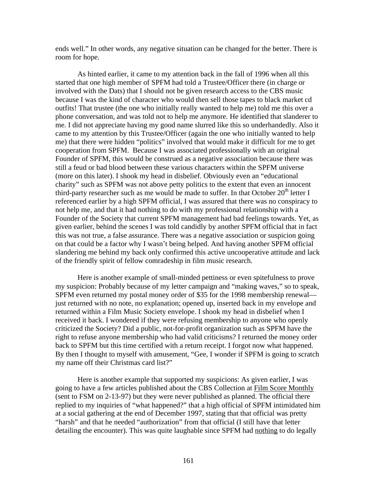ends well." In other words, any negative situation can be changed for the better. There is room for hope.

 As hinted earlier, it came to my attention back in the fall of 1996 when all this started that one high member of SPFM had told a Trustee/Officer there (in charge or involved with the Dats) that I should not be given research access to the CBS music because I was the kind of character who would then sell those tapes to black market cd outfits! That trustee (the one who initially really wanted to help me) told me this over a phone conversation, and was told not to help me anymore. He identified that slanderer to me. I did not appreciate having my good name slurred like this so underhandedly. Also it came to my attention by this Trustee/Officer (again the one who initially wanted to help me) that there were hidden "politics" involved that would make it difficult for me to get cooperation from SPFM. Because I was associated professionally with an original Founder of SPFM, this would be construed as a negative association because there was still a feud or bad blood between these various characters within the SPFM universe (more on this later). I shook my head in disbelief. Obviously even an "educational charity" such as SPFM was not above petty politics to the extent that even an innocent third-party researcher such as me would be made to suffer. In that October  $20<sup>th</sup>$  letter I referenced earlier by a high SPFM official, I was assured that there was no conspiracy to not help me, and that it had nothing to do with my professional relationship with a Founder of the Society that current SPFM management had bad feelings towards. Yet, as given earlier, behind the scenes I was told candidly by another SPFM official that in fact this was not true, a false assurance. There was a negative association or suspicion going on that could be a factor why I wasn't being helped. And having another SPFM official slandering me behind my back only confirmed this active uncooperative attitude and lack of the friendly spirit of fellow comradeship in film music research.

 Here is another example of small-minded pettiness or even spitefulness to prove my suspicion: Probably because of my letter campaign and "making waves," so to speak, SPFM even returned my postal money order of \$35 for the 1998 membership renewal just returned with no note, no explanation; opened up, inserted back in my envelope and returned within a Film Music Society envelope. I shook my head in disbelief when I received it back. I wondered if they were refusing membership to anyone who openly criticized the Society? Did a public, not-for-profit organization such as SPFM have the right to refuse anyone membership who had valid criticisms? I returned the money order back to SPFM but this time certified with a return receipt. I forgot now what happened. By then I thought to myself with amusement, "Gee, I wonder if SPFM is going to scratch my name off their Christmas card list?"

 Here is another example that supported my suspicions: As given earlier, I was going to have a few articles published about the CBS Collection at Film Score Monthly (sent to FSM on 2-13-97) but they were never published as planned. The official there replied to my inquiries of "what happened?" that a high official of SPFM intimidated him at a social gathering at the end of December 1997, stating that that official was pretty "harsh" and that he needed "authorization" from that official (I still have that letter detailing the encounter). This was quite laughable since SPFM had nothing to do legally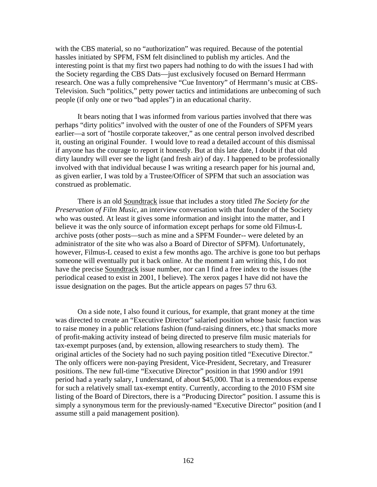with the CBS material, so no "authorization" was required. Because of the potential hassles initiated by SPFM, FSM felt disinclined to publish my articles. And the interesting point is that my first two papers had nothing to do with the issues I had with the Society regarding the CBS Dats—just exclusively focused on Bernard Herrmann research. One was a fully comprehensive "Cue Inventory" of Herrmann's music at CBS-Television. Such "politics," petty power tactics and intimidations are unbecoming of such people (if only one or two "bad apples") in an educational charity.

 It bears noting that I was informed from various parties involved that there was perhaps "dirty politics" involved with the ouster of one of the Founders of SPFM years earlier—a sort of "hostile corporate takeover," as one central person involved described it, ousting an original Founder. I would love to read a detailed account of this dismissal if anyone has the courage to report it honestly. But at this late date, I doubt if that old dirty laundry will ever see the light (and fresh air) of day. I happened to be professionally involved with that individual because I was writing a research paper for his journal and, as given earlier, I was told by a Trustee/Officer of SPFM that such an association was construed as problematic.

There is an old Soundtrack issue that includes a story titled *The Society for the Preservation of Film Music*, an interview conversation with that founder of the Society who was ousted. At least it gives some information and insight into the matter, and I believe it was the only source of information except perhaps for some old Filmus-L archive posts (other posts—such as mine and a SPFM Founder-- were deleted by an administrator of the site who was also a Board of Director of SPFM). Unfortunately, however, Filmus-L ceased to exist a few months ago. The archive is gone too but perhaps someone will eventually put it back online. At the moment I am writing this, I do not have the precise Soundtrack issue number, nor can I find a free index to the issues (the periodical ceased to exist in 2001, I believe). The xerox pages I have did not have the issue designation on the pages. But the article appears on pages 57 thru 63.

 On a side note, I also found it curious, for example, that grant money at the time was directed to create an "Executive Director" salaried position whose basic function was to raise money in a public relations fashion (fund-raising dinners, etc.) that smacks more of profit-making activity instead of being directed to preserve film music materials for tax-exempt purposes (and, by extension, allowing researchers to study them). The original articles of the Society had no such paying position titled "Executive Director." The only officers were non-paying President, Vice-President, Secretary, and Treasurer positions. The new full-time "Executive Director" position in that 1990 and/or 1991 period had a yearly salary, I understand, of about \$45,000. That is a tremendous expense for such a relatively small tax-exempt entity. Currently, according to the 2010 FSM site listing of the Board of Directors, there is a "Producing Director" position. I assume this is simply a synonymous term for the previously-named "Executive Director" position (and I assume still a paid management position).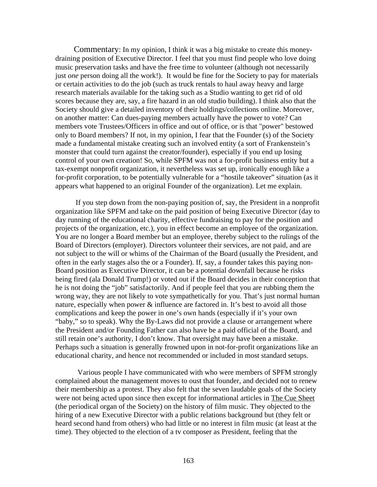Commentary: In my opinion, I think it was a big mistake to create this moneydraining position of Executive Director. I feel that you must find people who love doing music preservation tasks and have the free time to volunteer (although not necessarily just *one* person doing all the work!). It would be fine for the Society to pay for materials or certain activities to do the job (such as truck rentals to haul away heavy and large research materials available for the taking such as a Studio wanting to get rid of old scores because they are, say, a fire hazard in an old studio building). I think also that the Society should give a detailed inventory of their holdings/collections online. Moreover, on another matter: Can dues-paying members actually have the power to vote? Can members vote Trustees/Officers in office and out of office, or is that "power" bestowed only to Board members? If not, in my opinion, I fear that the Founder (s) of the Society made a fundamental mistake creating such an involved entity (a sort of Frankenstein's monster that could turn against the creator/founder), especially if you end up losing control of your own creation! So, while SPFM was not a for-profit business entity but a tax-exempt nonprofit organization, it nevertheless was set up, ironically enough like a for-profit corporation, to be potentially vulnerable for a "hostile takeover" situation (as it appears what happened to an original Founder of the organization). Let me explain.

 If you step down from the non-paying position of, say, the President in a nonprofit organization like SPFM and take on the paid position of being Executive Director (day to day running of the educational charity, effective fundraising to pay for the position and projects of the organization, etc.), you in effect become an employee of the organization. You are no longer a Board member but an employee, thereby subject to the rulings of the Board of Directors (employer). Directors volunteer their services, are not paid, and are not subject to the will or whims of the Chairman of the Board (usually the President, and often in the early stages also the or a Founder). If, say, a founder takes this paying non-Board position as Executive Director, it can be a potential downfall because he risks being fired (ala Donald Trump!) or voted out if the Board decides in their conception that he is not doing the "job" satisfactorily. And if people feel that you are rubbing them the wrong way, they are not likely to vote sympathetically for you. That's just normal human nature, especially when power  $\&$  influence are factored in. It's best to avoid all those complications and keep the power in one's own hands (especially if it's your own "baby," so to speak). Why the By-Laws did not provide a clause or arrangement where the President and/or Founding Father can also have be a paid official of the Board, and still retain one's authority, I don't know. That oversight may have been a mistake. Perhaps such a situation is generally frowned upon in not-for-profit organizations like an educational charity, and hence not recommended or included in most standard setups.

 Various people I have communicated with who were members of SPFM strongly complained about the management moves to oust that founder, and decided not to renew their membership as a protest. They also felt that the seven laudable goals of the Society were not being acted upon since then except for informational articles in The Cue Sheet (the periodical organ of the Society) on the history of film music. They objected to the hiring of a new Executive Director with a public relations background but (they felt or heard second hand from others) who had little or no interest in film music (at least at the time). They objected to the election of a tv composer as President, feeling that the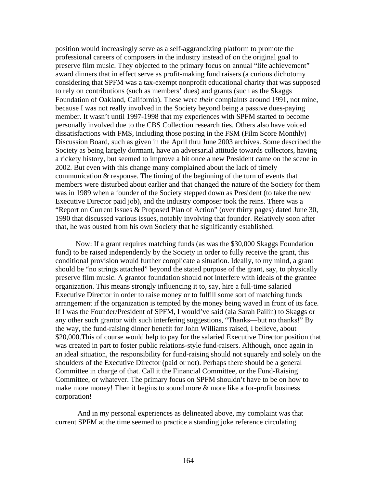position would increasingly serve as a self-aggrandizing platform to promote the professional careers of composers in the industry instead of on the original goal to preserve film music. They objected to the primary focus on annual "life achievement" award dinners that in effect serve as profit-making fund raisers (a curious dichotomy considering that SPFM was a tax-exempt nonprofit educational charity that was supposed to rely on contributions (such as members' dues) and grants (such as the Skaggs Foundation of Oakland, California). These were *their* complaints around 1991, not mine, because I was not really involved in the Society beyond being a passive dues-paying member. It wasn't until 1997-1998 that my experiences with SPFM started to become personally involved due to the CBS Collection research ties. Others also have voiced dissatisfactions with FMS, including those posting in the FSM (Film Score Monthly) Discussion Board, such as given in the April thru June 2003 archives. Some described the Society as being largely dormant, have an adversarial attitude towards collectors, having a rickety history, but seemed to improve a bit once a new President came on the scene in 2002. But even with this change many complained about the lack of timely communication & response. The timing of the beginning of the turn of events that members were disturbed about earlier and that changed the nature of the Society for them was in 1989 when a founder of the Society stepped down as President (to take the new Executive Director paid job), and the industry composer took the reins. There was a "Report on Current Issues & Proposed Plan of Action" (over thirty pages) dated June 30, 1990 that discussed various issues, notably involving that founder. Relatively soon after that, he was ousted from his own Society that he significantly established.

 Now: If a grant requires matching funds (as was the \$30,000 Skaggs Foundation fund) to be raised independently by the Society in order to fully receive the grant, this conditional provision would further complicate a situation. Ideally, to my mind, a grant should be "no strings attached" beyond the stated purpose of the grant, say, to physically preserve film music. A grantor foundation should not interfere with ideals of the grantee organization. This means strongly influencing it to, say, hire a full-time salaried Executive Director in order to raise money or to fulfill some sort of matching funds arrangement if the organization is tempted by the money being waved in front of its face. If I was the Founder/President of SPFM, I would've said (ala Sarah Pailin) to Skaggs or any other such grantor with such interfering suggestions, "Thanks—but no thanks!" By the way, the fund-raising dinner benefit for John Williams raised, I believe, about \$20,000.This of course would help to pay for the salaried Executive Director position that was created in part to foster public relations-style fund-raisers. Although, once again in an ideal situation, the responsibility for fund-raising should not squarely and solely on the shoulders of the Executive Director (paid or not). Perhaps there should be a general Committee in charge of that. Call it the Financial Committee, or the Fund-Raising Committee, or whatever. The primary focus on SPFM shouldn't have to be on how to make more money! Then it begins to sound more  $\&$  more like a for-profit business corporation!

 And in my personal experiences as delineated above, my complaint was that current SPFM at the time seemed to practice a standing joke reference circulating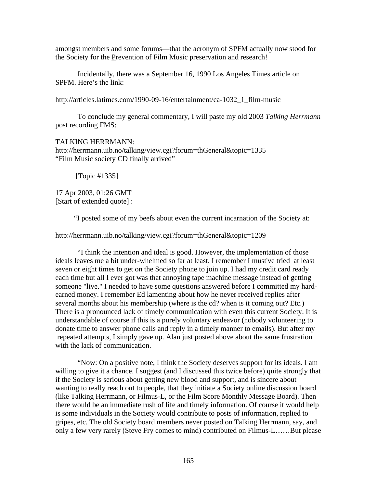amongst members and some forums—that the acronym of SPFM actually now stood for the Society for the Prevention of Film Music preservation and research!

 Incidentally, there was a September 16, 1990 Los Angeles Times article on SPFM. Here's the link:

http://articles.latimes.com/1990-09-16/entertainment/ca-1032\_1\_film-music

 To conclude my general commentary, I will paste my old 2003 *Talking Herrmann* post recording FMS:

#### TALKING HERRMANN:

http://herrmann.uib.no/talking/view.cgi?forum=thGeneral&topic=1335 "Film Music society CD finally arrived"

[Topic #1335]

17 Apr 2003, 01:26 GMT [Start of extended quote] :

"I posted some of my beefs about even the current incarnation of the Society at:

http://herrmann.uib.no/talking/view.cgi?forum=thGeneral&topic=1209

 "I think the intention and ideal is good. However, the implementation of those ideals leaves me a bit under-whelmed so far at least. I remember I must've tried at least seven or eight times to get on the Society phone to join up. I had my credit card ready each time but all I ever got was that annoying tape machine message instead of getting someone "live." I needed to have some questions answered before I committed my hardearned money. I remember Ed lamenting about how he never received replies after several months about his membership (where is the cd? when is it coming out? Etc.) There is a pronounced lack of timely communication with even this current Society. It is understandable of course if this is a purely voluntary endeavor (nobody volunteering to donate time to answer phone calls and reply in a timely manner to emails). But after my repeated attempts, I simply gave up. Alan just posted above about the same frustration with the lack of communication.

 "Now: On a positive note, I think the Society deserves support for its ideals. I am willing to give it a chance. I suggest (and I discussed this twice before) quite strongly that if the Society is serious about getting new blood and support, and is sincere about wanting to really reach out to people, that they initiate a Society online discussion board (like Talking Herrmann, or Filmus-L, or the Film Score Monthly Message Board). Then there would be an immediate rush of life and timely information. Of course it would help is some individuals in the Society would contribute to posts of information, replied to gripes, etc. The old Society board members never posted on Talking Herrmann, say, and only a few very rarely (Steve Fry comes to mind) contributed on Filmus-L……But please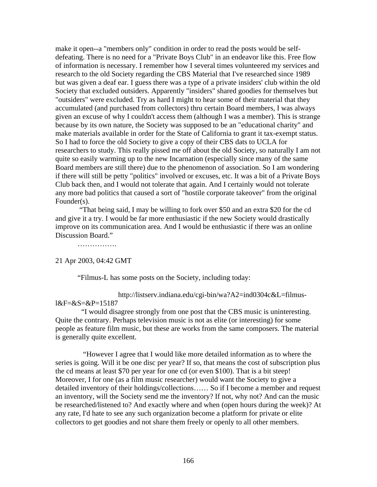make it open--a "members only" condition in order to read the posts would be selfdefeating. There is no need for a "Private Boys Club" in an endeavor like this. Free flow of information is necessary. I remember how I several times volunteered my services and research to the old Society regarding the CBS Material that I've researched since 1989 but was given a deaf ear. I guess there was a type of a private insiders' club within the old Society that excluded outsiders. Apparently "insiders" shared goodies for themselves but "outsiders" were excluded. Try as hard I might to hear some of their material that they accumulated (and purchased from collectors) thru certain Board members, I was always given an excuse of why I couldn't access them (although I was a member). This is strange because by its own nature, the Society was supposed to be an "educational charity" and make materials available in order for the State of California to grant it tax-exempt status. So I had to force the old Society to give a copy of their CBS dats to UCLA for researchers to study. This really pissed me off about the old Society, so naturally I am not quite so easily warming up to the new Incarnation (especially since many of the same Board members are still there) due to the phenomenon of association. So I am wondering if there will still be petty "politics" involved or excuses, etc. It was a bit of a Private Boys Club back then, and I would not tolerate that again. And I certainly would not tolerate any more bad politics that caused a sort of "hostile corporate takeover" from the original Founder(s).

 "That being said, I may be willing to fork over \$50 and an extra \$20 for the cd and give it a try. I would be far more enthusiastic if the new Society would drastically improve on its communication area. And I would be enthusiastic if there was an online Discussion Board."

………………

#### 21 Apr 2003, 04:42 GMT

"Filmus-L has some posts on the Society, including today:

 http://listserv.indiana.edu/cgi-bin/wa?A2=ind0304c&L=filmusl&F=&S=&P=15187

 "I would disagree strongly from one post that the CBS music is uninteresting. Quite the contrary. Perhaps television music is not as elite (or interesting) for some people as feature film music, but these are works from the same composers. The material is generally quite excellent.

 "However I agree that I would like more detailed information as to where the series is going. Will it be one disc per year? If so, that means the cost of subscription plus the cd means at least \$70 per year for one cd (or even \$100). That is a bit steep! Moreover, I for one (as a film music researcher) would want the Society to give a detailed inventory of their holdings/collections…… So if I become a member and request an inventory, will the Society send me the inventory? If not, why not? And can the music be researched/listened to? And exactly where and when (open hours during the week)? At any rate, I'd hate to see any such organization become a platform for private or elite collectors to get goodies and not share them freely or openly to all other members.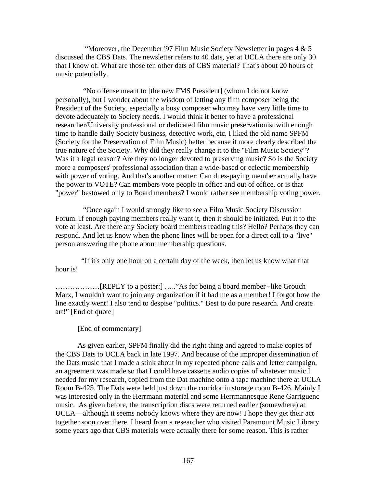"Moreover, the December '97 Film Music Society Newsletter in pages  $4 \& 5$ discussed the CBS Dats. The newsletter refers to 40 dats, yet at UCLA there are only 30 that I know of. What are those ten other dats of CBS material? That's about 20 hours of music potentially.

 "No offense meant to [the new FMS President] (whom I do not know personally), but I wonder about the wisdom of letting any film composer being the President of the Society, especially a busy composer who may have very little time to devote adequately to Society needs. I would think it better to have a professional researcher/University professional or dedicated film music preservationist with enough time to handle daily Society business, detective work, etc. I liked the old name SPFM (Society for the Preservation of Film Music) better because it more clearly described the true nature of the Society. Why did they really change it to the "Film Music Society"? Was it a legal reason? Are they no longer devoted to preserving music? So is the Society more a composers' professional association than a wide-based or eclectic membership with power of voting. And that's another matter: Can dues-paying member actually have the power to VOTE? Can members vote people in office and out of office, or is that "power" bestowed only to Board members? I would rather see membership voting power.

 "Once again I would strongly like to see a Film Music Society Discussion Forum. If enough paying members really want it, then it should be initiated. Put it to the vote at least. Are there any Society board members reading this? Hello? Perhaps they can respond. And let us know when the phone lines will be open for a direct call to a "live" person answering the phone about membership questions.

 "If it's only one hour on a certain day of the week, then let us know what that hour is!

………………[REPLY to a poster:] ….."As for being a board member--like Grouch Marx, I wouldn't want to join any organization if it had me as a member! I forgot how the line exactly went! I also tend to despise "politics." Best to do pure research. And create art!" [End of quote]

#### [End of commentary]

 As given earlier, SPFM finally did the right thing and agreed to make copies of the CBS Dats to UCLA back in late 1997. And because of the improper dissemination of the Dats music that I made a stink about in my repeated phone calls and letter campaign, an agreement was made so that I could have cassette audio copies of whatever music I needed for my research, copied from the Dat machine onto a tape machine there at UCLA Room B-425. The Dats were held just down the corridor in storage room B-426. Mainly I was interested only in the Herrmann material and some Herrmannesque Rene Garriguenc music. As given before, the transcription discs were returned earlier (somewhere) at UCLA—although it seems nobody knows where they are now! I hope they get their act together soon over there. I heard from a researcher who visited Paramount Music Library some years ago that CBS materials were actually there for some reason. This is rather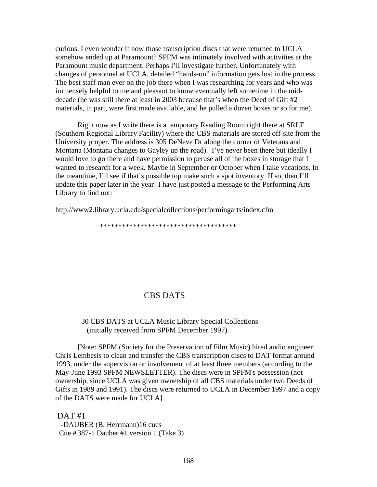curious. I even wonder if now those transcription discs that were returned to UCLA somehow ended up at Paramount? SPFM was intimately involved with activities at the Paramount music department. Perhaps I'll investigate further. Unfortunately with changes of personnel at UCLA, detailed "hands-on" information gets lost in the process. The best staff man ever on the job there when I was researching for years and who was immensely helpful to me and pleasant to know eventually left sometime in the middecade (he was still there at least in 2003 because that's when the Deed of Gift #2 materials, in part, were first made available, and he pulled a dozen boxes or so for me).

 Right now as I write there is a temporary Reading Room right there at SRLF (Southern Regional Library Facility) where the CBS materials are stored off-site from the University proper. The address is 305 DeNeve Dr along the corner of Veterans and Montana (Montana changes to Gayley up the road). I've never been there but ideally I would love to go there and have permission to peruse all of the boxes in storage that I wanted to research for a week. Maybe in September or October when I take vacations. In the meantime, I'll see if that's possible top make such a spot inventory. If so, then I'll update this paper later in the year! I have just posted a message to the Performing Arts Library to find out:

http://www2.library.ucla.edu/specialcollections/performingarts/index.cfm

\*\*\*\*\*\*\*\*\*\*\*\*\*\*\*\*\*\*\*\*\*\*\*\*\*\*\*\*\*\*\*\*\*\*\*\*\*

# CBS DATS

# 30 CBS DATS at UCLA Music Library Special Collections (initially received from SPFM December 1997)

[Note: SPFM (Society for the Preservation of Film Music) hired audio engineer Chris Lembesis to clean and transfer the CBS transcription discs to DAT format around 1993, under the supervision or involvement of at least three members (according to the May-June 1993 SPFM NEWSLETTER). The discs were in SPFM's possession (not ownership, since UCLA was given ownership of all CBS materials under two Deeds of Gifts in 1989 and 1991). The discs were returned to UCLA in December 1997 and a copy of the DATS were made for UCLA]

 $DATA + 1$  -DAUBER (B. Herrmann)16 cues Cue  $\#387-1$  Dauber  $\#1$  version 1 (Take 3)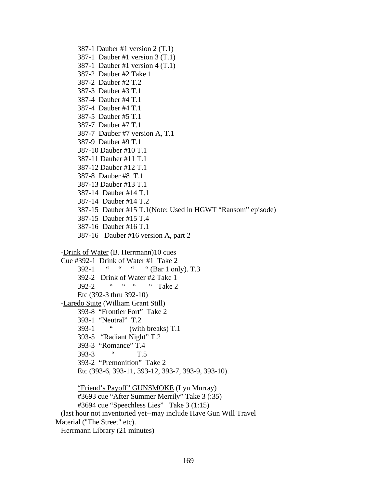387-1 Dauber #1 version 2 (T.1) 387-1 Dauber #1 version 3 (T.1) 387-1 Dauber #1 version 4 (T.1) 387-2 Dauber #2 Take 1 387-2 Dauber #2 T.2 387-3 Dauber #3 T.1 387-4 Dauber #4 T.1 387-4 Dauber #4 T.1 387-5 Dauber #5 T.1 387-7 Dauber #7 T.1 387-7 Dauber #7 version A, T.1 387-9 Dauber #9 T.1 387-10 Dauber #10 T.1 387-11 Dauber #11 T.1 387-12 Dauber #12 T.1 387-8 Dauber #8 T.1 387-13 Dauber #13 T.1 387-14 Dauber #14 T.1 387-14 Dauber #14 T.2 387-15 Dauber #15 T.1(Note: Used in HGWT "Ransom" episode) 387-15 Dauber #15 T.4 387-16 Dauber #16 T.1 387-16 Dauber #16 version A, part 2 -Drink of Water (B. Herrmann)10 cues Cue #392-1 Drink of Water #1 Take 2 392-1 " " " (Bar 1 only). T.3 392-2 Drink of Water #2 Take 1 392-2 " " " Take 2 Etc (392-3 thru 392-10) -Laredo Suite (William Grant Still) 393-8 "Frontier Fort" Take 2 393-1 "Neutral" T.2 393-1 " (with breaks) T.1 393-5 "Radiant Night" T.2 393-3 "Romance" T.4 393-3 " T.5 393-2 "Premonition" Take 2 Etc (393-6, 393-11, 393-12, 393-7, 393-9, 393-10). "Friend's Payoff" GUNSMOKE (Lyn Murray) #3693 cue "After Summer Merrily" Take 3 (:35) #3694 cue "Speechless Lies" Take 3 (1:15) (last hour not inventoried yet--may include Have Gun Will Travel Material ("The Street" etc).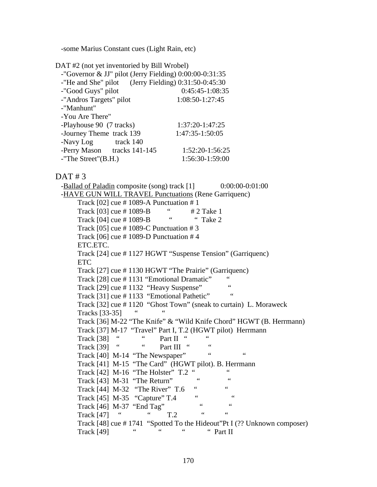-some Marius Constant cues (Light Rain, etc)

DAT #2 (not yet inventoried by Bill Wrobel)

| -"Governor & JJ" pilot (Jerry Fielding) $0:00:00-0:31:35$ |                   |
|-----------------------------------------------------------|-------------------|
| -"He and She" pilot (Jerry Fielding) $0:31:50-0:45:30$    |                   |
| -"Good Guys" pilot                                        | $0:45:45-1:08:35$ |
| -"Andros Targets" pilot                                   | 1:08:50-1:27:45   |
| -"Manhunt"                                                |                   |
| -You Are There"                                           |                   |
| -Playhouse 90 (7 tracks)                                  | 1:37:20-1:47:25   |
| -Journey Theme track 139                                  | 1:47:35-1:50:05   |
| -Navy Log track 140                                       |                   |
| -Perry Mason tracks 141-145                               | 1:52:20-1:56:25   |
| $-$ "The Street" $(B.H.)$                                 | 1:56:30-1:59:00   |

 $DATA + 3$ 

-Ballad of Paladin composite (song) track [1] 0:00:00-0:01:00 -HAVE GUN WILL TRAVEL Punctuations (Rene Garriquenc) Track  $[02]$  cue # 1089-A Punctuation # 1 Track  $[03]$  cue # 1089-B  $\qquad \qquad$  # 2 Take 1<br>Track  $[04]$  cue # 1089 B  $\qquad \qquad$  " Take 2 Track [04] cue # 1089-B " " Take 2 Track [05] cue  $\#$  1089-C Punctuation  $\#$  3 Track  $[06]$  cue # 1089-D Punctuation # 4 ETC.ETC. Track [24] cue # 1127 HGWT "Suspense Tension" (Garriquenc) ETC Track [27] cue # 1130 HGWT "The Prairie" (Garriquenc) Track  $[28]$  cue # 1131 "Emotional Dramatic" " Track [29] cue #1132 "Heavy Suspense" Track [31] cue #1133 "Emotional Pathetic" Track [32] cue # 1120 "Ghost Town" (sneak to curtain) L. Moraweck Tracks  $[33-35]$  Track [36] M-22 "The Knife" & "Wild Knife Chord" HGWT (B. Herrmann) Track [37] M-17 "Travel" Part I, T.2 (HGWT pilot) Herrmann Track [38] " Part II " Track  $[39]$  "  $"$  Part III " " Track [40] M-14 "The Newspaper" " Track [41] M-15 "The Card" (HGWT pilot). B. Herrmann Track [42] M-16 "The Holster" T.2 " Track [43] M-31 "The Return" " Track  $[44]$  M-32 "The River" T.6 " Track  $[45]$  M-35 "Capture" T.4 " Track  $[46]$  M-37 "End Tag" Track  $[47]$  " " T.2 " " Track [48] cue # 1741 "Spotted To the Hideout"Pt I (?? Unknown composer) Track [49] " " " Part II"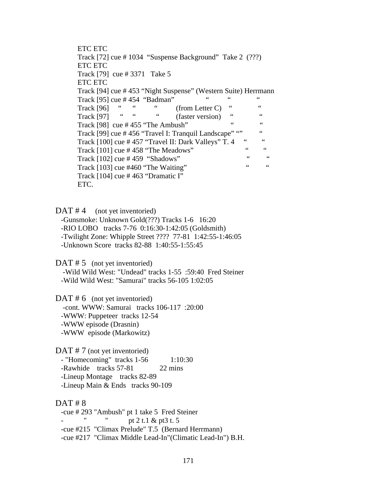ETC ETC Track [72] cue # 1034 "Suspense Background" Take 2 (???) ETC ETC Track [79] cue # 3371 Take 5 ETC ETC Track [94] cue # 453 "Night Suspense" (Western Suite) Herrmann Track [95] cue # 454 "Badman" " " " Track  $[96]$  " " (from Letter C) " "<br>Track  $[97]$  " " (faster version) " " Track  $[97]$  " " (faster version) " " Track  $[98]$  cue # 455 "The Ambush" " " " Track [99] cue # 456 "Travel I: Tranquil Landscape" "" " " Track  $[100]$  cue # 457 "Travel II: Dark Valleys" T. 4 " Track  $[101]$  cue # 458 "The Meadows" " " " Track  $[102]$  cue # 459 "Shadows" " " " Track  $[103]$  cue #460 "The Waiting" Track [104] cue # 463 "Dramatic I" ETC.

 $DATA$  (not yet inventoried)

 -Gunsmoke: Unknown Gold(???) Tracks 1-6 16:20 -RIO LOBO tracks 7-76 0:16:30-1:42:05 (Goldsmith) -Twilight Zone: Whipple Street ???? 77-81 1:42:55-1:46:05 -Unknown Score tracks 82-88 1:40:55-1:55:45

 $DATA # 5 (not yet invented)$ 

 -Wild Wild West: "Undead" tracks 1-55 :59:40 Fred Steiner -Wild Wild West: "Samurai" tracks 56-105 1:02:05

 $DATA \# 6$  (not yet inventoried) -cont. WWW: Samurai tracks 106-117 :20:00 -WWW: Puppeteer tracks 12-54 -WWW episode (Drasnin) -WWW episode (Markowitz)

DAT # 7 (not yet inventoried) - "Homecoming" tracks 1-56 1:10:30 -Rawhide tracks 57-81 22 mins -Lineup Montage tracks 82-89 -Lineup Main & Ends tracks 90-109

## $DATA + 8$

 -cue # 293 "Ambush" pt 1 take 5 Fred Steiner " pt 2 t.1 & pt3 t. 5 -cue #215 "Climax Prelude" T.5 (Bernard Herrmann) -cue #217 "Climax Middle Lead-In"(Climatic Lead-In") B.H.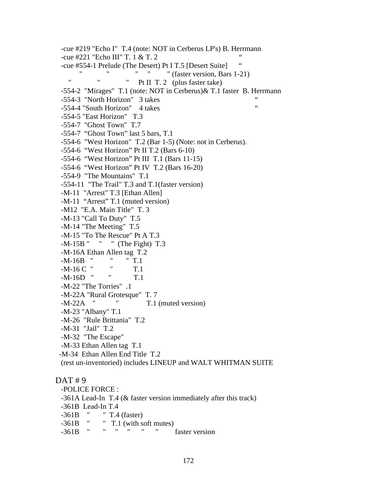-cue #219 "Echo I" T.4 (note: NOT in Cerberus LP's) B. Herrmann -cue #221 "Echo III" T. 1 & T. 2 " -cue #554-1 Prelude (The Desert) Pt I T.5 [Desert Suite] " " " " (faster version, Bars 1-21) " Pt II T. 2 (plus faster take) -554-2 "Mirages" T.1 (note: NOT in Cerberus)& T.1 faster B. Herrmann  $-554-3$  "North Horizon" 3 takes " -554-4 "South Horizon" 4 takes -554-5 "East Horizon" T.3 -554-7 "Ghost Town" T.7 -554-7 "Ghost Town" last 5 bars, T.1 -554-6 "West Horizon" T.2 (Bar 1-5) (Note: not in Cerberus). -554-6 "West Horizon" Pt II T.2 (Bars 6-10) -554-6 "West Horizon" Pt III T.1 (Bars 11-15) -554-6 "West Horizon" Pt IV T.2 (Bars 16-20) -554-9 "The Mountains" T.1 -554-11 "The Trail" T.3 and T.1(faster version) -M-11 "Arrest" T.3 [Ethan Allen] -M-11 "Arrest" T.1 (muted version) -M12 "E.A. Main Title" T. 3 -M-13 "Call To Duty" T.5 -M-14 "The Meeting" T.5 -M-15 "To The Rescue" Pt A T.3 -M-15B " " " (The Fight) T.3 -M-16A Ethan Allen tag T.2 -M-16B " " " T.1 -M-16 C " " T.1 -M-16D " " T.1 -M-22 "The Torries" .1 -M-22A "Rural Grotesque" T. 7 -M-22A " " T.1 (muted version) -M-23 "Albany" T.1 -M-26 "Rule Brittania" T.2 -M-31 "Jail" T.2 -M-32 "The Escape" -M-33 Ethan Allen tag T.1 -M-34 Ethan Allen End Title T.2 (rest un-inventoried) includes LINEUP and WALT WHITMAN SUITE DAT #9 -POLICE FORCE :

 -361A Lead-In T.4 (& faster version immediately after this track) -361B Lead-In T.4 -361B " " T.4 (faster) -361B " " T.1 (with soft mutes) -361B " " " " " faster version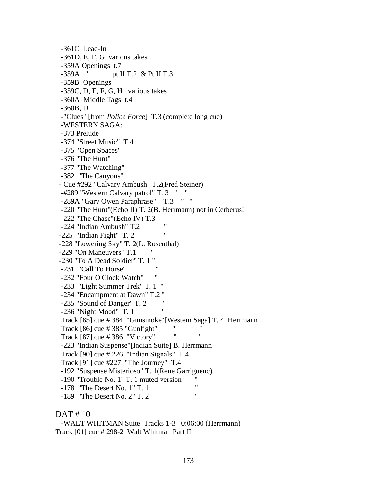-361C Lead-In -361D, E, F, G various takes -359A Openings t.7 -359A " pt II T.2 & Pt II T.3 -359B Openings -359C, D, E, F, G, H various takes -360A Middle Tags t.4 -360B, D -"Clues" [from *Police Force*] T.3 (complete long cue) -WESTERN SAGA: -373 Prelude -374 "Street Music" T.4 -375 "Open Spaces" -376 "The Hunt" -377 "The Watching" -382 "The Canyons" - Cue #292 "Calvary Ambush" T.2(Fred Steiner) -#289 "Western Calvary patrol" T. 3 " " -289A "Gary Owen Paraphrase" T.3 " " -220 "The Hunt"(Echo II) T. 2(B. Herrmann) not in Cerberus! -222 "The Chase"(Echo IV) T.3 -224 "Indian Ambush" T.2  $-225$  "Indian Fight" T. 2 -228 "Lowering Sky" T. 2(L. Rosenthal) -229 "On Maneuvers" T.1 -230 "To A Dead Soldier" T. 1 " -231 "Call To Horse" -232 "Four O'Clock Watch" -233 "Light Summer Trek" T. 1 " -234 "Encampment at Dawn" T.2 "  $-235$  "Sound of Danger" T. 2  $-236$  "Night Mood" T. 1 Track [85] cue # 384 "Gunsmoke"[Western Saga] T. 4 Herrmann Track  $[86]$  cue  $\# 385$  "Gunfight" Track  $[87]$  cue # 386 "Victory" -223 "Indian Suspense"[Indian Suite] B. Herrmann Track [90] cue # 226 "Indian Signals" T.4 Track [91] cue #227 "The Journey" T.4 -192 "Suspense Misterioso" T. 1(Rene Garriguenc) -190 "Trouble No. 1" T. 1 muted version " -178 "The Desert No. 1" T. 1 "<br>190 "The Desert No. 2" T. 2 " -189 "The Desert No. 2" T. 2 "

## DAT # 10

 -WALT WHITMAN Suite Tracks 1-3 0:06:00 (Herrmann) Track [01] cue # 298-2 Walt Whitman Part II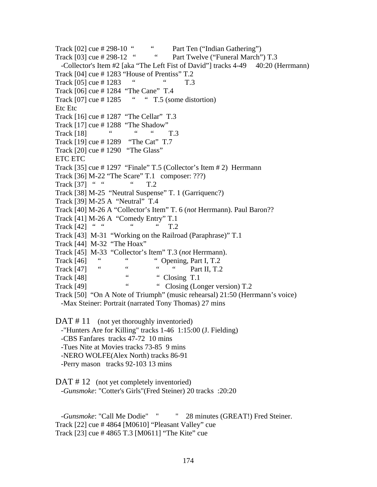Track  $[02]$  cue # 298-10 "  $\ldots$  Part Ten ("Indian Gathering") Track  $[03]$  cue  $\# 298-12$  " Part Twelve ("Funeral March") T.3 -Collector's Item #2 [aka "The Left Fist of David"] tracks 4-49 40:20 (Herrmann) Track [04] cue # 1283 "House of Prentiss" T.2 Track [05] cue # 1283 " T.3 Track [06] cue # 1284 "The Cane" T.4 Track  $[07]$  cue # 1285 " " T.5 (some distortion) Etc Etc Track [16] cue # 1287 "The Cellar" T.3 Track [17] cue # 1288 "The Shadow" Track  $[18]$  " " T.3 Track [19] cue # 1289 "The Cat" T.7 Track [20] cue # 1290 "The Glass" ETC ETC Track [35] cue # 1297 "Finale" T.5 (Collector's Item # 2) Herrmann Track [36] M-22 "The Scare" T.1 composer: ???) Track [37] " " " T.2 Track [38] M-25 "Neutral Suspense" T. 1 (Garriquenc?) Track [39] M-25 A "Neutral" T.4 Track [40] M-26 A "Collector's Item" T. 6 (*not* Herrmann). Paul Baron?? Track [41] M-26 A "Comedy Entry" T.1 Track  $[42]$  " " " T.2 Track [43] M-31 "Working on the Railroad (Paraphrase)" T.1 Track [44] M-32 "The Hoax" Track [45] M-33 "Collector's Item" T.3 (*not* Herrmann). Track [46] " " Opening, Part I, T.2 Track  $[47]$  " " " Part II, T.2 Track [48] " Closing T.1 Track [49] " " Closing (Longer version) T.2 Track [50] "On A Note of Triumph" (music rehearsal) 21:50 (Herrmann's voice) -Max Steiner: Portrait (narrated Tony Thomas) 27 mins DAT #11 (not yet thoroughly inventoried) -"Hunters Are for Killing" tracks 1-46 1:15:00 (J. Fielding) -CBS Fanfares tracks 47-72 10 mins -Tues Nite at Movies tracks 73-85 9 mins -NERO WOLFE(Alex North) tracks 86-91

-Perry mason tracks 92-103 13 mins

DAT #12 (not yet completely inventoried) -*Gunsmoke*: "Cotter's Girls"(Fred Steiner) 20 tracks :20:20

-*Gunsmoke*: "Call Me Dodie" " 28 minutes (GREAT!) Fred Steiner. Track [22] cue # 4864 [M0610] "Pleasant Valley" cue Track [23] cue # 4865 T.3 [M0611] "The Kite" cue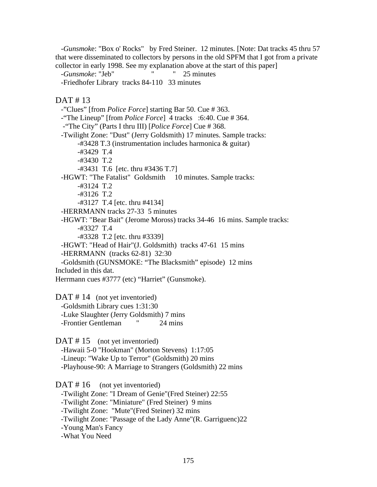-*Gunsmok*e: "Box o' Rocks" by Fred Steiner. 12 minutes. [Note: Dat tracks 45 thru 57 that were disseminated to collectors by persons in the old SPFM that I got from a private collector in early 1998. See my explanation above at the start of this paper]

-*Gunsmoke*: "Jeb" " 25 minutes

-Friedhofer Library tracks 84-110 33 minutes

DAT # 13

 -"Clues" [from *Police Force*] starting Bar 50. Cue # 363. -"The Lineup" [from *Police Force*] 4 tracks :6:40. Cue # 364. -"The City" (Parts I thru III) [*Police Force*] Cue # 368. -Twilight Zone: "Dust" (Jerry Goldsmith) 17 minutes. Sample tracks: -#3428 T.3 (instrumentation includes harmonica & guitar) -#3429 T.4 -#3430 T.2 -#3431 T.6 [etc. thru #3436 T.7] -HGWT: "The Fatalist" Goldsmith 10 minutes. Sample tracks: -#3124 T.2 -#3126 T.2 -#3127 T.4 [etc. thru #4134] -HERRMANN tracks 27-33 5 minutes -HGWT: "Bear Bait" (Jerome Moross) tracks 34-46 16 mins. Sample tracks: -#3327 T.4 -#3328 T.2 [etc. thru #3339] -HGWT: "Head of Hair"(J. Goldsmith) tracks 47-61 15 mins -HERRMANN (tracks 62-81) 32:30 -Goldsmith (GUNSMOKE: "The Blacksmith" episode) 12 mins Included in this dat. Herrmann cues #3777 (etc) "Harriet" (Gunsmoke). DAT #14 (not yet inventoried) -Goldsmith Library cues 1:31:30 -Luke Slaughter (Jerry Goldsmith) 7 mins -Frontier Gentleman " 24 mins DAT #15 (not yet inventoried) -Hawaii 5-0 "Hookman" (Morton Stevens) 1:17:05 -Lineup: "Wake Up to Terror" (Goldsmith) 20 mins -Playhouse-90: A Marriage to Strangers (Goldsmith) 22 mins DAT #16 (not yet inventoried) -Twilight Zone: "I Dream of Genie"(Fred Steiner) 22:55 -Twilight Zone: "Miniature" (Fred Steiner) 9 mins -Twilight Zone: "Mute"(Fred Steiner) 32 mins -Twilight Zone: "Passage of the Lady Anne"(R. Garriguenc)22

 -Young Man's Fancy -What You Need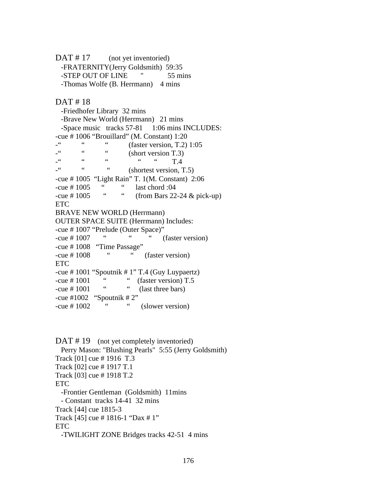DAT #17 (not yet inventoried) -FRATERNITY(Jerry Goldsmith) 59:35 -STEP OUT OF LINE  $\frac{1}{55}$  mins -Thomas Wolfe (B. Herrmann) 4 mins

DAT # 18

 -Friedhofer Library 32 mins -Brave New World (Herrmann) 21 mins -Space music tracks 57-81 1:06 mins INCLUDES: -cue # 1006 "Brouillard" (M. Constant) 1:20  $\frac{100}{100}$   $\frac{100}{100}$   $\frac{100}{100}$   $\frac{100}{100}$   $\frac{100}{100}$  (short version T 3)  $\frac{1}{2}$  (short version T.3) -" " " " T.4  $\ddot{ }$  "  $\dddot{ }$  (shortest version, T.5) -cue # 1005 "Light Rain" T. 1(M. Constant) 2:06 -cue # 1005 " " last chord :04  $-$ cue # 1005 " " (from Bars 22-24 & pick-up) ETC BRAVE NEW WORLD (Herrmann) OUTER SPACE SUITE (Herrmann) Includes: -cue # 1007 "Prelude (Outer Space)" -cue # 1007 " " (faster version)  $-$ cue # 1008 "Time Passage" -cue # 1008 " " (faster version) ETC -cue # 1001 "Spoutnik # 1" T.4 (Guy Luypaertz)  $-$ cue # 1001 " (faster version) T.5<br> $\frac{C}{2}$  (less three bars)  $-cue \# 1001$  " (last three bars) -cue #1002 "Spoutnik #  $2$ " -cue # 1002 " " (slower version)

DAT #19 (not yet completely inventoried) Perry Mason: "Blushing Pearls" 5:55 (Jerry Goldsmith) Track [01] cue # 1916 T.3 Track [02] cue # 1917 T.1 Track [03] cue # 1918 T.2 ETC. -Frontier Gentleman (Goldsmith) 11mins - Constant tracks 14-41 32 mins Track [44] cue 1815-3 Track [45] cue # 1816-1 "Dax # 1" ETC -TWILIGHT ZONE Bridges tracks 42-51 4 mins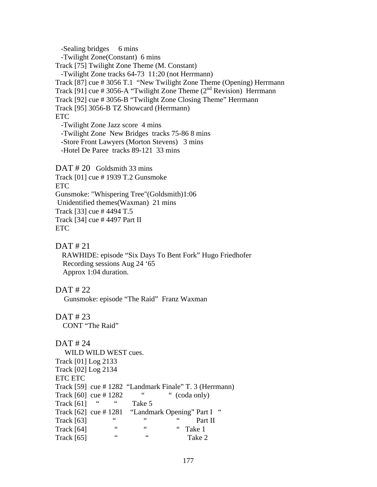-Sealing bridges 6 mins -Twilight Zone(Constant) 6 mins Track [75] Twilight Zone Theme (M. Constant) -Twilight Zone tracks 64-73 11:20 (not Herrmann) Track [87] cue # 3056 T.1 "New Twilight Zone Theme (Opening) Herrmann Track [91] cue # 3056-A "Twilight Zone Theme  $(2<sup>nd</sup> Revision)$  Herrmann Track [92] cue # 3056-B "Twilight Zone Closing Theme" Herrmann Track [95] 3056-B TZ Showcard (Herrmann) ETC -Twilight Zone Jazz score 4 mins -Twilight Zone New Bridges tracks 75-86 8 mins -Store Front Lawyers (Morton Stevens) 3 mins -Hotel De Paree tracks 89-121 33 mins DAT # 20 Goldsmith 33 mins

Track [01] cue # 1939 T.2 Gunsmoke ETC Gunsmoke: "Whispering Tree"(Goldsmith)1:06 Unidentified themes(Waxman) 21 mins Track [33] cue # 4494 T.5 Track [34] cue # 4497 Part II ETC

#### DAT # 21

 RAWHIDE: episode "Six Days To Bent Fork" Hugo Friedhofer Recording sessions Aug 24 '65 Approx 1:04 duration.

#### DAT # 22

Gunsmoke: episode "The Raid" Franz Waxman

## DAT # 23

CONT "The Raid"

DAT # 24 WILD WILD WEST cues. Track [01] Log 2133 Track [02] Log 2134 ETC ETC Track [59] cue # 1282 "Landmark Finale" T. 3 (Herrmann) Track  $[60]$  cue  $\#$  1282 " (coda only) Track  $[61]$  "  $"$  Take 5 Track  $[62]$  cue # 1281 "Landmark Opening" Part I "  $\text{Track } [63]$  " "  $\text{Part } II$ <br> $\text{Track } [64]$  " " " "  $\text{False } 1$  $\text{Track } [64]$  " " Take 1 Track [65] " " Take 2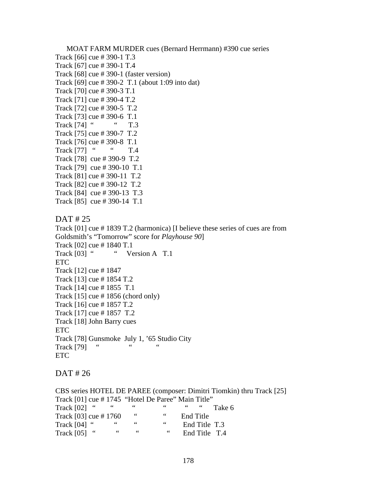MOAT FARM MURDER cues (Bernard Herrmann) #390 cue series Track [66] cue # 390-1 T.3 Track [67] cue # 390-1 T.4 Track [68] cue # 390-1 (faster version) Track [69] cue # 390-2 T.1 (about 1:09 into dat) Track [70] cue # 390-3 T.1 Track [71] cue # 390-4 T.2 Track [72] cue # 390-5 T.2 Track [73] cue # 390-6 T.1 Track [74] " " T.3 Track [75] cue # 390-7 T.2 Track [76] cue # 390-8 T.1 Track [77] " T.4 Track [78] cue # 390-9 T.2 Track [79] cue # 390-10 T.1 Track [81] cue # 390-11 T.2 Track [82] cue # 390-12 T.2 Track [84] cue # 390-13 T.3 Track [85] cue # 390-14 T.1 DAT # 25 Track [01] cue # 1839 T.2 (harmonica) [I believe these series of cues are from Goldsmith's "Tomorrow" score for *Playhouse 90*] Track [02] cue # 1840 T.1 Track [03] " " Version A T.1 ETC Track [12] cue # 1847 Track [13] cue # 1854 T.2 Track [14] cue # 1855 T.1 Track  $[15]$  cue # 1856 (chord only) Track [16] cue # 1857 T.2 Track [17] cue # 1857 T.2 Track [18] John Barry cues ETC Track [78] Gunsmoke July 1, '65 Studio City Track  $[79]$  " " " ETC

DAT # 26

CBS series HOTEL DE PAREE (composer: Dimitri Tiomkin) thru Track [25] Track  $[01]$  cue # 1745 "Hotel De Paree" Main Title" Track [02] " " " " Take 6 Track  $[03]$  cue # 1760 " " End Title Track [04] " " " " End Title T.3 Track [05] " " " End Title T.4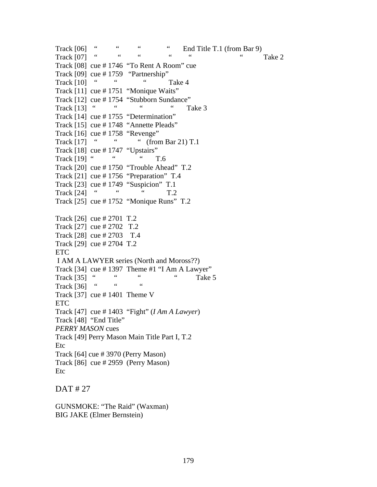Track  $[06]$  " " " End Title T.1 (from Bar 9) Track  $[07]$  " " " " " Take 2 Track [08] cue # 1746 "To Rent A Room" cue Track [09] cue # 1759 "Partnership"  $\text{Track } [10]$  " "  $\text{Take } 4$ Track [11] cue # 1751 "Monique Waits" Track  $[12]$  cue # 1754 "Stubborn Sundance"<br>Track  $[13]$  """"" Track  $[13]$  " " " Take 3 Track [14] cue # 1755 "Determination" Track [15] cue # 1748 "Annette Pleads" Track [16] cue # 1758 "Revenge"<br>Track [17] " " " " (from " " (from Bar 21) T.1 Track [18] cue # 1747 "Upstairs" Track  $[19]$  " " T.6 Track [20] cue # 1750 "Trouble Ahead" T.2 Track [21] cue # 1756 "Preparation" T.4 Track [23] cue # 1749 "Suspicion" T.1 Track [24] " " T.2 Track [25] cue # 1752 "Monique Runs" T.2 Track [26] cue # 2701 T.2 Track [27] cue # 2702 T.2 Track [28] cue # 2703 T.4 Track [29] cue # 2704 T.2 ETC I AM A LAWYER series (North and Moross??) Track  $[34]$  cue # 1397 Theme #1 "I Am A Lawyer" Track  $[35]$  " " " Take 5 Track [36] " Track [37] cue  $\#$  1401 Theme V ETC Track [47] cue # 1403 "Fight" (*I Am A Lawyer*) Track [48] "End Title" *PERRY MASON* cues Track [49] Perry Mason Main Title Part I, T.2 Etc Track [64] cue # 3970 (Perry Mason) Track [86] cue # 2959 (Perry Mason) Etc

DAT # 27

GUNSMOKE: "The Raid" (Waxman) BIG JAKE (Elmer Bernstein)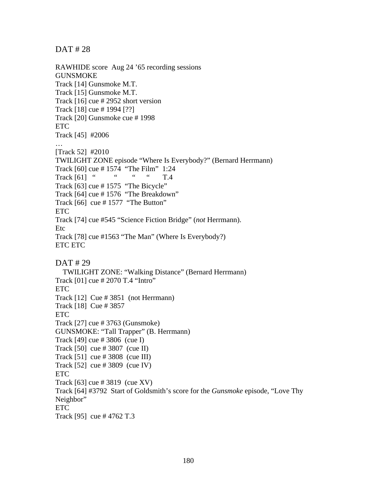DAT # 28

RAWHIDE score Aug 24 '65 recording sessions GUNSMOKE Track [14] Gunsmoke M.T. Track [15] Gunsmoke M.T. Track [16] cue # 2952 short version Track [18] cue # 1994 [??] Track [20] Gunsmoke cue # 1998 ETC Track [45] #2006 … [Track 52] #2010 TWILIGHT ZONE episode "Where Is Everybody?" (Bernard Herrmann) Track [60] cue # 1574 "The Film" 1:24<br>Track [61] " " " " TA Track  $[61]$  " " " T.4 Track [63] cue #1575 "The Bicycle" Track [64] cue # 1576 "The Breakdown" Track  $[66]$  cue # 1577 "The Button" ETC Track [74] cue #545 "Science Fiction Bridge" (*not* Herrmann). Etc Track [78] cue #1563 "The Man" (Where Is Everybody?) ETC ETC DAT # 29 TWILIGHT ZONE: "Walking Distance" (Bernard Herrmann) Track [01] cue # 2070 T.4 "Intro" ETC Track [12] Cue # 3851 (not Herrmann) Track [18] Cue # 3857 ETC Track [27] cue # 3763 (Gunsmoke) GUNSMOKE: "Tall Trapper" (B. Herrmann) Track [49] cue # 3806 (cue I) Track [50] cue # 3807 (cue II) Track [51] cue # 3808 (cue III) Track [52] cue # 3809 (cue IV) ETC Track [63] cue # 3819 (cue XV) Track [64] #3792 Start of Goldsmith's score for the *Gunsmoke* episode, "Love Thy Neighbor" ETC Track [95] cue # 4762 T.3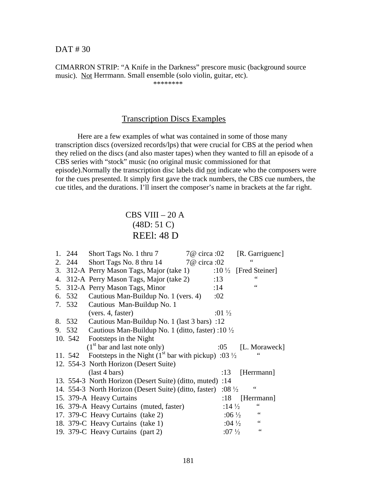DAT # 30

CIMARRON STRIP: "A Knife in the Darkness" prescore music (background source music). Not Herrmann. Small ensemble (solo violin, guitar, etc). \*\*\*\*\*\*\*\*

## Transcription Discs Examples

 Here are a few examples of what was contained in some of those many transcription discs (oversized records/lps) that were crucial for CBS at the period when they relied on the discs (and also master tapes) when they wanted to fill an episode of a CBS series with "stock" music (no original music commissioned for that episode).Normally the transcription disc labels did not indicate who the composers were for the cues presented. It simply first gave the track numbers, the CBS cue numbers, the cue titles, and the durations. I'll insert the composer's name in brackets at the far right.

# CBS VIII $-20$  A (48D: 51 C) REEl: 48 D

|    | 1. 244 | Short Tags No. 1 thru 7<br>7@ circa :02                                  |                   | [R. Garriguenc] |
|----|--------|--------------------------------------------------------------------------|-------------------|-----------------|
|    | 2. 244 | Short Tags No. 8 thru 14<br>7@ circa :02                                 |                   | 66              |
|    |        | 3. 312-A Perry Mason Tags, Major (take 1)                                | :10 $\frac{1}{2}$ | [Fred Steiner]  |
|    |        | 4. 312-A Perry Mason Tags, Major (take 2)                                | :13               |                 |
| 5. |        | 312-A Perry Mason Tags, Minor                                            | :14               | 66              |
|    | 6. 532 | Cautious Man-Buildup No. 1 (vers. 4)                                     | :02               |                 |
|    | 7. 532 | Cautious Man-Buildup No. 1                                               |                   |                 |
|    |        | (vers. 4, faster)                                                        | :01 $\frac{1}{2}$ |                 |
|    | 8. 532 | Cautious Man-Buildup No. 1 (last 3 bars) :12                             |                   |                 |
|    | 9. 532 | Cautious Man-Buildup No. 1 (ditto, faster) :10 $\frac{1}{2}$             |                   |                 |
|    |        | 10. 542 Footsteps in the Night                                           |                   |                 |
|    |        | $(1st$ bar and last note only)                                           | :05               | [L. Moraweck]   |
|    |        | 11. 542 Footsteps in the Night $(1st$ bar with pickup) :03 $\frac{1}{2}$ |                   |                 |
|    |        | 12. 554-3 North Horizon (Desert Suite)                                   |                   |                 |
|    |        | $last 4 bars)$                                                           | :13               | [Herrmann]      |
|    |        | 13. 554-3 North Horizon (Desert Suite) (ditto, muted) :14                |                   |                 |
|    |        | 14. 554-3 North Horizon (Desert Suite) (ditto, faster)                   | :08 $\frac{1}{2}$ | 66              |
|    |        | 15. 379-A Heavy Curtains                                                 | :18               | [Herrmann]      |
|    |        | 16. 379-A Heavy Curtains (muted, faster)                                 | :14 $\frac{1}{2}$ |                 |
|    |        |                                                                          |                   |                 |
|    |        | 17. 379-C Heavy Curtains (take 2)                                        | :06 $\frac{1}{2}$ | $\zeta$ $\zeta$ |
|    |        | 18. 379-C Heavy Curtains (take 1)                                        | :04 $\frac{1}{2}$ | $\zeta$ $\zeta$ |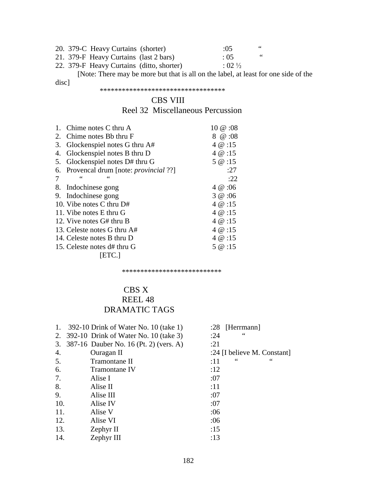|  | 20. 379-C Heavy Curtains (shorter)        | : 0.5             | 66 |
|--|-------------------------------------------|-------------------|----|
|  | 21. 379-F Heavy Curtains (last 2 bars)    | $\pm 0.5$         | 66 |
|  | 22. 379-F Heavy Curtains (ditto, shorter) | $: 02\frac{1}{2}$ |    |

 [Note: There may be more but that is all on the label, at least for one side of the disc]

#### \*\*\*\*\*\*\*\*\*\*\*\*\*\*\*\*\*\*\*\*\*\*\*\*\*\*\*\*\*\*\*\*\*\*

#### CBS VIII

# Reel 32 Miscellaneous Percussion

|    | 1. Chime notes C thru A                     | $10 \ @ \ 0.08$ |
|----|---------------------------------------------|-----------------|
| 2. | Chime notes Bb thru F                       | 8 @ :08         |
| 3. | Glockenspiel notes G thru A#                | 4 @ :15         |
| 4. | Glockenspiel notes B thru D                 | 4 $@:15$        |
| 5. | Glockenspiel notes D# thru G                | 5 @ :15         |
| 6. | Provencal drum [note: <i>provincial</i> ??] | :27             |
| 7  |                                             | :22             |
| 8. | Indochinese gong                            | 4 @:06          |
| 9. | Indochinese gong                            | 3 @:06          |
|    | 10. Vibe notes C thru D#                    | 4 $@:15$        |
|    | 11. Vibe notes E thru G                     | $4 \& 15$       |
|    | 12. Vive notes G# thru B                    | 4 $@:15$        |
|    | 13. Celeste notes G thru A#                 | 4 $@:15$        |
|    | 14. Celeste notes B thru D                  | 4 @ : 15        |
|    | 15. Celeste notes d# thru G                 | 5 @ :15         |
|    | [ETC.]                                      |                 |

\*\*\*\*\*\*\*\*\*\*\*\*\*\*\*\*\*\*\*\*\*\*\*\*\*\*\*

# CBS X REEL 48

# DRAMATIC TAGS

| 1.  | 392-10 Drink of Water No. 10 (take 1)     | $: 28$ [Herrmann]      |
|-----|-------------------------------------------|------------------------|
|     | 2. 392-10 Drink of Water No. 10 (take 3)  | $\zeta$ $\zeta$<br>:24 |
|     | 3. 387-16 Dauber No. 16 (Pt. 2) (vers. A) | :21                    |
| 4.  | Ouragan II                                | :24 [I believe M. Con  |
| 5.  | Tramontane II                             | 66<br>66<br>:11        |
| 6.  | Tramontane IV                             | :12                    |
| 7.  | Alise I                                   | :07                    |
| 8.  | Alise II                                  | :11                    |
| 9.  | Alise III                                 | :07                    |
| 10. | Alise IV                                  | :07                    |
| 11. | Alise V                                   | :06                    |
| 12. | Alise VI                                  | :06                    |
| 13. | Zephyr II                                 | :15                    |
| 14. | Zephyr III                                | :13                    |

182

- 8 [Herrmann]  $\frac{4}{10}$  :
- 
- 
- $4$  [I believe M. Constant]
-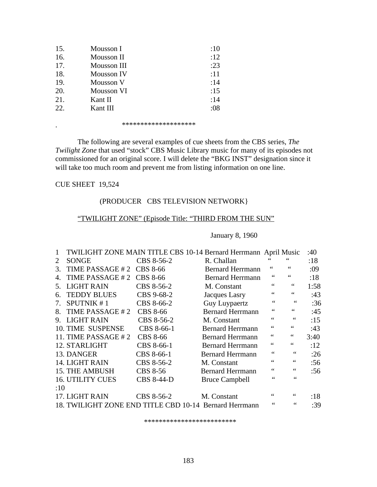| 15. | Mousson I   | :10  |
|-----|-------------|------|
| 16. | Mousson II  | :12  |
| 17. | Mousson III | : 23 |
| 18. | Mousson IV  | :11  |
| 19. | Mousson V   | :14  |
| 20. | Mousson VI  | :15  |
| 21. | Kant II     | :14  |
| 22. | Kant III    | :08  |

. \*\*\*\*\*\*\*\*\*\*\*\*\*\*\*\*\*\*\*\*

 The following are several examples of cue sheets from the CBS series, *The Twilight Zone* that used "stock" CBS Music Library music for many of its episodes not commissioned for an original score. I will delete the "BKG INST" designation since it will take too much room and prevent me from listing information on one line.

#### CUE SHEET 19,524

#### (PRODUCER CBS TELEVISION NETWORK}

#### "TWILIGHT ZONE" (Episode Title: "THIRD FROM THE SUN"

#### January 8, 1960

|     |                          |                   | TWILIGHT ZONE MAIN TITLE CBS 10-14 Bernard Herrmann April Music |                 |                               | :40  |
|-----|--------------------------|-------------------|-----------------------------------------------------------------|-----------------|-------------------------------|------|
| 2   | <b>SONGE</b>             | CBS 8-56-2        | R. Challan                                                      |                 | 66                            | :18  |
| 3.  | TIME PASSAGE #2          | CBS 8-66          | <b>Bernard Herrmann</b>                                         | 66              | 66                            | :09  |
|     | TIME PASSAGE #2          | CBS 8-66          | <b>Bernard Herrmann</b>                                         | 66              | 66                            | :18  |
| 5.  | <b>LIGHT RAIN</b>        | CBS 8-56-2        | M. Constant                                                     | 66              | 66                            | 1:58 |
| 6.  | <b>TEDDY BLUES</b>       | CBS 9-68-2        | Jacques Lasry                                                   | $\zeta$ $\zeta$ | $\leq$ $\leq$                 | :43  |
| 7.  | <b>SPUTNIK #1</b>        | CBS 8-66-2        | Guy Luypaertz                                                   | 66              | $\leq$ $\leq$                 | :36  |
| 8.  | TIME PASSAGE #2          | <b>CBS 8-66</b>   | <b>Bernard Herrmann</b>                                         | 66              | $\zeta\,\zeta$                | :45  |
|     | 9. LIGHT RAIN            | CBS 8-56-2        | M. Constant                                                     | 66              | $\mbox{\bf 6}$ $\mbox{\bf 6}$ | :15  |
|     | <b>10. TIME SUSPENSE</b> | CBS 8-66-1        | <b>Bernard Herrmann</b>                                         | 66              | 66                            | :43  |
|     | 11. TIME PASSAGE $# 2$   | <b>CBS 8-66</b>   | <b>Bernard Herrmann</b>                                         | 66              | $\,66$                        | 3:40 |
|     | 12. STARLIGHT            | CBS 8-66-1        | <b>Bernard Herrmann</b>                                         | 66              | $\,66$                        | :12  |
|     | 13. DANGER               | CBS 8-66-1        | <b>Bernard Herrmann</b>                                         | 66              | 66                            | :26  |
|     | 14. LIGHT RAIN           | CBS 8-56-2        | M. Constant                                                     |                 | 66                            | :56  |
|     | <b>15. THE AMBUSH</b>    | <b>CBS 8-56</b>   | <b>Bernard Herrmann</b>                                         | 66              | 66                            | :56  |
|     | <b>16. UTILITY CUES</b>  | <b>CBS 8-44-D</b> | <b>Bruce Campbell</b>                                           | $\leq$          | 66                            |      |
| :10 |                          |                   |                                                                 |                 |                               |      |
|     | 17. LIGHT RAIN           | CBS 8-56-2        | M. Constant                                                     |                 |                               | :18  |
|     |                          |                   | 18. TWILIGHT ZONE END TITLE CBD 10-14 Bernard Herrmann          | 66              | 66                            | :39  |

\*\*\*\*\*\*\*\*\*\*\*\*\*\*\*\*\*\*\*\*\*\*\*\*\*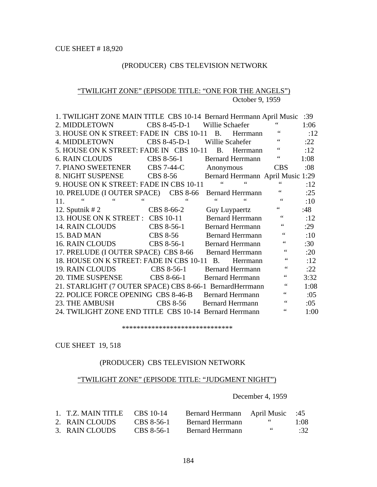# (PRODUCER) CBS TELEVISION NETWORK

#### "TWILIGHT ZONE" (EPISODE TITLE: "ONE FOR THE ANGELS") October 9, 1959

| 1. TWILIGHT ZONE MAIN TITLE CBS 10-14 Bernard Herrmann April Music |                   |                             |                      |                         |                                   | :39  |
|--------------------------------------------------------------------|-------------------|-----------------------------|----------------------|-------------------------|-----------------------------------|------|
| 2. MIDDLETOWN                                                      |                   | CBS 8-45-D-1                | Willie Schaefer      |                         |                                   | 1:06 |
| 3. HOUSE ON K STREET: FADE IN CBS 10-11 B.                         |                   |                             |                      | Herrmann                | $\leq \, \leq$                    | :12  |
| 4. MIDDLETOWN                                                      |                   | CBS 8-45-D-1                | Willie Scahefer      |                         | $\zeta$ $\zeta$                   | :22  |
| 5. HOUSE ON K STREET: FADE IN CBS 10-11                            |                   |                             | <b>B.</b>            | Herrmann                | 66                                | :12  |
| <b>6. RAIN CLOUDS</b>                                              |                   | CBS 8-56-1 Bernard Herrmann |                      |                         | $\zeta$ $\zeta$                   | 1:08 |
| 7. PIANO SWEETENER                                                 | <b>CBS 7-44-C</b> |                             | Anonymous            |                         | <b>CBS</b>                        | :08  |
| 8. NIGHT SUSPENSE CBS 8-56                                         |                   |                             |                      |                         | Bernard Herrmann April Music 1:29 |      |
| 9. HOUSE ON K STREET: FADE IN CBS 10-11                            |                   |                             |                      | $\leq$ $\leq$           |                                   | :12  |
| 10. PRELUDE (I OUTER SPACE) CBS 8-66                               |                   |                             |                      | <b>Bernard Herrmann</b> |                                   | :25  |
| $\zeta$ $\zeta$<br>66<br>11.                                       |                   | $\zeta$ $\zeta$             | 66                   | 66                      | $\zeta \zeta$                     | :10  |
| 12. Sputnik $#2$                                                   | CBS 8-66-2        |                             | <b>Guy Luypaertz</b> |                         | 66                                | :48  |
| 13. HOUSE ON K STREET : CBS 10-11                                  |                   |                             |                      | <b>Bernard Herrmann</b> | $\zeta \zeta$                     | :12  |
| 14. RAIN CLOUDS<br>CBS 8-56-1                                      |                   |                             |                      | <b>Bernard Herrmann</b> | $\zeta$ $\zeta$                   | :29  |
| 15. BAD MAN<br>CBS 8-56                                            |                   |                             |                      | <b>Bernard Herrmann</b> | $\zeta$ $\zeta$                   | :10  |
| 16. RAIN CLOUDS CBS 8-56-1                                         |                   |                             |                      | <b>Bernard Herrmann</b> | 66                                | :30  |
| 17. PRELUDE (I OUTER SPACE) CBS 8-66 Bernard Herrmann              |                   |                             |                      |                         | $\zeta$ $\zeta$                   | :20  |
| 18. HOUSE ON K STREET: FADE IN CBS 10-11 B.                        |                   |                             |                      | Herrmann                | $\zeta$ $\zeta$                   | :12  |
| 19. RAIN CLOUDS CBS 8-56-1                                         |                   |                             |                      | <b>Bernard Herrmann</b> | $\zeta$ $\zeta$                   | :22  |
| 20. TIME SUSPENSE                                                  |                   | CBS 8-66-1                  |                      | <b>Bernard Herrmann</b> | $\zeta$ $\zeta$                   | 3:32 |
| 21. STARLIGHT (7 OUTER SPACE) CBS 8-66-1 BernardHerrmann           |                   |                             |                      |                         | $\zeta$ $\zeta$                   | 1:08 |
| 22. POLICE FORCE OPENING CBS 8-46-B Bernard Herrmann               |                   |                             |                      |                         | $\zeta$ $\zeta$                   | :05  |
| 23. THE AMBUSH                                                     |                   | CBS 8-56                    |                      | <b>Bernard Herrmann</b> | $\zeta$ $\zeta$                   | :05  |
| 24. TWILIGHT ZONE END TITLE CBS 10-14 Bernard Herrmann             |                   |                             |                      |                         | $\zeta$ $\zeta$                   | 1:00 |

#### \*\*\*\*\*\*\*\*\*\*\*\*\*\*\*\*\*\*\*\*\*\*\*\*\*\*\*\*\*\*

#### CUE SHEET 19, 518

#### (PRODUCER) CBS TELEVISION NETWORK

#### "TWILIGHT ZONE" (EPISODE TITLE: "JUDGMENT NIGHT")

#### December 4, 1959

| 1. T.Z. MAIN TITLE $CBS 10-14$ |            | <b>Bernard Herrmann</b> April Music :45 |                   |      |
|--------------------------------|------------|-----------------------------------------|-------------------|------|
| 2. RAIN CLOUDS                 | CBS 8-56-1 | Bernard Herrmann                        | $\sim$ 6.6 $\sim$ | 1:08 |
| 3. RAIN CLOUDS                 | CBS 8-56-1 | Bernard Herrmann                        | - 66              | :32  |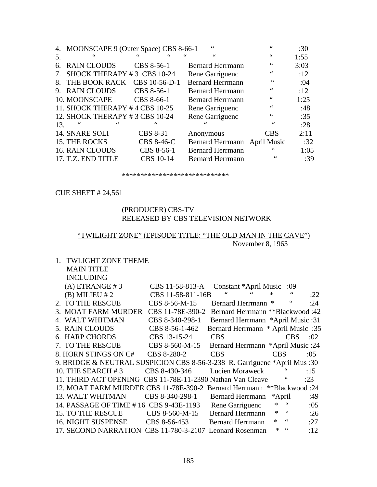|                                  | 4. MOONSCAPE 9 (Outer Space) CBS 8-66-1 |                  | 66                           | 66         | :30  |
|----------------------------------|-----------------------------------------|------------------|------------------------------|------------|------|
| 5.                               | 66                                      | 66               | 44                           | 66         | 1:55 |
| 6.                               | <b>RAIN CLOUDS</b>                      | CBS 8-56-1       | <b>Bernard Herrmann</b>      | 66         | 3:03 |
| $7_{\scriptscriptstyle{\ddots}}$ | SHOCK THERAPY #3 CBS 10-24              |                  | Rene Garriguenc              | 66         | :12  |
| 8.                               | THE BOOK RACK                           | CBS 10-56-D-1    | <b>Bernard Herrmann</b>      | 66         | :04  |
| 9.                               | <b>RAIN CLOUDS</b>                      | CBS 8-56-1       | <b>Bernard Herrmann</b>      | 66         | :12  |
|                                  | 10. MOONSCAPE                           | CBS 8-66-1       | <b>Bernard Herrmann</b>      | 66         | 1:25 |
|                                  | 11. SHOCK THERAPY #4 CBS 10-25          |                  | Rene Garriguenc              | 66         | :48  |
|                                  | 12. SHOCK THERAPY #3 CBS 10-24          |                  | Rene Garriguenc              | 66         | :35  |
| 13.                              |                                         |                  |                              | 66         | :28  |
|                                  | 14. SNARE SOLI                          | CBS 8-31         | Anonymous                    | <b>CBS</b> | 2:11 |
|                                  | 15. THE ROCKS                           | CBS 8-46-C       | Bernard Herrmann April Music |            | :32  |
|                                  | <b>16. RAIN CLOUDS</b>                  | CBS 8-56-1       | <b>Bernard Herrmann</b>      | 66         | 1:05 |
|                                  | 17. T.Z. END TITLE                      | <b>CBS</b> 10-14 | <b>Bernard Herrmann</b>      | 66         | :39  |
|                                  |                                         |                  |                              |            |      |

#### \*\*\*\*\*\*\*\*\*\*\*\*\*\*\*\*\*\*\*\*\*\*\*\*\*\*\*\*\*

CUE SHEET # 24,561

## (PRODUCER) CBS-TV RELEASED BY CBS TELEVISION NETWORK

## "TWILIGHT ZONE" (EPISODE TITLE: "THE OLD MAN IN THE CAVE") November 8, 1963

| <b>TWLIGHT ZONE THEME</b>                                                         |            |               |     |
|-----------------------------------------------------------------------------------|------------|---------------|-----|
| <b>MAIN TITLE</b>                                                                 |            |               |     |
| <b>INCLUDING</b>                                                                  |            |               |     |
| $(A)$ ETRANGE #3<br>CBS 11-58-813-A<br>Constant *April Music :09                  |            |               |     |
| $\zeta$ $\zeta$<br>$\mbox{\bf 6}$<br>$(B)$ MILIEU # 2<br>CBS 11-58-811-16B        | $\ast$     |               | :22 |
| 2. TO THE RESCUE<br>CBS 8-56-M-15<br>Bernard Herrmann *                           |            |               | :24 |
| 3. MOAT FARM MURDER<br>CBS 11-78E-390-2<br><b>Bernard Herrmann **Blackwood:42</b> |            |               |     |
| 4. WALT WHITMAN<br>CBS 8-340-298-1<br>Bernard Herrmann *April Music :31           |            |               |     |
| Bernard Herrmann * April Music :35<br>5. RAIN CLOUDS<br>CBS 8-56-1-462            |            |               |     |
| 6. HARP CHORDS<br>CBS 13-15-24<br><b>CBS</b>                                      |            | CBS           | :02 |
| 7. TO THE RESCUE<br>Bernard Herrmann *April Music :24<br>CBS 8-560-M-15           |            |               |     |
| 8. HORN STINGS ON C#<br>CBS 8-280-2<br><b>CBS</b>                                 | <b>CBS</b> |               | :05 |
| 9. BRIDGE & NEUTRAL SUSPICION CBS 8-56-3-238 R. Garriguenc *April Mus :30         |            |               |     |
| 10. THE SEARCH $#3$<br>CBS 8-430-346<br>Lucien Moraweck                           |            |               | :15 |
| 11. THIRD ACT OPENING CBS 11-78E-11-2390 Nathan Van Cleave                        |            |               | :23 |
| 12. MOAT FARM MURDER CBS 11-78E-390-2 Bernard Herrmann **Blackwood :24            |            |               |     |
| <b>13. WALT WHITMAN</b><br>CBS 8-340-298-1<br><b>Bernard Herrmann</b>             | *April     |               | :49 |
| 14. PASSAGE OF TIME #16 CBS 9-43E-1193<br>Rene Garriguenc                         |            |               | :05 |
| <b>Bernard Herrmann</b><br>15. TO THE RESCUE<br>CBS 8-560-M-15                    | $\ast$     | 66            | :26 |
| 16. NIGHT SUSPENSE<br>CBS 8-56-453<br><b>Bernard Herrmann</b>                     | $\ast$     | $\,$ 6 6 $\,$ | :27 |
| 17. SECOND NARRATION CBS 11-780-3-2107 Leonard Rosenman                           | $\ast$     | 66            | :12 |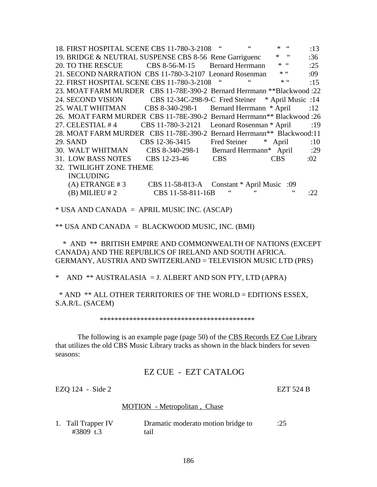18. FIRST HOSPITAL SCENE CBS 11-780-3-2108 " " \* " :13 19. BRIDGE & NEUTRAL SUSPENSE CBS 8-56 Rene Garriguenc \* " :36 20. TO THE RESCUE CBS 8-56-M-15 Bernard Herrmann  $*$  " :25 21. SECOND NARRATION CBS 11-780-3-2107 Leonard Rosenman \* " :09 22. FIRST HOSPITAL SCENE CBS 11-780-3-2108 " \* \* \* :15 23. MOAT FARM MURDER CBS 11-78E-390-2 Bernard Herrmann \*\*Blackwood :22 24. SECOND VISION CBS 12-34C-298-9-C Fred Steiner \* April Music :14 25. WALT WHITMAN CBS 8-340-298-1 Bernard Herrmann \* April :12 26. MOAT FARM MURDER CBS 11-78E-390-2 Bernard Herrmann\*\* Blackwood :26 27. CELESTIAL #4 CBS 11-780-3-2121 Leonard Rosenman \* April :19 28. MOAT FARM MURDER CBS 11-78E-390-2 Bernard Herrmann\*\* Blackwood:11 29. SAND CBS 12-36-3415 Fred Steiner \* April :10 30. WALT WHITMAN CBS 8-340-298-1 Bernard Herrmann\* April :29 31. LOW BASS NOTES CBS 12-23-46 CBS CBS :02 32. TWILIGHT ZONE THEME INCLUDING (A) ETRANGE # 3 CBS 11-58-813-A Constant \* April Music :09 (B) MILIEU  $\#2$  CBS 11-58-811-16B " " :22

 $*$  USA AND CANADA = APRIL MUSIC INC. (ASCAP)

\*\* USA AND CANADA = BLACKWOOD MUSIC, INC. (BMI)

 \* AND \*\* BRITISH EMPIRE AND COMMONWEALTH OF NATIONS (EXCEPT CANADA) AND THE REPUBLICS OF IRELAND AND SOUTH AFRICA. GERMANY, AUSTRIA AND SWITZERLAND = TELEVISION MUSIC LTD (PRS)

\* AND \*\* AUSTRALASIA = J. ALBERT AND SON PTY, LTD (APRA)

 \* AND \*\* ALL OTHER TERRITORIES OF THE WORLD = EDITIONS ESSEX, S.A.R/L. (SACEM)

\*\*\*\*\*\*\*\*\*\*\*\*\*\*\*\*\*\*\*\*\*\*\*\*\*\*\*\*\*\*\*\*\*\*\*\*\*\*\*\*\*\*

 The following is an example page (page 50) of the CBS Records EZ Cue Library that utilizes the old CBS Music Library tracks as shown in the black binders for seven seasons:

EZ CUE - EZT CATALOG

EZQ 124 - Side 2 EZT 524 B

#### MOTION - Metropolitan , Chase

| 1. Tall Trapper IV | Dramatic moderato motion bridge to | :25 |
|--------------------|------------------------------------|-----|
| #3809 t.3          | tail                               |     |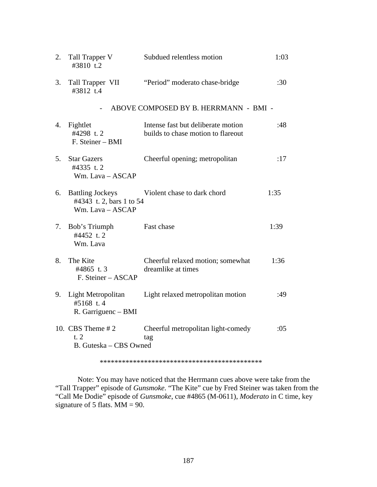| 2. | Tall Trapper V<br>#3810 t.2                                             | Subdued relentless motion                                                | 1:03 |
|----|-------------------------------------------------------------------------|--------------------------------------------------------------------------|------|
| 3. | Tall Trapper VII<br>#3812 t.4                                           | "Period" moderato chase-bridge                                           | :30  |
|    |                                                                         | ABOVE COMPOSED BY B. HERRMANN - BMI -                                    |      |
| 4. | Fightlet<br>#4298 t.2<br>F. Steiner - BMI                               | Intense fast but deliberate motion<br>builds to chase motion to flareout | :48  |
| 5. | <b>Star Gazers</b><br>#4335 t.2<br>Wm. Lava - ASCAP                     | Cheerful opening; metropolitan                                           | :17  |
| 6. | <b>Battling Jockeys</b><br>#4343 t. 2, bars 1 to 54<br>Wm. Lava - ASCAP | Violent chase to dark chord                                              | 1:35 |
| 7. | Bob's Triumph<br>#4452 t.2<br>Wm. Lava                                  | Fast chase                                                               | 1:39 |
| 8. | The Kite<br>#4865 t.3<br>F. Steiner - ASCAP                             | Cheerful relaxed motion; somewhat<br>dreamlike at times                  | 1:36 |
| 9. | Light Metropolitan<br>#5168 t.4<br>R. Garriguenc - BMI                  | Light relaxed metropolitan motion                                        | :49  |
|    | 10. CBS Theme $#2$<br>t.2<br>B. Guteska - CBS Owned                     | Cheerful metropolitan light-comedy<br>tag                                | :05  |
|    |                                                                         |                                                                          |      |

 Note: You may have noticed that the Herrmann cues above were take from the "Tall Trapper" episode of *Gunsmoke*. "The Kite" cue by Fred Steiner was taken from the "Call Me Dodie" episode of *Gunsmoke*, cue #4865 (M-0611), *Moderato* in C time, key signature of 5 flats. MM = 90.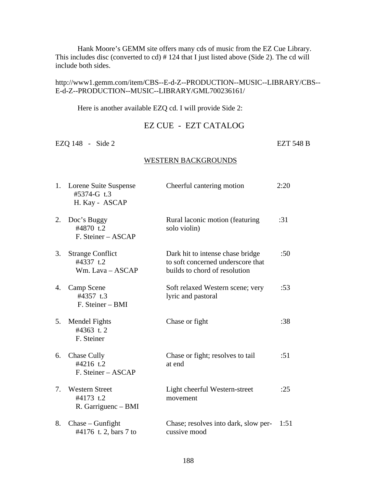Hank Moore's GEMM site offers many cds of music from the EZ Cue Library. This includes disc (converted to cd) # 124 that I just listed above (Side 2). The cd will include both sides.

## http://www1.gemm.com/item/CBS--E-d-Z--PRODUCTION--MUSIC--LIBRARY/CBS-- E-d-Z--PRODUCTION--MUSIC--LIBRARY/GML700236161/

Here is another available EZQ cd. I will provide Side 2:

# EZ CUE - EZT CATALOG

EZQ 148 - Side 2 EZT 548 B

#### WESTERN BACKGROUNDS

|                                  | 1. Lorene Suite Suspense<br>#5374-G t.3<br>H. Kay - ASCAP | Cheerful cantering motion                                                                              | 2:20 |
|----------------------------------|-----------------------------------------------------------|--------------------------------------------------------------------------------------------------------|------|
| 2.                               | Doc's Buggy<br>#4870 t.2<br>F. Steiner – ASCAP            | Rural laconic motion (featuring<br>solo violin)                                                        | :31  |
| 3.                               | <b>Strange Conflict</b><br>#4337 t.2<br>Wm. Lava - ASCAP  | Dark hit to intense chase bridge<br>to soft concerned underscore that<br>builds to chord of resolution | :50  |
| 4.                               | Camp Scene<br>#4357 t.3<br>F. Steiner – BMI               | Soft relaxed Western scene; very<br>lyric and pastoral                                                 | :53  |
| 5.                               | Mendel Fights<br>#4363 t.2<br>F. Steiner                  | Chase or fight                                                                                         | :38  |
| 6.                               | <b>Chase Cully</b><br>#4216 t.2<br>F. Steiner – ASCAP     | Chase or fight; resolves to tail<br>at end                                                             | : 51 |
| $7_{\scriptscriptstyle{\ddots}}$ | <b>Western Street</b><br>#4173 t.2<br>R. Garriguenc - BMI | Light cheerful Western-street<br>movement                                                              | :25  |
| 8.                               | $Chase - Gun fight$<br>#4176 t. 2, bars 7 to              | Chase; resolves into dark, slow per-<br>cussive mood                                                   | 1:51 |